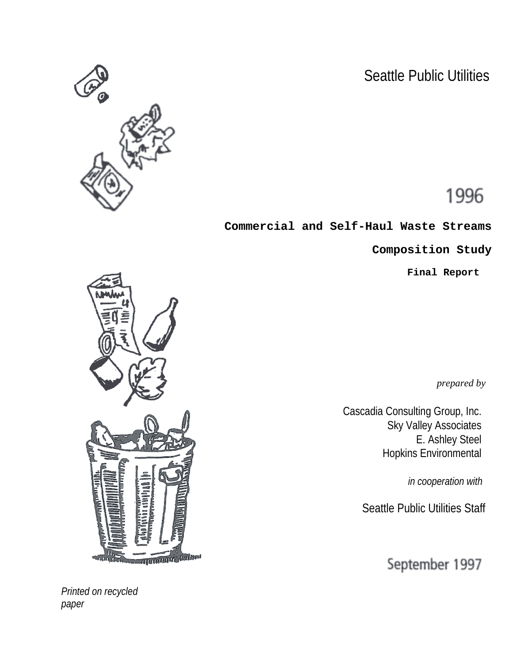Seattle Public Utilities



# 1996

**Commercial and Self-Haul Waste Streams**

**Composition Study**

**Final Report**

*prepared by*

Cascadia Consulting Group, Inc. Sky Valley Associates E. Ashley Steel Hopkins Environmental

*in cooperation with*

Seattle Public Utilities Staff

September 1997



*Printed on recycled paper*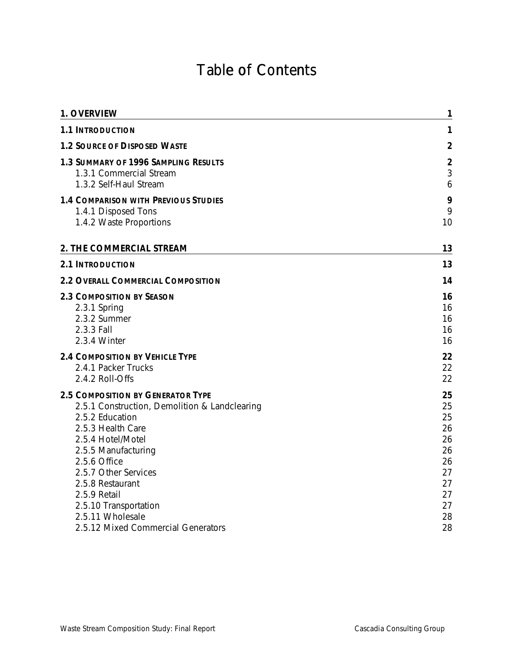# Table of Contents

| 1. OVERVIEW                                                                                                                                                                                                                                                                                                                                  | 1                                                                          |
|----------------------------------------------------------------------------------------------------------------------------------------------------------------------------------------------------------------------------------------------------------------------------------------------------------------------------------------------|----------------------------------------------------------------------------|
| <b>1.1 INTRODUCTION</b>                                                                                                                                                                                                                                                                                                                      | 1                                                                          |
| <b>1.2 SOURCE OF DISPOSED WASTE</b>                                                                                                                                                                                                                                                                                                          | $\overline{2}$                                                             |
| 1.3 SUMMARY OF 1996 SAMPLING RESULTS<br>1.3.1 Commercial Stream<br>1.3.2 Self-Haul Stream                                                                                                                                                                                                                                                    | $\overline{2}$<br>3<br>6                                                   |
| <b>1.4 COMPARISON WITH PREVIOUS STUDIES</b><br>1.4.1 Disposed Tons<br>1.4.2 Waste Proportions                                                                                                                                                                                                                                                | 9<br>9<br>10                                                               |
| 2. THE COMMERCIAL STREAM                                                                                                                                                                                                                                                                                                                     | 13                                                                         |
| <b>2.1 INTRODUCTION</b>                                                                                                                                                                                                                                                                                                                      | 13                                                                         |
| 2.2 OVERALL COMMERCIAL COMPOSITION                                                                                                                                                                                                                                                                                                           | 14                                                                         |
| <b>2.3 COMPOSITION BY SEASON</b><br>2.3.1 Spring<br>2.3.2 Summer<br>2.3.3 Fall<br>2.3.4 Winter                                                                                                                                                                                                                                               | 16<br>16<br>16<br>16<br>16                                                 |
| <b>2.4 COMPOSITION BY VEHICLE TYPE</b><br>2.4.1 Packer Trucks<br>2.4.2 Roll-Offs                                                                                                                                                                                                                                                             | 22<br>22<br>22                                                             |
| <b>2.5 COMPOSITION BY GENERATOR TYPE</b><br>2.5.1 Construction, Demolition & Landclearing<br>2.5.2 Education<br>2.5.3 Health Care<br>2.5.4 Hotel/Motel<br>2.5.5 Manufacturing<br>2.5.6 Office<br>2.5.7 Other Services<br>2.5.8 Restaurant<br>2.5.9 Retail<br>2.5.10 Transportation<br>2.5.11 Wholesale<br>2.5.12 Mixed Commercial Generators | 25<br>25<br>25<br>26<br>26<br>26<br>26<br>27<br>27<br>27<br>27<br>28<br>28 |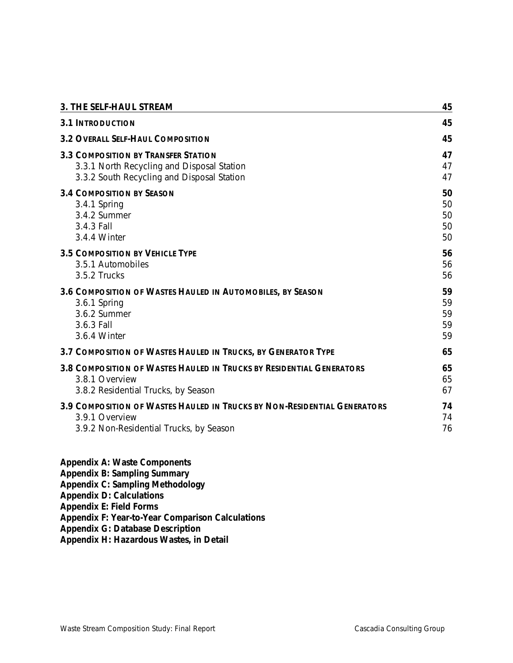| 3. THE SELF-HAUL STREAM                                                     | 45 |
|-----------------------------------------------------------------------------|----|
| <b>3.1 INTRODUCTION</b>                                                     | 45 |
| <b>3.2 OVERALL SELF-HAUL COMPOSITION</b>                                    | 45 |
| <b>3.3 COMPOSITION BY TRANSFER STATION</b>                                  | 47 |
| 3.3.1 North Recycling and Disposal Station                                  | 47 |
| 3.3.2 South Recycling and Disposal Station                                  | 47 |
| <b>3.4 COMPOSITION BY SEASON</b>                                            | 50 |
| 3.4.1 Spring                                                                | 50 |
| 3.4.2 Summer                                                                | 50 |
| 3.4.3 Fall                                                                  | 50 |
| 3.4.4 Winter                                                                | 50 |
| <b>3.5 COMPOSITION BY VEHICLE TYPE</b>                                      | 56 |
| 3.5.1 Automobiles                                                           | 56 |
| 3.5.2 Trucks                                                                | 56 |
| 3.6 COMPOSITION OF WASTES HAULED IN AUTOMOBILES, BY SEASON                  | 59 |
| 3.6.1 Spring                                                                | 59 |
| 3.6.2 Summer                                                                | 59 |
| 3.6.3 Fall                                                                  | 59 |
| 3.6.4 Winter                                                                | 59 |
| 3.7 COMPOSITION OF WASTES HAULED IN TRUCKS, BY GENERATOR TYPE               | 65 |
| <b>3.8 COMPOSITION OF WASTES HAULED IN TRUCKS BY RESIDENTIAL GENERATORS</b> | 65 |
| 3.8.1 Overview                                                              | 65 |
| 3.8.2 Residential Trucks, by Season                                         | 67 |
| 3.9 COMPOSITION OF WASTES HAULED IN TRUCKS BY NON-RESIDENTIAL GENERATORS    | 74 |
| 3.9.1 Overview                                                              | 74 |
| 3.9.2 Non-Residential Trucks, by Season                                     | 76 |

# **Appendix A: Waste Components**

**Appendix B: Sampling Summary**

**Appendix C: Sampling Methodology**

**Appendix D: Calculations**

**Appendix E: Field Forms**

**Appendix F: Year-to-Year Comparison Calculations**

**Appendix G: Database Description**

**Appendix H: Hazardous Wastes, in Detail**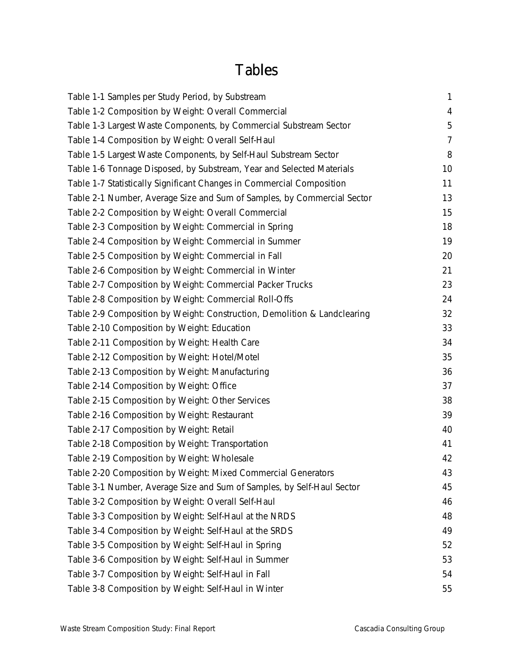# Tables

| Table 1-1 Samples per Study Period, by Substream                         | $\mathbf{1}$   |
|--------------------------------------------------------------------------|----------------|
| Table 1-2 Composition by Weight: Overall Commercial                      | $\overline{4}$ |
| Table 1-3 Largest Waste Components, by Commercial Substream Sector       | 5              |
| Table 1-4 Composition by Weight: Overall Self-Haul                       | $\overline{7}$ |
| Table 1-5 Largest Waste Components, by Self-Haul Substream Sector        | 8              |
| Table 1-6 Tonnage Disposed, by Substream, Year and Selected Materials    | 10             |
| Table 1-7 Statistically Significant Changes in Commercial Composition    | 11             |
| Table 2-1 Number, Average Size and Sum of Samples, by Commercial Sector  | 13             |
| Table 2-2 Composition by Weight: Overall Commercial                      | 15             |
| Table 2-3 Composition by Weight: Commercial in Spring                    | 18             |
| Table 2-4 Composition by Weight: Commercial in Summer                    | 19             |
| Table 2-5 Composition by Weight: Commercial in Fall                      | 20             |
| Table 2-6 Composition by Weight: Commercial in Winter                    | 21             |
| Table 2-7 Composition by Weight: Commercial Packer Trucks                | 23             |
| Table 2-8 Composition by Weight: Commercial Roll-Offs                    | 24             |
| Table 2-9 Composition by Weight: Construction, Demolition & Landclearing | 32             |
| Table 2-10 Composition by Weight: Education                              | 33             |
| Table 2-11 Composition by Weight: Health Care                            | 34             |
| Table 2-12 Composition by Weight: Hotel/Motel                            | 35             |
| Table 2-13 Composition by Weight: Manufacturing                          | 36             |
| Table 2-14 Composition by Weight: Office                                 | 37             |
| Table 2-15 Composition by Weight: Other Services                         | 38             |
| Table 2-16 Composition by Weight: Restaurant                             | 39             |
| Table 2-17 Composition by Weight: Retail                                 | 40             |
| Table 2-18 Composition by Weight: Transportation                         | 41             |
| Table 2-19 Composition by Weight: Wholesale                              | 42             |
| Table 2-20 Composition by Weight: Mixed Commercial Generators            | 43             |
| Table 3-1 Number, Average Size and Sum of Samples, by Self-Haul Sector   | 45             |
| Table 3-2 Composition by Weight: Overall Self-Haul                       | 46             |
| Table 3-3 Composition by Weight: Self-Haul at the NRDS                   | 48             |
| Table 3-4 Composition by Weight: Self-Haul at the SRDS                   | 49             |
| Table 3-5 Composition by Weight: Self-Haul in Spring                     | 52             |
| Table 3-6 Composition by Weight: Self-Haul in Summer                     | 53             |
| Table 3-7 Composition by Weight: Self-Haul in Fall                       | 54             |
| Table 3-8 Composition by Weight: Self-Haul in Winter                     | 55             |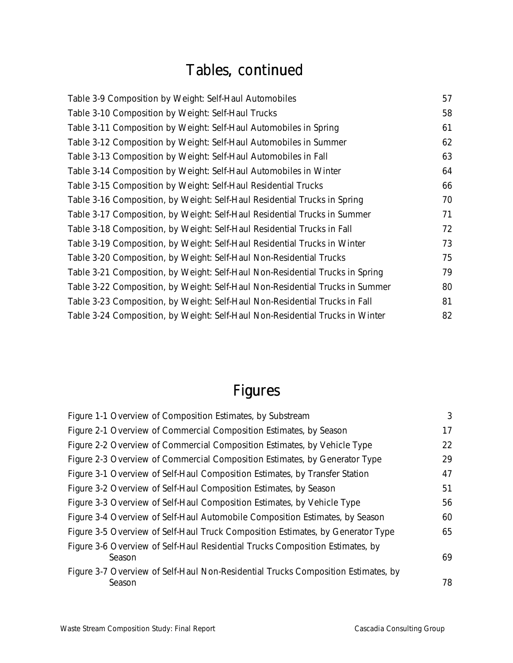# Tables, continued

| Table 3-9 Composition by Weight: Self-Haul Automobiles                        | 57 |
|-------------------------------------------------------------------------------|----|
| Table 3-10 Composition by Weight: Self-Haul Trucks                            | 58 |
| Table 3-11 Composition by Weight: Self-Haul Automobiles in Spring             | 61 |
| Table 3-12 Composition by Weight: Self-Haul Automobiles in Summer             | 62 |
| Table 3-13 Composition by Weight: Self-Haul Automobiles in Fall               | 63 |
| Table 3-14 Composition by Weight: Self-Haul Automobiles in Winter             | 64 |
| Table 3-15 Composition by Weight: Self-Haul Residential Trucks                | 66 |
| Table 3-16 Composition, by Weight: Self-Haul Residential Trucks in Spring     | 70 |
| Table 3-17 Composition, by Weight: Self-Haul Residential Trucks in Summer     | 71 |
| Table 3-18 Composition, by Weight: Self-Haul Residential Trucks in Fall       | 72 |
| Table 3-19 Composition, by Weight: Self-Haul Residential Trucks in Winter     | 73 |
| Table 3-20 Composition, by Weight: Self-Haul Non-Residential Trucks           | 75 |
| Table 3-21 Composition, by Weight: Self-Haul Non-Residential Trucks in Spring | 79 |
| Table 3-22 Composition, by Weight: Self-Haul Non-Residential Trucks in Summer | 80 |
| Table 3-23 Composition, by Weight: Self-Haul Non-Residential Trucks in Fall   | 81 |
| Table 3-24 Composition, by Weight: Self-Haul Non-Residential Trucks in Winter | 82 |
|                                                                               |    |

# Figures

| Figure 1-1 Overview of Composition Estimates, by Substream                                  | 3  |
|---------------------------------------------------------------------------------------------|----|
| Figure 2-1 Overview of Commercial Composition Estimates, by Season                          | 17 |
| Figure 2-2 Overview of Commercial Composition Estimates, by Vehicle Type                    | 22 |
| Figure 2-3 Overview of Commercial Composition Estimates, by Generator Type                  | 29 |
| Figure 3-1 Overview of Self-Haul Composition Estimates, by Transfer Station                 | 47 |
| Figure 3-2 Overview of Self-Haul Composition Estimates, by Season                           | 51 |
| Figure 3-3 Overview of Self-Haul Composition Estimates, by Vehicle Type                     | 56 |
| Figure 3-4 Overview of Self-Haul Automobile Composition Estimates, by Season                | 60 |
| Figure 3-5 Overview of Self-Haul Truck Composition Estimates, by Generator Type             | 65 |
| Figure 3-6 Overview of Self-Haul Residential Trucks Composition Estimates, by<br>Season     | 69 |
| Figure 3-7 Overview of Self-Haul Non-Residential Trucks Composition Estimates, by<br>Season | 78 |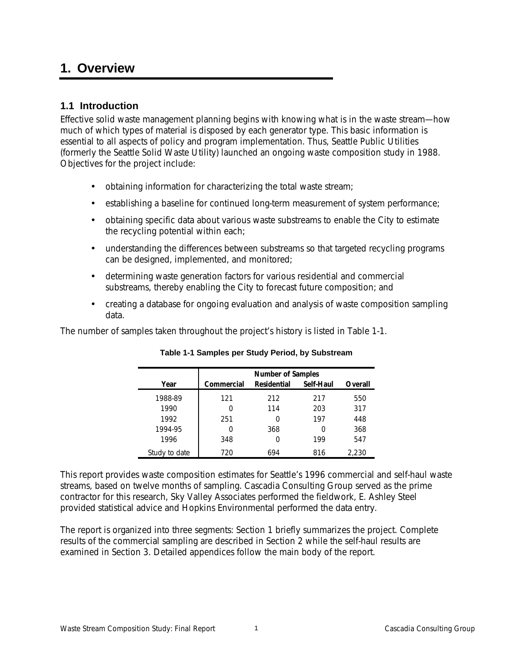# **1. Overview**

# **1.1 Introduction**

Effective solid waste management planning begins with knowing what is in the waste stream—how much of which types of material is disposed by each generator type*.* This basic information is essential to all aspects of policy and program implementation. Thus, Seattle Public Utilities (formerly the Seattle Solid Waste Utility) launched an ongoing waste composition study in 1988. Objectives for the project include:

- obtaining information for characterizing the total waste stream;
- establishing a baseline for continued long-term measurement of system performance;
- obtaining specific data about various waste substreams to enable the City to estimate the recycling potential within each;
- understanding the differences between substreams so that targeted recycling programs can be designed, implemented, and monitored;
- determining waste generation factors for various residential and commercial substreams, thereby enabling the City to forecast future composition; and
- creating a database for ongoing evaluation and analysis of waste composition sampling data.

The number of samples taken throughout the project's history is listed in Table 1-1.

|               |            | <b>Number of Samples</b> |           |         |
|---------------|------------|--------------------------|-----------|---------|
| Year          | Commercial | <b>Residential</b>       | Self-Haul | Overall |
| 1988-89       | 121        | 212                      | 217       | 550     |
| 1990          |            | 114                      | 203       | 317     |
| 1992          | 251        | O                        | 197       | 448     |
| 1994-95       |            | 368                      | 0         | 368     |
| 1996          | 348        |                          | 199       | 547     |
| Study to date | 720        | 694                      | 816       | 2.230   |

|  | Table 1-1 Samples per Study Period, by Substream |  |  |  |
|--|--------------------------------------------------|--|--|--|
|--|--------------------------------------------------|--|--|--|

This report provides waste composition estimates for Seattle's 1996 commercial and self-haul waste streams, based on twelve months of sampling. Cascadia Consulting Group served as the prime contractor for this research, Sky Valley Associates performed the fieldwork, E. Ashley Steel provided statistical advice and Hopkins Environmental performed the data entry.

The report is organized into three segments: Section 1 briefly summarizes the project. Complete results of the commercial sampling are described in Section 2 while the self-haul results are examined in Section 3. Detailed appendices follow the main body of the report.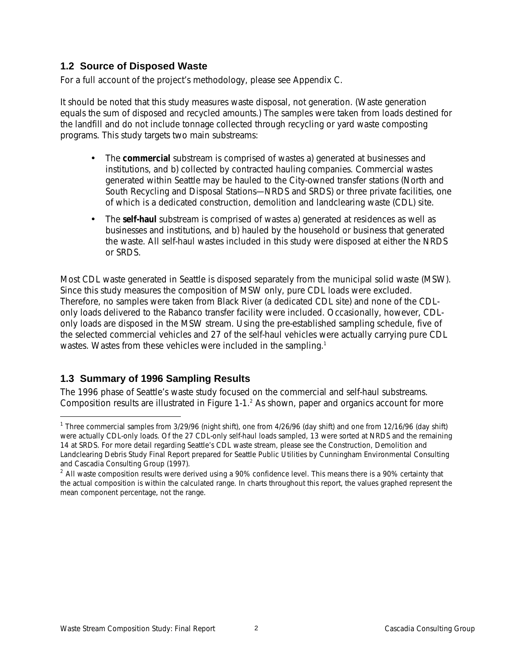# **1.2 Source of Disposed Waste**

For a full account of the project's methodology, please see Appendix C.

It should be noted that this study measures waste disposal, not generation. (Waste generation equals the sum of disposed and recycled amounts.) The samples were taken from loads destined for the landfill and do not include tonnage collected through recycling or yard waste composting programs. This study targets two main substreams:

- The **commercial** substream is comprised of wastes a) generated at businesses and institutions, and b) collected by contracted hauling companies. Commercial wastes generated within Seattle may be hauled to the City-owned transfer stations (North and South Recycling and Disposal Stations—NRDS and SRDS) or three private facilities, one of which is a dedicated construction, demolition and landclearing waste (CDL) site.
- The **self-haul** substream is comprised of wastes a) generated at residences as well as businesses and institutions, and b) hauled by the household or business that generated the waste. All self-haul wastes included in this study were disposed at either the NRDS or SRDS.

Most CDL waste generated in Seattle is disposed separately from the municipal solid waste (MSW). Since this study measures the composition of MSW only, pure CDL loads were excluded. Therefore, no samples were taken from Black River (a dedicated CDL site) and none of the CDLonly loads delivered to the Rabanco transfer facility were included. Occasionally, however, CDLonly loads are disposed in the MSW stream. Using the pre-established sampling schedule, five of the selected commercial vehicles and 27 of the self-haul vehicles were actually carrying pure CDL wastes. Wastes from these vehicles were included in the sampling.<sup>1</sup>

# **1.3 Summary of 1996 Sampling Results**

-

The 1996 phase of Seattle's waste study focused on the commercial and self-haul substreams. Composition results are illustrated in Figure 1-1.<sup>2</sup> As shown, paper and organics account for more

<sup>&</sup>lt;sup>1</sup> Three commercial samples from 3/29/96 (night shift), one from 4/26/96 (day shift) and one from 12/16/96 (day shift) were actually CDL-only loads. Of the 27 CDL-only self-haul loads sampled, 13 were sorted at NRDS and the remaining 14 at SRDS. For more detail regarding Seattle's CDL waste stream, please see the *Construction, Demolition and Landclearing Debris Study Final Report* prepared for Seattle Public Utilities by Cunningham Environmental Consulting and Cascadia Consulting Group (1997).

<sup>&</sup>lt;sup>2</sup> All waste composition results were derived using a 90% confidence level. This means there is a 90% certainty that the actual composition is within the calculated range. In charts throughout this report, the values graphed represent the mean component percentage, not the range.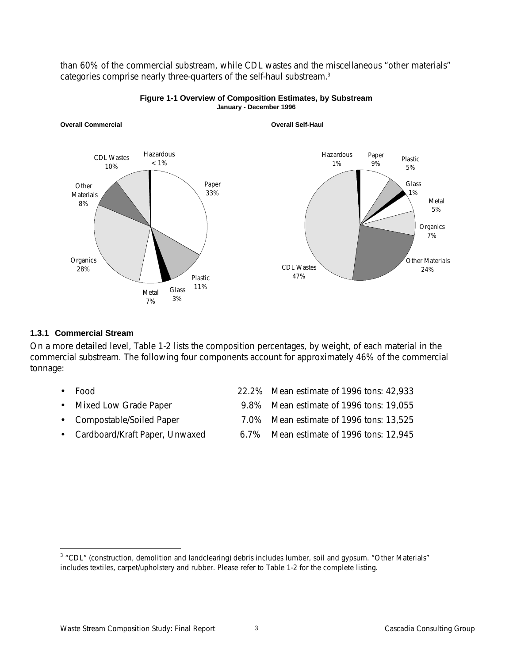than 60% of the commercial substream, while CDL wastes and the miscellaneous "other materials" categories comprise nearly three-quarters of the self-haul substream.<sup>3</sup>



#### **Figure 1-1 Overview of Composition Estimates, by Substream January - December 1996**

### **1.3.1 Commercial Stream**

-

On a more detailed level, Table 1-2 lists the composition percentages, by weight, of each material in the commercial substream. The following four components account for approximately 46% of the commercial tonnage:

• Food 22.2% Mean estimate of 1996 tons: 42,933 • Mixed Low Grade Paper 9.8% Mean estimate of 1996 tons: 19,055 • Compostable/Soiled Paper 7.0% Mean estimate of 1996 tons: 13,525 • Cardboard/Kraft Paper, Unwaxed 6.7% Mean estimate of 1996 tons: 12,945

<sup>&</sup>lt;sup>3</sup> "CDL" (construction, demolition and landclearing) debris includes lumber, soil and gypsum. "Other Materials" includes textiles, carpet/upholstery and rubber. Please refer to Table 1-2 for the complete listing.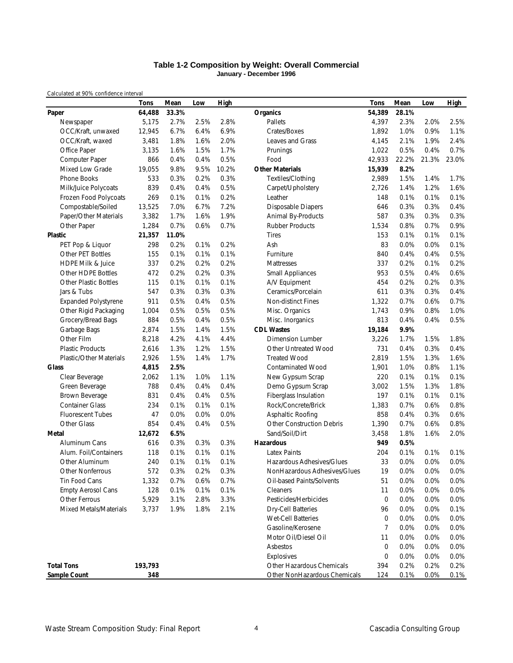#### **Table 1-2 Composition by Weight: Overall Commercial January - December 1996**

*Calculated at 90% confidence interval*

|                              | <b>Tons</b> | Mean  | Low  | <b>High</b> |                                  | <b>Tons</b> | Mean  | Low   | <b>High</b> |
|------------------------------|-------------|-------|------|-------------|----------------------------------|-------------|-------|-------|-------------|
| Paper                        | 64,488      | 33.3% |      |             | <b>Organics</b>                  | 54,389      | 28.1% |       |             |
| Newspaper                    | 5,175       | 2.7%  | 2.5% | 2.8%        | Pallets                          | 4,397       | 2.3%  | 2.0%  | 2.5%        |
| OCC/Kraft, unwaxed           | 12,945      | 6.7%  | 6.4% | 6.9%        | Crates/Boxes                     | 1,892       | 1.0%  | 0.9%  | 1.1%        |
| OCC/Kraft, waxed             | 3,481       | 1.8%  | 1.6% | 2.0%        | Leaves and Grass                 | 4.145       | 2.1%  | 1.9%  | 2.4%        |
| Office Paper                 | 3,135       | 1.6%  | 1.5% | 1.7%        | Prunings                         | 1,022       | 0.5%  | 0.4%  | 0.7%        |
| Computer Paper               | 866         | 0.4%  | 0.4% | 0.5%        | Food                             | 42,933      | 22.2% | 21.3% | 23.0%       |
| Mixed Low Grade              | 19,055      | 9.8%  | 9.5% | 10.2%       | <b>Other Materials</b>           | 15,939      | 8.2%  |       |             |
| <b>Phone Books</b>           | 533         | 0.3%  | 0.2% | 0.3%        | Textiles/Clothing                | 2,989       | 1.5%  | 1.4%  | 1.7%        |
| Milk/Juice Polycoats         | 839         | 0.4%  | 0.4% | 0.5%        | Carpet/Upholstery                | 2,726       | 1.4%  | 1.2%  | 1.6%        |
| Frozen Food Polycoats        | 269         | 0.1%  | 0.1% | 0.2%        | Leather                          | 148         | 0.1%  | 0.1%  | 0.1%        |
| Compostable/Soiled           | 13,525      | 7.0%  | 6.7% | 7.2%        | <b>Disposable Diapers</b>        | 646         | 0.3%  | 0.3%  | 0.4%        |
| Paper/Other Materials        | 3,382       | 1.7%  | 1.6% | 1.9%        | Animal By-Products               | 587         | 0.3%  | 0.3%  | 0.3%        |
| Other Paper                  | 1,284       | 0.7%  | 0.6% | 0.7%        | <b>Rubber Products</b>           | 1,534       | 0.8%  | 0.7%  | 0.9%        |
| <b>Plastic</b>               | 21,357      | 11.0% |      |             | <b>Tires</b>                     | 153         | 0.1%  | 0.1%  | 0.1%        |
| PET Pop & Liquor             | 298         | 0.2%  | 0.1% | 0.2%        | Ash                              | 83          | 0.0%  | 0.0%  | 0.1%        |
| <b>Other PET Bottles</b>     | 155         | 0.1%  | 0.1% | 0.1%        | Furniture                        | 840         | 0.4%  | 0.4%  | 0.5%        |
| <b>HDPE Milk &amp; Juice</b> | 337         | 0.2%  | 0.2% | 0.2%        | Mattresses                       | 337         | 0.2%  | 0.1%  | 0.2%        |
| <b>Other HDPE Bottles</b>    | 472         | 0.2%  | 0.2% | 0.3%        | <b>Small Appliances</b>          | 953         | 0.5%  | 0.4%  | 0.6%        |
| <b>Other Plastic Bottles</b> | 115         | 0.1%  | 0.1% | 0.1%        | A/V Equipment                    | 454         | 0.2%  | 0.2%  | 0.3%        |
| Jars & Tubs                  | 547         | 0.3%  | 0.3% | 0.3%        | Ceramics/Porcelain               | 611         | 0.3%  | 0.3%  | 0.4%        |
| <b>Expanded Polystyrene</b>  | 911         | 0.5%  | 0.4% | 0.5%        | <b>Non-distinct Fines</b>        | 1,322       | 0.7%  | 0.6%  | 0.7%        |
| Other Rigid Packaging        | 1,004       | 0.5%  | 0.5% | 0.5%        | Misc. Organics                   | 1.743       | 0.9%  | 0.8%  | 1.0%        |
| Grocery/Bread Bags           | 884         | 0.5%  | 0.4% | 0.5%        | Misc. Inorganics                 | 813         | 0.4%  | 0.4%  | 0.5%        |
| Garbage Bags                 | 2,874       | 1.5%  | 1.4% | 1.5%        | <b>CDL Wastes</b>                | 19,184      | 9.9%  |       |             |
| Other Film                   | 8,218       | 4.2%  | 4.1% | 4.4%        | <b>Dimension Lumber</b>          | 3,226       | 1.7%  | 1.5%  | 1.8%        |
| <b>Plastic Products</b>      | 2,616       | 1.3%  | 1.2% | 1.5%        | Other Untreated Wood             | 731         | 0.4%  | 0.3%  | 0.4%        |
| Plastic/Other Materials      | 2,926       | 1.5%  | 1.4% | 1.7%        | <b>Treated Wood</b>              | 2,819       | 1.5%  | 1.3%  | 1.6%        |
| Glass                        | 4,815       | 2.5%  |      |             | <b>Contaminated Wood</b>         | 1,901       | 1.0%  | 0.8%  | 1.1%        |
| Clear Beverage               | 2,062       | 1.1%  | 1.0% | 1.1%        | New Gypsum Scrap                 | 220         | 0.1%  | 0.1%  | 0.1%        |
| Green Beverage               | 788         | 0.4%  | 0.4% | 0.4%        | Demo Gypsum Scrap                | 3,002       | 1.5%  | 1.3%  | 1.8%        |
| Brown Beverage               | 831         | 0.4%  | 0.4% | 0.5%        | Fiberglass Insulation            | 197         | 0.1%  | 0.1%  | 0.1%        |
| <b>Container Glass</b>       | 234         | 0.1%  | 0.1% | 0.1%        | Rock/Concrete/Brick              | 1,383       | 0.7%  | 0.6%  | 0.8%        |
| <b>Fluorescent Tubes</b>     | 47          | 0.0%  | 0.0% | 0.0%        | Asphaltic Roofing                | 858         | 0.4%  | 0.3%  | 0.6%        |
| Other Glass                  | 854         | 0.4%  | 0.4% | 0.5%        | <b>Other Construction Debris</b> | 1,390       | 0.7%  | 0.6%  | 0.8%        |
| Metal                        | 12,672      | 6.5%  |      |             | Sand/Soil/Dirt                   | 3,458       | 1.8%  | 1.6%  | 2.0%        |
| Aluminum Cans                | 616         | 0.3%  | 0.3% | 0.3%        | <b>Hazardous</b>                 | 949         | 0.5%  |       |             |
| Alum. Foil/Containers        | 118         | 0.1%  | 0.1% | 0.1%        | <b>Latex Paints</b>              | 204         | 0.1%  | 0.1%  | 0.1%        |
| Other Aluminum               | 240         | 0.1%  | 0.1% | 0.1%        | Hazardous Adhesives/Glues        | 33          | 0.0%  | 0.0%  | 0.0%        |
| Other Nonferrous             | 572         | 0.3%  | 0.2% | 0.3%        | NonHazardous Adhesives/Glues     | 19          | 0.0%  | 0.0%  | 0.0%        |
| Tin Food Cans                | 1,332       | 0.7%  | 0.6% | 0.7%        | Oil-based Paints/Solvents        | 51          | 0.0%  | 0.0%  | 0.0%        |
| <b>Empty Aerosol Cans</b>    | 128         | 0.1%  | 0.1% | 0.1%        | Cleaners                         | 11          | 0.0%  | 0.0%  | 0.0%        |
| Other Ferrous                | 5,929       | 3.1%  | 2.8% | 3.3%        | Pesticides/Herbicides            | 0           | 0.0%  | 0.0%  | 0.0%        |
| Mixed Metals/Materials       | 3,737       | 1.9%  | 1.8% | 2.1%        | <b>Dry-Cell Batteries</b>        | 96          | 0.0%  | 0.0%  | 0.1%        |
|                              |             |       |      |             | Wet-Cell Batteries               | 0           | 0.0%  | 0.0%  | 0.0%        |
|                              |             |       |      |             | Gasoline/Kerosene                | 7           | 0.0%  | 0.0%  | 0.0%        |
|                              |             |       |      |             | Motor Oil/Diesel Oil             | 11          | 0.0%  | 0.0%  | 0.0%        |
|                              |             |       |      |             | Asbestos                         | 0           | 0.0%  | 0.0%  | 0.0%        |
|                              |             |       |      |             | Explosives                       | 0           | 0.0%  | 0.0%  | 0.0%        |
| <b>Total Tons</b>            | 193,793     |       |      |             | Other Hazardous Chemicals        | 394         | 0.2%  | 0.2%  | 0.2%        |
| Sample Count                 | 348         |       |      |             | Other NonHazardous Chemicals     | 124         | 0.1%  | 0.0%  | 0.1%        |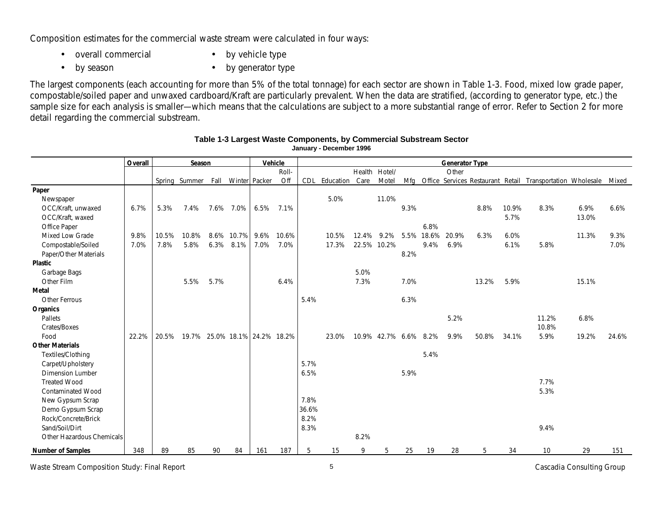Composition estimates for the commercial waste stream were calculated in four ways:

• overall commercial

• by vehicle type

• by season

• by generator type

The largest components (each accounting for more than 5% of the total tonnage) for each sector are shown in Table 1-3. Food, mixed low grade paper, compostable/soiled paper and unwaxed cardboard/Kraft are particularly prevalent. When the data are stratified, (according to generator type, etc.) the sample size for each analysis is smaller—which means that the calculations are subject to a more substantial range of error. Refer to Section 2 for more detail regarding the commercial substream.

|                           | Overall |        | Season |      |                               |      | Vehicle |       |           |               |                       |      |       | <b>Generator Type</b> |       |       |                                                            |       |       |
|---------------------------|---------|--------|--------|------|-------------------------------|------|---------|-------|-----------|---------------|-----------------------|------|-------|-----------------------|-------|-------|------------------------------------------------------------|-------|-------|
|                           |         |        |        |      |                               |      | Roll-   |       |           | Health Hotel/ |                       |      |       | Other                 |       |       |                                                            |       |       |
|                           |         | Spring | Summer | Fall | Winter Packer                 |      | Off     | CDL   | Education | Care          | Motel                 | Mfa  |       |                       |       |       | Office Services Restaurant Retail Transportation Wholesale |       | Mixed |
| Paper                     |         |        |        |      |                               |      |         |       |           |               |                       |      |       |                       |       |       |                                                            |       |       |
| Newspaper                 |         |        |        |      |                               |      |         |       | 5.0%      |               | 11.0%                 |      |       |                       |       |       |                                                            |       |       |
| OCC/Kraft, unwaxed        | 6.7%    | 5.3%   | 7.4%   | 7.6% | 7.0%                          | 6.5% | 7.1%    |       |           |               |                       | 9.3% |       |                       | 8.8%  | 10.9% | 8.3%                                                       | 6.9%  | 6.6%  |
| OCC/Kraft, waxed          |         |        |        |      |                               |      |         |       |           |               |                       |      |       |                       |       | 5.7%  |                                                            | 13.0% |       |
| Office Paper              |         |        |        |      |                               |      |         |       |           |               |                       |      | 6.8%  |                       |       |       |                                                            |       |       |
| Mixed Low Grade           | 9.8%    | 10.5%  | 10.8%  | 8.6% | 10.7%                         | 9.6% | 10.6%   |       | 10.5%     | 12.4%         | 9.2%                  | 5.5% | 18.6% | 20.9%                 | 6.3%  | 6.0%  |                                                            | 11.3% | 9.3%  |
| Compostable/Soiled        | 7.0%    | 7.8%   | 5.8%   | 6.3% | 8.1%                          | 7.0% | 7.0%    |       | 17.3%     | 22.5% 10.2%   |                       |      | 9.4%  | 6.9%                  |       | 6.1%  | 5.8%                                                       |       | 7.0%  |
| Paper/Other Materials     |         |        |        |      |                               |      |         |       |           |               |                       | 8.2% |       |                       |       |       |                                                            |       |       |
| <b>Plastic</b>            |         |        |        |      |                               |      |         |       |           |               |                       |      |       |                       |       |       |                                                            |       |       |
| Garbage Bags              |         |        |        |      |                               |      |         |       |           | 5.0%          |                       |      |       |                       |       |       |                                                            |       |       |
| Other Film                |         |        | 5.5%   | 5.7% |                               |      | 6.4%    |       |           | 7.3%          |                       | 7.0% |       |                       | 13.2% | 5.9%  |                                                            | 15.1% |       |
| <b>Metal</b>              |         |        |        |      |                               |      |         |       |           |               |                       |      |       |                       |       |       |                                                            |       |       |
| <b>Other Ferrous</b>      |         |        |        |      |                               |      |         | 5.4%  |           |               |                       | 6.3% |       |                       |       |       |                                                            |       |       |
| Organics                  |         |        |        |      |                               |      |         |       |           |               |                       |      |       |                       |       |       |                                                            |       |       |
| Pallets                   |         |        |        |      |                               |      |         |       |           |               |                       |      |       | 5.2%                  |       |       | 11.2%                                                      | 6.8%  |       |
| Crates/Boxes              |         |        |        |      |                               |      |         |       |           |               |                       |      |       |                       |       |       | 10.8%                                                      |       |       |
| Food                      | 22.2%   | 20.5%  |        |      | 19.7% 25.0% 18.1% 24.2% 18.2% |      |         |       | 23.0%     |               | 10.9% 42.7% 6.6% 8.2% |      |       | 9.9%                  | 50.8% | 34.1% | 5.9%                                                       | 19.2% | 24.6% |
| <b>Other Materials</b>    |         |        |        |      |                               |      |         |       |           |               |                       |      |       |                       |       |       |                                                            |       |       |
| Textiles/Clothing         |         |        |        |      |                               |      |         |       |           |               |                       |      | 5.4%  |                       |       |       |                                                            |       |       |
| Carpet/Upholstery         |         |        |        |      |                               |      |         | 5.7%  |           |               |                       |      |       |                       |       |       |                                                            |       |       |
| <b>Dimension Lumber</b>   |         |        |        |      |                               |      |         | 6.5%  |           |               |                       | 5.9% |       |                       |       |       |                                                            |       |       |
| <b>Treated Wood</b>       |         |        |        |      |                               |      |         |       |           |               |                       |      |       |                       |       |       | 7.7%                                                       |       |       |
| <b>Contaminated Wood</b>  |         |        |        |      |                               |      |         |       |           |               |                       |      |       |                       |       |       | 5.3%                                                       |       |       |
| New Gypsum Scrap          |         |        |        |      |                               |      |         | 7.8%  |           |               |                       |      |       |                       |       |       |                                                            |       |       |
| Demo Gypsum Scrap         |         |        |        |      |                               |      |         | 36.6% |           |               |                       |      |       |                       |       |       |                                                            |       |       |
| Rock/Concrete/Brick       |         |        |        |      |                               |      |         | 8.2%  |           |               |                       |      |       |                       |       |       |                                                            |       |       |
| Sand/Soil/Dirt            |         |        |        |      |                               |      |         | 8.3%  |           |               |                       |      |       |                       |       |       | 9.4%                                                       |       |       |
| Other Hazardous Chemicals |         |        |        |      |                               |      |         |       |           | 8.2%          |                       |      |       |                       |       |       |                                                            |       |       |
| Number of Samples         | 348     | 89     | 85     | 90   | 84                            | 161  | 187     | 5     | 15        | 9             | 5                     | 25   | 19    | 28                    | 5     | 34    | 10                                                         | 29    | 151   |

#### **Table 1-3 Largest Waste Components, by Commercial Substream Sector January - December 1996**

*Waste Stream Composition Study: Final Report* 5 *Cascadia Consulting Group*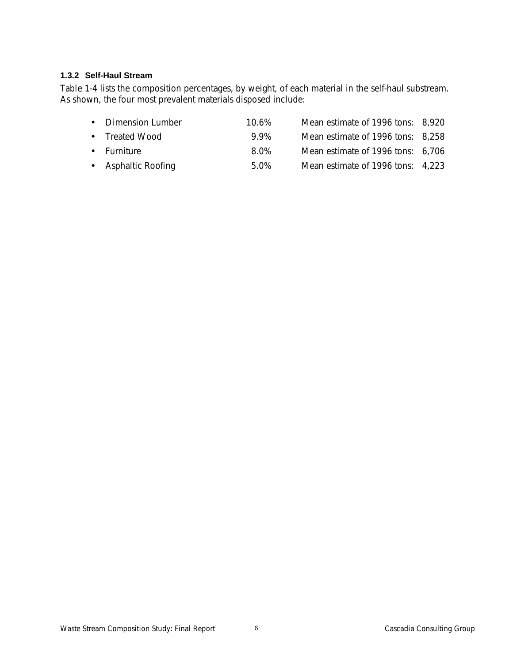# **1.3.2 Self-Haul Stream**

Table 1-4 lists the composition percentages, by weight, of each material in the self-haul substream. As shown, the four most prevalent materials disposed include:

| • Dimension Lumber  |      | Mean estimate of 1996 tons: 8,920 |  |
|---------------------|------|-----------------------------------|--|
| • Treated Wood      | 99%  | Mean estimate of 1996 tons: 8,258 |  |
| • Furniture         | 8.0% | Mean estimate of 1996 tons: 6,706 |  |
| • Asphaltic Roofing | 5.0% | Mean estimate of 1996 tons: 4,223 |  |
|                     |      | 10.6%                             |  |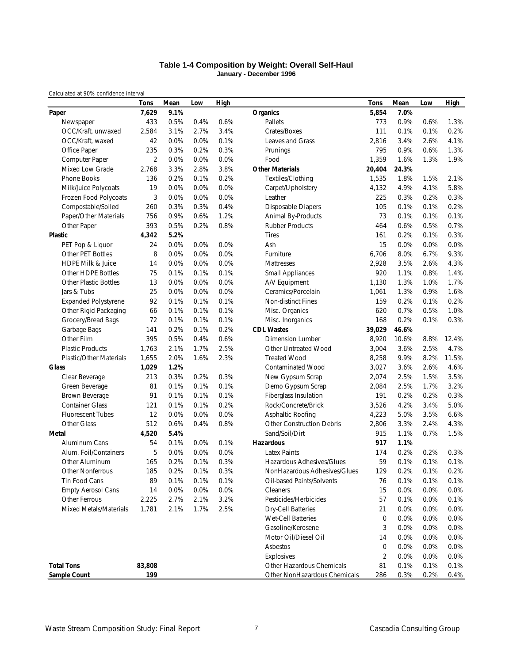#### **Table 1-4 Composition by Weight: Overall Self-Haul January - December 1996**

*Calculated at 90% confidence interval*

|                              | Tons           | Mean | Low  | High |                                  | Tons           | Mean  | Low  | <b>High</b> |
|------------------------------|----------------|------|------|------|----------------------------------|----------------|-------|------|-------------|
| Paper                        | 7,629          | 9.1% |      |      | <b>Organics</b>                  | 5,854          | 7.0%  |      |             |
| Newspaper                    | 433            | 0.5% | 0.4% | 0.6% | Pallets                          | 773            | 0.9%  | 0.6% | 1.3%        |
| OCC/Kraft, unwaxed           | 2,584          | 3.1% | 2.7% | 3.4% | Crates/Boxes                     | 111            | 0.1%  | 0.1% | 0.2%        |
| OCC/Kraft, waxed             | 42             | 0.0% | 0.0% | 0.1% | Leaves and Grass                 | 2,816          | 3.4%  | 2.6% | 4.1%        |
| Office Paper                 | 235            | 0.3% | 0.2% | 0.3% | Prunings                         | 795            | 0.9%  | 0.6% | 1.3%        |
| Computer Paper               | $\overline{2}$ | 0.0% | 0.0% | 0.0% | Food                             | 1,359          | 1.6%  | 1.3% | 1.9%        |
| Mixed Low Grade              | 2,768          | 3.3% | 2.8% | 3.8% | <b>Other Materials</b>           | 20,404         | 24.3% |      |             |
| Phone Books                  | 136            | 0.2% | 0.1% | 0.2% | Textiles/Clothing                | 1,535          | 1.8%  | 1.5% | 2.1%        |
| Milk/Juice Polycoats         | 19             | 0.0% | 0.0% | 0.0% | Carpet/Upholstery                | 4,132          | 4.9%  | 4.1% | 5.8%        |
| Frozen Food Polycoats        | 3              | 0.0% | 0.0% | 0.0% | Leather                          | 225            | 0.3%  | 0.2% | 0.3%        |
| Compostable/Soiled           | 260            | 0.3% | 0.3% | 0.4% | <b>Disposable Diapers</b>        | 105            | 0.1%  | 0.1% | 0.2%        |
| Paper/Other Materials        | 756            | 0.9% | 0.6% | 1.2% | Animal By-Products               | 73             | 0.1%  | 0.1% | 0.1%        |
| Other Paper                  | 393            | 0.5% | 0.2% | 0.8% | <b>Rubber Products</b>           | 464            | 0.6%  | 0.5% | 0.7%        |
| Plastic                      | 4,342          | 5.2% |      |      | <b>Tires</b>                     | 161            | 0.2%  | 0.1% | 0.3%        |
| PET Pop & Liquor             | 24             | 0.0% | 0.0% | 0.0% | Ash                              | 15             | 0.0%  | 0.0% | 0.0%        |
| Other PET Bottles            | 8              | 0.0% | 0.0% | 0.0% | Furniture                        | 6,706          | 8.0%  | 6.7% | 9.3%        |
| <b>HDPE Milk &amp; Juice</b> | 14             | 0.0% | 0.0% | 0.0% | Mattresses                       | 2,928          | 3.5%  | 2.6% | 4.3%        |
| Other HDPE Bottles           | 75             | 0.1% | 0.1% | 0.1% | <b>Small Appliances</b>          | 920            | 1.1%  | 0.8% | 1.4%        |
| <b>Other Plastic Bottles</b> | 13             | 0.0% | 0.0% | 0.0% | A/V Equipment                    | 1,130          | 1.3%  | 1.0% | 1.7%        |
| Jars & Tubs                  | 25             | 0.0% | 0.0% | 0.0% | Ceramics/Porcelain               | 1,061          | 1.3%  | 0.9% | 1.6%        |
| <b>Expanded Polystyrene</b>  | 92             | 0.1% | 0.1% | 0.1% | Non-distinct Fines               | 159            | 0.2%  | 0.1% | 0.2%        |
| Other Rigid Packaging        | 66             | 0.1% | 0.1% | 0.1% | Misc. Organics                   | 620            | 0.7%  | 0.5% | 1.0%        |
| Grocery/Bread Bags           | 72             | 0.1% | 0.1% | 0.1% | Misc. Inorganics                 | 168            | 0.2%  | 0.1% | 0.3%        |
| Garbage Bags                 | 141            | 0.2% | 0.1% | 0.2% | <b>CDL Wastes</b>                | 39,029         | 46.6% |      |             |
| Other Film                   | 395            | 0.5% | 0.4% | 0.6% | <b>Dimension Lumber</b>          | 8,920          | 10.6% | 8.8% | 12.4%       |
| <b>Plastic Products</b>      | 1,763          | 2.1% | 1.7% | 2.5% | <b>Other Untreated Wood</b>      | 3,004          | 3.6%  | 2.5% | 4.7%        |
| Plastic/Other Materials      | 1,655          | 2.0% | 1.6% | 2.3% | <b>Treated Wood</b>              | 8,258          | 9.9%  | 8.2% | 11.5%       |
| Glass                        | 1,029          | 1.2% |      |      | <b>Contaminated Wood</b>         | 3,027          | 3.6%  | 2.6% | 4.6%        |
| Clear Beverage               | 213            | 0.3% | 0.2% | 0.3% | New Gypsum Scrap                 | 2,074          | 2.5%  | 1.5% | 3.5%        |
| Green Beverage               | 81             | 0.1% | 0.1% | 0.1% | Demo Gypsum Scrap                | 2,084          | 2.5%  | 1.7% | 3.2%        |
| Brown Beverage               | 91             | 0.1% | 0.1% | 0.1% | Fiberglass Insulation            | 191            | 0.2%  | 0.2% | 0.3%        |
| <b>Container Glass</b>       | 121            | 0.1% | 0.1% | 0.2% | Rock/Concrete/Brick              | 3,526          | 4.2%  | 3.4% | 5.0%        |
| <b>Fluorescent Tubes</b>     | 12             | 0.0% | 0.0% | 0.0% | Asphaltic Roofing                | 4,223          | 5.0%  | 3.5% | 6.6%        |
| Other Glass                  | 512            | 0.6% | 0.4% | 0.8% | <b>Other Construction Debris</b> | 2,806          | 3.3%  | 2.4% | 4.3%        |
| Metal                        | 4,520          | 5.4% |      |      | Sand/Soil/Dirt                   | 915            | 1.1%  | 0.7% | 1.5%        |
| Aluminum Cans                | 54             | 0.1% | 0.0% | 0.1% | <b>Hazardous</b>                 | 917            | 1.1%  |      |             |
| Alum. Foil/Containers        | 5              | 0.0% | 0.0% | 0.0% | <b>Latex Paints</b>              | 174            | 0.2%  | 0.2% | 0.3%        |
| Other Aluminum               | 165            | 0.2% | 0.1% | 0.3% | Hazardous Adhesives/Glues        | 59             | 0.1%  | 0.1% | 0.1%        |
| Other Nonferrous             | 185            | 0.2% | 0.1% | 0.3% | NonHazardous Adhesives/Glues     | 129            | 0.2%  | 0.1% | 0.2%        |
| Tin Food Cans                | 89             | 0.1% | 0.1% | 0.1% | Oil-based Paints/Solvents        | 76             | 0.1%  | 0.1% | 0.1%        |
| <b>Empty Aerosol Cans</b>    | 14             | 0.0% | 0.0% | 0.0% | Cleaners                         | 15             | 0.0%  | 0.0% | 0.0%        |
| Other Ferrous                | 2,225          | 2.7% | 2.1% | 3.2% | Pesticides/Herbicides            | 57             | 0.1%  | 0.0% | 0.1%        |
| Mixed Metals/Materials       | 1,781          | 2.1% | 1.7% | 2.5% | <b>Dry-Cell Batteries</b>        | 21             | 0.0%  | 0.0% | 0.0%        |
|                              |                |      |      |      | Wet-Cell Batteries               | 0              | 0.0%  | 0.0% | 0.0%        |
|                              |                |      |      |      | Gasoline/Kerosene                | 3              | 0.0%  | 0.0% | 0.0%        |
|                              |                |      |      |      | Motor Oil/Diesel Oil             | 14             | 0.0%  | 0.0% | 0.0%        |
|                              |                |      |      |      | Asbestos                         | 0              | 0.0%  | 0.0% | 0.0%        |
|                              |                |      |      |      | Explosives                       | $\overline{2}$ | 0.0%  | 0.0% | 0.0%        |
| <b>Total Tons</b>            | 83,808         |      |      |      | Other Hazardous Chemicals        | 81             | 0.1%  | 0.1% | 0.1%        |
| Sample Count                 | 199            |      |      |      | Other NonHazardous Chemicals     | 286            | 0.3%  | 0.2% | 0.4%        |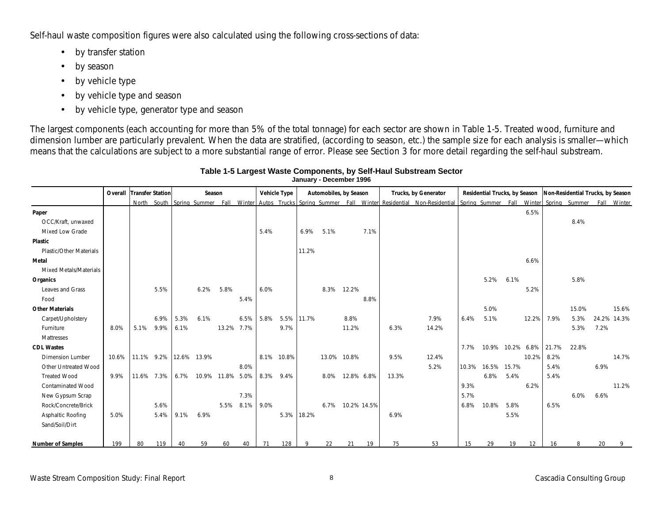Self-haul waste composition figures were also calculated using the following cross-sections of data:

- by transfer station
- by season
- by vehicle type
- by vehicle type and season
- by vehicle type, generator type and season

The largest components (each accounting for more than 5% of the total tonnage) for each sector are shown in Table 1-5. Treated wood, furniture and dimension lumber are particularly prevalent. When the data are stratified, (according to season, etc.) the sample size for each analysis is smaller—which means that the calculations are subject to a more substantial range of error. Please see Section 3 for more detail regarding the self-haul substream.

|                          | <b>Overall Transfer Station</b> |      |            |      |             | Season           |            |      | <b>Vehicle Type</b> |       |      | Automobiles, by Season |      | Trucks, by Generator |                                                                                                                                                              |       | Residential Trucks, by Season |      |       | Non-Residential Trucks, by Season |       |             |       |
|--------------------------|---------------------------------|------|------------|------|-------------|------------------|------------|------|---------------------|-------|------|------------------------|------|----------------------|--------------------------------------------------------------------------------------------------------------------------------------------------------------|-------|-------------------------------|------|-------|-----------------------------------|-------|-------------|-------|
|                          |                                 |      |            |      |             |                  |            |      |                     |       |      |                        |      |                      | North South Spring Summer Fall Winter Autos Trucks Spring Summer Fall Winter Residential Non-Residential Spring Summer Fall Winter Spring Summer Fall Winter |       |                               |      |       |                                   |       |             |       |
| Paper                    |                                 |      |            |      |             |                  |            |      |                     |       |      |                        |      |                      |                                                                                                                                                              |       |                               |      | 6.5%  |                                   |       |             |       |
| OCC/Kraft, unwaxed       |                                 |      |            |      |             |                  |            |      |                     |       |      |                        |      |                      |                                                                                                                                                              |       |                               |      |       |                                   | 8.4%  |             |       |
| Mixed Low Grade          |                                 |      |            |      |             |                  |            | 5.4% |                     | 6.9%  | 5.1% |                        | 7.1% |                      |                                                                                                                                                              |       |                               |      |       |                                   |       |             |       |
| <b>Plastic</b>           |                                 |      |            |      |             |                  |            |      |                     |       |      |                        |      |                      |                                                                                                                                                              |       |                               |      |       |                                   |       |             |       |
| Plastic/Other Materials  |                                 |      |            |      |             |                  |            |      |                     | 11.2% |      |                        |      |                      |                                                                                                                                                              |       |                               |      |       |                                   |       |             |       |
| Metal                    |                                 |      |            |      |             |                  |            |      |                     |       |      |                        |      |                      |                                                                                                                                                              |       |                               |      | 6.6%  |                                   |       |             |       |
| Mixed Metals/Materials   |                                 |      |            |      |             |                  |            |      |                     |       |      |                        |      |                      |                                                                                                                                                              |       |                               |      |       |                                   |       |             |       |
| Organics                 |                                 |      |            |      |             |                  |            |      |                     |       |      |                        |      |                      |                                                                                                                                                              |       | 5.2%                          | 6.1% |       |                                   | 5.8%  |             |       |
| Leaves and Grass         |                                 |      | 5.5%       |      | 6.2%        | 5.8%             |            | 6.0% |                     |       | 8.3% | 12.2%                  |      |                      |                                                                                                                                                              |       |                               |      | 5.2%  |                                   |       |             |       |
| Food                     |                                 |      |            |      |             |                  | 5.4%       |      |                     |       |      |                        | 8.8% |                      |                                                                                                                                                              |       |                               |      |       |                                   |       |             |       |
| <b>Other Materials</b>   |                                 |      |            |      |             |                  |            |      |                     |       |      |                        |      |                      |                                                                                                                                                              |       | 5.0%                          |      |       |                                   | 15.0% |             | 15.6% |
| Carpet/Upholstery        |                                 |      | 6.9%       | 5.3% | 6.1%        |                  | 6.5%       | 5.8% | 5.5%                | 11.7% |      | 8.8%                   |      |                      | 7.9%                                                                                                                                                         | 6.4%  | 5.1%                          |      | 12.2% | 7.9%                              | 5.3%  | 24.2% 14.3% |       |
| Furniture                | 8.0%                            | 5.1% | 9.9%       | 6.1% |             |                  | 13.2% 7.7% |      | 9.7%                |       |      | 11.2%                  |      | 6.3%                 | 14.2%                                                                                                                                                        |       |                               |      |       |                                   | 5.3%  | 7.2%        |       |
| Mattresses               |                                 |      |            |      |             |                  |            |      |                     |       |      |                        |      |                      |                                                                                                                                                              |       |                               |      |       |                                   |       |             |       |
| <b>CDL Wastes</b>        |                                 |      |            |      |             |                  |            |      |                     |       |      |                        |      |                      |                                                                                                                                                              | 7.7%  | 10.9% 10.2% 6.8%              |      |       | 21.7%                             | 22.8% |             |       |
| <b>Dimension Lumber</b>  | 10.6%                           |      | 11.1% 9.2% |      | 12.6% 13.9% |                  |            |      | 8.1% 10.8%          |       |      | 13.0% 10.8%            |      | 9.5%                 | 12.4%                                                                                                                                                        |       |                               |      | 10.2% | 8.2%                              |       |             | 14.7% |
| Other Untreated Wood     |                                 |      |            |      |             |                  | 8.0%       |      |                     |       |      |                        |      |                      | 5.2%                                                                                                                                                         | 10.3% | 16.5% 15.7%                   |      |       | 5.4%                              |       | 6.9%        |       |
| <b>Treated Wood</b>      | 9.9%                            |      | 11.6% 7.3% | 6.7% |             | 10.9% 11.8% 5.0% |            | 8.3% | 9.4%                |       | 8.0% | 12.8% 6.8%             |      | 13.3%                |                                                                                                                                                              |       | 6.8%                          | 5.4% |       | 5.4%                              |       |             |       |
| <b>Contaminated Wood</b> |                                 |      |            |      |             |                  |            |      |                     |       |      |                        |      |                      |                                                                                                                                                              | 9.3%  |                               |      | 6.2%  |                                   |       |             | 11.2% |
| New Gypsum Scrap         |                                 |      |            |      |             |                  | 7.3%       |      |                     |       |      |                        |      |                      |                                                                                                                                                              | 5.7%  |                               |      |       |                                   | 6.0%  | 6.6%        |       |
| Rock/Concrete/Brick      |                                 |      | 5.6%       |      |             |                  | 5.5% 8.1%  | 9.0% |                     |       | 6.7% | 10.2% 14.5%            |      |                      |                                                                                                                                                              | 6.8%  | 10.8%                         | 5.8% |       | 6.5%                              |       |             |       |
| Asphaltic Roofing        | 5.0%                            |      | 5.4%       | 9.1% | 6.9%        |                  |            |      | 5.3%                | 18.2% |      |                        |      | 6.9%                 |                                                                                                                                                              |       |                               | 5.5% |       |                                   |       |             |       |
| Sand/Soil/Dirt           |                                 |      |            |      |             |                  |            |      |                     |       |      |                        |      |                      |                                                                                                                                                              |       |                               |      |       |                                   |       |             |       |
|                          |                                 |      |            |      |             |                  |            |      |                     |       |      |                        |      |                      |                                                                                                                                                              |       |                               |      |       |                                   |       |             |       |
| <b>Number of Samples</b> | 199                             | 80   | 119        | 40   | 59          | 60               | 40         | 71   | 128                 |       | 22   | 21                     | 19   | 75                   | 53                                                                                                                                                           | 15    | 29                            | 19   | 12    | 16                                |       | 20          |       |

#### **Table 1-5 Largest Waste Components, by Self-Haul Substream Sector January - December 1996**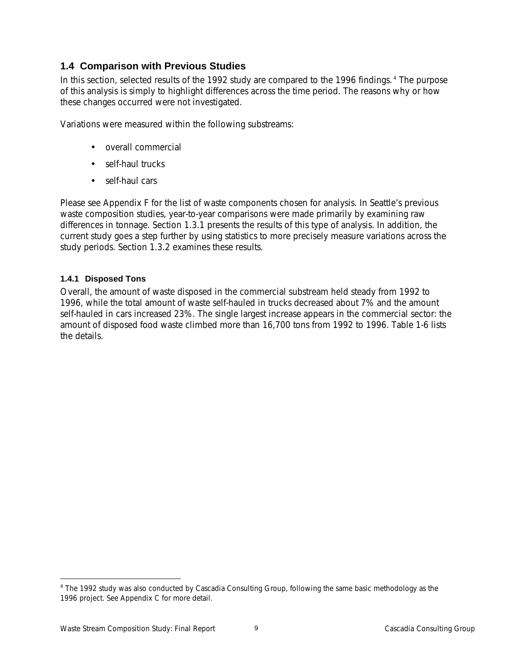# **1.4 Comparison with Previous Studies**

In this section, selected results of the 1992 study are compared to the 1996 findings. 4 The purpose of this analysis is simply to highlight differences across the time period. The reasons *why* or *how* these changes occurred were not investigated.

Variations were measured within the following substreams:

- overall commercial
- self-haul trucks
- self-haul cars

Please see Appendix F for the list of waste components chosen for analysis. In Seattle's previous waste composition studies, year-to-year comparisons were made primarily by examining raw differences in tonnage. Section 1.3.1 presents the results of this type of analysis. In addition, the current study goes a step further by using statistics to more precisely measure variations across the study periods. Section 1.3.2 examines these results.

# **1.4.1 Disposed Tons**

Overall, the amount of waste disposed in the commercial substream held steady from 1992 to 1996, while the total amount of waste self-hauled in trucks decreased about 7% and the amount self-hauled in cars increased 23%. The single largest increase appears in the commercial sector: the amount of disposed food waste climbed more than 16,700 tons from 1992 to 1996. Table 1-6 lists the details.

-

<sup>&</sup>lt;sup>4</sup> The 1992 study was also conducted by Cascadia Consulting Group, following the same basic methodology as the 1996 project. See Appendix C for more detail.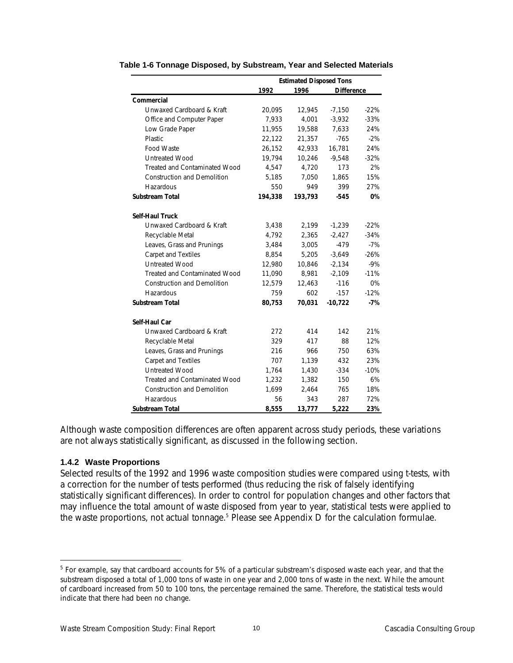|                                      | <b>Estimated Disposed Tons</b> |         |                   |        |  |
|--------------------------------------|--------------------------------|---------|-------------------|--------|--|
|                                      | 1992                           | 1996    | <b>Difference</b> |        |  |
| Commercial                           |                                |         |                   |        |  |
| Unwaxed Cardboard & Kraft            | 20,095                         | 12,945  | $-7,150$          | $-22%$ |  |
| Office and Computer Paper            | 7,933                          | 4,001   | $-3,932$          | $-33%$ |  |
| Low Grade Paper                      | 11,955                         | 19,588  | 7,633             | 24%    |  |
| Plastic                              | 22,122                         | 21,357  | $-765$            | $-2%$  |  |
| Food Waste                           | 26,152                         | 42,933  | 16,781            | 24%    |  |
| <b>Untreated Wood</b>                | 19,794                         | 10,246  | $-9,548$          | $-32%$ |  |
| <b>Treated and Contaminated Wood</b> | 4,547                          | 4,720   | 173               | 2%     |  |
| <b>Construction and Demolition</b>   | 5,185                          | 7,050   | 1,865             | 15%    |  |
| Hazardous                            | 550                            | 949     | 399               | 27%    |  |
| <b>Substream Total</b>               | 194,338                        | 193,793 | -545              | 0%     |  |
| <b>Self-Haul Truck</b>               |                                |         |                   |        |  |
| Unwaxed Cardboard & Kraft            | 3,438                          | 2,199   | $-1,239$          | $-22%$ |  |
| Recyclable Metal                     | 4,792                          | 2,365   | $-2.427$          | $-34%$ |  |
| Leaves, Grass and Prunings           | 3,484                          | 3,005   | $-479$            | $-7%$  |  |
| Carpet and Textiles                  | 8.854                          | 5,205   | $-3,649$          | $-26%$ |  |
| <b>Untreated Wood</b>                | 12,980                         | 10,846  | $-2,134$          | $-9%$  |  |
| <b>Treated and Contaminated Wood</b> | 11,090                         | 8,981   | $-2,109$          | $-11%$ |  |
| <b>Construction and Demolition</b>   | 12,579                         | 12,463  | $-116$            | 0%     |  |
| Hazardous                            | 759                            | 602     | $-157$            | $-12%$ |  |
| <b>Substream Total</b>               | 80,753                         | 70,031  | $-10,722$         | $-7%$  |  |
| Self-Haul Car                        |                                |         |                   |        |  |
| Unwaxed Cardboard & Kraft            | 272                            | 414     | 142               | 21%    |  |
| Recyclable Metal                     | 329                            | 417     | 88                | 12%    |  |
| Leaves, Grass and Prunings           | 216                            | 966     | 750               | 63%    |  |
| <b>Carpet and Textiles</b>           | 707                            | 1,139   | 432               | 23%    |  |
| <b>Untreated Wood</b>                | 1,764                          | 1,430   | $-334$            | $-10%$ |  |
| <b>Treated and Contaminated Wood</b> | 1,232                          | 1,382   | 150               | 6%     |  |
| <b>Construction and Demolition</b>   | 1,699                          | 2,464   | 765               | 18%    |  |
| Hazardous                            | 56                             | 343     | 287               | 72%    |  |
| <b>Substream Total</b>               | 8,555                          | 13,777  | 5,222             | 23%    |  |

#### **Table 1-6 Tonnage Disposed, by Substream, Year and Selected Materials**

Although waste composition differences are often apparent across study periods, these variations are not always statistically significant, as discussed in the following section.

#### **1.4.2 Waste Proportions**

 $\overline{a}$ 

Selected results of the 1992 and 1996 waste composition studies were compared using t-tests, with a correction for the number of tests performed (thus reducing the risk of falsely identifying statistically significant differences). In order to control for population changes and other factors that may influence the total amount of waste disposed from year to year, statistical tests were applied to the waste proportions, not actual tonnage.<sup>5</sup> Please see Appendix D for the calculation formulae.

<sup>&</sup>lt;sup>5</sup> For example, say that cardboard accounts for 5% of a particular substream's disposed waste each year, and that the substream disposed a total of 1,000 tons of waste in one year and 2,000 tons of waste in the next. While the amount of cardboard increased from 50 to 100 tons, the percentage remained the same. Therefore, the statistical tests would indicate that there had been no change.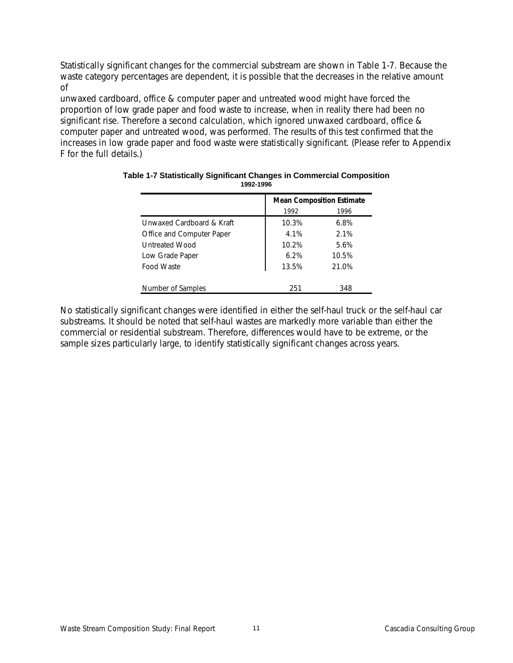Statistically significant changes for the commercial substream are shown in Table 1-7. Because the waste category percentages are dependent, it is possible that the decreases in the relative amount of

unwaxed cardboard, office & computer paper and untreated wood might have forced the proportion of low grade paper and food waste to increase, when in reality there had been no significant rise. Therefore a second calculation, which ignored unwaxed cardboard, office & computer paper and untreated wood, was performed. The results of this test confirmed that the increases in low grade paper and food waste were statistically significant. (Please refer to Appendix F for the full details.)

|                           | <b>Mean Composition Estimate</b> |       |  |  |  |
|---------------------------|----------------------------------|-------|--|--|--|
|                           | 1992                             | 1996  |  |  |  |
| Unwaxed Cardboard & Kraft | 10.3%                            | 6.8%  |  |  |  |
| Office and Computer Paper | 4.1%                             | 2.1%  |  |  |  |
| Untreated Wood            | 10.2%                            | 5.6%  |  |  |  |
| Low Grade Paper           | 6.2%                             | 10.5% |  |  |  |
| Food Waste                | 13.5%                            | 21.0% |  |  |  |
|                           |                                  |       |  |  |  |
| Number of Samples         | 251                              | 348   |  |  |  |

#### **Table 1-7 Statistically Significant Changes in Commercial Composition 1992-1996**

No statistically significant changes were identified in either the self-haul truck or the self-haul car substreams. It should be noted that self-haul wastes are markedly more variable than either the commercial or residential substream. Therefore, differences would have to be extreme, or the sample sizes particularly large, to identify statistically significant changes across years.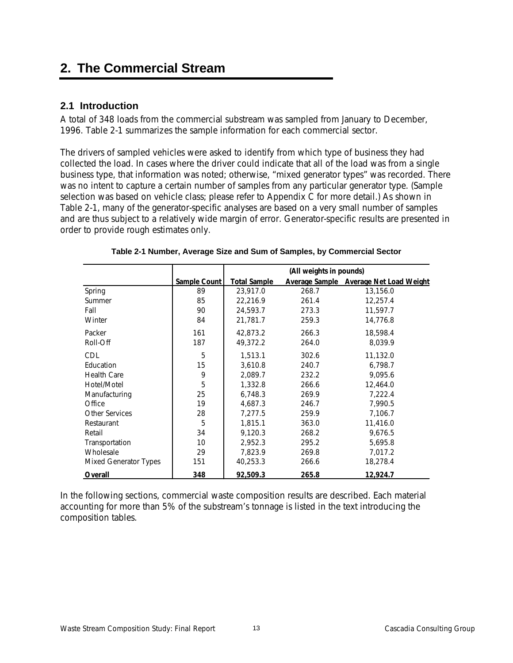# **2. The Commercial Stream**

# **2.1 Introduction**

A total of 348 loads from the commercial substream was sampled from January to December, 1996. Table 2-1 summarizes the sample information for each commercial sector.

The drivers of sampled vehicles were asked to identify from which type of business they had collected the load. In cases where the driver could indicate that all of the load was from a single business type, that information was noted; otherwise, "mixed generator types" was recorded. There was no intent to capture a certain number of samples from any particular generator type. (Sample selection was based on vehicle class; please refer to Appendix C for more detail.) As shown in Table 2-1, many of the generator-specific analyses are based on a very small number of samples and are thus subject to a relatively wide margin of error. Generator-specific results are presented in order to provide rough estimates only.

|                              |              | (All weights in pounds) |       |                                        |  |  |
|------------------------------|--------------|-------------------------|-------|----------------------------------------|--|--|
|                              | Sample Count | <b>Total Sample</b>     |       | Average Sample Average Net Load Weight |  |  |
| Spring                       | 89           | 23,917.0                | 268.7 | 13,156.0                               |  |  |
| <b>Summer</b>                | 85           | 22,216.9                | 261.4 | 12,257.4                               |  |  |
| Fall                         | 90           | 24,593.7                | 273.3 | 11,597.7                               |  |  |
| Winter                       | 84           | 21,781.7                | 259.3 | 14,776.8                               |  |  |
| Packer                       | 161          | 42,873.2                | 266.3 | 18,598.4                               |  |  |
| Roll-Off                     | 187          | 49,372.2                | 264.0 | 8,039.9                                |  |  |
| CDL                          | 5            | 1,513.1                 | 302.6 | 11,132.0                               |  |  |
| Education                    | 15           | 3.610.8                 | 240.7 | 6,798.7                                |  |  |
| <b>Health Care</b>           | 9            | 2,089.7                 | 232.2 | 9,095.6                                |  |  |
| Hotel/Motel                  | 5            | 1,332.8                 | 266.6 | 12,464.0                               |  |  |
| Manufacturing                | 25           | 6,748.3                 | 269.9 | 7,222.4                                |  |  |
| Office                       | 19           | 4,687.3                 | 246.7 | 7,990.5                                |  |  |
| Other Services               | 28           | 7,277.5                 | 259.9 | 7,106.7                                |  |  |
| Restaurant                   | 5            | 1,815.1                 | 363.0 | 11,416.0                               |  |  |
| Retail                       | 34           | 9,120.3                 | 268.2 | 9,676.5                                |  |  |
| Transportation               | 10           | 2,952.3                 | 295.2 | 5,695.8                                |  |  |
| Wholesale                    | 29           | 7,823.9                 | 269.8 | 7,017.2                                |  |  |
| <b>Mixed Generator Types</b> | 151          | 40,253.3                | 266.6 | 18,278.4                               |  |  |
| Overall                      | 348          | 92,509.3                | 265.8 | 12,924.7                               |  |  |

### **Table 2-1 Number, Average Size and Sum of Samples, by Commercial Sector**

In the following sections, commercial waste composition results are described. Each material accounting for more than 5% of the substream's tonnage is listed in the text introducing the composition tables.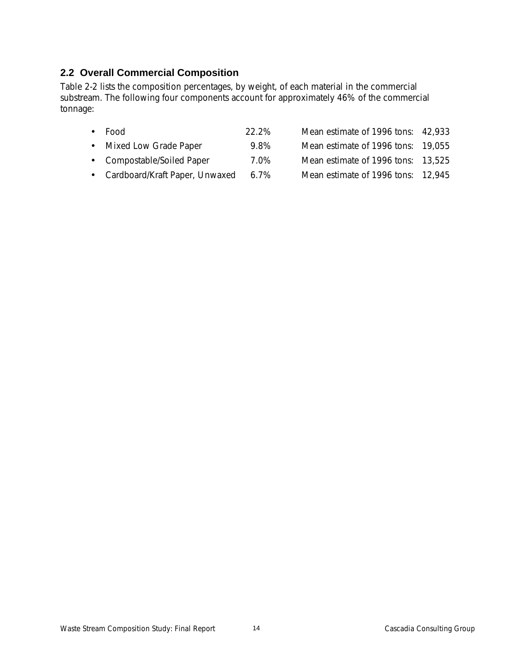# **2.2 Overall Commercial Composition**

Table 2-2 lists the composition percentages, by weight, of each material in the commercial substream. The following four components account for approximately 46% of the commercial tonnage:

| $\bullet$ Food             | 22.2% | Mean estimate of 1996 tons: 42,933 |  |
|----------------------------|-------|------------------------------------|--|
| • Mixed Low Grade Paper    | 9.8%  | Mean estimate of 1996 tons: 19,055 |  |
| • Compostable/Soiled Paper | 7.0%  | Mean estimate of 1996 tons: 13,525 |  |
|                            |       |                                    |  |

• Cardboard/Kraft Paper, Unwaxed 6.7% Mean estimate of 1996 tons: 12,945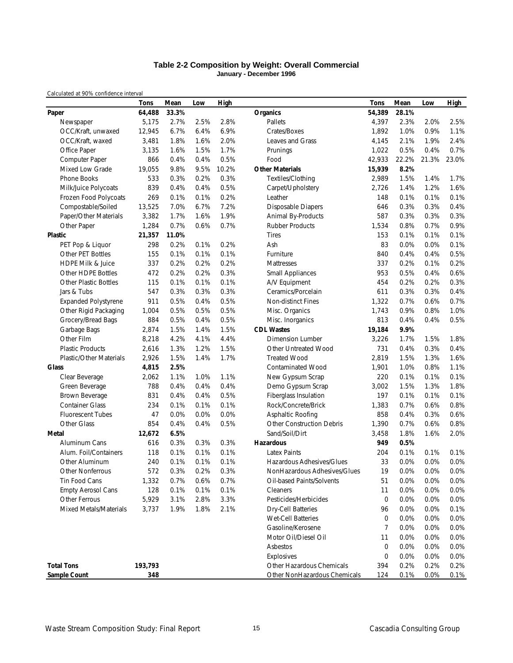#### **Table 2-2 Composition by Weight: Overall Commercial January - December 1996**

*Calculated at 90% confidence interval*

|                                | <b>Tons</b> | Mean  | Low  | <b>High</b> |                                  | Tons   | Mean    | Low   | High  |
|--------------------------------|-------------|-------|------|-------------|----------------------------------|--------|---------|-------|-------|
| Paper                          | 64,488      | 33.3% |      |             | <b>Organics</b>                  | 54,389 | 28.1%   |       |       |
| Newspaper                      | 5,175       | 2.7%  | 2.5% | 2.8%        | Pallets                          | 4,397  | 2.3%    | 2.0%  | 2.5%  |
| OCC/Kraft, unwaxed             | 12,945      | 6.7%  | 6.4% | 6.9%        | Crates/Boxes                     | 1,892  | 1.0%    | 0.9%  | 1.1%  |
| OCC/Kraft, waxed               | 3,481       | 1.8%  | 1.6% | 2.0%        | Leaves and Grass                 | 4,145  | 2.1%    | 1.9%  | 2.4%  |
| Office Paper                   | 3,135       | 1.6%  | 1.5% | 1.7%        | Prunings                         | 1,022  | 0.5%    | 0.4%  | 0.7%  |
| Computer Paper                 | 866         | 0.4%  | 0.4% | 0.5%        | Food                             | 42,933 | 22.2%   | 21.3% | 23.0% |
| Mixed Low Grade                | 19,055      | 9.8%  | 9.5% | 10.2%       | <b>Other Materials</b>           | 15,939 | 8.2%    |       |       |
| <b>Phone Books</b>             | 533         | 0.3%  | 0.2% | 0.3%        | Textiles/Clothing                | 2,989  | 1.5%    | 1.4%  | 1.7%  |
| Milk/Juice Polycoats           | 839         | 0.4%  | 0.4% | 0.5%        | Carpet/Upholstery                | 2,726  | 1.4%    | 1.2%  | 1.6%  |
| Frozen Food Polycoats          | 269         | 0.1%  | 0.1% | 0.2%        | Leather                          | 148    | 0.1%    | 0.1%  | 0.1%  |
| Compostable/Soiled             | 13,525      | 7.0%  | 6.7% | 7.2%        | <b>Disposable Diapers</b>        | 646    | 0.3%    | 0.3%  | 0.4%  |
| Paper/Other Materials          | 3,382       | 1.7%  | 1.6% | 1.9%        | Animal By-Products               | 587    | 0.3%    | 0.3%  | 0.3%  |
| Other Paper                    | 1,284       | 0.7%  | 0.6% | 0.7%        | <b>Rubber Products</b>           | 1,534  | 0.8%    | 0.7%  | 0.9%  |
| <b>Plastic</b>                 | 21,357      | 11.0% |      |             | <b>Tires</b>                     | 153    | 0.1%    | 0.1%  | 0.1%  |
| PET Pop & Liquor               | 298         | 0.2%  | 0.1% | 0.2%        | Ash                              | 83     | 0.0%    | 0.0%  | 0.1%  |
| Other PET Bottles              | 155         | 0.1%  | 0.1% | 0.1%        | Furniture                        | 840    | 0.4%    | 0.4%  | 0.5%  |
| <b>HDPE Milk &amp; Juice</b>   | 337         | 0.2%  | 0.2% | 0.2%        | Mattresses                       | 337    | 0.2%    | 0.1%  | 0.2%  |
| Other HDPE Bottles             | 472         | 0.2%  | 0.2% | 0.3%        | <b>Small Appliances</b>          | 953    | 0.5%    | 0.4%  | 0.6%  |
| <b>Other Plastic Bottles</b>   | 115         | 0.1%  | 0.1% | 0.1%        | A/V Equipment                    | 454    | 0.2%    | 0.2%  | 0.3%  |
| Jars & Tubs                    | 547         | 0.3%  | 0.3% | 0.3%        | Ceramics/Porcelain               | 611    | 0.3%    | 0.3%  | 0.4%  |
| <b>Expanded Polystyrene</b>    | 911         | 0.5%  | 0.4% | 0.5%        | Non-distinct Fines               | 1,322  | 0.7%    | 0.6%  | 0.7%  |
| Other Rigid Packaging          | 1,004       | 0.5%  | 0.5% | 0.5%        | Misc. Organics                   | 1.743  | 0.9%    | 0.8%  | 1.0%  |
| Grocery/Bread Bags             | 884         | 0.5%  | 0.4% | 0.5%        | Misc. Inorganics                 | 813    | 0.4%    | 0.4%  | 0.5%  |
| Garbage Bags                   | 2,874       | 1.5%  | 1.4% | 1.5%        | <b>CDL Wastes</b>                | 19,184 | 9.9%    |       |       |
| Other Film                     | 8,218       | 4.2%  | 4.1% | 4.4%        | <b>Dimension Lumber</b>          | 3,226  | 1.7%    | 1.5%  | 1.8%  |
| <b>Plastic Products</b>        | 2,616       | 1.3%  | 1.2% | 1.5%        | <b>Other Untreated Wood</b>      | 731    | 0.4%    | 0.3%  | 0.4%  |
| <b>Plastic/Other Materials</b> | 2,926       | 1.5%  | 1.4% | 1.7%        | <b>Treated Wood</b>              | 2,819  | 1.5%    | 1.3%  | 1.6%  |
| <b>Glass</b>                   | 4,815       | 2.5%  |      |             | <b>Contaminated Wood</b>         | 1,901  | 1.0%    | 0.8%  | 1.1%  |
| Clear Beverage                 | 2,062       | 1.1%  | 1.0% | 1.1%        | New Gypsum Scrap                 | 220    | 0.1%    | 0.1%  | 0.1%  |
| Green Beverage                 | 788         | 0.4%  | 0.4% | 0.4%        | Demo Gypsum Scrap                | 3,002  | 1.5%    | 1.3%  | 1.8%  |
| Brown Beverage                 | 831         | 0.4%  | 0.4% | 0.5%        | Fiberglass Insulation            | 197    | 0.1%    | 0.1%  | 0.1%  |
| <b>Container Glass</b>         | 234         | 0.1%  | 0.1% | 0.1%        | Rock/Concrete/Brick              | 1,383  | 0.7%    | 0.6%  | 0.8%  |
| <b>Fluorescent Tubes</b>       | 47          | 0.0%  | 0.0% | 0.0%        | Asphaltic Roofing                | 858    | 0.4%    | 0.3%  | 0.6%  |
| Other Glass                    | 854         | 0.4%  | 0.4% | 0.5%        | <b>Other Construction Debris</b> | 1,390  | 0.7%    | 0.6%  | 0.8%  |
| Metal                          | 12,672      | 6.5%  |      |             | Sand/Soil/Dirt                   | 3,458  | 1.8%    | 1.6%  | 2.0%  |
| Aluminum Cans                  | 616         | 0.3%  | 0.3% | 0.3%        | <b>Hazardous</b>                 | 949    | 0.5%    |       |       |
| Alum. Foil/Containers          | 118         | 0.1%  | 0.1% | 0.1%        | <b>Latex Paints</b>              | 204    | 0.1%    | 0.1%  | 0.1%  |
| Other Aluminum                 | 240         | 0.1%  | 0.1% | 0.1%        | Hazardous Adhesives/Glues        | 33     | 0.0%    | 0.0%  | 0.0%  |
| Other Nonferrous               | 572         | 0.3%  | 0.2% | 0.3%        | NonHazardous Adhesives/Glues     | 19     | 0.0%    | 0.0%  | 0.0%  |
| Tin Food Cans                  | 1,332       | 0.7%  | 0.6% | 0.7%        | Oil-based Paints/Solvents        | 51     | $0.0\%$ | 0.0%  | 0.0%  |
| <b>Empty Aerosol Cans</b>      | 128         | 0.1%  | 0.1% | 0.1%        | Cleaners                         | 11     | 0.0%    | 0.0%  | 0.0%  |
| <b>Other Ferrous</b>           | 5,929       | 3.1%  | 2.8% | 3.3%        | Pesticides/Herbicides            | 0      | 0.0%    | 0.0%  | 0.0%  |
| Mixed Metals/Materials         | 3,737       | 1.9%  | 1.8% | 2.1%        | <b>Dry-Cell Batteries</b>        | 96     | 0.0%    | 0.0%  | 0.1%  |
|                                |             |       |      |             | <b>Wet-Cell Batteries</b>        | 0      | 0.0%    | 0.0%  | 0.0%  |
|                                |             |       |      |             | Gasoline/Kerosene                | 7      | 0.0%    | 0.0%  | 0.0%  |
|                                |             |       |      |             | Motor Oil/Diesel Oil             | 11     | 0.0%    | 0.0%  | 0.0%  |
|                                |             |       |      |             | Asbestos                         | 0      | 0.0%    | 0.0%  | 0.0%  |
|                                |             |       |      |             | Explosives                       | 0      | 0.0%    | 0.0%  | 0.0%  |
| <b>Total Tons</b>              | 193,793     |       |      |             | Other Hazardous Chemicals        | 394    | 0.2%    | 0.2%  | 0.2%  |
| Sample Count                   | 348         |       |      |             | Other NonHazardous Chemicals     | 124    | 0.1%    | 0.0%  | 0.1%  |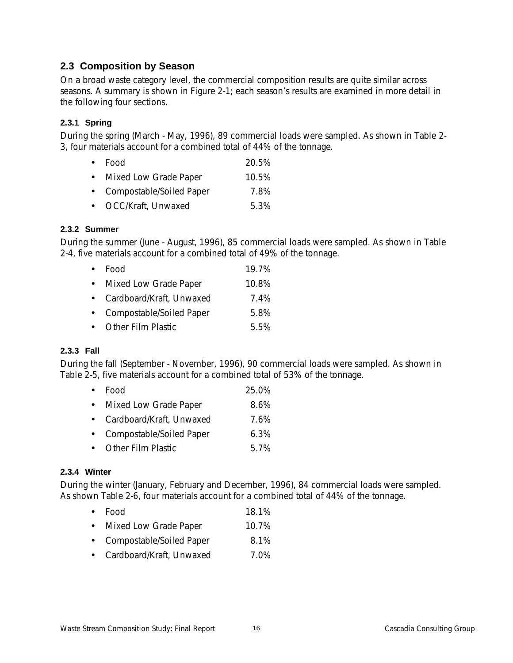# **2.3 Composition by Season**

On a broad waste category level, the commercial composition results are quite similar across seasons. A summary is shown in Figure 2-1; each season's results are examined in more detail in the following four sections.

# **2.3.1 Spring**

During the spring (March - May, 1996), 89 commercial loads were sampled. As shown in Table 2- 3, four materials account for a combined total of 44% of the tonnage.

|           | $\bullet$ Food        | 20.5% |
|-----------|-----------------------|-------|
| $\bullet$ | Mixed Low Grade Paper | 10.5% |

• Compostable/Soiled Paper 7.8%

• OCC/Kraft, Unwaxed 5.3%

# **2.3.2 Summer**

During the summer (June - August, 1996), 85 commercial loads were sampled. As shown in Table 2-4, five materials account for a combined total of 49% of the tonnage.

| $\bullet$ Food | 19.7% |
|----------------|-------|
|                |       |

- Mixed Low Grade Paper 10.8%
- Cardboard/Kraft, Unwaxed 7.4%
- Compostable/Soiled Paper 5.8%
- Other Film Plastic 5.5%

# **2.3.3 Fall**

During the fall (September - November, 1996), 90 commercial loads were sampled. As shown in Table 2-5, five materials account for a combined total of 53% of the tonnage.

- Food 25.0%
- Mixed Low Grade Paper 8.6%
- Cardboard/Kraft, Unwaxed 7.6%
- Compostable/Soiled Paper 6.3%
- Other Film Plastic 5.7%

# **2.3.4 Winter**

During the winter (January, February and December, 1996), 84 commercial loads were sampled. As shown Table 2-6, four materials account for a combined total of 44% of the tonnage.

- Food 18.1%
- Mixed Low Grade Paper 10.7%
- Compostable/Soiled Paper 8.1%
- Cardboard/Kraft, Unwaxed 7.0%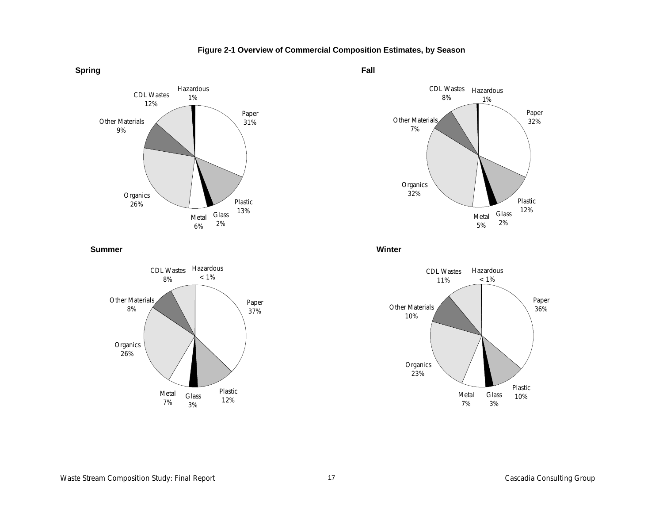

**Figure 2-1 Overview of Commercial Composition Estimates, by Season**

**Fall**



**Summer**



**Winter**

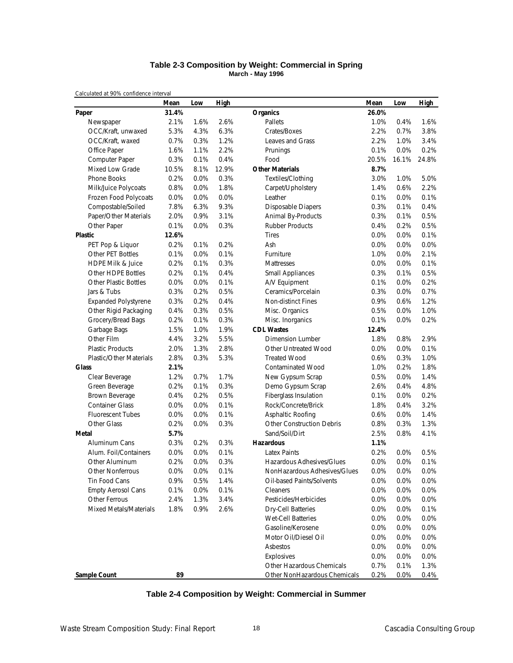#### **Table 2-3 Composition by Weight: Commercial in Spring March - May 1996**

*Calculated at 90% confidence interval*

|                                | Mean  | Low  | High  |                                  | Mean  | Low   | <b>High</b> |
|--------------------------------|-------|------|-------|----------------------------------|-------|-------|-------------|
| Paper                          | 31.4% |      |       | <b>Organics</b>                  | 26.0% |       |             |
| Newspaper                      | 2.1%  | 1.6% | 2.6%  | Pallets                          | 1.0%  | 0.4%  | 1.6%        |
| OCC/Kraft, unwaxed             | 5.3%  | 4.3% | 6.3%  | Crates/Boxes                     | 2.2%  | 0.7%  | 3.8%        |
| OCC/Kraft, waxed               | 0.7%  | 0.3% | 1.2%  | Leaves and Grass                 | 2.2%  | 1.0%  | 3.4%        |
| Office Paper                   | 1.6%  | 1.1% | 2.2%  | Prunings                         | 0.1%  | 0.0%  | 0.2%        |
| Computer Paper                 | 0.3%  | 0.1% | 0.4%  | Food                             | 20.5% | 16.1% | 24.8%       |
| <b>Mixed Low Grade</b>         | 10.5% | 8.1% | 12.9% | <b>Other Materials</b>           | 8.7%  |       |             |
| Phone Books                    | 0.2%  | 0.0% | 0.3%  | Textiles/Clothing                | 3.0%  | 1.0%  | 5.0%        |
| Milk/Juice Polycoats           | 0.8%  | 0.0% | 1.8%  | Carpet/Upholstery                | 1.4%  | 0.6%  | 2.2%        |
| Frozen Food Polycoats          | 0.0%  | 0.0% | 0.0%  | Leather                          | 0.1%  | 0.0%  | 0.1%        |
| Compostable/Soiled             | 7.8%  | 6.3% | 9.3%  | <b>Disposable Diapers</b>        | 0.3%  | 0.1%  | 0.4%        |
| Paper/Other Materials          | 2.0%  | 0.9% | 3.1%  | Animal By-Products               | 0.3%  | 0.1%  | 0.5%        |
| Other Paper                    | 0.1%  | 0.0% | 0.3%  | <b>Rubber Products</b>           | 0.4%  | 0.2%  | 0.5%        |
| <b>Plastic</b>                 | 12.6% |      |       | <b>Tires</b>                     | 0.0%  | 0.0%  | 0.1%        |
| PET Pop & Liquor               | 0.2%  | 0.1% | 0.2%  | Ash                              | 0.0%  | 0.0%  | 0.0%        |
| Other PET Bottles              | 0.1%  | 0.0% | 0.1%  | Furniture                        | 1.0%  | 0.0%  | 2.1%        |
| <b>HDPE Milk &amp; Juice</b>   | 0.2%  | 0.1% | 0.3%  | Mattresses                       | 0.0%  | 0.0%  | 0.1%        |
| <b>Other HDPE Bottles</b>      | 0.2%  | 0.1% | 0.4%  | <b>Small Appliances</b>          | 0.3%  | 0.1%  | 0.5%        |
| Other Plastic Bottles          | 0.0%  | 0.0% | 0.1%  | A/V Equipment                    | 0.1%  | 0.0%  | 0.2%        |
| Jars & Tubs                    | 0.3%  | 0.2% | 0.5%  | Ceramics/Porcelain               | 0.3%  | 0.0%  | 0.7%        |
| <b>Expanded Polystyrene</b>    | 0.3%  | 0.2% | 0.4%  | <b>Non-distinct Fines</b>        | 0.9%  | 0.6%  | 1.2%        |
| Other Rigid Packaging          | 0.4%  | 0.3% | 0.5%  | Misc. Organics                   | 0.5%  | 0.0%  | 1.0%        |
| Grocery/Bread Bags             | 0.2%  | 0.1% | 0.3%  | Misc. Inorganics                 | 0.1%  | 0.0%  | 0.2%        |
| Garbage Bags                   | 1.5%  | 1.0% | 1.9%  | <b>CDL Wastes</b>                | 12.4% |       |             |
| Other Film                     | 4.4%  | 3.2% | 5.5%  | Dimension Lumber                 | 1.8%  | 0.8%  | 2.9%        |
| <b>Plastic Products</b>        | 2.0%  | 1.3% | 2.8%  | Other Untreated Wood             | 0.0%  | 0.0%  | 0.1%        |
| <b>Plastic/Other Materials</b> | 2.8%  | 0.3% | 5.3%  | <b>Treated Wood</b>              | 0.6%  | 0.3%  | 1.0%        |
| <b>Glass</b>                   | 2.1%  |      |       | <b>Contaminated Wood</b>         | 1.0%  | 0.2%  | 1.8%        |
| Clear Beverage                 | 1.2%  | 0.7% | 1.7%  | New Gypsum Scrap                 | 0.5%  | 0.0%  | 1.4%        |
| Green Beverage                 | 0.2%  | 0.1% | 0.3%  | Demo Gypsum Scrap                | 2.6%  | 0.4%  | 4.8%        |
| Brown Beverage                 | 0.4%  | 0.2% | 0.5%  | Fiberglass Insulation            | 0.1%  | 0.0%  | 0.2%        |
| <b>Container Glass</b>         | 0.0%  | 0.0% | 0.1%  | Rock/Concrete/Brick              | 1.8%  | 0.4%  | 3.2%        |
| <b>Fluorescent Tubes</b>       | 0.0%  | 0.0% | 0.1%  | Asphaltic Roofing                | 0.6%  | 0.0%  | 1.4%        |
| Other Glass                    | 0.2%  | 0.0% | 0.3%  | <b>Other Construction Debris</b> | 0.8%  | 0.3%  | 1.3%        |
| Metal                          | 5.7%  |      |       | Sand/Soil/Dirt                   | 2.5%  | 0.8%  | 4.1%        |
| Aluminum Cans                  | 0.3%  | 0.2% | 0.3%  | <b>Hazardous</b>                 | 1.1%  |       |             |
| Alum. Foil/Containers          | 0.0%  | 0.0% | 0.1%  | <b>Latex Paints</b>              | 0.2%  | 0.0%  | 0.5%        |
| Other Aluminum                 | 0.2%  | 0.0% | 0.3%  | Hazardous Adhesives/Glues        | 0.0%  | 0.0%  | 0.1%        |
| <b>Other Nonferrous</b>        | 0.0%  | 0.0% | 0.1%  | NonHazardous Adhesives/Glues     | 0.0%  | 0.0%  | 0.0%        |
| Tin Food Cans                  | 0.9%  | 0.5% | 1.4%  | Oil-based Paints/Solvents        | 0.0%  | 0.0%  | 0.0%        |
| <b>Empty Aerosol Cans</b>      | 0.1%  | 0.0% | 0.1%  | Cleaners                         | 0.0%  | 0.0%  | 0.0%        |
| Other Ferrous                  | 2.4%  | 1.3% | 3.4%  | Pesticides/Herbicides            | 0.0%  | 0.0%  | 0.0%        |
| Mixed Metals/Materials         | 1.8%  | 0.9% | 2.6%  | <b>Dry-Cell Batteries</b>        | 0.0%  | 0.0%  | 0.1%        |
|                                |       |      |       | <b>Wet-Cell Batteries</b>        | 0.0%  | 0.0%  | 0.0%        |
|                                |       |      |       | Gasoline/Kerosene                | 0.0%  | 0.0%  | 0.0%        |
|                                |       |      |       | Motor Oil/Diesel Oil             | 0.0%  | 0.0%  | 0.0%        |
|                                |       |      |       | Asbestos                         | 0.0%  | 0.0%  | 0.0%        |
|                                |       |      |       | Explosives                       | 0.0%  | 0.0%  | 0.0%        |
|                                |       |      |       | Other Hazardous Chemicals        | 0.7%  | 0.1%  | 1.3%        |
| <b>Sample Count</b>            | 89    |      |       | Other NonHazardous Chemicals     | 0.2%  | 0.0%  | 0.4%        |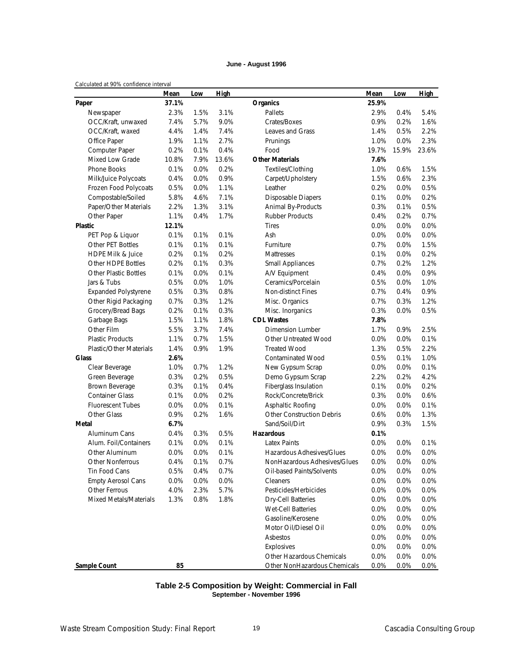#### **June - August 1996**

#### *Calculated at 90% confidence interval*

|                                | Mean  | Low  | High  |                                  | Mean    | Low   | <b>High</b> |
|--------------------------------|-------|------|-------|----------------------------------|---------|-------|-------------|
| Paper                          | 37.1% |      |       | <b>Organics</b>                  | 25.9%   |       |             |
| Newspaper                      | 2.3%  | 1.5% | 3.1%  | Pallets                          | 2.9%    | 0.4%  | 5.4%        |
| OCC/Kraft, unwaxed             | 7.4%  | 5.7% | 9.0%  | Crates/Boxes                     | 0.9%    | 0.2%  | 1.6%        |
| OCC/Kraft, waxed               | 4.4%  | 1.4% | 7.4%  | Leaves and Grass                 | 1.4%    | 0.5%  | 2.2%        |
| Office Paper                   | 1.9%  | 1.1% | 2.7%  | Prunings                         | 1.0%    | 0.0%  | 2.3%        |
| Computer Paper                 | 0.2%  | 0.1% | 0.4%  | Food                             | 19.7%   | 15.9% | 23.6%       |
| Mixed Low Grade                | 10.8% | 7.9% | 13.6% | <b>Other Materials</b>           | 7.6%    |       |             |
| <b>Phone Books</b>             | 0.1%  | 0.0% | 0.2%  | Textiles/Clothing                | 1.0%    | 0.6%  | 1.5%        |
| Milk/Juice Polycoats           | 0.4%  | 0.0% | 0.9%  | Carpet/Upholstery                | 1.5%    | 0.6%  | 2.3%        |
| Frozen Food Polycoats          | 0.5%  | 0.0% | 1.1%  | Leather                          | 0.2%    | 0.0%  | 0.5%        |
| Compostable/Soiled             | 5.8%  | 4.6% | 7.1%  | <b>Disposable Diapers</b>        | 0.1%    | 0.0%  | 0.2%        |
| Paper/Other Materials          | 2.2%  | 1.3% | 3.1%  | Animal By-Products               | 0.3%    | 0.1%  | 0.5%        |
| Other Paper                    | 1.1%  | 0.4% | 1.7%  | <b>Rubber Products</b>           | 0.4%    | 0.2%  | 0.7%        |
| <b>Plastic</b>                 | 12.1% |      |       | <b>Tires</b>                     | $0.0\%$ | 0.0%  | 0.0%        |
| PET Pop & Liquor               | 0.1%  | 0.1% | 0.1%  | Ash                              | 0.0%    | 0.0%  | 0.0%        |
| Other PET Bottles              | 0.1%  | 0.1% | 0.1%  | Furniture                        | 0.7%    | 0.0%  | 1.5%        |
| <b>HDPE Milk &amp; Juice</b>   | 0.2%  | 0.1% | 0.2%  | Mattresses                       | 0.1%    | 0.0%  | 0.2%        |
| Other HDPE Bottles             | 0.2%  | 0.1% | 0.3%  | <b>Small Appliances</b>          | 0.7%    | 0.2%  | 1.2%        |
| <b>Other Plastic Bottles</b>   | 0.1%  | 0.0% | 0.1%  | A/V Equipment                    | 0.4%    | 0.0%  | 0.9%        |
| Jars & Tubs                    | 0.5%  | 0.0% | 1.0%  | Ceramics/Porcelain               | 0.5%    | 0.0%  | 1.0%        |
| <b>Expanded Polystyrene</b>    | 0.5%  | 0.3% | 0.8%  | Non-distinct Fines               | 0.7%    | 0.4%  | 0.9%        |
| Other Rigid Packaging          | 0.7%  | 0.3% | 1.2%  | Misc. Organics                   | 0.7%    | 0.3%  | 1.2%        |
| Grocery/Bread Bags             | 0.2%  | 0.1% | 0.3%  | Misc. Inorganics                 | 0.3%    | 0.0%  | 0.5%        |
| Garbage Bags                   | 1.5%  | 1.1% | 1.8%  | <b>CDL Wastes</b>                | 7.8%    |       |             |
| Other Film                     | 5.5%  | 3.7% | 7.4%  | Dimension Lumber                 | 1.7%    | 0.9%  | 2.5%        |
| <b>Plastic Products</b>        | 1.1%  | 0.7% | 1.5%  | Other Untreated Wood             | 0.0%    | 0.0%  | 0.1%        |
| <b>Plastic/Other Materials</b> | 1.4%  | 0.9% | 1.9%  | <b>Treated Wood</b>              | 1.3%    | 0.5%  | 2.2%        |
| <b>Glass</b>                   | 2.6%  |      |       | <b>Contaminated Wood</b>         | 0.5%    | 0.1%  | 1.0%        |
| Clear Beverage                 | 1.0%  | 0.7% | 1.2%  | New Gypsum Scrap                 | $0.0\%$ | 0.0%  | 0.1%        |
| Green Beverage                 | 0.3%  | 0.2% | 0.5%  | Demo Gypsum Scrap                | 2.2%    | 0.2%  | 4.2%        |
| Brown Beverage                 | 0.3%  | 0.1% | 0.4%  | Fiberglass Insulation            | 0.1%    | 0.0%  | 0.2%        |
| <b>Container Glass</b>         | 0.1%  | 0.0% | 0.2%  | Rock/Concrete/Brick              | 0.3%    | 0.0%  | 0.6%        |
| <b>Fluorescent Tubes</b>       | 0.0%  | 0.0% | 0.1%  | Asphaltic Roofing                | $0.0\%$ | 0.0%  | 0.1%        |
| Other Glass                    | 0.9%  | 0.2% | 1.6%  | <b>Other Construction Debris</b> | 0.6%    | 0.0%  | 1.3%        |
| Metal                          | 6.7%  |      |       | Sand/Soil/Dirt                   | 0.9%    | 0.3%  | 1.5%        |
| Aluminum Cans                  | 0.4%  | 0.3% | 0.5%  | Hazardous                        | 0.1%    |       |             |
| Alum. Foil/Containers          | 0.1%  | 0.0% | 0.1%  | <b>Latex Paints</b>              | $0.0\%$ | 0.0%  | 0.1%        |
| Other Aluminum                 | 0.0%  | 0.0% | 0.1%  | Hazardous Adhesives/Glues        | 0.0%    | 0.0%  | 0.0%        |
| Other Nonferrous               | 0.4%  | 0.1% | 0.7%  | NonHazardous Adhesives/Glues     | 0.0%    | 0.0%  | 0.0%        |
| Tin Food Cans                  | 0.5%  | 0.4% | 0.7%  | Oil-based Paints/Solvents        | 0.0%    | 0.0%  | 0.0%        |
| <b>Empty Aerosol Cans</b>      | 0.0%  | 0.0% | 0.0%  | <b>Cleaners</b>                  | 0.0%    | 0.0%  | 0.0%        |
| Other Ferrous                  | 4.0%  | 2.3% | 5.7%  | Pesticides/Herbicides            | 0.0%    | 0.0%  | 0.0%        |
| <b>Mixed Metals/Materials</b>  | 1.3%  | 0.8% | 1.8%  | <b>Dry-Cell Batteries</b>        | 0.0%    | 0.0%  | 0.0%        |
|                                |       |      |       | <b>Wet-Cell Batteries</b>        | 0.0%    | 0.0%  | 0.0%        |
|                                |       |      |       | Gasoline/Kerosene                | 0.0%    | 0.0%  | 0.0%        |
|                                |       |      |       | Motor Oil/Diesel Oil             | 0.0%    | 0.0%  | 0.0%        |
|                                |       |      |       | Asbestos                         | 0.0%    | 0.0%  | 0.0%        |
|                                |       |      |       | Explosives                       | 0.0%    | 0.0%  | 0.0%        |
|                                |       |      |       | Other Hazardous Chemicals        | 0.0%    | 0.0%  | 0.0%        |
| Sample Count                   | 85    |      |       | Other NonHazardous Chemicals     | 0.0%    | 0.0%  | 0.0%        |

#### **Table 2-5 Composition by Weight: Commercial in Fall September - November 1996**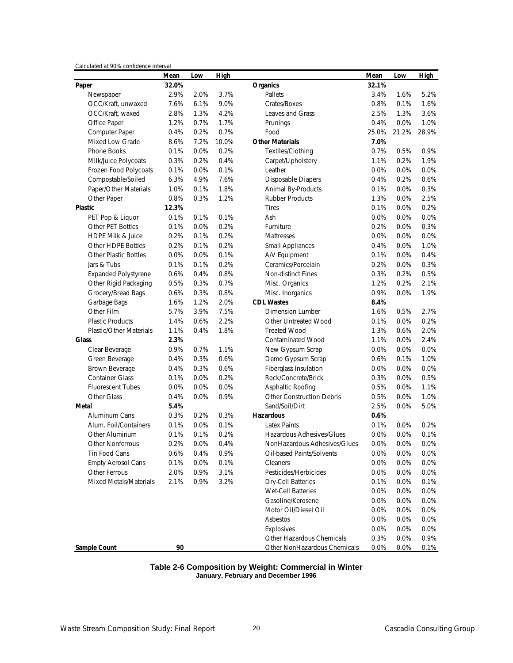|  | Calculated at 90% confidence interval |  |
|--|---------------------------------------|--|
|  |                                       |  |

|                                | Mean  | Low  | High  |                                  | Mean    | Low   | <b>High</b> |
|--------------------------------|-------|------|-------|----------------------------------|---------|-------|-------------|
| Paper                          | 32.0% |      |       | <b>Organics</b>                  | 32.1%   |       |             |
| Newspaper                      | 2.9%  | 2.0% | 3.7%  | Pallets                          | 3.4%    | 1.6%  | 5.2%        |
| OCC/Kraft, unwaxed             | 7.6%  | 6.1% | 9.0%  | Crates/Boxes                     | 0.8%    | 0.1%  | 1.6%        |
| OCC/Kraft, waxed               | 2.8%  | 1.3% | 4.2%  | Leaves and Grass                 | 2.5%    | 1.3%  | 3.6%        |
| Office Paper                   | 1.2%  | 0.7% | 1.7%  | Prunings                         | 0.4%    | 0.0%  | 1.0%        |
| Computer Paper                 | 0.4%  | 0.2% | 0.7%  | Food                             | 25.0%   | 21.2% | 28.9%       |
| <b>Mixed Low Grade</b>         | 8.6%  | 7.2% | 10.0% | <b>Other Materials</b>           | 7.0%    |       |             |
| <b>Phone Books</b>             | 0.1%  | 0.0% | 0.2%  | Textiles/Clothing                | 0.7%    | 0.5%  | 0.9%        |
| Milk/Juice Polycoats           | 0.3%  | 0.2% | 0.4%  | Carpet/Upholstery                | 1.1%    | 0.2%  | 1.9%        |
| Frozen Food Polycoats          | 0.1%  | 0.0% | 0.1%  | Leather                          | 0.0%    | 0.0%  | 0.0%        |
| Compostable/Soiled             | 6.3%  | 4.9% | 7.6%  | <b>Disposable Diapers</b>        | 0.4%    | 0.2%  | 0.6%        |
| Paper/Other Materials          | 1.0%  | 0.1% | 1.8%  | Animal By-Products               | 0.1%    | 0.0%  | 0.3%        |
| Other Paper                    | 0.8%  | 0.3% | 1.2%  | <b>Rubber Products</b>           | 1.3%    | 0.0%  | 2.5%        |
| <b>Plastic</b>                 | 12.3% |      |       | <b>Tires</b>                     | 0.1%    | 0.0%  | 0.2%        |
| PET Pop & Liquor               | 0.1%  | 0.1% | 0.1%  | Ash                              | 0.0%    | 0.0%  | 0.0%        |
| Other PET Bottles              | 0.1%  | 0.0% | 0.2%  | Furniture                        | 0.2%    | 0.0%  | 0.3%        |
| <b>HDPE Milk &amp; Juice</b>   | 0.2%  | 0.1% | 0.2%  | Mattresses                       | $0.0\%$ | 0.0%  | 0.0%        |
| Other HDPE Bottles             | 0.2%  | 0.1% | 0.2%  | <b>Small Appliances</b>          | 0.4%    | 0.0%  | 1.0%        |
| <b>Other Plastic Bottles</b>   | 0.0%  | 0.0% | 0.1%  | A/V Equipment                    | 0.1%    | 0.0%  | 0.4%        |
| Jars & Tubs                    | 0.1%  | 0.1% | 0.2%  | Ceramics/Porcelain               | 0.2%    | 0.0%  | 0.3%        |
| <b>Expanded Polystyrene</b>    | 0.6%  | 0.4% | 0.8%  | Non-distinct Fines               | 0.3%    | 0.2%  | 0.5%        |
| Other Rigid Packaging          | 0.5%  | 0.3% | 0.7%  | Misc. Organics                   | 1.2%    | 0.2%  | 2.1%        |
| Grocery/Bread Bags             | 0.6%  | 0.3% | 0.8%  | Misc. Inorganics                 | 0.9%    | 0.0%  | 1.9%        |
| Garbage Bags                   | 1.6%  | 1.2% | 2.0%  | <b>CDL Wastes</b>                | 8.4%    |       |             |
| Other Film                     | 5.7%  | 3.9% | 7.5%  | <b>Dimension Lumber</b>          | 1.6%    | 0.5%  | 2.7%        |
| <b>Plastic Products</b>        | 1.4%  | 0.6% | 2.2%  | Other Untreated Wood             | 0.1%    | 0.0%  | 0.2%        |
| <b>Plastic/Other Materials</b> | 1.1%  | 0.4% | 1.8%  | <b>Treated Wood</b>              | 1.3%    | 0.6%  | 2.0%        |
| <b>Glass</b>                   | 2.3%  |      |       | <b>Contaminated Wood</b>         | 1.1%    | 0.0%  | 2.4%        |
| Clear Beverage                 | 0.9%  | 0.7% | 1.1%  | New Gypsum Scrap                 | $0.0\%$ | 0.0%  | 0.0%        |
| Green Beverage                 | 0.4%  | 0.3% | 0.6%  | Demo Gypsum Scrap                | 0.6%    | 0.1%  | 1.0%        |
| Brown Beverage                 | 0.4%  | 0.3% | 0.6%  | Fiberglass Insulation            | $0.0\%$ | 0.0%  | 0.0%        |
| <b>Container Glass</b>         | 0.1%  | 0.0% | 0.2%  | Rock/Concrete/Brick              | 0.3%    | 0.0%  | 0.5%        |
| <b>Fluorescent Tubes</b>       | 0.0%  | 0.0% | 0.0%  | Asphaltic Roofing                | 0.5%    | 0.0%  | 1.1%        |
| <b>Other Glass</b>             | 0.4%  | 0.0% | 0.9%  | <b>Other Construction Debris</b> | 0.5%    | 0.0%  | 1.0%        |
| Metal                          | 5.4%  |      |       | Sand/Soil/Dirt                   | 2.5%    | 0.0%  | 5.0%        |
| Aluminum Cans                  | 0.3%  | 0.2% | 0.3%  | <b>Hazardous</b>                 | 0.6%    |       |             |
| Alum. Foil/Containers          | 0.1%  | 0.0% | 0.1%  | <b>Latex Paints</b>              | 0.1%    | 0.0%  | 0.2%        |
| Other Aluminum                 | 0.1%  | 0.1% | 0.2%  | Hazardous Adhesives/Glues        | 0.0%    | 0.0%  | 0.1%        |
| <b>Other Nonferrous</b>        | 0.2%  | 0.0% | 0.4%  | NonHazardous Adhesives/Glues     | 0.0%    | 0.0%  | 0.0%        |
| Tin Food Cans                  | 0.6%  | 0.4% | 0.9%  | Oil-based Paints/Solvents        | $0.0\%$ | 0.0%  | 0.0%        |
| <b>Empty Aerosol Cans</b>      | 0.1%  | 0.0% | 0.1%  | Cleaners                         | 0.0%    | 0.0%  | 0.0%        |
| Other Ferrous                  | 2.0%  | 0.9% | 3.1%  | Pesticides/Herbicides            | 0.0%    | 0.0%  | 0.0%        |
| Mixed Metals/Materials         | 2.1%  | 0.9% | 3.2%  | <b>Dry-Cell Batteries</b>        | 0.1%    | 0.0%  | 0.1%        |
|                                |       |      |       | <b>Wet-Cell Batteries</b>        | 0.0%    | 0.0%  | 0.0%        |
|                                |       |      |       | Gasoline/Kerosene                | 0.0%    | 0.0%  | 0.0%        |
|                                |       |      |       | Motor Oil/Diesel Oil             | 0.0%    | 0.0%  | 0.0%        |
|                                |       |      |       | Asbestos                         | 0.0%    | 0.0%  | 0.0%        |
|                                |       |      |       | Explosives                       | 0.0%    | 0.0%  | 0.0%        |
|                                |       |      |       | Other Hazardous Chemicals        | 0.3%    | 0.0%  | 0.9%        |
| Sample Count                   | 90    |      |       | Other NonHazardous Chemicals     | 0.0%    | 0.0%  | 0.1%        |

#### **Table 2-6 Composition by Weight: Commercial in Winter January, February and December 1996**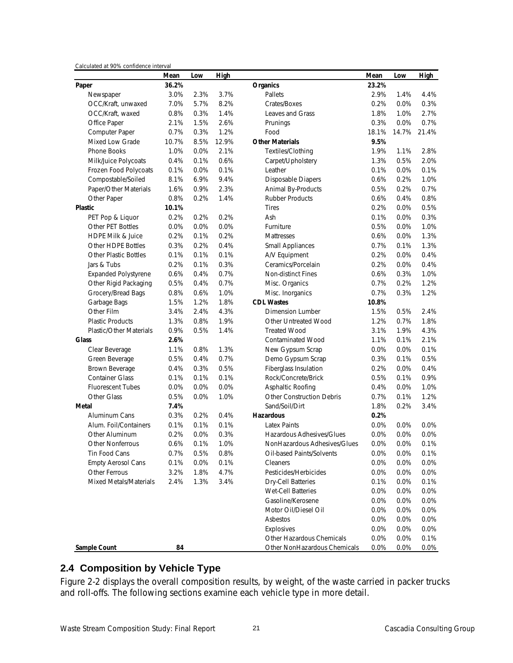| Calculated at 90% confidence interval | Mean  | Low  | <b>High</b> |                                  | Mean    | Low   | <b>High</b> |
|---------------------------------------|-------|------|-------------|----------------------------------|---------|-------|-------------|
| Paper                                 | 36.2% |      |             | <b>Organics</b>                  | 23.2%   |       |             |
| Newspaper                             | 3.0%  | 2.3% | 3.7%        | Pallets                          | 2.9%    | 1.4%  | 4.4%        |
| OCC/Kraft, unwaxed                    | 7.0%  | 5.7% | 8.2%        | Crates/Boxes                     | 0.2%    | 0.0%  | 0.3%        |
| OCC/Kraft, waxed                      | 0.8%  | 0.3% | 1.4%        | Leaves and Grass                 | 1.8%    | 1.0%  | 2.7%        |
| Office Paper                          | 2.1%  | 1.5% | 2.6%        | Prunings                         | 0.3%    | 0.0%  | 0.7%        |
| Computer Paper                        | 0.7%  | 0.3% | 1.2%        | Food                             | 18.1%   | 14.7% | 21.4%       |
| Mixed Low Grade                       | 10.7% | 8.5% | 12.9%       | <b>Other Materials</b>           | 9.5%    |       |             |
| <b>Phone Books</b>                    | 1.0%  | 0.0% | 2.1%        | Textiles/Clothing                | 1.9%    | 1.1%  | 2.8%        |
| Milk/Juice Polycoats                  | 0.4%  | 0.1% | 0.6%        | Carpet/Upholstery                | 1.3%    | 0.5%  | 2.0%        |
| Frozen Food Polycoats                 | 0.1%  | 0.0% | 0.1%        | Leather                          | 0.1%    | 0.0%  | 0.1%        |
| Compostable/Soiled                    | 8.1%  | 6.9% | 9.4%        | <b>Disposable Diapers</b>        | 0.6%    | 0.2%  | 1.0%        |
| Paper/Other Materials                 | 1.6%  | 0.9% | 2.3%        | Animal By-Products               | 0.5%    | 0.2%  | 0.7%        |
| Other Paper                           | 0.8%  | 0.2% | 1.4%        | <b>Rubber Products</b>           | 0.6%    | 0.4%  | 0.8%        |
| Plastic                               | 10.1% |      |             | <b>Tires</b>                     | 0.2%    | 0.0%  | 0.5%        |
| PET Pop & Liquor                      | 0.2%  | 0.2% | 0.2%        | Ash                              | 0.1%    | 0.0%  | 0.3%        |
| Other PET Bottles                     | 0.0%  | 0.0% | 0.0%        | Furniture                        | 0.5%    | 0.0%  | 1.0%        |
| <b>HDPE Milk &amp; Juice</b>          | 0.2%  | 0.1% | 0.2%        | <b>Mattresses</b>                | 0.6%    | 0.0%  | 1.3%        |
| Other HDPE Bottles                    | 0.3%  | 0.2% | 0.4%        | <b>Small Appliances</b>          | 0.7%    | 0.1%  | 1.3%        |
| <b>Other Plastic Bottles</b>          | 0.1%  | 0.1% | 0.1%        | A/V Equipment                    | 0.2%    | 0.0%  | 0.4%        |
| Jars & Tubs                           | 0.2%  | 0.1% | 0.3%        | Ceramics/Porcelain               | 0.2%    | 0.0%  | 0.4%        |
| <b>Expanded Polystyrene</b>           | 0.6%  | 0.4% | 0.7%        | Non-distinct Fines               | 0.6%    | 0.3%  | 1.0%        |
| Other Rigid Packaging                 | 0.5%  | 0.4% | 0.7%        | Misc. Organics                   | 0.7%    | 0.2%  | 1.2%        |
| Grocery/Bread Bags                    | 0.8%  | 0.6% | 1.0%        | Misc. Inorganics                 | 0.7%    | 0.3%  | 1.2%        |
| Garbage Bags                          | 1.5%  | 1.2% | 1.8%        | <b>CDL Wastes</b>                | 10.8%   |       |             |
| Other Film                            | 3.4%  | 2.4% | 4.3%        | <b>Dimension Lumber</b>          | 1.5%    | 0.5%  | 2.4%        |
| <b>Plastic Products</b>               | 1.3%  | 0.8% | 1.9%        | <b>Other Untreated Wood</b>      | 1.2%    | 0.7%  | 1.8%        |
| <b>Plastic/Other Materials</b>        | 0.9%  | 0.5% | 1.4%        | <b>Treated Wood</b>              | 3.1%    | 1.9%  | 4.3%        |
| <b>Glass</b>                          | 2.6%  |      |             | <b>Contaminated Wood</b>         | 1.1%    | 0.1%  | 2.1%        |
| Clear Beverage                        | 1.1%  | 0.8% | 1.3%        | New Gypsum Scrap                 | $0.0\%$ | 0.0%  | 0.1%        |
| Green Beverage                        | 0.5%  | 0.4% | 0.7%        | Demo Gypsum Scrap                | 0.3%    | 0.1%  | 0.5%        |
| Brown Beverage                        | 0.4%  | 0.3% | 0.5%        | Fiberglass Insulation            | 0.2%    | 0.0%  | 0.4%        |
| <b>Container Glass</b>                | 0.1%  | 0.1% | 0.1%        | Rock/Concrete/Brick              | 0.5%    | 0.1%  | 0.9%        |
| <b>Fluorescent Tubes</b>              | 0.0%  | 0.0% | 0.0%        | Asphaltic Roofing                | 0.4%    | 0.0%  | 1.0%        |
| Other Glass                           | 0.5%  | 0.0% | 1.0%        | <b>Other Construction Debris</b> | 0.7%    | 0.1%  | 1.2%        |
| Metal                                 | 7.4%  |      |             | Sand/Soil/Dirt                   | 1.8%    | 0.2%  | 3.4%        |
| Aluminum Cans                         | 0.3%  | 0.2% | 0.4%        | <b>Hazardous</b>                 | 0.2%    |       |             |
| Alum. Foil/Containers                 | 0.1%  | 0.1% | 0.1%        | <b>Latex Paints</b>              | 0.0%    | 0.0%  | 0.0%        |
| Other Aluminum                        | 0.2%  | 0.0% | 0.3%        | Hazardous Adhesives/Glues        | 0.0%    | 0.0%  | 0.0%        |
| <b>Other Nonferrous</b>               | 0.6%  | 0.1% | 1.0%        | NonHazardous Adhesives/Glues     | 0.0%    | 0.0%  | 0.1%        |
| Tin Food Cans                         | 0.7%  | 0.5% | 0.8%        | Oil-based Paints/Solvents        | 0.0%    | 0.0%  | 0.1%        |
| <b>Empty Aerosol Cans</b>             | 0.1%  | 0.0% | 0.1%        | Cleaners                         | 0.0%    | 0.0%  | 0.0%        |
| Other Ferrous                         | 3.2%  | 1.8% | 4.7%        | Pesticides/Herbicides            | 0.0%    | 0.0%  | 0.0%        |
| <b>Mixed Metals/Materials</b>         | 2.4%  | 1.3% | 3.4%        | <b>Dry-Cell Batteries</b>        | 0.1%    | 0.0%  | 0.1%        |
|                                       |       |      |             | Wet-Cell Batteries               | 0.0%    | 0.0%  | 0.0%        |
|                                       |       |      |             | Gasoline/Kerosene                | 0.0%    | 0.0%  | 0.0%        |
|                                       |       |      |             | Motor Oil/Diesel Oil             | 0.0%    | 0.0%  | 0.0%        |
|                                       |       |      |             | Asbestos                         | 0.0%    | 0.0%  | 0.0%        |
|                                       |       |      |             | Explosives                       | 0.0%    | 0.0%  | 0.0%        |
|                                       |       |      |             | Other Hazardous Chemicals        | 0.0%    | 0.0%  | 0.1%        |
| Sample Count                          | 84    |      |             | Other NonHazardous Chemicals     | 0.0%    | 0.0%  | 0.0%        |

# **2.4 Composition by Vehicle Type**

Figure 2-2 displays the overall composition results, by weight, of the waste carried in packer trucks and roll-offs. The following sections examine each vehicle type in more detail.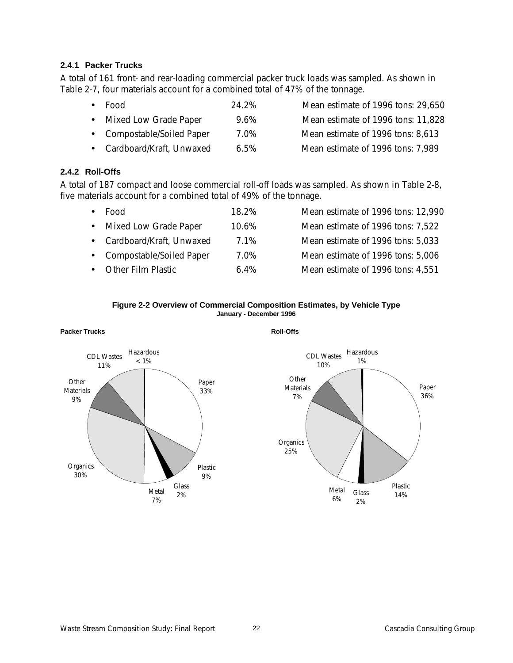### **2.4.1 Packer Trucks**

A total of 161 front- and rear-loading commercial packer truck loads was sampled. As shown in Table 2-7, four materials account for a combined total of 47% of the tonnage.

- Food 24.2% Mean estimate of 1996 tons: 29,650 • Mixed Low Grade Paper 9.6% Mean estimate of 1996 tons: 11,828 • Compostable/Soiled Paper 7.0% Mean estimate of 1996 tons: 8,613
- Cardboard/Kraft, Unwaxed 6.5% Mean estimate of 1996 tons: 7,989

# **2.4.2 Roll-Offs**

**Packer Trucks**

A total of 187 compact and loose commercial roll-off loads was sampled. As shown in Table 2-8, five materials account for a combined total of 49% of the tonnage.

| Food                       | 18 2%   | Mean estimate of 1996 tons: 12,990 |
|----------------------------|---------|------------------------------------|
| • Mixed Low Grade Paper    | 10.6%   | Mean estimate of 1996 tons: 7,522  |
| • Cardboard/Kraft, Unwaxed | 7.1%    | Mean estimate of 1996 tons: 5,033  |
| • Compostable/Soiled Paper | 7.0%    | Mean estimate of 1996 tons: 5,006  |
| <b>Other Film Plastic</b>  | $6.4\%$ | Mean estimate of 1996 tons: 4,551  |
|                            |         |                                    |

#### **Figure 2-2 Overview of Commercial Composition Estimates, by Vehicle Type January - December 1996**



### **Roll-Offs**

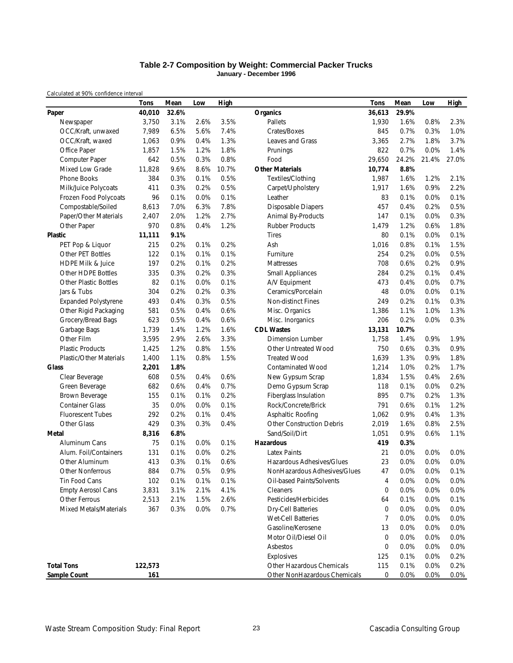#### **Table 2-7 Composition by Weight: Commercial Packer Trucks January - December 1996**

*Calculated at 90% confidence interval*

|                                | <b>Tons</b> | Mean  | Low  | <b>High</b> |                                  | <b>Tons</b> | Mean  | Low   | <b>High</b> |
|--------------------------------|-------------|-------|------|-------------|----------------------------------|-------------|-------|-------|-------------|
| Paper                          | 40,010      | 32.6% |      |             | Organics                         | 36,613      | 29.9% |       |             |
| Newspaper                      | 3,750       | 3.1%  | 2.6% | 3.5%        | Pallets                          | 1,930       | 1.6%  | 0.8%  | 2.3%        |
| OCC/Kraft, unwaxed             | 7,989       | 6.5%  | 5.6% | 7.4%        | Crates/Boxes                     | 845         | 0.7%  | 0.3%  | 1.0%        |
| OCC/Kraft, waxed               | 1,063       | 0.9%  | 0.4% | 1.3%        | Leaves and Grass                 | 3,365       | 2.7%  | 1.8%  | 3.7%        |
| Office Paper                   | 1,857       | 1.5%  | 1.2% | 1.8%        | Prunings                         | 822         | 0.7%  | 0.0%  | 1.4%        |
| Computer Paper                 | 642         | 0.5%  | 0.3% | 0.8%        | Food                             | 29,650      | 24.2% | 21.4% | 27.0%       |
| Mixed Low Grade                | 11,828      | 9.6%  | 8.6% | 10.7%       | <b>Other Materials</b>           | 10,774      | 8.8%  |       |             |
| Phone Books                    | 384         | 0.3%  | 0.1% | 0.5%        | Textiles/Clothing                | 1,987       | 1.6%  | 1.2%  | 2.1%        |
| Milk/Juice Polycoats           | 411         | 0.3%  | 0.2% | 0.5%        | Carpet/Upholstery                | 1,917       | 1.6%  | 0.9%  | 2.2%        |
| Frozen Food Polycoats          | 96          | 0.1%  | 0.0% | 0.1%        | Leather                          | 83          | 0.1%  | 0.0%  | 0.1%        |
| Compostable/Soiled             | 8,613       | 7.0%  | 6.3% | 7.8%        | Disposable Diapers               | 457         | 0.4%  | 0.2%  | 0.5%        |
| Paper/Other Materials          | 2,407       | 2.0%  | 1.2% | 2.7%        | Animal By-Products               | 147         | 0.1%  | 0.0%  | 0.3%        |
| Other Paper                    | 970         | 0.8%  | 0.4% | 1.2%        | <b>Rubber Products</b>           | 1,479       | 1.2%  | 0.6%  | 1.8%        |
| <b>Plastic</b>                 | 11,111      | 9.1%  |      |             | <b>Tires</b>                     | 80          | 0.1%  | 0.0%  | 0.1%        |
| PET Pop & Liquor               | 215         | 0.2%  | 0.1% | 0.2%        | Ash                              | 1,016       | 0.8%  | 0.1%  | 1.5%        |
| <b>Other PET Bottles</b>       | 122         | 0.1%  | 0.1% | 0.1%        | Furniture                        | 254         | 0.2%  | 0.0%  | 0.5%        |
| <b>HDPE Milk &amp; Juice</b>   | 197         | 0.2%  | 0.1% | 0.2%        | Mattresses                       | 708         | 0.6%  | 0.2%  | 0.9%        |
| Other HDPE Bottles             | 335         | 0.3%  | 0.2% | 0.3%        | <b>Small Appliances</b>          | 284         | 0.2%  | 0.1%  | 0.4%        |
| <b>Other Plastic Bottles</b>   | 82          | 0.1%  | 0.0% | 0.1%        | A/V Equipment                    | 473         | 0.4%  | 0.0%  | 0.7%        |
| Jars & Tubs                    | 304         | 0.2%  | 0.2% | 0.3%        | Ceramics/Porcelain               | 48          | 0.0%  | 0.0%  | 0.1%        |
| <b>Expanded Polystyrene</b>    | 493         | 0.4%  | 0.3% | 0.5%        | Non-distinct Fines               | 249         | 0.2%  | 0.1%  | 0.3%        |
| Other Rigid Packaging          | 581         | 0.5%  | 0.4% | 0.6%        | Misc. Organics                   | 1,386       | 1.1%  | 1.0%  | 1.3%        |
| Grocery/Bread Bags             | 623         | 0.5%  | 0.4% | 0.6%        | Misc. Inorganics                 | 206         | 0.2%  | 0.0%  | 0.3%        |
| Garbage Bags                   | 1,739       | 1.4%  | 1.2% | 1.6%        | <b>CDL Wastes</b>                | 13,131      | 10.7% |       |             |
| Other Film                     | 3,595       | 2.9%  | 2.6% | 3.3%        | <b>Dimension Lumber</b>          | 1,758       | 1.4%  | 0.9%  | 1.9%        |
| <b>Plastic Products</b>        | 1,425       | 1.2%  | 0.8% | 1.5%        | Other Untreated Wood             | 750         | 0.6%  | 0.3%  | 0.9%        |
| <b>Plastic/Other Materials</b> | 1,400       | 1.1%  | 0.8% | 1.5%        | <b>Treated Wood</b>              | 1,639       | 1.3%  | 0.9%  | 1.8%        |
| <b>Glass</b>                   | 2,201       | 1.8%  |      |             | <b>Contaminated Wood</b>         | 1,214       | 1.0%  | 0.2%  | 1.7%        |
| Clear Beverage                 | 608         | 0.5%  | 0.4% | 0.6%        | New Gypsum Scrap                 | 1,834       | 1.5%  | 0.4%  | 2.6%        |
| Green Beverage                 | 682         | 0.6%  | 0.4% | 0.7%        | Demo Gypsum Scrap                | 118         | 0.1%  | 0.0%  | 0.2%        |
| Brown Beverage                 | 155         | 0.1%  | 0.1% | 0.2%        | Fiberglass Insulation            | 895         | 0.7%  | 0.2%  | 1.3%        |
| <b>Container Glass</b>         | 35          | 0.0%  | 0.0% | 0.1%        | Rock/Concrete/Brick              | 791         | 0.6%  | 0.1%  | 1.2%        |
| <b>Fluorescent Tubes</b>       | 292         | 0.2%  | 0.1% | 0.4%        | Asphaltic Roofing                | 1,062       | 0.9%  | 0.4%  | 1.3%        |
| Other Glass                    | 429         | 0.3%  | 0.3% | 0.4%        | <b>Other Construction Debris</b> | 2,019       | 1.6%  | 0.8%  | 2.5%        |
| Metal                          | 8,316       | 6.8%  |      |             | Sand/Soil/Dirt                   | 1,051       | 0.9%  | 0.6%  | 1.1%        |
| Aluminum Cans                  | 75          | 0.1%  | 0.0% | 0.1%        | <b>Hazardous</b>                 | 419         | 0.3%  |       |             |
| Alum. Foil/Containers          | 131         | 0.1%  | 0.0% | 0.2%        | <b>Latex Paints</b>              | 21          | 0.0%  | 0.0%  | 0.0%        |
| Other Aluminum                 | 413         | 0.3%  | 0.1% | 0.6%        | Hazardous Adhesives/Glues        | 23          | 0.0%  | 0.0%  | 0.0%        |
| <b>Other Nonferrous</b>        | 884         | 0.7%  | 0.5% | 0.9%        | NonHazardous Adhesives/Glues     | 47          | 0.0%  | 0.0%  | 0.1%        |
| Tin Food Cans                  | 102         | 0.1%  | 0.1% | 0.1%        | Oil-based Paints/Solvents        | 4           | 0.0%  | 0.0%  | 0.0%        |
| <b>Empty Aerosol Cans</b>      | 3,831       | 3.1%  | 2.1% | 4.1%        | <b>Cleaners</b>                  | 0           | 0.0%  | 0.0%  | 0.0%        |
| Other Ferrous                  | 2,513       | 2.1%  | 1.5% | 2.6%        | Pesticides/Herbicides            | 64          | 0.1%  | 0.0%  | 0.1%        |
| Mixed Metals/Materials         | 367         | 0.3%  | 0.0% | 0.7%        | <b>Dry-Cell Batteries</b>        | 0           | 0.0%  | 0.0%  | 0.0%        |
|                                |             |       |      |             | Wet-Cell Batteries               | 7           | 0.0%  | 0.0%  | 0.0%        |
|                                |             |       |      |             | Gasoline/Kerosene                | 13          | 0.0%  | 0.0%  | 0.0%        |
|                                |             |       |      |             | Motor Oil/Diesel Oil             | 0           | 0.0%  | 0.0%  | 0.0%        |
|                                |             |       |      |             | Asbestos                         | 0           | 0.0%  | 0.0%  | 0.0%        |
|                                |             |       |      |             | Explosives                       | 125         | 0.1%  | 0.0%  | 0.2%        |
| <b>Total Tons</b>              | 122,573     |       |      |             | Other Hazardous Chemicals        | 115         | 0.1%  | 0.0%  | 0.2%        |
| Sample Count                   | 161         |       |      |             | Other NonHazardous Chemicals     | 0           | 0.0%  | 0.0%  | 0.0%        |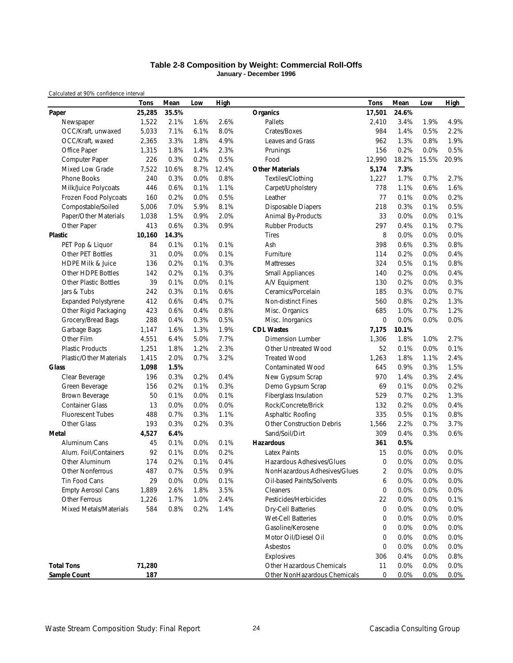#### **Table 2-8 Composition by Weight: Commercial Roll-Offs January - December 1996**

*Calculated at 90% confidence interval*

|                                | <b>Tons</b> | Mean  | Low  | <b>High</b> |                                       | Tons           | Mean  | Low   | <b>High</b> |
|--------------------------------|-------------|-------|------|-------------|---------------------------------------|----------------|-------|-------|-------------|
| Paper                          | 25,285      | 35.5% |      |             | <b>Organics</b>                       | 17,501         | 24.6% |       |             |
| Newspaper                      | 1,522       | 2.1%  | 1.6% | 2.6%        | Pallets                               | 2,410          | 3.4%  | 1.9%  | 4.9%        |
| OCC/Kraft, unwaxed             | 5,033       | 7.1%  | 6.1% | 8.0%        | Crates/Boxes                          | 984            | 1.4%  | 0.5%  | 2.2%        |
| OCC/Kraft, waxed               | 2,365       | 3.3%  | 1.8% | 4.9%        | Leaves and Grass                      | 962            | 1.3%  | 0.8%  | 1.9%        |
| Office Paper                   | 1,315       | 1.8%  | 1.4% | 2.3%        | Prunings                              | 156            | 0.2%  | 0.0%  | 0.5%        |
| Computer Paper                 | 226         | 0.3%  | 0.2% | 0.5%        | Food                                  | 12,990         | 18.2% | 15.5% | 20.9%       |
| Mixed Low Grade                | 7,522       | 10.6% | 8.7% | 12.4%       | <b>Other Materials</b>                | 5,174          | 7.3%  |       |             |
| Phone Books                    | 240         | 0.3%  | 0.0% | 0.8%        | Textiles/Clothing                     | 1,227          | 1.7%  | 0.7%  | 2.7%        |
| Milk/Juice Polycoats           | 446         | 0.6%  | 0.1% | 1.1%        | Carpet/Upholstery                     | 778            | 1.1%  | 0.6%  | 1.6%        |
| Frozen Food Polycoats          | 160         | 0.2%  | 0.0% | 0.5%        | Leather                               | 77             | 0.1%  | 0.0%  | 0.2%        |
| Compostable/Soiled             | 5,006       | 7.0%  | 5.9% | 8.1%        | <b>Disposable Diapers</b>             | 218            | 0.3%  | 0.1%  | 0.5%        |
| Paper/Other Materials          | 1,038       | 1.5%  | 0.9% | 2.0%        | Animal By-Products                    | 33             | 0.0%  | 0.0%  | 0.1%        |
| Other Paper                    | 413         | 0.6%  | 0.3% | 0.9%        | <b>Rubber Products</b>                | 297            | 0.4%  | 0.1%  | 0.7%        |
| Plastic                        | 10,160      | 14.3% |      |             | <b>Tires</b>                          | 8              | 0.0%  | 0.0%  | 0.0%        |
| PET Pop & Liquor               | 84          | 0.1%  | 0.1% | 0.1%        | Ash                                   | 398            | 0.6%  | 0.3%  | 0.8%        |
| <b>Other PET Bottles</b>       | 31          | 0.0%  | 0.0% | 0.1%        | Furniture                             | 114            | 0.2%  | 0.0%  | 0.4%        |
| <b>HDPE Milk &amp; Juice</b>   | 136         | 0.2%  | 0.1% | 0.3%        | Mattresses                            | 324            | 0.5%  | 0.1%  | 0.8%        |
| Other HDPE Bottles             | 142         | 0.2%  | 0.1% | 0.3%        | <b>Small Appliances</b>               | 140            | 0.2%  | 0.0%  | 0.4%        |
| <b>Other Plastic Bottles</b>   | 39          | 0.1%  | 0.0% | 0.1%        | A/V Equipment                         | 130            | 0.2%  | 0.0%  | 0.3%        |
| Jars & Tubs                    | 242         | 0.3%  | 0.1% | 0.6%        | Ceramics/Porcelain                    | 185            | 0.3%  | 0.0%  | 0.7%        |
| <b>Expanded Polystyrene</b>    | 412         | 0.6%  | 0.4% | 0.7%        | Non-distinct Fines                    | 560            | 0.8%  | 0.2%  | 1.3%        |
| Other Rigid Packaging          | 423         | 0.6%  | 0.4% | 0.8%        | Misc. Organics                        | 685            | 1.0%  | 0.7%  | 1.2%        |
| Grocery/Bread Bags             | 288         | 0.4%  | 0.3% | 0.5%        | Misc. Inorganics                      | $\mathbf 0$    | 0.0%  | 0.0%  | 0.0%        |
| Garbage Bags                   | 1,147       | 1.6%  | 1.3% | 1.9%        | <b>CDL Wastes</b>                     | 7,175          | 10.1% |       |             |
| Other Film                     | 4,551       | 6.4%  | 5.0% | 7.7%        | <b>Dimension Lumber</b>               | 1,306          | 1.8%  | 1.0%  | 2.7%        |
| <b>Plastic Products</b>        | 1,251       | 1.8%  | 1.2% | 2.3%        | Other Untreated Wood                  | 52             | 0.1%  | 0.0%  | 0.1%        |
| <b>Plastic/Other Materials</b> | 1,415       | 2.0%  | 0.7% | 3.2%        | <b>Treated Wood</b>                   | 1,263          | 1.8%  | 1.1%  | 2.4%        |
| <b>Glass</b>                   | 1,098       | 1.5%  |      |             | <b>Contaminated Wood</b>              | 645            | 0.9%  | 0.3%  | 1.5%        |
|                                | 196         | 0.3%  | 0.2% | 0.4%        |                                       | 970            | 1.4%  | 0.3%  | 2.4%        |
| Clear Beverage                 | 156         | 0.2%  | 0.1% | 0.3%        | New Gypsum Scrap<br>Demo Gypsum Scrap | 69             | 0.1%  | 0.0%  | 0.2%        |
| Green Beverage                 |             | 0.1%  |      | 0.1%        |                                       | 529            | 0.7%  | 0.2%  | 1.3%        |
| Brown Beverage                 | 50          |       | 0.0% |             | Fiberglass Insulation                 |                |       |       |             |
| <b>Container Glass</b>         | 13          | 0.0%  | 0.0% | 0.0%        | Rock/Concrete/Brick                   | 132            | 0.2%  | 0.0%  | 0.4%        |
| <b>Fluorescent Tubes</b>       | 488         | 0.7%  | 0.3% | 1.1%        | Asphaltic Roofing                     | 335            | 0.5%  | 0.1%  | 0.8%        |
| Other Glass                    | 193         | 0.3%  | 0.2% | 0.3%        | <b>Other Construction Debris</b>      | 1,566          | 2.2%  | 0.7%  | 3.7%        |
| Metal                          | 4,527       | 6.4%  |      |             | Sand/Soil/Dirt                        | 309            | 0.4%  | 0.3%  | 0.6%        |
| Aluminum Cans                  | 45          | 0.1%  | 0.0% | 0.1%        | <b>Hazardous</b>                      | 361            | 0.5%  |       |             |
| Alum. Foil/Containers          | 92          | 0.1%  | 0.0% | 0.2%        | <b>Latex Paints</b>                   | 15             | 0.0%  | 0.0%  | 0.0%        |
| Other Aluminum                 | 174         | 0.2%  | 0.1% | 0.4%        | Hazardous Adhesives/Glues             | $\mathbf 0$    | 0.0%  | 0.0%  | 0.0%        |
| <b>Other Nonferrous</b>        | 487         | 0.7%  | 0.5% | 0.9%        | NonHazardous Adhesives/Glues          | $\overline{2}$ | 0.0%  | 0.0%  | 0.0%        |
| Tin Food Cans                  | 29          | 0.0%  | 0.0% | 0.1%        | Oil-based Paints/Solvents             | 6              | 0.0%  | 0.0%  | 0.0%        |
| <b>Empty Aerosol Cans</b>      | 1,889       | 2.6%  | 1.8% | 3.5%        | Cleaners                              | 0              | 0.0%  | 0.0%  | 0.0%        |
| Other Ferrous                  | 1,226       | 1.7%  | 1.0% | 2.4%        | Pesticides/Herbicides                 | 22             | 0.0%  | 0.0%  | 0.1%        |
| Mixed Metals/Materials         | 584         | 0.8%  | 0.2% | 1.4%        | <b>Dry-Cell Batteries</b>             | $\mathbf 0$    | 0.0%  | 0.0%  | 0.0%        |
|                                |             |       |      |             | Wet-Cell Batteries                    | 0              | 0.0%  | 0.0%  | 0.0%        |
|                                |             |       |      |             | Gasoline/Kerosene                     | 0              | 0.0%  | 0.0%  | 0.0%        |
|                                |             |       |      |             | Motor Oil/Diesel Oil                  | 0              | 0.0%  | 0.0%  | 0.0%        |
|                                |             |       |      |             | Asbestos                              | $\mathbf 0$    | 0.0%  | 0.0%  | 0.0%        |
|                                |             |       |      |             | Explosives                            | 306            | 0.4%  | 0.0%  | 0.8%        |
| <b>Total Tons</b>              | 71,280      |       |      |             | Other Hazardous Chemicals             | 11             | 0.0%  | 0.0%  | 0.0%        |
| <b>Sample Count</b>            | 187         |       |      |             | Other NonHazardous Chemicals          | 0              | 0.0%  | 0.0%  | 0.0%        |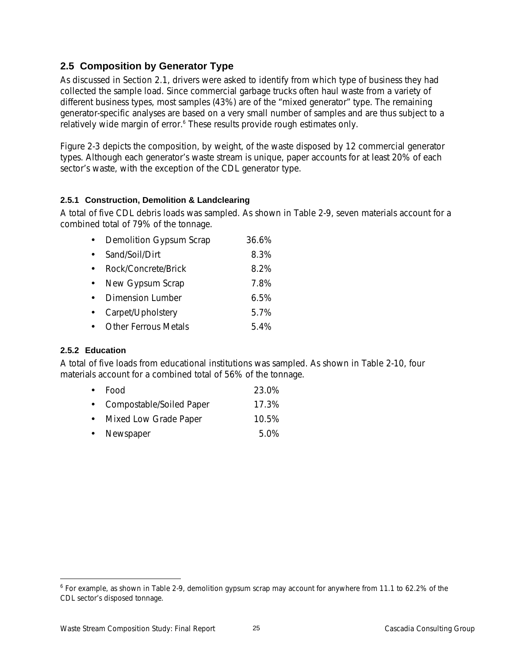# **2.5 Composition by Generator Type**

As discussed in Section 2.1, drivers were asked to identify from which type of business they had collected the sample load. Since commercial garbage trucks often haul waste from a variety of different business types, most samples (43%) are of the "mixed generator" type. The remaining generator-specific analyses are based on a very small number of samples and are thus subject to a relatively wide margin of error.<sup>6</sup> These results provide rough estimates only.

Figure 2-3 depicts the composition, by weight, of the waste disposed by 12 commercial generator types. Although each generator's waste stream is unique, paper accounts for at least 20% of each sector's waste, with the exception of the CDL generator type.

# **2.5.1 Construction, Demolition & Landclearing**

A total of five CDL debris loads was sampled. As shown in Table 2-9, seven materials account for a combined total of 79% of the tonnage.

| $\bullet$ | Demolition Gypsum Scrap     | 36.6% |
|-----------|-----------------------------|-------|
| $\bullet$ | Sand/Soil/Dirt              | 8.3%  |
|           | Rock/Concrete/Brick         | 8.2%  |
| $\bullet$ | New Gypsum Scrap            | 7.8%  |
| $\bullet$ | <b>Dimension Lumber</b>     | 6.5%  |
|           | Carpet/Upholstery           | 5.7%  |
|           | <b>Other Ferrous Metals</b> | 5.4%  |

# **2.5.2 Education**

-

A total of five loads from educational institutions was sampled. As shown in Table 2-10, four materials account for a combined total of 56% of the tonnage.

|           | $\bullet$ Food           | 23.0% |
|-----------|--------------------------|-------|
| $\bullet$ | Compostable/Soiled Paper | 17.3% |

- 
- Mixed Low Grade Paper 10.5% • Newspaper 5.0%

<sup>&</sup>lt;sup>6</sup> For example, as shown in Table 2-9, demolition gypsum scrap may account for anywhere from 11.1 to 62.2% of the CDL sector's disposed tonnage.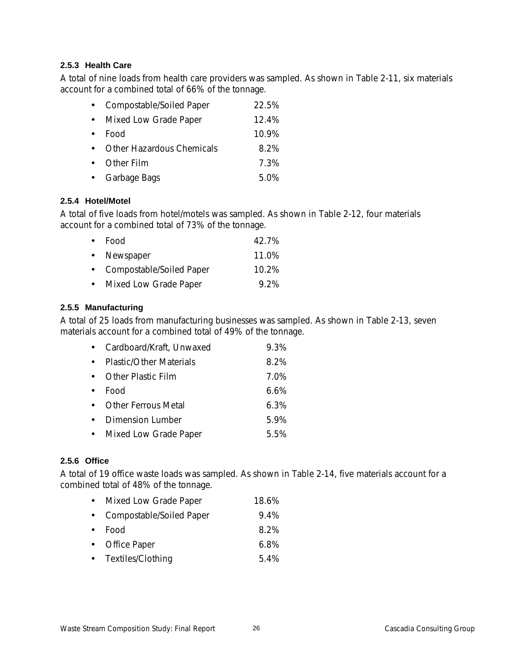### **2.5.3 Health Care**

A total of nine loads from health care providers was sampled. As shown in Table 2-11, six materials account for a combined total of 66% of the tonnage.

| $\bullet$   | Compostable/Soiled Paper    | 22.5% |
|-------------|-----------------------------|-------|
| $\bullet$   | Mixed Low Grade Paper       | 12.4% |
| $\bullet$   | Food                        | 10.9% |
|             | • Other Hazardous Chemicals | 8.2%  |
| $\bullet$ . | Other Film                  | 7.3%  |
|             | • Garbage Bags              | 5.0%  |

# **2.5.4 Hotel/Motel**

A total of five loads from hotel/motels was sampled. As shown in Table 2-12, four materials account for a combined total of 73% of the tonnage.

| $\bullet$ Food             | 42.7%   |
|----------------------------|---------|
| • Newspaper                | 11.0%   |
| • Compostable/Soiled Paper | 10.2%   |
| • Mixed Low Grade Paper    | $9.2\%$ |

# **2.5.5 Manufacturing**

A total of 25 loads from manufacturing businesses was sampled. As shown in Table 2-13, seven materials account for a combined total of 49% of the tonnage.

|           | • Cardboard/Kraft, Unwaxed | 9.3% |
|-----------|----------------------------|------|
| $\bullet$ | Plastic/Other Materials    | 8.2% |
|           | • Other Plastic Film       | 7.0% |
| $\bullet$ | Food                       | 6.6% |
| $\bullet$ | <b>Other Ferrous Metal</b> | 6.3% |
| $\bullet$ | Dimension Lumber           | 5.9% |
|           | • Mixed Low Grade Paper    | 5.5% |

# **2.5.6 Office**

A total of 19 office waste loads was sampled. As shown in Table 2-14, five materials account for a combined total of 48% of the tonnage.

| 18.6%<br>Mixed Low Grade Paper |
|--------------------------------|
|--------------------------------|

- Compostable/Soiled Paper 9.4%
- Food 8.2%
- Office Paper 6.8%
- Textiles/Clothing 5.4%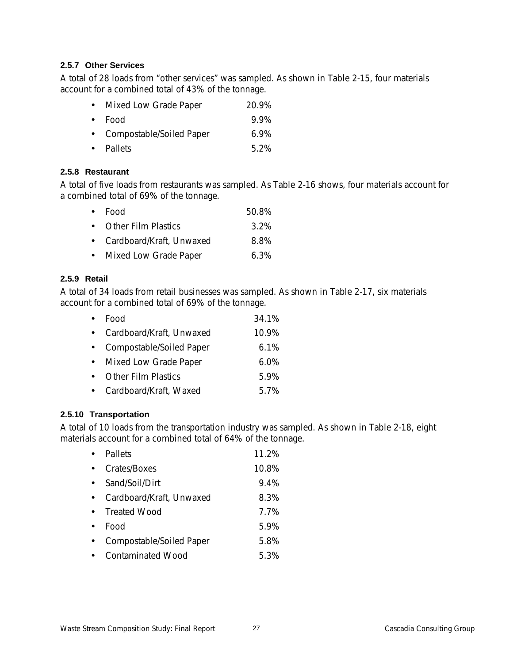# **2.5.7 Other Services**

A total of 28 loads from "other services" was sampled. As shown in Table 2-15, four materials account for a combined total of 43% of the tonnage.

| • Mixed Low Grade Paper    | 20.9%   |
|----------------------------|---------|
| $\bullet$ Food             | 9.9%    |
| • Compostable/Soiled Paper | $6.9\%$ |
| • Pallets                  | 5.2%    |

### **2.5.8 Restaurant**

A total of five loads from restaurants was sampled. As Table 2-16 shows, four materials account for a combined total of 69% of the tonnage.

| $\bullet$ Food             | 50.8%   |
|----------------------------|---------|
| • Other Film Plastics      | $3.2\%$ |
| • Cardboard/Kraft, Unwaxed | 8.8%    |
| • Mixed Low Grade Paper    | $6.3\%$ |

# **2.5.9 Retail**

A total of 34 loads from retail businesses was sampled. As shown in Table 2-17, six materials account for a combined total of 69% of the tonnage.

|           | Food                       | 34.1%   |
|-----------|----------------------------|---------|
| $\bullet$ | Cardboard/Kraft, Unwaxed   | 10.9%   |
|           | • Compostable/Soiled Paper | 6.1%    |
| $\bullet$ | Mixed Low Grade Paper      | $6.0\%$ |
| $\bullet$ | <b>Other Film Plastics</b> | 5.9%    |
|           | Cardboard/Kraft, Waxed     | 5.7%    |

# **2.5.10 Transportation**

A total of 10 loads from the transportation industry was sampled. As shown in Table 2-18, eight materials account for a combined total of 64% of the tonnage.

| Pallets                  | 11.2% |
|--------------------------|-------|
| Crates/Boxes             | 10.8% |
| Sand/Soil/Dirt           | 9.4%  |
| Cardboard/Kraft, Unwaxed | 8.3%  |
| <b>Treated Wood</b>      | 7.7%  |
| Food                     | 5.9%  |
| Compostable/Soiled Paper | 5.8%  |
| <b>Contaminated Wood</b> | 5.3%  |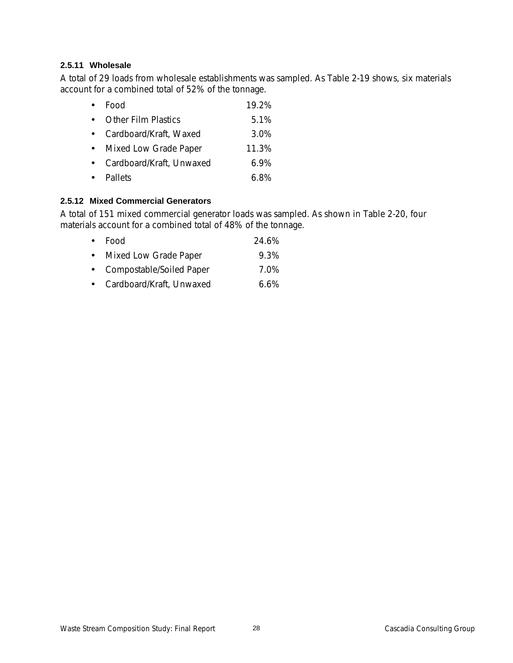# **2.5.11 Wholesale**

A total of 29 loads from wholesale establishments was sampled. As Table 2-19 shows, six materials account for a combined total of 52% of the tonnage.

|           | Food                     | 19.2%   |
|-----------|--------------------------|---------|
|           | • Other Film Plastics    | 5.1%    |
| $\bullet$ | Cardboard/Kraft, Waxed   | 3.0%    |
|           | Mixed Low Grade Paper    | 11.3%   |
| $\bullet$ | Cardboard/Kraft, Unwaxed | $6.9\%$ |
|           | • Pallets                | 6.8%    |

# **2.5.12 Mixed Commercial Generators**

A total of 151 mixed commercial generator loads was sampled. As shown in Table 2-20, four materials account for a combined total of 48% of the tonnage.

| $\bullet$ Food             | 24.6%   |
|----------------------------|---------|
| • Mixed Low Grade Paper    | 9.3%    |
| • Compostable/Soiled Paper | 7.0%    |
| • Cardboard/Kraft, Unwaxed | $6.6\%$ |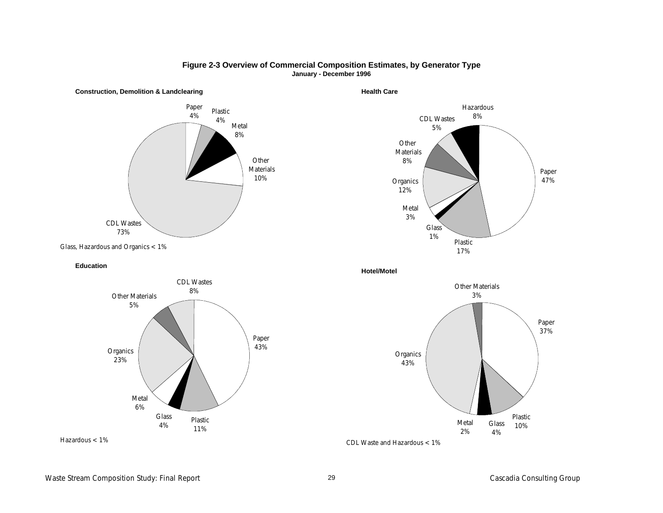

#### **Figure 2-3 Overview of Commercial Composition Estimates, by Generator Type January - December 1996**

**Health Care**



**Hotel/Motel**



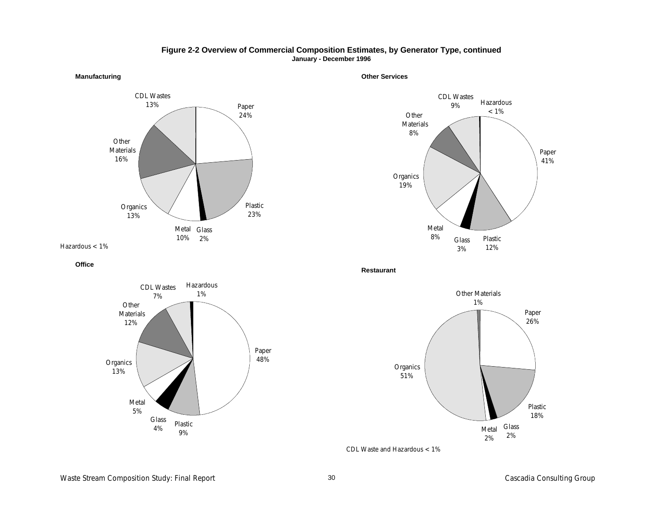

**Manufacturing**

#### **Other Services**

**Figure 2-2 Overview of Commercial Composition Estimates, by Generator Type, continued January - December 1996**



**Office**



**Restaurant**



CDL Waste and Hazardous <1%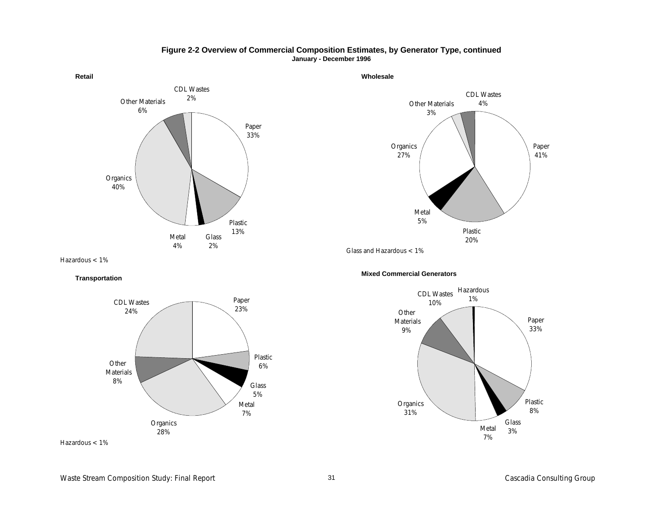

**Figure 2-2 Overview of Commercial Composition Estimates, by Generator Type, continued January - December 1996**

**Wholesale**

Plastic 20% Metal 5% Glass and Hazardous <1%

Other Materials 3%

CDL Wastes 4%

Hazardous <1%

**Transportation**





**Mixed Commercial Generators**

Organics 27%



Paper 41%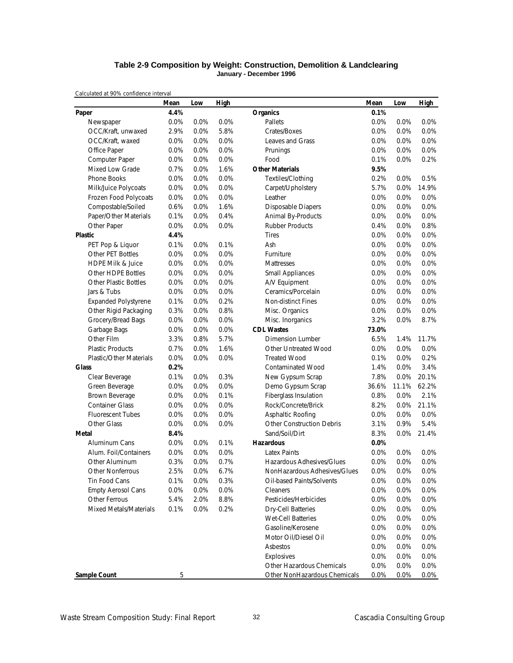### **Table 2-9 Composition by Weight: Construction, Demolition & Landclearing January - December 1996**

|                                | Mean    | Low     | High |                                  | Mean  | Low   | <b>High</b> |
|--------------------------------|---------|---------|------|----------------------------------|-------|-------|-------------|
| Paper                          | 4.4%    |         |      | <b>Organics</b>                  | 0.1%  |       |             |
| Newspaper                      | 0.0%    | 0.0%    | 0.0% | Pallets                          | 0.0%  | 0.0%  | 0.0%        |
| OCC/Kraft, unwaxed             | 2.9%    | 0.0%    | 5.8% | Crates/Boxes                     | 0.0%  | 0.0%  | 0.0%        |
| OCC/Kraft, waxed               | 0.0%    | 0.0%    | 0.0% | Leaves and Grass                 | 0.0%  | 0.0%  | 0.0%        |
| Office Paper                   | 0.0%    | 0.0%    | 0.0% | Prunings                         | 0.0%  | 0.0%  | 0.0%        |
| Computer Paper                 | 0.0%    | 0.0%    | 0.0% | Food                             | 0.1%  | 0.0%  | 0.2%        |
| Mixed Low Grade                | 0.7%    | 0.0%    | 1.6% | <b>Other Materials</b>           | 9.5%  |       |             |
| Phone Books                    | 0.0%    | 0.0%    | 0.0% | Textiles/Clothing                | 0.2%  | 0.0%  | 0.5%        |
| Milk/Juice Polycoats           | 0.0%    | 0.0%    | 0.0% | Carpet/Upholstery                | 5.7%  | 0.0%  | 14.9%       |
| Frozen Food Polycoats          | 0.0%    | 0.0%    | 0.0% | Leather                          | 0.0%  | 0.0%  | 0.0%        |
| Compostable/Soiled             | 0.6%    | 0.0%    | 1.6% | <b>Disposable Diapers</b>        | 0.0%  | 0.0%  | 0.0%        |
| Paper/Other Materials          | 0.1%    | 0.0%    | 0.4% | Animal By-Products               | 0.0%  | 0.0%  | 0.0%        |
| Other Paper                    | 0.0%    | 0.0%    | 0.0% | <b>Rubber Products</b>           | 0.4%  | 0.0%  | 0.8%        |
| <b>Plastic</b>                 | 4.4%    |         |      | <b>Tires</b>                     | 0.0%  | 0.0%  | 0.0%        |
| PET Pop & Liquor               | 0.1%    | 0.0%    | 0.1% | Ash                              | 0.0%  | 0.0%  | 0.0%        |
| Other PET Bottles              | 0.0%    | 0.0%    | 0.0% | Furniture                        | 0.0%  | 0.0%  | 0.0%        |
| HDPE Milk & Juice              | 0.0%    | 0.0%    | 0.0% | Mattresses                       | 0.0%  | 0.0%  | 0.0%        |
| <b>Other HDPE Bottles</b>      | 0.0%    | 0.0%    | 0.0% | <b>Small Appliances</b>          | 0.0%  | 0.0%  | 0.0%        |
| <b>Other Plastic Bottles</b>   | 0.0%    | 0.0%    | 0.0% | A/V Equipment                    | 0.0%  | 0.0%  | 0.0%        |
| Jars & Tubs                    | 0.0%    | 0.0%    | 0.0% | Ceramics/Porcelain               | 0.0%  | 0.0%  | 0.0%        |
| <b>Expanded Polystyrene</b>    | 0.1%    | 0.0%    | 0.2% | Non-distinct Fines               | 0.0%  | 0.0%  | 0.0%        |
| Other Rigid Packaging          | 0.3%    | 0.0%    | 0.8% | Misc. Organics                   | 0.0%  | 0.0%  | 0.0%        |
| Grocery/Bread Bags             | 0.0%    | 0.0%    | 0.0% | Misc. Inorganics                 | 3.2%  | 0.0%  | 8.7%        |
| Garbage Bags                   | $0.0\%$ | 0.0%    | 0.0% | <b>CDL Wastes</b>                | 73.0% |       |             |
| Other Film                     | 3.3%    | 0.8%    | 5.7% | <b>Dimension Lumber</b>          | 6.5%  | 1.4%  | 11.7%       |
| <b>Plastic Products</b>        | 0.7%    | 0.0%    | 1.6% | Other Untreated Wood             | 0.0%  | 0.0%  | 0.0%        |
| <b>Plastic/Other Materials</b> | 0.0%    | 0.0%    | 0.0% | <b>Treated Wood</b>              | 0.1%  | 0.0%  | 0.2%        |
| <b>Glass</b>                   | 0.2%    |         |      | <b>Contaminated Wood</b>         | 1.4%  | 0.0%  | 3.4%        |
| Clear Beverage                 | 0.1%    | 0.0%    | 0.3% | New Gypsum Scrap                 | 7.8%  | 0.0%  | 20.1%       |
| Green Beverage                 | 0.0%    | 0.0%    | 0.0% | Demo Gypsum Scrap                | 36.6% | 11.1% | 62.2%       |
| Brown Beverage                 | 0.0%    | 0.0%    | 0.1% | Fiberglass Insulation            | 0.8%  | 0.0%  | 2.1%        |
| <b>Container Glass</b>         | $0.0\%$ | 0.0%    | 0.0% | Rock/Concrete/Brick              | 8.2%  | 0.0%  | 21.1%       |
| <b>Fluorescent Tubes</b>       | 0.0%    | 0.0%    | 0.0% | Asphaltic Roofing                | 0.0%  | 0.0%  | 0.0%        |
| Other Glass                    | 0.0%    | 0.0%    | 0.0% | <b>Other Construction Debris</b> | 3.1%  | 0.9%  | 5.4%        |
| Metal                          | 8.4%    |         |      | Sand/Soil/Dirt                   | 8.3%  | 0.0%  | 21.4%       |
| Aluminum Cans                  | $0.0\%$ | 0.0%    | 0.1% | <b>Hazardous</b>                 | 0.0%  |       |             |
| Alum. Foil/Containers          | 0.0%    | 0.0%    | 0.0% | <b>Latex Paints</b>              | 0.0%  | 0.0%  | 0.0%        |
| Other Aluminum                 | 0.3%    | 0.0%    | 0.7% | Hazardous Adhesives/Glues        | 0.0%  | 0.0%  | 0.0%        |
| Other Nonferrous               | 2.5%    | 0.0%    | 6.7% | NonHazardous Adhesives/Glues     | 0.0%  | 0.0%  | $0.0\%$     |
| Tin Food Cans                  | 0.1%    | 0.0%    | 0.3% | Oil-based Paints/Solvents        | 0.0%  | 0.0%  | 0.0%        |
| <b>Empty Aerosol Cans</b>      | 0.0%    | $0.0\%$ | 0.0% | Cleaners                         | 0.0%  | 0.0%  | 0.0%        |
| Other Ferrous                  | 5.4%    | 2.0%    | 8.8% | Pesticides/Herbicides            | 0.0%  | 0.0%  | 0.0%        |
| Mixed Metals/Materials         | 0.1%    | 0.0%    | 0.2% | Dry-Cell Batteries               | 0.0%  | 0.0%  | 0.0%        |
|                                |         |         |      | Wet-Cell Batteries               | 0.0%  | 0.0%  | 0.0%        |
|                                |         |         |      | Gasoline/Kerosene                | 0.0%  | 0.0%  | 0.0%        |
|                                |         |         |      | Motor Oil/Diesel Oil             | 0.0%  | 0.0%  | 0.0%        |
|                                |         |         |      | Asbestos                         | 0.0%  | 0.0%  | 0.0%        |
|                                |         |         |      | Explosives                       | 0.0%  | 0.0%  | 0.0%        |
|                                |         |         |      | Other Hazardous Chemicals        | 0.0%  | 0.0%  | 0.0%        |
| Sample Count                   | 5       |         |      | Other NonHazardous Chemicals     | 0.0%  | 0.0%  | 0.0%        |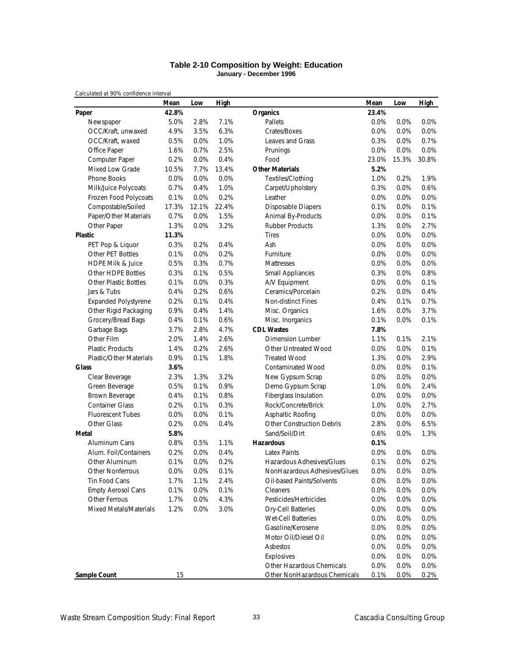### **Table 2-10 Composition by Weight: Education January - December 1996**

|                                | Mean  | Low   | High  |                                  | Mean  | Low     | <b>High</b> |
|--------------------------------|-------|-------|-------|----------------------------------|-------|---------|-------------|
| Paper                          | 42.8% |       |       | <b>Organics</b>                  | 23.4% |         |             |
| Newspaper                      | 5.0%  | 2.8%  | 7.1%  | Pallets                          | 0.0%  | 0.0%    | 0.0%        |
| OCC/Kraft, unwaxed             | 4.9%  | 3.5%  | 6.3%  | Crates/Boxes                     | 0.0%  | 0.0%    | 0.0%        |
| OCC/Kraft, waxed               | 0.5%  | 0.0%  | 1.0%  | Leaves and Grass                 | 0.3%  | 0.0%    | 0.7%        |
| Office Paper                   | 1.6%  | 0.7%  | 2.5%  | Prunings                         | 0.0%  | 0.0%    | 0.0%        |
| Computer Paper                 | 0.2%  | 0.0%  | 0.4%  | Food                             | 23.0% | 15.3%   | 30.8%       |
| <b>Mixed Low Grade</b>         | 10.5% | 7.7%  | 13.4% | <b>Other Materials</b>           | 5.2%  |         |             |
| <b>Phone Books</b>             | 0.0%  | 0.0%  | 0.0%  | Textiles/Clothing                | 1.0%  | 0.2%    | 1.9%        |
| Milk/Juice Polycoats           | 0.7%  | 0.4%  | 1.0%  | Carpet/Upholstery                | 0.3%  | 0.0%    | 0.6%        |
| Frozen Food Polycoats          | 0.1%  | 0.0%  | 0.2%  | Leather                          | 0.0%  | 0.0%    | 0.0%        |
| Compostable/Soiled             | 17.3% | 12.1% | 22.4% | Disposable Diapers               | 0.1%  | 0.0%    | 0.1%        |
| Paper/Other Materials          | 0.7%  | 0.0%  | 1.5%  | Animal By-Products               | 0.0%  | 0.0%    | 0.1%        |
| Other Paper                    | 1.3%  | 0.0%  | 3.2%  | <b>Rubber Products</b>           | 1.3%  | 0.0%    | 2.7%        |
| <b>Plastic</b>                 | 11.3% |       |       | <b>Tires</b>                     | 0.0%  | 0.0%    | 0.0%        |
| PET Pop & Liquor               | 0.3%  | 0.2%  | 0.4%  | Ash                              | 0.0%  | 0.0%    | 0.0%        |
| Other PET Bottles              | 0.1%  | 0.0%  | 0.2%  | Furniture                        | 0.0%  | 0.0%    | 0.0%        |
| <b>HDPE Milk &amp; Juice</b>   | 0.5%  | 0.3%  | 0.7%  | Mattresses                       | 0.0%  | 0.0%    | 0.0%        |
| Other HDPE Bottles             | 0.3%  | 0.1%  | 0.5%  | <b>Small Appliances</b>          | 0.3%  | 0.0%    | 0.8%        |
| <b>Other Plastic Bottles</b>   | 0.1%  | 0.0%  | 0.3%  | A/V Equipment                    | 0.0%  | 0.0%    | 0.1%        |
| Jars & Tubs                    | 0.4%  | 0.2%  | 0.6%  | Ceramics/Porcelain               | 0.2%  | 0.0%    | 0.4%        |
| <b>Expanded Polystyrene</b>    | 0.2%  | 0.1%  | 0.4%  | <b>Non-distinct Fines</b>        | 0.4%  | 0.1%    | 0.7%        |
| Other Rigid Packaging          | 0.9%  | 0.4%  | 1.4%  | Misc. Organics                   | 1.6%  | 0.0%    | 3.7%        |
| Grocery/Bread Bags             | 0.4%  | 0.1%  | 0.6%  | Misc. Inorganics                 | 0.1%  | 0.0%    | 0.1%        |
| Garbage Bags                   | 3.7%  | 2.8%  | 4.7%  | <b>CDL Wastes</b>                | 7.8%  |         |             |
| Other Film                     | 2.0%  | 1.4%  | 2.6%  | <b>Dimension Lumber</b>          | 1.1%  | 0.1%    | 2.1%        |
| <b>Plastic Products</b>        | 1.4%  | 0.2%  | 2.6%  | Other Untreated Wood             | 0.0%  | 0.0%    | 0.1%        |
| <b>Plastic/Other Materials</b> | 0.9%  | 0.1%  | 1.8%  | <b>Treated Wood</b>              | 1.3%  | 0.0%    | 2.9%        |
| <b>Glass</b>                   | 3.6%  |       |       | <b>Contaminated Wood</b>         | 0.0%  | 0.0%    | 0.1%        |
| Clear Beverage                 | 2.3%  | 1.3%  | 3.2%  | New Gypsum Scrap                 | 0.0%  | 0.0%    | 0.0%        |
| Green Beverage                 | 0.5%  | 0.1%  | 0.9%  | Demo Gypsum Scrap                | 1.0%  | 0.0%    | 2.4%        |
| Brown Beverage                 | 0.4%  | 0.1%  | 0.8%  | Fiberglass Insulation            | 0.0%  | 0.0%    | 0.0%        |
| <b>Container Glass</b>         | 0.2%  | 0.1%  | 0.3%  | Rock/Concrete/Brick              | 1.0%  | 0.0%    | 2.7%        |
| <b>Fluorescent Tubes</b>       | 0.0%  | 0.0%  | 0.1%  | Asphaltic Roofing                | 0.0%  | 0.0%    | 0.0%        |
| Other Glass                    | 0.2%  | 0.0%  | 0.4%  | <b>Other Construction Debris</b> | 2.8%  | 0.0%    | 6.5%        |
| Metal                          | 5.8%  |       |       | Sand/Soil/Dirt                   | 0.6%  | 0.0%    | 1.3%        |
| Aluminum Cans                  | 0.8%  | 0.5%  | 1.1%  | Hazardous                        | 0.1%  |         |             |
| Alum. Foil/Containers          | 0.2%  | 0.0%  | 0.4%  | <b>Latex Paints</b>              | 0.0%  | 0.0%    | 0.0%        |
| Other Aluminum                 | 0.1%  | 0.0%  | 0.2%  | Hazardous Adhesives/Glues        | 0.1%  | 0.0%    | 0.2%        |
| Other Nonferrous               | 0.0%  | 0.0%  | 0.1%  | NonHazardous Adhesives/Glues     | 0.0%  | 0.0%    | 0.0%        |
| Tin Food Cans                  | 1.7%  | 1.1%  | 2.4%  | Oil-based Paints/Solvents        | 0.0%  | 0.0%    | 0.0%        |
| <b>Empty Aerosol Cans</b>      | 0.1%  | 0.0%  | 0.1%  | Cleaners                         | 0.0%  | 0.0%    | 0.0%        |
| Other Ferrous                  | 1.7%  | 0.0%  | 4.3%  | Pesticides/Herbicides            | 0.0%  | 0.0%    | 0.0%        |
| Mixed Metals/Materials         | 1.2%  | 0.0%  | 3.0%  | <b>Dry-Cell Batteries</b>        | 0.0%  | 0.0%    | 0.0%        |
|                                |       |       |       | <b>Wet-Cell Batteries</b>        | 0.0%  | 0.0%    | 0.0%        |
|                                |       |       |       | Gasoline/Kerosene                | 0.0%  | 0.0%    | 0.0%        |
|                                |       |       |       | Motor Oil/Diesel Oil             | 0.0%  | 0.0%    | 0.0%        |
|                                |       |       |       | Asbestos                         | 0.0%  | 0.0%    | 0.0%        |
|                                |       |       |       | Explosives                       | 0.0%  | 0.0%    | 0.0%        |
|                                |       |       |       | Other Hazardous Chemicals        | 0.0%  | 0.0%    | 0.0%        |
| <b>Sample Count</b>            | 15    |       |       | Other NonHazardous Chemicals     | 0.1%  | $0.0\%$ | 0.2%        |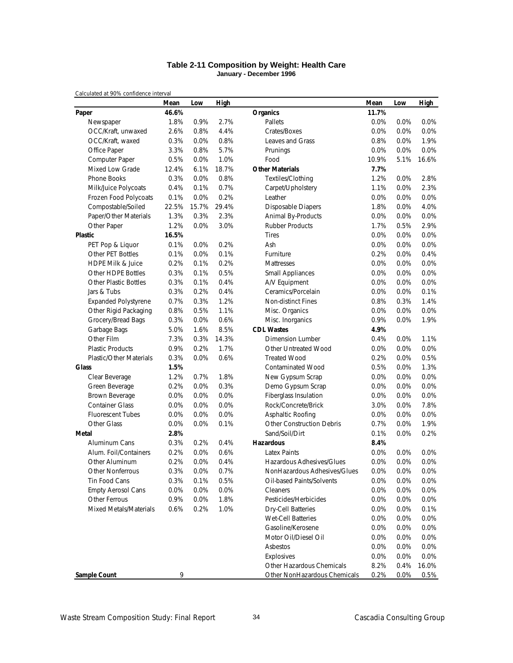### **Table 2-11 Composition by Weight: Health Care January - December 1996**

|                                | Mean  | Low     | High  |                                  | Mean    | Low  | <b>High</b> |
|--------------------------------|-------|---------|-------|----------------------------------|---------|------|-------------|
| Paper                          | 46.6% |         |       | <b>Organics</b>                  | 11.7%   |      |             |
| Newspaper                      | 1.8%  | 0.9%    | 2.7%  | Pallets                          | 0.0%    | 0.0% | 0.0%        |
| OCC/Kraft, unwaxed             | 2.6%  | 0.8%    | 4.4%  | Crates/Boxes                     | 0.0%    | 0.0% | 0.0%        |
| OCC/Kraft, waxed               | 0.3%  | 0.0%    | 0.8%  | Leaves and Grass                 | 0.8%    | 0.0% | 1.9%        |
| Office Paper                   | 3.3%  | 0.8%    | 5.7%  | Prunings                         | 0.0%    | 0.0% | 0.0%        |
| Computer Paper                 | 0.5%  | 0.0%    | 1.0%  | Food                             | 10.9%   | 5.1% | 16.6%       |
| <b>Mixed Low Grade</b>         | 12.4% | 6.1%    | 18.7% | <b>Other Materials</b>           | 7.7%    |      |             |
| Phone Books                    | 0.3%  | 0.0%    | 0.8%  | Textiles/Clothing                | 1.2%    | 0.0% | 2.8%        |
| Milk/Juice Polycoats           | 0.4%  | 0.1%    | 0.7%  | Carpet/Upholstery                | 1.1%    | 0.0% | 2.3%        |
| Frozen Food Polycoats          | 0.1%  | 0.0%    | 0.2%  | Leather                          | 0.0%    | 0.0% | $0.0\%$     |
| Compostable/Soiled             | 22.5% | 15.7%   | 29.4% | Disposable Diapers               | 1.8%    | 0.0% | 4.0%        |
| Paper/Other Materials          | 1.3%  | 0.3%    | 2.3%  | Animal By-Products               | 0.0%    | 0.0% | 0.0%        |
| Other Paper                    | 1.2%  | 0.0%    | 3.0%  | <b>Rubber Products</b>           | 1.7%    | 0.5% | 2.9%        |
| <b>Plastic</b>                 | 16.5% |         |       | <b>Tires</b>                     | 0.0%    | 0.0% | 0.0%        |
| PET Pop & Liquor               | 0.1%  | 0.0%    | 0.2%  | Ash                              | 0.0%    | 0.0% | 0.0%        |
| Other PET Bottles              | 0.1%  | 0.0%    | 0.1%  | Furniture                        | 0.2%    | 0.0% | 0.4%        |
| <b>HDPE Milk &amp; Juice</b>   | 0.2%  | 0.1%    | 0.2%  | Mattresses                       | 0.0%    | 0.0% | 0.0%        |
| Other HDPE Bottles             | 0.3%  | 0.1%    | 0.5%  | <b>Small Appliances</b>          | 0.0%    | 0.0% | 0.0%        |
| <b>Other Plastic Bottles</b>   | 0.3%  | 0.1%    | 0.4%  | A/V Equipment                    | 0.0%    | 0.0% | 0.0%        |
| Jars & Tubs                    | 0.3%  | 0.2%    | 0.4%  | Ceramics/Porcelain               | 0.0%    | 0.0% | 0.1%        |
| <b>Expanded Polystyrene</b>    | 0.7%  | 0.3%    | 1.2%  | Non-distinct Fines               | 0.8%    | 0.3% | 1.4%        |
| Other Rigid Packaging          | 0.8%  | 0.5%    | 1.1%  | Misc. Organics                   | 0.0%    | 0.0% | 0.0%        |
| Grocery/Bread Bags             | 0.3%  | 0.0%    | 0.6%  | Misc. Inorganics                 | 0.9%    | 0.0% | 1.9%        |
| Garbage Bags                   | 5.0%  | 1.6%    | 8.5%  | <b>CDL Wastes</b>                | 4.9%    |      |             |
| Other Film                     | 7.3%  | 0.3%    | 14.3% | Dimension Lumber                 | 0.4%    | 0.0% | 1.1%        |
| <b>Plastic Products</b>        | 0.9%  | 0.2%    | 1.7%  | Other Untreated Wood             | 0.0%    | 0.0% | $0.0\%$     |
| <b>Plastic/Other Materials</b> | 0.3%  | 0.0%    | 0.6%  | <b>Treated Wood</b>              | 0.2%    | 0.0% | 0.5%        |
| <b>Glass</b>                   | 1.5%  |         |       | <b>Contaminated Wood</b>         | 0.5%    | 0.0% | 1.3%        |
| Clear Beverage                 | 1.2%  | 0.7%    | 1.8%  | New Gypsum Scrap                 | 0.0%    | 0.0% | 0.0%        |
| Green Beverage                 | 0.2%  | 0.0%    | 0.3%  | Demo Gypsum Scrap                | 0.0%    | 0.0% | 0.0%        |
| Brown Beverage                 | 0.0%  | 0.0%    | 0.0%  | Fiberglass Insulation            | 0.0%    | 0.0% | 0.0%        |
| <b>Container Glass</b>         | 0.0%  | 0.0%    | 0.0%  | Rock/Concrete/Brick              | 3.0%    | 0.0% | 7.8%        |
| <b>Fluorescent Tubes</b>       | 0.0%  | 0.0%    | 0.0%  | Asphaltic Roofing                | 0.0%    | 0.0% | 0.0%        |
| Other Glass                    | 0.0%  | 0.0%    | 0.1%  | <b>Other Construction Debris</b> | 0.7%    | 0.0% | 1.9%        |
| Metal                          | 2.8%  |         |       | Sand/Soil/Dirt                   | 0.1%    | 0.0% | 0.2%        |
| Aluminum Cans                  | 0.3%  | 0.2%    | 0.4%  | <b>Hazardous</b>                 | 8.4%    |      |             |
| Alum. Foil/Containers          | 0.2%  | 0.0%    | 0.6%  | <b>Latex Paints</b>              | 0.0%    | 0.0% | 0.0%        |
| Other Aluminum                 | 0.2%  | 0.0%    | 0.4%  | Hazardous Adhesives/Glues        | 0.0%    | 0.0% | 0.0%        |
| Other Nonferrous               | 0.3%  | 0.0%    | 0.7%  | NonHazardous Adhesives/Glues     | 0.0%    | 0.0% | $0.0\%$     |
| Tin Food Cans                  | 0.3%  | 0.1%    | 0.5%  | Oil-based Paints/Solvents        | $0.0\%$ | 0.0% | 0.0%        |
| <b>Empty Aerosol Cans</b>      | 0.0%  | $0.0\%$ | 0.0%  | Cleaners                         | 0.0%    | 0.0% | 0.0%        |
| Other Ferrous                  | 0.9%  | 0.0%    | 1.8%  | Pesticides/Herbicides            | 0.0%    | 0.0% | 0.0%        |
| Mixed Metals/Materials         | 0.6%  | 0.2%    | 1.0%  | <b>Dry-Cell Batteries</b>        | 0.0%    | 0.0% | 0.1%        |
|                                |       |         |       | Wet-Cell Batteries               | 0.0%    | 0.0% | 0.0%        |
|                                |       |         |       | Gasoline/Kerosene                | 0.0%    | 0.0% | 0.0%        |
|                                |       |         |       | Motor Oil/Diesel Oil             | 0.0%    | 0.0% | 0.0%        |
|                                |       |         |       | Asbestos                         | 0.0%    | 0.0% | 0.0%        |
|                                |       |         |       | Explosives                       | 0.0%    | 0.0% | 0.0%        |
|                                |       |         |       | Other Hazardous Chemicals        | 8.2%    | 0.4% | 16.0%       |
| Sample Count                   | 9     |         |       | Other NonHazardous Chemicals     | 0.2%    | 0.0% | 0.5%        |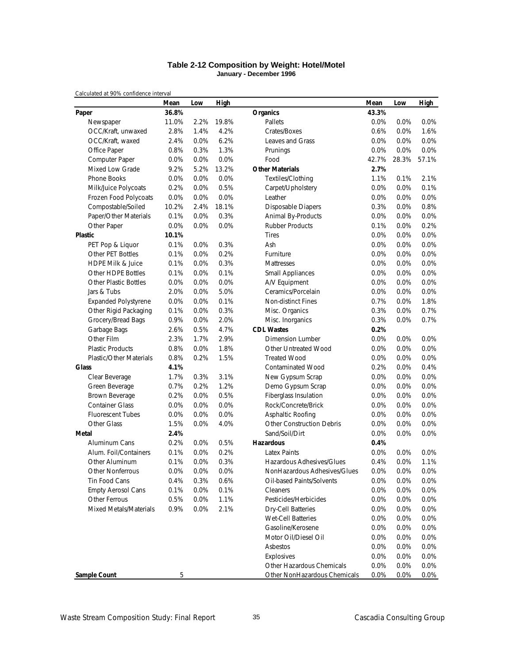### **Table 2-12 Composition by Weight: Hotel/Motel January - December 1996**

|                                | Mean  | Low  | High  |                                  | Mean  | Low   | <b>High</b> |
|--------------------------------|-------|------|-------|----------------------------------|-------|-------|-------------|
| Paper                          | 36.8% |      |       | <b>Organics</b>                  | 43.3% |       |             |
| Newspaper                      | 11.0% | 2.2% | 19.8% | Pallets                          | 0.0%  | 0.0%  | 0.0%        |
| OCC/Kraft, unwaxed             | 2.8%  | 1.4% | 4.2%  | Crates/Boxes                     | 0.6%  | 0.0%  | 1.6%        |
| OCC/Kraft, waxed               | 2.4%  | 0.0% | 6.2%  | Leaves and Grass                 | 0.0%  | 0.0%  | 0.0%        |
| Office Paper                   | 0.8%  | 0.3% | 1.3%  | Prunings                         | 0.0%  | 0.0%  | 0.0%        |
| Computer Paper                 | 0.0%  | 0.0% | 0.0%  | Food                             | 42.7% | 28.3% | 57.1%       |
| <b>Mixed Low Grade</b>         | 9.2%  | 5.2% | 13.2% | <b>Other Materials</b>           | 2.7%  |       |             |
| Phone Books                    | 0.0%  | 0.0% | 0.0%  | Textiles/Clothing                | 1.1%  | 0.1%  | 2.1%        |
| Milk/Juice Polycoats           | 0.2%  | 0.0% | 0.5%  | Carpet/Upholstery                | 0.0%  | 0.0%  | 0.1%        |
| Frozen Food Polycoats          | 0.0%  | 0.0% | 0.0%  | Leather                          | 0.0%  | 0.0%  | 0.0%        |
| Compostable/Soiled             | 10.2% | 2.4% | 18.1% | <b>Disposable Diapers</b>        | 0.3%  | 0.0%  | 0.8%        |
| Paper/Other Materials          | 0.1%  | 0.0% | 0.3%  | Animal By-Products               | 0.0%  | 0.0%  | 0.0%        |
| Other Paper                    | 0.0%  | 0.0% | 0.0%  | <b>Rubber Products</b>           | 0.1%  | 0.0%  | 0.2%        |
| <b>Plastic</b>                 | 10.1% |      |       | <b>Tires</b>                     | 0.0%  | 0.0%  | 0.0%        |
| PET Pop & Liquor               | 0.1%  | 0.0% | 0.3%  | Ash                              | 0.0%  | 0.0%  | 0.0%        |
| Other PET Bottles              | 0.1%  | 0.0% | 0.2%  | Furniture                        | 0.0%  | 0.0%  | 0.0%        |
| <b>HDPE Milk &amp; Juice</b>   | 0.1%  | 0.0% | 0.3%  | <b>Mattresses</b>                | 0.0%  | 0.0%  | 0.0%        |
| Other HDPE Bottles             | 0.1%  | 0.0% | 0.1%  | <b>Small Appliances</b>          | 0.0%  | 0.0%  | 0.0%        |
| <b>Other Plastic Bottles</b>   | 0.0%  | 0.0% | 0.0%  | A/V Equipment                    | 0.0%  | 0.0%  | 0.0%        |
| Jars & Tubs                    | 2.0%  | 0.0% | 5.0%  | Ceramics/Porcelain               | 0.0%  | 0.0%  | 0.0%        |
| <b>Expanded Polystyrene</b>    | 0.0%  | 0.0% | 0.1%  | <b>Non-distinct Fines</b>        | 0.7%  | 0.0%  | 1.8%        |
| Other Rigid Packaging          | 0.1%  | 0.0% | 0.3%  | Misc. Organics                   | 0.3%  | 0.0%  | 0.7%        |
| Grocery/Bread Bags             | 0.9%  | 0.0% | 2.0%  | Misc. Inorganics                 | 0.3%  | 0.0%  | 0.7%        |
| Garbage Bags                   | 2.6%  | 0.5% | 4.7%  | <b>CDL Wastes</b>                | 0.2%  |       |             |
| Other Film                     | 2.3%  | 1.7% | 2.9%  | <b>Dimension Lumber</b>          | 0.0%  | 0.0%  | 0.0%        |
| <b>Plastic Products</b>        | 0.8%  | 0.0% | 1.8%  | Other Untreated Wood             | 0.0%  | 0.0%  | 0.0%        |
| <b>Plastic/Other Materials</b> | 0.8%  | 0.2% | 1.5%  | <b>Treated Wood</b>              | 0.0%  | 0.0%  | 0.0%        |
| <b>Glass</b>                   | 4.1%  |      |       | <b>Contaminated Wood</b>         | 0.2%  | 0.0%  | 0.4%        |
| Clear Beverage                 | 1.7%  | 0.3% | 3.1%  | New Gypsum Scrap                 | 0.0%  | 0.0%  | 0.0%        |
| Green Beverage                 | 0.7%  | 0.2% | 1.2%  | Demo Gypsum Scrap                | 0.0%  | 0.0%  | 0.0%        |
| Brown Beverage                 | 0.2%  | 0.0% | 0.5%  | Fiberglass Insulation            | 0.0%  | 0.0%  | 0.0%        |
| <b>Container Glass</b>         | 0.0%  | 0.0% | 0.0%  | Rock/Concrete/Brick              | 0.0%  | 0.0%  | 0.0%        |
| <b>Fluorescent Tubes</b>       | 0.0%  | 0.0% | 0.0%  | Asphaltic Roofing                | 0.0%  | 0.0%  | 0.0%        |
| Other Glass                    | 1.5%  | 0.0% | 4.0%  | <b>Other Construction Debris</b> | 0.0%  | 0.0%  | 0.0%        |
| Metal                          | 2.4%  |      |       | Sand/Soil/Dirt                   | 0.0%  | 0.0%  | 0.0%        |
| Aluminum Cans                  | 0.2%  | 0.0% | 0.5%  | Hazardous                        | 0.4%  |       |             |
| Alum. Foil/Containers          | 0.1%  | 0.0% | 0.2%  | <b>Latex Paints</b>              | 0.0%  | 0.0%  | 0.0%        |
| Other Aluminum                 | 0.1%  | 0.0% | 0.3%  | Hazardous Adhesives/Glues        | 0.4%  | 0.0%  | 1.1%        |
| Other Nonferrous               | 0.0%  | 0.0% | 0.0%  | NonHazardous Adhesives/Glues     | 0.0%  | 0.0%  | 0.0%        |
| Tin Food Cans                  | 0.4%  | 0.3% | 0.6%  | Oil-based Paints/Solvents        | 0.0%  | 0.0%  | 0.0%        |
| <b>Empty Aerosol Cans</b>      | 0.1%  | 0.0% | 0.1%  | Cleaners                         | 0.0%  | 0.0%  | 0.0%        |
| Other Ferrous                  | 0.5%  | 0.0% | 1.1%  | Pesticides/Herbicides            | 0.0%  | 0.0%  | 0.0%        |
| Mixed Metals/Materials         | 0.9%  | 0.0% | 2.1%  | <b>Dry-Cell Batteries</b>        | 0.0%  | 0.0%  | 0.0%        |
|                                |       |      |       | Wet-Cell Batteries               | 0.0%  | 0.0%  | 0.0%        |
|                                |       |      |       | Gasoline/Kerosene                | 0.0%  | 0.0%  | 0.0%        |
|                                |       |      |       | Motor Oil/Diesel Oil             | 0.0%  | 0.0%  | 0.0%        |
|                                |       |      |       | Asbestos                         | 0.0%  | 0.0%  | 0.0%        |
|                                |       |      |       | Explosives                       | 0.0%  | 0.0%  | 0.0%        |
|                                |       |      |       | Other Hazardous Chemicals        | 0.0%  | 0.0%  | 0.0%        |
| Sample Count                   | 5     |      |       | Other NonHazardous Chemicals     | 0.0%  | 0.0%  | 0.0%        |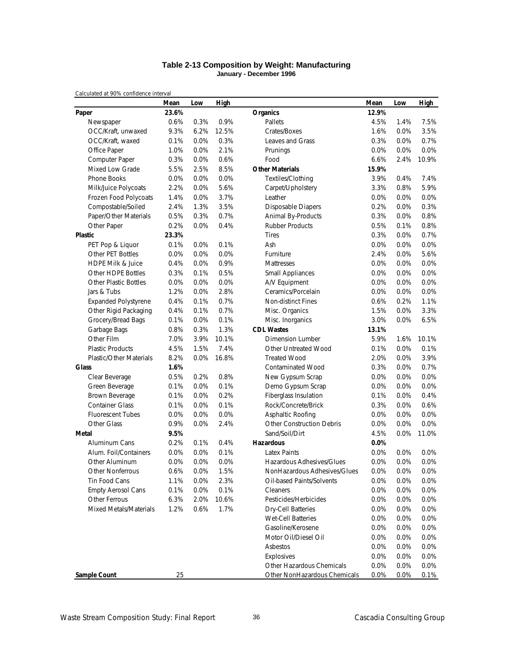### **Table 2-13 Composition by Weight: Manufacturing January - December 1996**

|                                | Mean  | Low     | High  |                                  | Mean  | Low     | <b>High</b> |
|--------------------------------|-------|---------|-------|----------------------------------|-------|---------|-------------|
| Paper                          | 23.6% |         |       | <b>Organics</b>                  | 12.9% |         |             |
| Newspaper                      | 0.6%  | 0.3%    | 0.9%  | Pallets                          | 4.5%  | 1.4%    | 7.5%        |
| OCC/Kraft, unwaxed             | 9.3%  | 6.2%    | 12.5% | Crates/Boxes                     | 1.6%  | 0.0%    | 3.5%        |
| OCC/Kraft, waxed               | 0.1%  | 0.0%    | 0.3%  | Leaves and Grass                 | 0.3%  | 0.0%    | 0.7%        |
| Office Paper                   | 1.0%  | 0.0%    | 2.1%  | Prunings                         | 0.0%  | 0.0%    | 0.0%        |
| Computer Paper                 | 0.3%  | 0.0%    | 0.6%  | Food                             | 6.6%  | 2.4%    | 10.9%       |
| <b>Mixed Low Grade</b>         | 5.5%  | 2.5%    | 8.5%  | <b>Other Materials</b>           | 15.9% |         |             |
| <b>Phone Books</b>             | 0.0%  | 0.0%    | 0.0%  | Textiles/Clothing                | 3.9%  | 0.4%    | 7.4%        |
| Milk/Juice Polycoats           | 2.2%  | 0.0%    | 5.6%  | Carpet/Upholstery                | 3.3%  | 0.8%    | 5.9%        |
| Frozen Food Polycoats          | 1.4%  | 0.0%    | 3.7%  | Leather                          | 0.0%  | 0.0%    | 0.0%        |
| Compostable/Soiled             | 2.4%  | 1.3%    | 3.5%  | Disposable Diapers               | 0.2%  | 0.0%    | 0.3%        |
| Paper/Other Materials          | 0.5%  | 0.3%    | 0.7%  | Animal By-Products               | 0.3%  | 0.0%    | 0.8%        |
| Other Paper                    | 0.2%  | 0.0%    | 0.4%  | <b>Rubber Products</b>           | 0.5%  | 0.1%    | 0.8%        |
| <b>Plastic</b>                 | 23.3% |         |       | <b>Tires</b>                     | 0.3%  | 0.0%    | 0.7%        |
| PET Pop & Liquor               | 0.1%  | 0.0%    | 0.1%  | Ash                              | 0.0%  | 0.0%    | 0.0%        |
| Other PET Bottles              | 0.0%  | 0.0%    | 0.0%  | Furniture                        | 2.4%  | 0.0%    | 5.6%        |
| <b>HDPE Milk &amp; Juice</b>   | 0.4%  | 0.0%    | 0.9%  | Mattresses                       | 0.0%  | 0.0%    | 0.0%        |
| Other HDPE Bottles             | 0.3%  | 0.1%    | 0.5%  | Small Appliances                 | 0.0%  | 0.0%    | 0.0%        |
| <b>Other Plastic Bottles</b>   | 0.0%  | 0.0%    | 0.0%  | A/V Equipment                    | 0.0%  | 0.0%    | 0.0%        |
| Jars & Tubs                    | 1.2%  | 0.0%    | 2.8%  | Ceramics/Porcelain               | 0.0%  | 0.0%    | 0.0%        |
| <b>Expanded Polystyrene</b>    | 0.4%  | 0.1%    | 0.7%  | <b>Non-distinct Fines</b>        | 0.6%  | 0.2%    | 1.1%        |
| Other Rigid Packaging          | 0.4%  | 0.1%    | 0.7%  | Misc. Organics                   | 1.5%  | 0.0%    | 3.3%        |
| Grocery/Bread Bags             | 0.1%  | 0.0%    | 0.1%  | Misc. Inorganics                 | 3.0%  | 0.0%    | 6.5%        |
| Garbage Bags                   | 0.8%  | 0.3%    | 1.3%  | <b>CDL Wastes</b>                | 13.1% |         |             |
| Other Film                     | 7.0%  | 3.9%    | 10.1% | <b>Dimension Lumber</b>          | 5.9%  | 1.6%    | 10.1%       |
| <b>Plastic Products</b>        | 4.5%  | 1.5%    | 7.4%  | Other Untreated Wood             | 0.1%  | 0.0%    | 0.1%        |
| <b>Plastic/Other Materials</b> | 8.2%  | 0.0%    | 16.8% | <b>Treated Wood</b>              | 2.0%  | 0.0%    | 3.9%        |
| <b>Glass</b>                   | 1.6%  |         |       | <b>Contaminated Wood</b>         | 0.3%  | 0.0%    | 0.7%        |
| Clear Beverage                 | 0.5%  | 0.2%    | 0.8%  | New Gypsum Scrap                 | 0.0%  | 0.0%    | 0.0%        |
| Green Beverage                 | 0.1%  | 0.0%    | 0.1%  | Demo Gypsum Scrap                | 0.0%  | 0.0%    | 0.0%        |
| Brown Beverage                 | 0.1%  | 0.0%    | 0.2%  | Fiberglass Insulation            | 0.1%  | 0.0%    | 0.4%        |
| <b>Container Glass</b>         | 0.1%  | 0.0%    | 0.1%  | Rock/Concrete/Brick              | 0.3%  | 0.0%    | 0.6%        |
| <b>Fluorescent Tubes</b>       | 0.0%  | 0.0%    | 0.0%  | Asphaltic Roofing                | 0.0%  | 0.0%    | 0.0%        |
| Other Glass                    | 0.9%  | 0.0%    | 2.4%  | <b>Other Construction Debris</b> | 0.0%  | 0.0%    | 0.0%        |
| Metal                          | 9.5%  |         |       | Sand/Soil/Dirt                   | 4.5%  | $0.0\%$ | 11.0%       |
| Aluminum Cans                  | 0.2%  | 0.1%    | 0.4%  | Hazardous                        | 0.0%  |         |             |
| Alum. Foil/Containers          | 0.0%  | 0.0%    | 0.1%  | <b>Latex Paints</b>              | 0.0%  | 0.0%    | 0.0%        |
| Other Aluminum                 | 0.0%  | 0.0%    | 0.0%  | Hazardous Adhesives/Glues        | 0.0%  | 0.0%    | 0.0%        |
| Other Nonferrous               | 0.6%  | 0.0%    | 1.5%  | NonHazardous Adhesives/Glues     | 0.0%  | 0.0%    | 0.0%        |
| Tin Food Cans                  | 1.1%  | $0.0\%$ | 2.3%  | Oil-based Paints/Solvents        | 0.0%  | 0.0%    | 0.0%        |
| <b>Empty Aerosol Cans</b>      | 0.1%  | 0.0%    | 0.1%  | Cleaners                         | 0.0%  | 0.0%    | 0.0%        |
| Other Ferrous                  | 6.3%  | 2.0%    | 10.6% | Pesticides/Herbicides            | 0.0%  | 0.0%    | 0.0%        |
| Mixed Metals/Materials         | 1.2%  | 0.6%    | 1.7%  | <b>Dry-Cell Batteries</b>        | 0.0%  | 0.0%    | 0.0%        |
|                                |       |         |       | <b>Wet-Cell Batteries</b>        | 0.0%  | 0.0%    | 0.0%        |
|                                |       |         |       | Gasoline/Kerosene                | 0.0%  | 0.0%    | 0.0%        |
|                                |       |         |       | Motor Oil/Diesel Oil             | 0.0%  | 0.0%    | 0.0%        |
|                                |       |         |       | Asbestos                         | 0.0%  | 0.0%    | 0.0%        |
|                                |       |         |       | Explosives                       | 0.0%  | 0.0%    | 0.0%        |
|                                |       |         |       | Other Hazardous Chemicals        | 0.0%  | 0.0%    | 0.0%        |
| <b>Sample Count</b>            | 25    |         |       | Other NonHazardous Chemicals     | 0.0%  | $0.0\%$ | 0.1%        |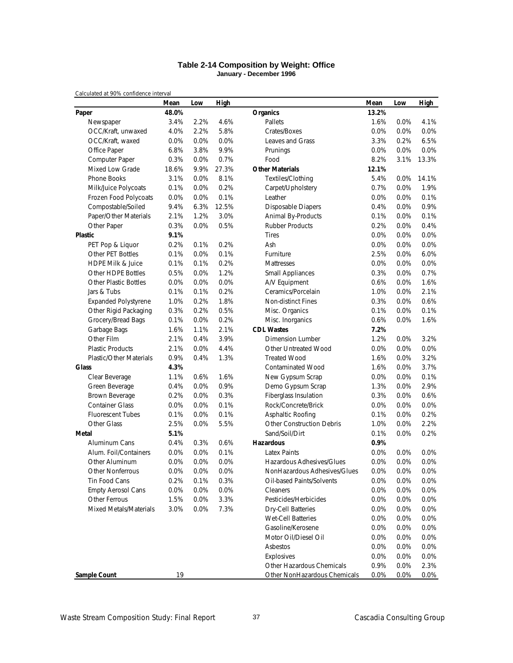#### **Table 2-14 Composition by Weight: Office January - December 1996**

|                                | Mean    | Low  | High  |                                  | Mean  | Low  | <b>High</b> |
|--------------------------------|---------|------|-------|----------------------------------|-------|------|-------------|
| Paper                          | 48.0%   |      |       | <b>Organics</b>                  | 13.2% |      |             |
| Newspaper                      | 3.4%    | 2.2% | 4.6%  | Pallets                          | 1.6%  | 0.0% | 4.1%        |
| OCC/Kraft, unwaxed             | 4.0%    | 2.2% | 5.8%  | Crates/Boxes                     | 0.0%  | 0.0% | 0.0%        |
| OCC/Kraft, waxed               | 0.0%    | 0.0% | 0.0%  | Leaves and Grass                 | 3.3%  | 0.2% | 6.5%        |
| Office Paper                   | 6.8%    | 3.8% | 9.9%  | Prunings                         | 0.0%  | 0.0% | 0.0%        |
| Computer Paper                 | 0.3%    | 0.0% | 0.7%  | Food                             | 8.2%  | 3.1% | 13.3%       |
| Mixed Low Grade                | 18.6%   | 9.9% | 27.3% | <b>Other Materials</b>           | 12.1% |      |             |
| Phone Books                    | 3.1%    | 0.0% | 8.1%  | Textiles/Clothing                | 5.4%  | 0.0% | 14.1%       |
| Milk/Juice Polycoats           | 0.1%    | 0.0% | 0.2%  | Carpet/Upholstery                | 0.7%  | 0.0% | 1.9%        |
| Frozen Food Polycoats          | 0.0%    | 0.0% | 0.1%  | Leather                          | 0.0%  | 0.0% | 0.1%        |
| Compostable/Soiled             | 9.4%    | 6.3% | 12.5% | <b>Disposable Diapers</b>        | 0.4%  | 0.0% | 0.9%        |
| Paper/Other Materials          | 2.1%    | 1.2% | 3.0%  | Animal By-Products               | 0.1%  | 0.0% | 0.1%        |
| Other Paper                    | 0.3%    | 0.0% | 0.5%  | <b>Rubber Products</b>           | 0.2%  | 0.0% | 0.4%        |
| <b>Plastic</b>                 | 9.1%    |      |       | <b>Tires</b>                     | 0.0%  | 0.0% | 0.0%        |
| PET Pop & Liquor               | 0.2%    | 0.1% | 0.2%  | Ash                              | 0.0%  | 0.0% | 0.0%        |
| Other PET Bottles              | 0.1%    | 0.0% | 0.1%  | Furniture                        | 2.5%  | 0.0% | 6.0%        |
| <b>HDPE Milk &amp; Juice</b>   | 0.1%    | 0.1% | 0.2%  | Mattresses                       | 0.0%  | 0.0% | 0.0%        |
| Other HDPE Bottles             | 0.5%    | 0.0% | 1.2%  | <b>Small Appliances</b>          | 0.3%  | 0.0% | 0.7%        |
| <b>Other Plastic Bottles</b>   | 0.0%    | 0.0% | 0.0%  | A/V Equipment                    | 0.6%  | 0.0% | 1.6%        |
| Jars & Tubs                    | 0.1%    | 0.1% | 0.2%  | Ceramics/Porcelain               | 1.0%  | 0.0% | 2.1%        |
| <b>Expanded Polystyrene</b>    | 1.0%    | 0.2% | 1.8%  | <b>Non-distinct Fines</b>        | 0.3%  | 0.0% | 0.6%        |
| Other Rigid Packaging          | 0.3%    | 0.2% | 0.5%  | Misc. Organics                   | 0.1%  | 0.0% | 0.1%        |
| Grocery/Bread Bags             | 0.1%    | 0.0% | 0.2%  | Misc. Inorganics                 | 0.6%  | 0.0% | 1.6%        |
| Garbage Bags                   | 1.6%    | 1.1% | 2.1%  | <b>CDL Wastes</b>                | 7.2%  |      |             |
| Other Film                     | 2.1%    | 0.4% | 3.9%  | Dimension Lumber                 | 1.2%  | 0.0% | 3.2%        |
| <b>Plastic Products</b>        | 2.1%    | 0.0% | 4.4%  | Other Untreated Wood             | 0.0%  | 0.0% | 0.0%        |
| <b>Plastic/Other Materials</b> | 0.9%    | 0.4% | 1.3%  | <b>Treated Wood</b>              | 1.6%  | 0.0% | 3.2%        |
| <b>Glass</b>                   | 4.3%    |      |       | <b>Contaminated Wood</b>         | 1.6%  | 0.0% | 3.7%        |
| Clear Beverage                 | 1.1%    | 0.6% | 1.6%  | New Gypsum Scrap                 | 0.0%  | 0.0% | 0.1%        |
| Green Beverage                 | 0.4%    | 0.0% | 0.9%  | Demo Gypsum Scrap                | 1.3%  | 0.0% | 2.9%        |
| Brown Beverage                 | 0.2%    | 0.0% | 0.3%  | Fiberglass Insulation            | 0.3%  | 0.0% | 0.6%        |
| <b>Container Glass</b>         | 0.0%    | 0.0% | 0.1%  | Rock/Concrete/Brick              | 0.0%  | 0.0% | 0.0%        |
| <b>Fluorescent Tubes</b>       | 0.1%    | 0.0% | 0.1%  | Asphaltic Roofing                | 0.1%  | 0.0% | 0.2%        |
| Other Glass                    | 2.5%    | 0.0% | 5.5%  | <b>Other Construction Debris</b> | 1.0%  | 0.0% | 2.2%        |
| <b>Metal</b>                   | 5.1%    |      |       | Sand/Soil/Dirt                   | 0.1%  | 0.0% | 0.2%        |
| Aluminum Cans                  | 0.4%    | 0.3% | 0.6%  | <b>Hazardous</b>                 | 0.9%  |      |             |
| Alum. Foil/Containers          | 0.0%    | 0.0% | 0.1%  | <b>Latex Paints</b>              | 0.0%  | 0.0% | 0.0%        |
| Other Aluminum                 | $0.0\%$ | 0.0% | 0.0%  | Hazardous Adhesives/Glues        | 0.0%  | 0.0% | 0.0%        |
| <b>Other Nonferrous</b>        | 0.0%    | 0.0% | 0.0%  | NonHazardous Adhesives/Glues     | 0.0%  | 0.0% | 0.0%        |
| Tin Food Cans                  | 0.2%    | 0.1% | 0.3%  | Oil-based Paints/Solvents        | 0.0%  | 0.0% | 0.0%        |
| <b>Empty Aerosol Cans</b>      | 0.0%    | 0.0% | 0.0%  | Cleaners                         | 0.0%  | 0.0% | 0.0%        |
| Other Ferrous                  | 1.5%    | 0.0% | 3.3%  | Pesticides/Herbicides            | 0.0%  | 0.0% | 0.0%        |
| Mixed Metals/Materials         | 3.0%    | 0.0% | 7.3%  | Dry-Cell Batteries               | 0.0%  | 0.0% | 0.0%        |
|                                |         |      |       | <b>Wet-Cell Batteries</b>        | 0.0%  | 0.0% | 0.0%        |
|                                |         |      |       | Gasoline/Kerosene                | 0.0%  | 0.0% | 0.0%        |
|                                |         |      |       | Motor Oil/Diesel Oil             | 0.0%  | 0.0% | 0.0%        |
|                                |         |      |       | Asbestos                         | 0.0%  | 0.0% | 0.0%        |
|                                |         |      |       | Explosives                       | 0.0%  | 0.0% | 0.0%        |
|                                |         |      |       | Other Hazardous Chemicals        | 0.9%  | 0.0% | 2.3%        |
| <b>Sample Count</b>            | 19      |      |       | Other NonHazardous Chemicals     | 0.0%  | 0.0% | 0.0%        |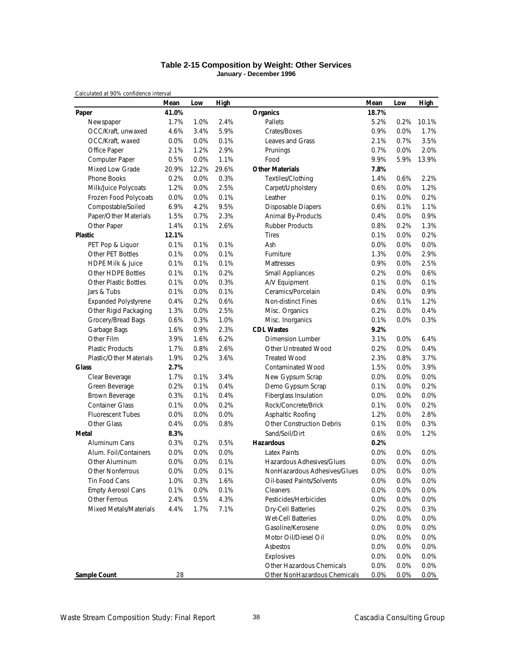### **Table 2-15 Composition by Weight: Other Services January - December 1996**

|                                | Mean  | Low   | High  |                                  | Mean  | Low     | <b>High</b> |
|--------------------------------|-------|-------|-------|----------------------------------|-------|---------|-------------|
| Paper                          | 41.0% |       |       | <b>Organics</b>                  | 18.7% |         |             |
| Newspaper                      | 1.7%  | 1.0%  | 2.4%  | Pallets                          | 5.2%  | 0.2%    | 10.1%       |
| OCC/Kraft, unwaxed             | 4.6%  | 3.4%  | 5.9%  | Crates/Boxes                     | 0.9%  | 0.0%    | 1.7%        |
| OCC/Kraft, waxed               | 0.0%  | 0.0%  | 0.1%  | Leaves and Grass                 | 2.1%  | 0.7%    | 3.5%        |
| Office Paper                   | 2.1%  | 1.2%  | 2.9%  | Prunings                         | 0.7%  | 0.0%    | 2.0%        |
| Computer Paper                 | 0.5%  | 0.0%  | 1.1%  | Food                             | 9.9%  | 5.9%    | 13.9%       |
| <b>Mixed Low Grade</b>         | 20.9% | 12.2% | 29.6% | <b>Other Materials</b>           | 7.8%  |         |             |
| <b>Phone Books</b>             | 0.2%  | 0.0%  | 0.3%  | Textiles/Clothing                | 1.4%  | 0.6%    | 2.2%        |
| Milk/Juice Polycoats           | 1.2%  | 0.0%  | 2.5%  | Carpet/Upholstery                | 0.6%  | 0.0%    | 1.2%        |
| Frozen Food Polycoats          | 0.0%  | 0.0%  | 0.1%  | Leather                          | 0.1%  | 0.0%    | 0.2%        |
| Compostable/Soiled             | 6.9%  | 4.2%  | 9.5%  | Disposable Diapers               | 0.6%  | 0.1%    | 1.1%        |
| Paper/Other Materials          | 1.5%  | 0.7%  | 2.3%  | Animal By-Products               | 0.4%  | 0.0%    | 0.9%        |
| Other Paper                    | 1.4%  | 0.1%  | 2.6%  | <b>Rubber Products</b>           | 0.8%  | 0.2%    | 1.3%        |
| <b>Plastic</b>                 | 12.1% |       |       | <b>Tires</b>                     | 0.1%  | 0.0%    | 0.2%        |
| PET Pop & Liquor               | 0.1%  | 0.1%  | 0.1%  | Ash                              | 0.0%  | 0.0%    | 0.0%        |
| Other PET Bottles              | 0.1%  | 0.0%  | 0.1%  | Furniture                        | 1.3%  | 0.0%    | 2.9%        |
| <b>HDPE Milk &amp; Juice</b>   | 0.1%  | 0.1%  | 0.1%  | Mattresses                       | 0.9%  | 0.0%    | 2.5%        |
| Other HDPE Bottles             | 0.1%  | 0.1%  | 0.2%  | <b>Small Appliances</b>          | 0.2%  | 0.0%    | 0.6%        |
| <b>Other Plastic Bottles</b>   | 0.1%  | 0.0%  | 0.3%  | A/V Equipment                    | 0.1%  | 0.0%    | 0.1%        |
| Jars & Tubs                    | 0.1%  | 0.0%  | 0.1%  | Ceramics/Porcelain               | 0.4%  | 0.0%    | 0.9%        |
| <b>Expanded Polystyrene</b>    | 0.4%  | 0.2%  | 0.6%  | <b>Non-distinct Fines</b>        | 0.6%  | 0.1%    | 1.2%        |
| Other Rigid Packaging          | 1.3%  | 0.0%  | 2.5%  | Misc. Organics                   | 0.2%  | 0.0%    | 0.4%        |
| Grocery/Bread Bags             | 0.6%  | 0.3%  | 1.0%  | Misc. Inorganics                 | 0.1%  | 0.0%    | 0.3%        |
| Garbage Bags                   | 1.6%  | 0.9%  | 2.3%  | <b>CDL Wastes</b>                | 9.2%  |         |             |
| Other Film                     | 3.9%  | 1.6%  | 6.2%  | <b>Dimension Lumber</b>          | 3.1%  | 0.0%    | 6.4%        |
| <b>Plastic Products</b>        | 1.7%  | 0.8%  | 2.6%  | Other Untreated Wood             | 0.2%  | 0.0%    | 0.4%        |
| <b>Plastic/Other Materials</b> | 1.9%  | 0.2%  | 3.6%  | <b>Treated Wood</b>              | 2.3%  | 0.8%    | 3.7%        |
| <b>Glass</b>                   | 2.7%  |       |       | <b>Contaminated Wood</b>         | 1.5%  | 0.0%    | 3.9%        |
| Clear Beverage                 | 1.7%  | 0.1%  | 3.4%  | New Gypsum Scrap                 | 0.0%  | 0.0%    | 0.0%        |
| Green Beverage                 | 0.2%  | 0.1%  | 0.4%  | Demo Gypsum Scrap                | 0.1%  | 0.0%    | 0.2%        |
| Brown Beverage                 | 0.3%  | 0.1%  | 0.4%  | Fiberglass Insulation            | 0.0%  | 0.0%    | 0.0%        |
| <b>Container Glass</b>         | 0.1%  | 0.0%  | 0.2%  | Rock/Concrete/Brick              | 0.1%  | 0.0%    | 0.2%        |
| <b>Fluorescent Tubes</b>       | 0.0%  | 0.0%  | 0.0%  | Asphaltic Roofing                | 1.2%  | 0.0%    | 2.8%        |
| Other Glass                    | 0.4%  | 0.0%  | 0.8%  | <b>Other Construction Debris</b> | 0.1%  | 0.0%    | 0.3%        |
| Metal                          | 8.3%  |       |       | Sand/Soil/Dirt                   | 0.6%  | 0.0%    | 1.2%        |
| Aluminum Cans                  | 0.3%  | 0.2%  | 0.5%  | Hazardous                        | 0.2%  |         |             |
| Alum. Foil/Containers          | 0.0%  | 0.0%  | 0.0%  | <b>Latex Paints</b>              | 0.0%  | 0.0%    | 0.0%        |
| Other Aluminum                 | 0.0%  | 0.0%  | 0.1%  | Hazardous Adhesives/Glues        | 0.0%  | 0.0%    | 0.0%        |
| Other Nonferrous               | 0.0%  | 0.0%  | 0.1%  | NonHazardous Adhesives/Glues     | 0.0%  | 0.0%    | 0.0%        |
| Tin Food Cans                  | 1.0%  | 0.3%  | 1.6%  | Oil-based Paints/Solvents        | 0.0%  | 0.0%    | 0.0%        |
| <b>Empty Aerosol Cans</b>      | 0.1%  | 0.0%  | 0.1%  | Cleaners                         | 0.0%  | 0.0%    | 0.0%        |
| Other Ferrous                  | 2.4%  | 0.5%  | 4.3%  | Pesticides/Herbicides            | 0.0%  | 0.0%    | 0.0%        |
| Mixed Metals/Materials         | 4.4%  | 1.7%  | 7.1%  | <b>Dry-Cell Batteries</b>        | 0.2%  | 0.0%    | 0.3%        |
|                                |       |       |       | <b>Wet-Cell Batteries</b>        | 0.0%  | 0.0%    | 0.0%        |
|                                |       |       |       | Gasoline/Kerosene                | 0.0%  | 0.0%    | 0.0%        |
|                                |       |       |       | Motor Oil/Diesel Oil             | 0.0%  | 0.0%    | 0.0%        |
|                                |       |       |       | Asbestos                         | 0.0%  | 0.0%    | 0.0%        |
|                                |       |       |       | Explosives                       | 0.0%  | 0.0%    | 0.0%        |
|                                |       |       |       | Other Hazardous Chemicals        | 0.0%  | 0.0%    | 0.0%        |
| <b>Sample Count</b>            | 28    |       |       | Other NonHazardous Chemicals     | 0.0%  | $0.0\%$ | $0.0\%$     |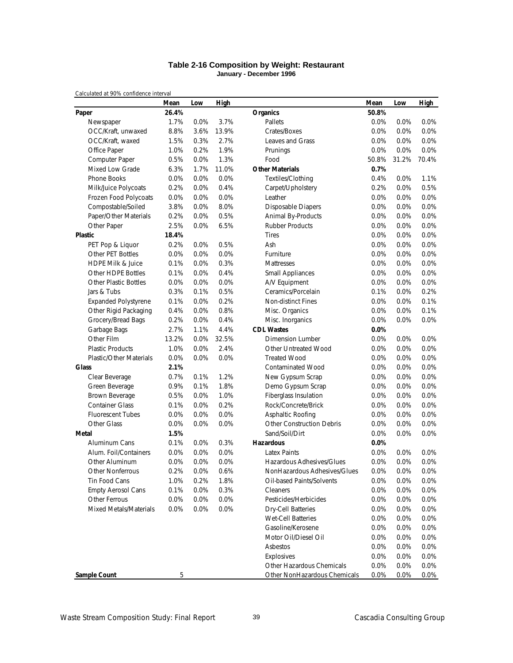### **Table 2-16 Composition by Weight: Restaurant January - December 1996**

|                                | Mean  | Low  | High  |                                  | Mean  | Low   | <b>High</b> |
|--------------------------------|-------|------|-------|----------------------------------|-------|-------|-------------|
| Paper                          | 26.4% |      |       | <b>Organics</b>                  | 50.8% |       |             |
| Newspaper                      | 1.7%  | 0.0% | 3.7%  | Pallets                          | 0.0%  | 0.0%  | 0.0%        |
| OCC/Kraft, unwaxed             | 8.8%  | 3.6% | 13.9% | Crates/Boxes                     | 0.0%  | 0.0%  | 0.0%        |
| OCC/Kraft, waxed               | 1.5%  | 0.3% | 2.7%  | Leaves and Grass                 | 0.0%  | 0.0%  | 0.0%        |
| Office Paper                   | 1.0%  | 0.2% | 1.9%  | Prunings                         | 0.0%  | 0.0%  | 0.0%        |
| Computer Paper                 | 0.5%  | 0.0% | 1.3%  | Food                             | 50.8% | 31.2% | 70.4%       |
| Mixed Low Grade                | 6.3%  | 1.7% | 11.0% | <b>Other Materials</b>           | 0.7%  |       |             |
| <b>Phone Books</b>             | 0.0%  | 0.0% | 0.0%  | Textiles/Clothing                | 0.4%  | 0.0%  | 1.1%        |
| Milk/Juice Polycoats           | 0.2%  | 0.0% | 0.4%  | Carpet/Upholstery                | 0.2%  | 0.0%  | 0.5%        |
| Frozen Food Polycoats          | 0.0%  | 0.0% | 0.0%  | Leather                          | 0.0%  | 0.0%  | 0.0%        |
| Compostable/Soiled             | 3.8%  | 0.0% | 8.0%  | <b>Disposable Diapers</b>        | 0.0%  | 0.0%  | 0.0%        |
| Paper/Other Materials          | 0.2%  | 0.0% | 0.5%  | Animal By-Products               | 0.0%  | 0.0%  | 0.0%        |
| Other Paper                    | 2.5%  | 0.0% | 6.5%  | <b>Rubber Products</b>           | 0.0%  | 0.0%  | 0.0%        |
| <b>Plastic</b>                 | 18.4% |      |       | <b>Tires</b>                     | 0.0%  | 0.0%  | 0.0%        |
| PET Pop & Liquor               | 0.2%  | 0.0% | 0.5%  | Ash                              | 0.0%  | 0.0%  | 0.0%        |
| Other PET Bottles              | 0.0%  | 0.0% | 0.0%  | Furniture                        | 0.0%  | 0.0%  | 0.0%        |
| <b>HDPE Milk &amp; Juice</b>   | 0.1%  | 0.0% | 0.3%  | Mattresses                       | 0.0%  | 0.0%  | 0.0%        |
| Other HDPE Bottles             | 0.1%  | 0.0% | 0.4%  | <b>Small Appliances</b>          | 0.0%  | 0.0%  | 0.0%        |
| <b>Other Plastic Bottles</b>   | 0.0%  | 0.0% | 0.0%  | A/V Equipment                    | 0.0%  | 0.0%  | 0.0%        |
| Jars & Tubs                    | 0.3%  | 0.1% | 0.5%  | Ceramics/Porcelain               | 0.1%  | 0.0%  | 0.2%        |
| <b>Expanded Polystyrene</b>    | 0.1%  | 0.0% | 0.2%  | Non-distinct Fines               | 0.0%  | 0.0%  | 0.1%        |
| Other Rigid Packaging          | 0.4%  | 0.0% | 0.8%  | Misc. Organics                   | 0.0%  | 0.0%  | 0.1%        |
| Grocery/Bread Bags             | 0.2%  | 0.0% | 0.4%  | Misc. Inorganics                 | 0.0%  | 0.0%  | 0.0%        |
| Garbage Bags                   | 2.7%  | 1.1% | 4.4%  | <b>CDL Wastes</b>                | 0.0%  |       |             |
| Other Film                     | 13.2% | 0.0% | 32.5% | Dimension Lumber                 | 0.0%  | 0.0%  | $0.0\%$     |
| <b>Plastic Products</b>        | 1.0%  | 0.0% | 2.4%  | Other Untreated Wood             | 0.0%  | 0.0%  | 0.0%        |
| <b>Plastic/Other Materials</b> | 0.0%  | 0.0% | 0.0%  | <b>Treated Wood</b>              | 0.0%  | 0.0%  | $0.0\%$     |
| <b>Glass</b>                   | 2.1%  |      |       | <b>Contaminated Wood</b>         | 0.0%  | 0.0%  | 0.0%        |
| Clear Beverage                 | 0.7%  | 0.1% | 1.2%  | New Gypsum Scrap                 | 0.0%  | 0.0%  | 0.0%        |
| Green Beverage                 | 0.9%  | 0.1% | 1.8%  | Demo Gypsum Scrap                | 0.0%  | 0.0%  | 0.0%        |
| Brown Beverage                 | 0.5%  | 0.0% | 1.0%  | Fiberglass Insulation            | 0.0%  | 0.0%  | 0.0%        |
| <b>Container Glass</b>         | 0.1%  | 0.0% | 0.2%  | Rock/Concrete/Brick              | 0.0%  | 0.0%  | 0.0%        |
| <b>Fluorescent Tubes</b>       | 0.0%  | 0.0% | 0.0%  | Asphaltic Roofing                | 0.0%  | 0.0%  | 0.0%        |
| Other Glass                    | 0.0%  | 0.0% | 0.0%  | <b>Other Construction Debris</b> | 0.0%  | 0.0%  | 0.0%        |
| Metal                          | 1.5%  |      |       | Sand/Soil/Dirt                   | 0.0%  | 0.0%  | 0.0%        |
| Aluminum Cans                  | 0.1%  | 0.0% | 0.3%  | <b>Hazardous</b>                 | 0.0%  |       |             |
| Alum. Foil/Containers          | 0.0%  | 0.0% | 0.0%  | <b>Latex Paints</b>              | 0.0%  | 0.0%  | 0.0%        |
| Other Aluminum                 | 0.0%  | 0.0% | 0.0%  | Hazardous Adhesives/Glues        | 0.0%  | 0.0%  | 0.0%        |
| Other Nonferrous               | 0.2%  | 0.0% | 0.6%  | NonHazardous Adhesives/Glues     | 0.0%  | 0.0%  | 0.0%        |
| Tin Food Cans                  | 1.0%  | 0.2% | 1.8%  | Oil-based Paints/Solvents        | 0.0%  | 0.0%  | 0.0%        |
| <b>Empty Aerosol Cans</b>      | 0.1%  | 0.0% | 0.3%  | Cleaners                         | 0.0%  | 0.0%  | 0.0%        |
| Other Ferrous                  | 0.0%  | 0.0% | 0.0%  | Pesticides/Herbicides            | 0.0%  | 0.0%  | 0.0%        |
| Mixed Metals/Materials         | 0.0%  | 0.0% | 0.0%  | <b>Dry-Cell Batteries</b>        | 0.0%  | 0.0%  | 0.0%        |
|                                |       |      |       | <b>Wet-Cell Batteries</b>        | 0.0%  | 0.0%  | 0.0%        |
|                                |       |      |       | Gasoline/Kerosene                | 0.0%  | 0.0%  | 0.0%        |
|                                |       |      |       | Motor Oil/Diesel Oil             | 0.0%  | 0.0%  | 0.0%        |
|                                |       |      |       | Asbestos                         | 0.0%  | 0.0%  | 0.0%        |
|                                |       |      |       | Explosives                       | 0.0%  | 0.0%  | 0.0%        |
|                                |       |      |       | Other Hazardous Chemicals        | 0.0%  | 0.0%  | 0.0%        |
| Sample Count                   | 5     |      |       | Other NonHazardous Chemicals     | 0.0%  | 0.0%  | 0.0%        |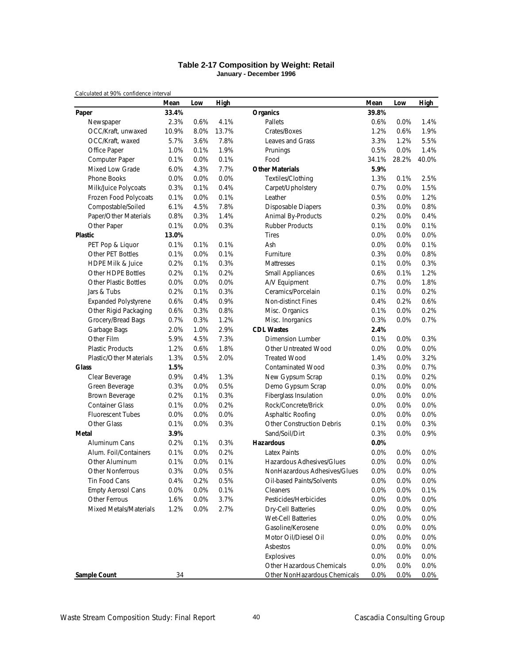#### **Table 2-17 Composition by Weight: Retail January - December 1996**

|                                | Mean  | Low     | High  |                                  | Mean    | Low     | <b>High</b> |
|--------------------------------|-------|---------|-------|----------------------------------|---------|---------|-------------|
| Paper                          | 33.4% |         |       | <b>Organics</b>                  | 39.8%   |         |             |
| Newspaper                      | 2.3%  | 0.6%    | 4.1%  | Pallets                          | 0.6%    | 0.0%    | 1.4%        |
| OCC/Kraft, unwaxed             | 10.9% | 8.0%    | 13.7% | Crates/Boxes                     | 1.2%    | 0.6%    | 1.9%        |
| OCC/Kraft, waxed               | 5.7%  | 3.6%    | 7.8%  | Leaves and Grass                 | 3.3%    | 1.2%    | 5.5%        |
| Office Paper                   | 1.0%  | 0.1%    | 1.9%  | Prunings                         | 0.5%    | 0.0%    | 1.4%        |
| Computer Paper                 | 0.1%  | 0.0%    | 0.1%  | Food                             | 34.1%   | 28.2%   | 40.0%       |
| <b>Mixed Low Grade</b>         | 6.0%  | 4.3%    | 7.7%  | <b>Other Materials</b>           | 5.9%    |         |             |
| <b>Phone Books</b>             | 0.0%  | 0.0%    | 0.0%  | Textiles/Clothing                | 1.3%    | 0.1%    | 2.5%        |
| Milk/Juice Polycoats           | 0.3%  | 0.1%    | 0.4%  | Carpet/Upholstery                | 0.7%    | 0.0%    | 1.5%        |
| Frozen Food Polycoats          | 0.1%  | 0.0%    | 0.1%  | Leather                          | 0.5%    | 0.0%    | 1.2%        |
| Compostable/Soiled             | 6.1%  | 4.5%    | 7.8%  | <b>Disposable Diapers</b>        | 0.3%    | 0.0%    | 0.8%        |
| Paper/Other Materials          | 0.8%  | 0.3%    | 1.4%  | Animal By-Products               | 0.2%    | 0.0%    | 0.4%        |
| Other Paper                    | 0.1%  | 0.0%    | 0.3%  | <b>Rubber Products</b>           | 0.1%    | 0.0%    | 0.1%        |
| <b>Plastic</b>                 | 13.0% |         |       | <b>Tires</b>                     | 0.0%    | 0.0%    | 0.0%        |
| PET Pop & Liquor               | 0.1%  | 0.1%    | 0.1%  | Ash                              | 0.0%    | 0.0%    | 0.1%        |
| Other PET Bottles              | 0.1%  | 0.0%    | 0.1%  | Furniture                        | 0.3%    | 0.0%    | 0.8%        |
| HDPE Milk & Juice              | 0.2%  | 0.1%    | 0.3%  | Mattresses                       | 0.1%    | 0.0%    | 0.3%        |
| Other HDPE Bottles             | 0.2%  | 0.1%    | 0.2%  | Small Appliances                 | 0.6%    | 0.1%    | 1.2%        |
| <b>Other Plastic Bottles</b>   | 0.0%  | 0.0%    | 0.0%  | A/V Equipment                    | 0.7%    | 0.0%    | 1.8%        |
| Jars & Tubs                    | 0.2%  | 0.1%    | 0.3%  | Ceramics/Porcelain               | 0.1%    | 0.0%    | 0.2%        |
| <b>Expanded Polystyrene</b>    | 0.6%  | 0.4%    | 0.9%  | Non-distinct Fines               | 0.4%    | 0.2%    | 0.6%        |
| Other Rigid Packaging          | 0.6%  | 0.3%    | 0.8%  | Misc. Organics                   | 0.1%    | 0.0%    | 0.2%        |
| Grocery/Bread Bags             | 0.7%  | 0.3%    | 1.2%  | Misc. Inorganics                 | 0.3%    | 0.0%    | 0.7%        |
| Garbage Bags                   | 2.0%  | 1.0%    | 2.9%  | <b>CDL Wastes</b>                | 2.4%    |         |             |
| Other Film                     | 5.9%  | 4.5%    | 7.3%  | <b>Dimension Lumber</b>          | 0.1%    | $0.0\%$ | 0.3%        |
| <b>Plastic Products</b>        | 1.2%  | 0.6%    | 1.8%  | Other Untreated Wood             | 0.0%    | 0.0%    | 0.0%        |
| <b>Plastic/Other Materials</b> | 1.3%  | 0.5%    | 2.0%  | <b>Treated Wood</b>              | 1.4%    | 0.0%    | 3.2%        |
| <b>Glass</b>                   | 1.5%  |         |       | <b>Contaminated Wood</b>         | 0.3%    | 0.0%    | 0.7%        |
| Clear Beverage                 | 0.9%  | 0.4%    | 1.3%  | New Gypsum Scrap                 | 0.1%    | 0.0%    | 0.2%        |
| Green Beverage                 | 0.3%  | 0.0%    | 0.5%  | Demo Gypsum Scrap                | 0.0%    | 0.0%    | 0.0%        |
| Brown Beverage                 | 0.2%  | 0.1%    | 0.3%  | Fiberglass Insulation            | 0.0%    | 0.0%    | 0.0%        |
| <b>Container Glass</b>         | 0.1%  | 0.0%    | 0.2%  | Rock/Concrete/Brick              | 0.0%    | 0.0%    | 0.0%        |
| <b>Fluorescent Tubes</b>       | 0.0%  | 0.0%    | 0.0%  | Asphaltic Roofing                | 0.0%    | 0.0%    | 0.0%        |
| Other Glass                    | 0.1%  | 0.0%    | 0.3%  | <b>Other Construction Debris</b> | 0.1%    | 0.0%    | 0.3%        |
| Metal                          | 3.9%  |         |       | Sand/Soil/Dirt                   | 0.3%    | 0.0%    | 0.9%        |
| Aluminum Cans                  | 0.2%  | 0.1%    | 0.3%  | Hazardous                        | 0.0%    |         |             |
| Alum. Foil/Containers          | 0.1%  | 0.0%    | 0.2%  | <b>Latex Paints</b>              | $0.0\%$ | 0.0%    | 0.0%        |
| Other Aluminum                 | 0.1%  | 0.0%    | 0.1%  | Hazardous Adhesives/Glues        | 0.0%    | 0.0%    | 0.0%        |
| <b>Other Nonferrous</b>        | 0.3%  | 0.0%    | 0.5%  | NonHazardous Adhesives/Glues     | 0.0%    | 0.0%    | 0.0%        |
| Tin Food Cans                  | 0.4%  | 0.2%    | 0.5%  | Oil-based Paints/Solvents        | 0.0%    | 0.0%    | 0.0%        |
| <b>Empty Aerosol Cans</b>      | 0.0%  | $0.0\%$ | 0.1%  | Cleaners                         | 0.0%    | 0.0%    | 0.1%        |
| Other Ferrous                  | 1.6%  | 0.0%    | 3.7%  | Pesticides/Herbicides            | 0.0%    | 0.0%    | 0.0%        |
| Mixed Metals/Materials         | 1.2%  | 0.0%    | 2.7%  | <b>Dry-Cell Batteries</b>        | 0.0%    | 0.0%    | 0.0%        |
|                                |       |         |       | Wet-Cell Batteries               | 0.0%    | 0.0%    | 0.0%        |
|                                |       |         |       | Gasoline/Kerosene                | 0.0%    | 0.0%    | 0.0%        |
|                                |       |         |       | Motor Oil/Diesel Oil             | 0.0%    | 0.0%    | 0.0%        |
|                                |       |         |       | Asbestos                         | 0.0%    | 0.0%    | 0.0%        |
|                                |       |         |       | Explosives                       | 0.0%    | 0.0%    | 0.0%        |
|                                |       |         |       | Other Hazardous Chemicals        | 0.0%    | 0.0%    | 0.0%        |
| Sample Count                   | 34    |         |       | Other NonHazardous Chemicals     | 0.0%    | 0.0%    | 0.0%        |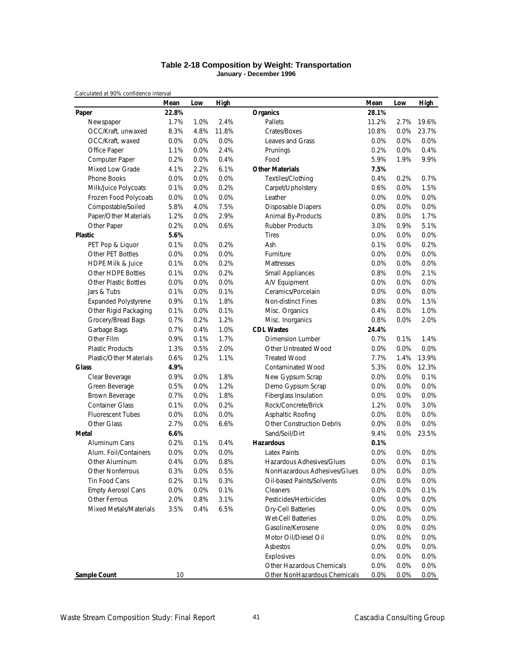### **Table 2-18 Composition by Weight: Transportation January - December 1996**

|                                | Mean  | Low  | High  |                                  | Mean  | Low     | <b>High</b> |
|--------------------------------|-------|------|-------|----------------------------------|-------|---------|-------------|
| Paper                          | 22.8% |      |       | <b>Organics</b>                  | 28.1% |         |             |
| Newspaper                      | 1.7%  | 1.0% | 2.4%  | Pallets                          | 11.2% | 2.7%    | 19.6%       |
| OCC/Kraft, unwaxed             | 8.3%  | 4.8% | 11.8% | Crates/Boxes                     | 10.8% | 0.0%    | 23.7%       |
| OCC/Kraft, waxed               | 0.0%  | 0.0% | 0.0%  | Leaves and Grass                 | 0.0%  | 0.0%    | 0.0%        |
| Office Paper                   | 1.1%  | 0.0% | 2.4%  | Prunings                         | 0.2%  | 0.0%    | 0.4%        |
| Computer Paper                 | 0.2%  | 0.0% | 0.4%  | Food                             | 5.9%  | 1.9%    | 9.9%        |
| Mixed Low Grade                | 4.1%  | 2.2% | 6.1%  | <b>Other Materials</b>           | 7.5%  |         |             |
| <b>Phone Books</b>             | 0.0%  | 0.0% | 0.0%  | Textiles/Clothing                | 0.4%  | 0.2%    | 0.7%        |
| Milk/Juice Polycoats           | 0.1%  | 0.0% | 0.2%  | Carpet/Upholstery                | 0.6%  | 0.0%    | 1.5%        |
| Frozen Food Polycoats          | 0.0%  | 0.0% | 0.0%  | Leather                          | 0.0%  | 0.0%    | 0.0%        |
| Compostable/Soiled             | 5.8%  | 4.0% | 7.5%  | <b>Disposable Diapers</b>        | 0.0%  | 0.0%    | 0.0%        |
| Paper/Other Materials          | 1.2%  | 0.0% | 2.9%  | Animal By-Products               | 0.8%  | 0.0%    | 1.7%        |
| Other Paper                    | 0.2%  | 0.0% | 0.6%  | <b>Rubber Products</b>           | 3.0%  | 0.9%    | 5.1%        |
| <b>Plastic</b>                 | 5.6%  |      |       | <b>Tires</b>                     | 0.0%  | 0.0%    | 0.0%        |
| PET Pop & Liquor               | 0.1%  | 0.0% | 0.2%  | Ash                              | 0.1%  | 0.0%    | 0.2%        |
| Other PET Bottles              | 0.0%  | 0.0% | 0.0%  | Furniture                        | 0.0%  | 0.0%    | 0.0%        |
| <b>HDPE Milk &amp; Juice</b>   | 0.1%  | 0.0% | 0.2%  | Mattresses                       | 0.0%  | 0.0%    | 0.0%        |
| Other HDPE Bottles             | 0.1%  | 0.0% | 0.2%  | <b>Small Appliances</b>          | 0.8%  | 0.0%    | 2.1%        |
| <b>Other Plastic Bottles</b>   | 0.0%  | 0.0% | 0.0%  | A/V Equipment                    | 0.0%  | 0.0%    | 0.0%        |
| Jars & Tubs                    | 0.1%  | 0.0% | 0.1%  | Ceramics/Porcelain               | 0.0%  | 0.0%    | 0.0%        |
| <b>Expanded Polystyrene</b>    | 0.9%  | 0.1% | 1.8%  | Non-distinct Fines               | 0.8%  | 0.0%    | 1.5%        |
| Other Rigid Packaging          | 0.1%  | 0.0% | 0.1%  | Misc. Organics                   | 0.4%  | 0.0%    | 1.0%        |
| Grocery/Bread Bags             | 0.7%  | 0.2% | 1.2%  | Misc. Inorganics                 | 0.8%  | 0.0%    | 2.0%        |
| Garbage Bags                   | 0.7%  | 0.4% | 1.0%  | <b>CDL Wastes</b>                | 24.4% |         |             |
| Other Film                     | 0.9%  | 0.1% | 1.7%  | <b>Dimension Lumber</b>          | 0.7%  | 0.1%    | 1.4%        |
| <b>Plastic Products</b>        | 1.3%  | 0.5% | 2.0%  | Other Untreated Wood             | 0.0%  | 0.0%    | 0.0%        |
| <b>Plastic/Other Materials</b> | 0.6%  | 0.2% | 1.1%  | <b>Treated Wood</b>              | 7.7%  | 1.4%    | 13.9%       |
| <b>Glass</b>                   | 4.9%  |      |       | <b>Contaminated Wood</b>         | 5.3%  | 0.0%    | 12.3%       |
| Clear Beverage                 | 0.9%  | 0.0% | 1.8%  | New Gypsum Scrap                 | 0.0%  | 0.0%    | 0.1%        |
| Green Beverage                 | 0.5%  | 0.0% | 1.2%  | Demo Gypsum Scrap                | 0.0%  | 0.0%    | 0.0%        |
| Brown Beverage                 | 0.7%  | 0.0% | 1.8%  | Fiberglass Insulation            | 0.0%  | 0.0%    | 0.0%        |
| <b>Container Glass</b>         | 0.1%  | 0.0% | 0.2%  | Rock/Concrete/Brick              | 1.2%  | 0.0%    | 3.0%        |
| <b>Fluorescent Tubes</b>       | 0.0%  | 0.0% | 0.0%  | Asphaltic Roofing                | 0.0%  | 0.0%    | 0.0%        |
| Other Glass                    | 2.7%  | 0.0% | 6.6%  | <b>Other Construction Debris</b> | 0.0%  | 0.0%    | 0.0%        |
| Metal                          | 6.6%  |      |       | Sand/Soil/Dirt                   | 9.4%  | $0.0\%$ | 23.5%       |
| Aluminum Cans                  | 0.2%  | 0.1% | 0.4%  | <b>Hazardous</b>                 | 0.1%  |         |             |
| Alum. Foil/Containers          | 0.0%  | 0.0% | 0.0%  | <b>Latex Paints</b>              | 0.0%  | 0.0%    | 0.0%        |
| Other Aluminum                 | 0.4%  | 0.0% | 0.8%  | Hazardous Adhesives/Glues        | 0.0%  | 0.0%    | 0.1%        |
| Other Nonferrous               | 0.3%  | 0.0% | 0.5%  | NonHazardous Adhesives/Glues     | 0.0%  | 0.0%    | 0.0%        |
| Tin Food Cans                  | 0.2%  | 0.1% | 0.3%  | Oil-based Paints/Solvents        | 0.0%  | 0.0%    | 0.0%        |
| <b>Empty Aerosol Cans</b>      | 0.0%  | 0.0% | 0.1%  | Cleaners                         | 0.0%  | 0.0%    | 0.1%        |
| Other Ferrous                  | 2.0%  | 0.8% | 3.1%  | Pesticides/Herbicides            | 0.0%  | 0.0%    | 0.0%        |
| Mixed Metals/Materials         | 3.5%  | 0.4% | 6.5%  | <b>Dry-Cell Batteries</b>        | 0.0%  | 0.0%    | 0.0%        |
|                                |       |      |       | <b>Wet-Cell Batteries</b>        | 0.0%  | 0.0%    | 0.0%        |
|                                |       |      |       | Gasoline/Kerosene                | 0.0%  | 0.0%    | 0.0%        |
|                                |       |      |       | Motor Oil/Diesel Oil             | 0.0%  | 0.0%    | 0.0%        |
|                                |       |      |       | Asbestos                         | 0.0%  | 0.0%    | 0.0%        |
|                                |       |      |       | Explosives                       | 0.0%  | 0.0%    | 0.0%        |
|                                |       |      |       | Other Hazardous Chemicals        | 0.0%  | 0.0%    | 0.0%        |
| <b>Sample Count</b>            | 10    |      |       | Other NonHazardous Chemicals     | 0.0%  | 0.0%    | 0.0%        |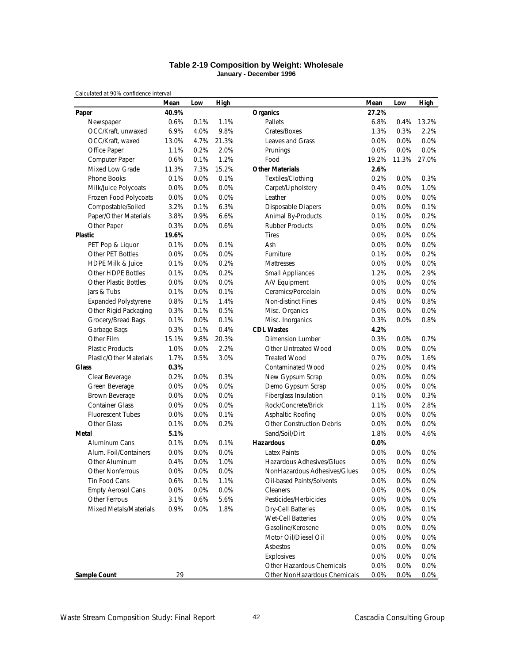### **Table 2-19 Composition by Weight: Wholesale January - December 1996**

|                                | Mean  | Low     | High  |                                  | Mean    | Low   | <b>High</b> |
|--------------------------------|-------|---------|-------|----------------------------------|---------|-------|-------------|
| Paper                          | 40.9% |         |       | <b>Organics</b>                  | 27.2%   |       |             |
| Newspaper                      | 0.6%  | 0.1%    | 1.1%  | Pallets                          | 6.8%    | 0.4%  | 13.2%       |
| OCC/Kraft, unwaxed             | 6.9%  | 4.0%    | 9.8%  | Crates/Boxes                     | 1.3%    | 0.3%  | 2.2%        |
| OCC/Kraft, waxed               | 13.0% | 4.7%    | 21.3% | Leaves and Grass                 | 0.0%    | 0.0%  | 0.0%        |
| Office Paper                   | 1.1%  | 0.2%    | 2.0%  | Prunings                         | 0.0%    | 0.0%  | 0.0%        |
| Computer Paper                 | 0.6%  | 0.1%    | 1.2%  | Food                             | 19.2%   | 11.3% | 27.0%       |
| Mixed Low Grade                | 11.3% | 7.3%    | 15.2% | <b>Other Materials</b>           | 2.6%    |       |             |
| Phone Books                    | 0.1%  | 0.0%    | 0.1%  | Textiles/Clothing                | 0.2%    | 0.0%  | 0.3%        |
| Milk/Juice Polycoats           | 0.0%  | 0.0%    | 0.0%  | Carpet/Upholstery                | 0.4%    | 0.0%  | 1.0%        |
| Frozen Food Polycoats          | 0.0%  | 0.0%    | 0.0%  | Leather                          | 0.0%    | 0.0%  | 0.0%        |
| Compostable/Soiled             | 3.2%  | 0.1%    | 6.3%  | Disposable Diapers               | 0.0%    | 0.0%  | 0.1%        |
| Paper/Other Materials          | 3.8%  | 0.9%    | 6.6%  | Animal By-Products               | 0.1%    | 0.0%  | 0.2%        |
| Other Paper                    | 0.3%  | 0.0%    | 0.6%  | <b>Rubber Products</b>           | 0.0%    | 0.0%  | 0.0%        |
| <b>Plastic</b>                 | 19.6% |         |       | <b>Tires</b>                     | 0.0%    | 0.0%  | 0.0%        |
| PET Pop & Liquor               | 0.1%  | 0.0%    | 0.1%  | Ash                              | 0.0%    | 0.0%  | 0.0%        |
| Other PET Bottles              | 0.0%  | 0.0%    | 0.0%  | Furniture                        | 0.1%    | 0.0%  | 0.2%        |
| <b>HDPE Milk &amp; Juice</b>   | 0.1%  | 0.0%    | 0.2%  | Mattresses                       | 0.0%    | 0.0%  | 0.0%        |
| <b>Other HDPE Bottles</b>      | 0.1%  | 0.0%    | 0.2%  | <b>Small Appliances</b>          | 1.2%    | 0.0%  | 2.9%        |
| <b>Other Plastic Bottles</b>   | 0.0%  | 0.0%    | 0.0%  | A/V Equipment                    | 0.0%    | 0.0%  | 0.0%        |
| Jars & Tubs                    | 0.1%  | 0.0%    | 0.1%  | Ceramics/Porcelain               | 0.0%    | 0.0%  | 0.0%        |
| <b>Expanded Polystyrene</b>    | 0.8%  | 0.1%    | 1.4%  | Non-distinct Fines               | 0.4%    | 0.0%  | 0.8%        |
| Other Rigid Packaging          | 0.3%  | 0.1%    | 0.5%  | Misc. Organics                   | 0.0%    | 0.0%  | 0.0%        |
| Grocery/Bread Bags             | 0.1%  | 0.0%    | 0.1%  | Misc. Inorganics                 | 0.3%    | 0.0%  | 0.8%        |
| Garbage Bags                   | 0.3%  | 0.1%    | 0.4%  | <b>CDL Wastes</b>                | 4.2%    |       |             |
| Other Film                     | 15.1% | 9.8%    | 20.3% | Dimension Lumber                 | 0.3%    | 0.0%  | 0.7%        |
| <b>Plastic Products</b>        | 1.0%  | 0.0%    | 2.2%  | Other Untreated Wood             | 0.0%    | 0.0%  | $0.0\%$     |
| <b>Plastic/Other Materials</b> | 1.7%  | 0.5%    | 3.0%  | <b>Treated Wood</b>              | 0.7%    | 0.0%  | 1.6%        |
| <b>Glass</b>                   | 0.3%  |         |       | <b>Contaminated Wood</b>         | 0.2%    | 0.0%  | 0.4%        |
| Clear Beverage                 | 0.2%  | 0.0%    | 0.3%  | New Gypsum Scrap                 | 0.0%    | 0.0%  | 0.0%        |
| Green Beverage                 | 0.0%  | 0.0%    | 0.0%  | Demo Gypsum Scrap                | 0.0%    | 0.0%  | 0.0%        |
| Brown Beverage                 | 0.0%  | 0.0%    | 0.0%  | Fiberglass Insulation            | 0.1%    | 0.0%  | 0.3%        |
| <b>Container Glass</b>         | 0.0%  | 0.0%    | 0.0%  | Rock/Concrete/Brick              | 1.1%    | 0.0%  | 2.8%        |
| <b>Fluorescent Tubes</b>       | 0.0%  | 0.0%    | 0.1%  | Asphaltic Roofing                | 0.0%    | 0.0%  | 0.0%        |
| Other Glass                    | 0.1%  | 0.0%    | 0.2%  | <b>Other Construction Debris</b> | 0.0%    | 0.0%  | 0.0%        |
| Metal                          | 5.1%  |         |       | Sand/Soil/Dirt                   | 1.8%    | 0.0%  | 4.6%        |
| Aluminum Cans                  | 0.1%  | 0.0%    | 0.1%  | <b>Hazardous</b>                 | 0.0%    |       |             |
| Alum. Foil/Containers          | 0.0%  | 0.0%    | 0.0%  | <b>Latex Paints</b>              | 0.0%    | 0.0%  | 0.0%        |
| Other Aluminum                 | 0.4%  | 0.0%    | 1.0%  | Hazardous Adhesives/Glues        | 0.0%    | 0.0%  | 0.0%        |
| Other Nonferrous               | 0.0%  | 0.0%    | 0.0%  | NonHazardous Adhesives/Glues     | 0.0%    | 0.0%  | $0.0\%$     |
| Tin Food Cans                  | 0.6%  | 0.1%    | 1.1%  | Oil-based Paints/Solvents        | $0.0\%$ | 0.0%  | 0.0%        |
| <b>Empty Aerosol Cans</b>      | 0.0%  | $0.0\%$ | 0.0%  | Cleaners                         | 0.0%    | 0.0%  | 0.0%        |
| Other Ferrous                  | 3.1%  | 0.6%    | 5.6%  | Pesticides/Herbicides            | 0.0%    | 0.0%  | 0.0%        |
| Mixed Metals/Materials         | 0.9%  | 0.0%    | 1.8%  | Dry-Cell Batteries               | 0.0%    | 0.0%  | 0.1%        |
|                                |       |         |       | Wet-Cell Batteries               | 0.0%    | 0.0%  | 0.0%        |
|                                |       |         |       | Gasoline/Kerosene                | 0.0%    | 0.0%  | 0.0%        |
|                                |       |         |       | Motor Oil/Diesel Oil             | 0.0%    | 0.0%  | 0.0%        |
|                                |       |         |       | Asbestos                         | 0.0%    | 0.0%  | 0.0%        |
|                                |       |         |       | Explosives                       | 0.0%    | 0.0%  | 0.0%        |
|                                |       |         |       | Other Hazardous Chemicals        | 0.0%    | 0.0%  | 0.0%        |
| <b>Sample Count</b>            | 29    |         |       | Other NonHazardous Chemicals     | 0.0%    | 0.0%  | 0.0%        |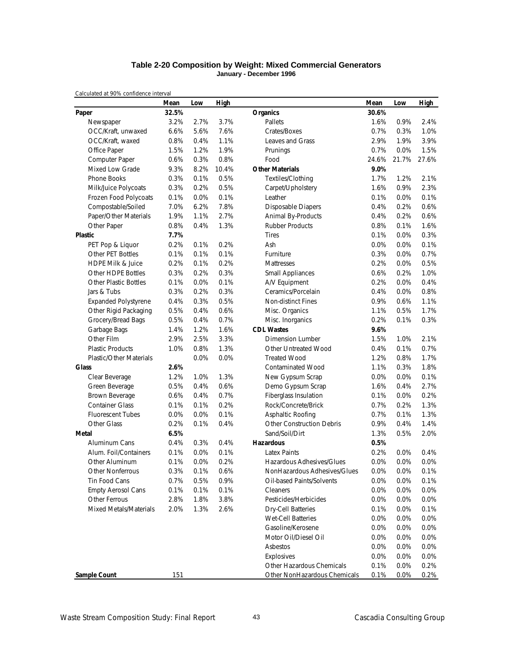### **Table 2-20 Composition by Weight: Mixed Commercial Generators January - December 1996**

|                                | Mean  | Low  | High  |                                  | Mean    | Low     | <b>High</b> |
|--------------------------------|-------|------|-------|----------------------------------|---------|---------|-------------|
| Paper                          | 32.5% |      |       | <b>Organics</b>                  | 30.6%   |         |             |
| Newspaper                      | 3.2%  | 2.7% | 3.7%  | Pallets                          | 1.6%    | 0.9%    | 2.4%        |
| OCC/Kraft, unwaxed             | 6.6%  | 5.6% | 7.6%  | Crates/Boxes                     | 0.7%    | 0.3%    | 1.0%        |
| OCC/Kraft, waxed               | 0.8%  | 0.4% | 1.1%  | Leaves and Grass                 | 2.9%    | 1.9%    | 3.9%        |
| Office Paper                   | 1.5%  | 1.2% | 1.9%  | Prunings                         | 0.7%    | 0.0%    | 1.5%        |
| Computer Paper                 | 0.6%  | 0.3% | 0.8%  | Food                             | 24.6%   | 21.7%   | 27.6%       |
| <b>Mixed Low Grade</b>         | 9.3%  | 8.2% | 10.4% | <b>Other Materials</b>           | 9.0%    |         |             |
| <b>Phone Books</b>             | 0.3%  | 0.1% | 0.5%  | Textiles/Clothing                | 1.7%    | 1.2%    | 2.1%        |
| Milk/Juice Polycoats           | 0.3%  | 0.2% | 0.5%  | Carpet/Upholstery                | 1.6%    | 0.9%    | 2.3%        |
| Frozen Food Polycoats          | 0.1%  | 0.0% | 0.1%  | Leather                          | 0.1%    | 0.0%    | 0.1%        |
| Compostable/Soiled             | 7.0%  | 6.2% | 7.8%  | <b>Disposable Diapers</b>        | 0.4%    | 0.2%    | 0.6%        |
| Paper/Other Materials          | 1.9%  | 1.1% | 2.7%  | Animal By-Products               | 0.4%    | 0.2%    | 0.6%        |
| Other Paper                    | 0.8%  | 0.4% | 1.3%  | <b>Rubber Products</b>           | 0.8%    | 0.1%    | 1.6%        |
| <b>Plastic</b>                 | 7.7%  |      |       | <b>Tires</b>                     | 0.1%    | 0.0%    | 0.3%        |
| PET Pop & Liquor               | 0.2%  | 0.1% | 0.2%  | Ash                              | 0.0%    | $0.0\%$ | 0.1%        |
| Other PET Bottles              | 0.1%  | 0.1% | 0.1%  | Furniture                        | 0.3%    | $0.0\%$ | 0.7%        |
| HDPE Milk & Juice              | 0.2%  | 0.1% | 0.2%  | Mattresses                       | 0.2%    | 0.0%    | 0.5%        |
| <b>Other HDPE Bottles</b>      | 0.3%  | 0.2% | 0.3%  | <b>Small Appliances</b>          | 0.6%    | 0.2%    | 1.0%        |
| <b>Other Plastic Bottles</b>   | 0.1%  | 0.0% | 0.1%  | A/V Equipment                    | 0.2%    | 0.0%    | 0.4%        |
| Jars & Tubs                    | 0.3%  | 0.2% | 0.3%  | Ceramics/Porcelain               | 0.4%    | 0.0%    | 0.8%        |
| <b>Expanded Polystyrene</b>    | 0.4%  | 0.3% | 0.5%  | Non-distinct Fines               | 0.9%    | 0.6%    | 1.1%        |
| Other Rigid Packaging          | 0.5%  | 0.4% | 0.6%  | Misc. Organics                   | 1.1%    | 0.5%    | 1.7%        |
| Grocery/Bread Bags             | 0.5%  | 0.4% | 0.7%  | Misc. Inorganics                 | 0.2%    | 0.1%    | 0.3%        |
| Garbage Bags                   | 1.4%  | 1.2% | 1.6%  | <b>CDL Wastes</b>                | 9.6%    |         |             |
| Other Film                     | 2.9%  | 2.5% | 3.3%  | <b>Dimension Lumber</b>          | 1.5%    | 1.0%    | 2.1%        |
| <b>Plastic Products</b>        | 1.0%  | 0.8% | 1.3%  | Other Untreated Wood             | 0.4%    | 0.1%    | 0.7%        |
| <b>Plastic/Other Materials</b> |       | 0.0% | 0.0%  | <b>Treated Wood</b>              | 1.2%    | 0.8%    | 1.7%        |
| <b>Glass</b>                   | 2.6%  |      |       | <b>Contaminated Wood</b>         | 1.1%    | 0.3%    | 1.8%        |
| Clear Beverage                 | 1.2%  | 1.0% | 1.3%  | New Gypsum Scrap                 | 0.0%    | 0.0%    | 0.1%        |
| Green Beverage                 | 0.5%  | 0.4% | 0.6%  | Demo Gypsum Scrap                | 1.6%    | 0.4%    | 2.7%        |
| Brown Beverage                 | 0.6%  | 0.4% | 0.7%  | Fiberglass Insulation            | 0.1%    | 0.0%    | 0.2%        |
| <b>Container Glass</b>         | 0.1%  | 0.1% | 0.2%  | Rock/Concrete/Brick              | 0.7%    | 0.2%    | 1.3%        |
| <b>Fluorescent Tubes</b>       | 0.0%  | 0.0% | 0.1%  | Asphaltic Roofing                | 0.7%    | 0.1%    | 1.3%        |
| Other Glass                    | 0.2%  | 0.1% | 0.4%  | <b>Other Construction Debris</b> | 0.9%    | 0.4%    | 1.4%        |
| Metal                          | 6.5%  |      |       | Sand/Soil/Dirt                   | 1.3%    | 0.5%    | 2.0%        |
| Aluminum Cans                  | 0.4%  | 0.3% | 0.4%  | <b>Hazardous</b>                 | 0.5%    |         |             |
| Alum. Foil/Containers          | 0.1%  | 0.0% | 0.1%  | <b>Latex Paints</b>              | 0.2%    | 0.0%    | 0.4%        |
| Other Aluminum                 | 0.1%  | 0.0% | 0.2%  | Hazardous Adhesives/Glues        | 0.0%    | 0.0%    | 0.0%        |
| Other Nonferrous               | 0.3%  | 0.1% | 0.6%  | NonHazardous Adhesives/Glues     | 0.0%    | 0.0%    | 0.1%        |
| Tin Food Cans                  | 0.7%  | 0.5% | 0.9%  | Oil-based Paints/Solvents        | $0.0\%$ | 0.0%    | 0.1%        |
| <b>Empty Aerosol Cans</b>      | 0.1%  | 0.1% | 0.1%  | Cleaners                         | 0.0%    | 0.0%    | 0.0%        |
| Other Ferrous                  | 2.8%  | 1.8% | 3.8%  | Pesticides/Herbicides            | 0.0%    | 0.0%    | 0.0%        |
| Mixed Metals/Materials         | 2.0%  | 1.3% | 2.6%  | <b>Dry-Cell Batteries</b>        | 0.1%    | 0.0%    | 0.1%        |
|                                |       |      |       | Wet-Cell Batteries               | 0.0%    | 0.0%    | 0.0%        |
|                                |       |      |       | Gasoline/Kerosene                | 0.0%    | 0.0%    | 0.0%        |
|                                |       |      |       | Motor Oil/Diesel Oil             | 0.0%    | 0.0%    | 0.0%        |
|                                |       |      |       | Asbestos                         | 0.0%    | 0.0%    | 0.0%        |
|                                |       |      |       | Explosives                       | 0.0%    | 0.0%    | 0.0%        |
|                                |       |      |       | Other Hazardous Chemicals        | 0.1%    | 0.0%    | 0.2%        |
| <b>Sample Count</b>            | 151   |      |       | Other NonHazardous Chemicals     | 0.1%    | 0.0%    | 0.2%        |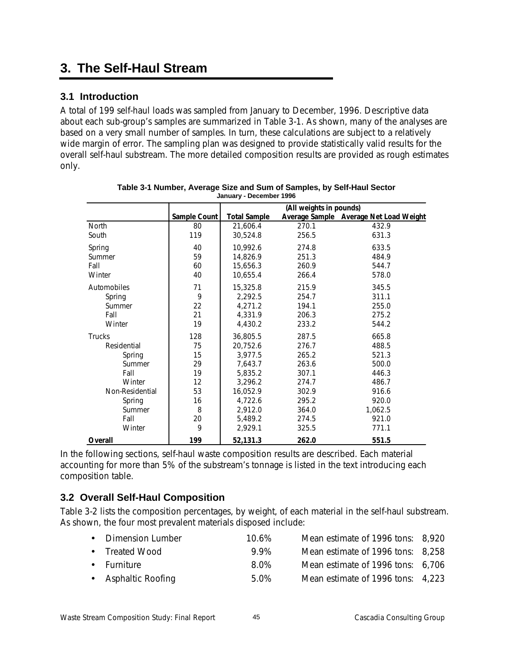# **3. The Self-Haul Stream**

## **3.1 Introduction**

A total of 199 self-haul loads was sampled from January to December, 1996. Descriptive data about each sub-group's samples are summarized in Table 3-1. As shown, many of the analyses are based on a very small number of samples. In turn, these calculations are subject to a relatively wide margin of error. The sampling plan was designed to provide statistically valid results for the overall self-haul substream. The more detailed composition results are provided as rough estimates only.

|                 |              |                     | (All weights in pounds) |                                        |
|-----------------|--------------|---------------------|-------------------------|----------------------------------------|
|                 | Sample Count | <b>Total Sample</b> |                         | Average Sample Average Net Load Weight |
| <b>North</b>    | 80           | 21,606.4            | 270.1                   | 432.9                                  |
| South           | 119          | 30,524.8            | 256.5                   | 631.3                                  |
| Spring          | 40           | 10,992.6            | 274.8                   | 633.5                                  |
| Summer          | 59           | 14,826.9            | 251.3                   | 484.9                                  |
| Fall            | 60           | 15,656.3            | 260.9                   | 544.7                                  |
| Winter          | 40           | 10,655.4            | 266.4                   | 578.0                                  |
| Automobiles     | 71           | 15,325.8            | 215.9                   | 345.5                                  |
| Spring          | 9            | 2,292.5             | 254.7                   | 311.1                                  |
| Summer          | 22           | 4,271.2             | 194.1                   | 255.0                                  |
| Fall            | 21           | 4,331.9             | 206.3                   | 275.2                                  |
| Winter          | 19           | 4,430.2             | 233.2                   | 544.2                                  |
| <b>Trucks</b>   | 128          | 36,805.5            | 287.5                   | 665.8                                  |
| Residential     | 75           | 20,752.6            | 276.7                   | 488.5                                  |
| Spring          | 15           | 3,977.5             | 265.2                   | 521.3                                  |
| Summer          | 29           | 7,643.7             | 263.6                   | 500.0                                  |
| Fall            | 19           | 5,835.2             | 307.1                   | 446.3                                  |
| Winter          | 12           | 3,296.2             | 274.7                   | 486.7                                  |
| Non-Residential | 53           | 16,052.9            | 302.9                   | 916.6                                  |
| Spring          | 16           | 4,722.6             | 295.2                   | 920.0                                  |
| Summer          | 8            | 2,912.0             | 364.0                   | 1,062.5                                |
| Fall            | 20           | 5,489.2             | 274.5                   | 921.0                                  |
| Winter          | 9            | 2,929.1             | 325.5                   | 771.1                                  |
| Overall         | 199          | 52,131.3            | 262.0                   | 551.5                                  |

| Table 3-1 Number, Average Size and Sum of Samples, by Self-Haul Sector |
|------------------------------------------------------------------------|
| January - December 1996                                                |

In the following sections, self-haul waste composition results are described. Each material accounting for more than 5% of the substream's tonnage is listed in the text introducing each composition table.

## **3.2 Overall Self-Haul Composition**

Table 3-2 lists the composition percentages, by weight, of each material in the self-haul substream. As shown, the four most prevalent materials disposed include:

| • Dimension Lumber  | $10.6\%$ | Mean estimate of 1996 tons: 8,920 |  |
|---------------------|----------|-----------------------------------|--|
| • Treated Wood      | 99%      | Mean estimate of 1996 tons: 8,258 |  |
| • Furniture         | 8.0%     | Mean estimate of 1996 tons: 6,706 |  |
| • Asphaltic Roofing | 5.0%     | Mean estimate of 1996 tons: 4,223 |  |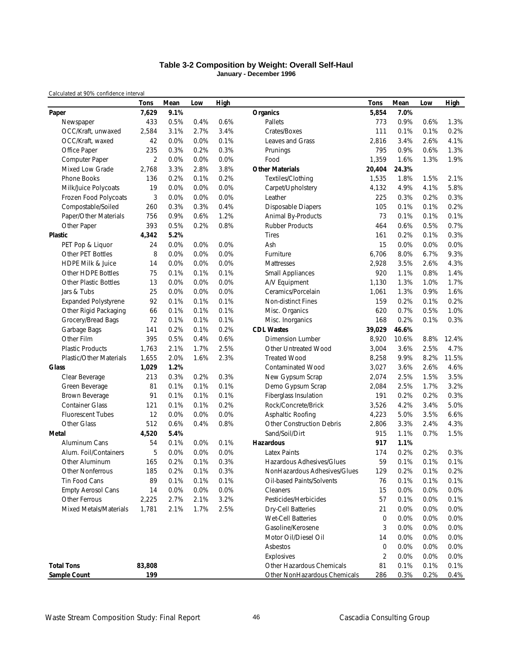### **Table 3-2 Composition by Weight: Overall Self-Haul January - December 1996**

|                                | <b>Tons</b>    | Mean | Low  | <b>High</b> |                                  | <b>Tons</b>    | Mean  | Low  | <b>High</b> |
|--------------------------------|----------------|------|------|-------------|----------------------------------|----------------|-------|------|-------------|
| Paper                          | 7,629          | 9.1% |      |             | <b>Organics</b>                  | 5,854          | 7.0%  |      |             |
| Newspaper                      | 433            | 0.5% | 0.4% | 0.6%        | Pallets                          | 773            | 0.9%  | 0.6% | 1.3%        |
| OCC/Kraft, unwaxed             | 2,584          | 3.1% | 2.7% | 3.4%        | Crates/Boxes                     | 111            | 0.1%  | 0.1% | 0.2%        |
| OCC/Kraft, waxed               | 42             | 0.0% | 0.0% | 0.1%        | Leaves and Grass                 | 2,816          | 3.4%  | 2.6% | 4.1%        |
| Office Paper                   | 235            | 0.3% | 0.2% | 0.3%        | Prunings                         | 795            | 0.9%  | 0.6% | 1.3%        |
| Computer Paper                 | $\overline{2}$ | 0.0% | 0.0% | 0.0%        | Food                             | 1,359          | 1.6%  | 1.3% | 1.9%        |
| Mixed Low Grade                | 2,768          | 3.3% | 2.8% | 3.8%        | <b>Other Materials</b>           | 20,404         | 24.3% |      |             |
| <b>Phone Books</b>             | 136            | 0.2% | 0.1% | 0.2%        | Textiles/Clothing                | 1,535          | 1.8%  | 1.5% | 2.1%        |
| Milk/Juice Polycoats           | 19             | 0.0% | 0.0% | 0.0%        | Carpet/Upholstery                | 4,132          | 4.9%  | 4.1% | 5.8%        |
| Frozen Food Polycoats          | 3              | 0.0% | 0.0% | 0.0%        | Leather                          | 225            | 0.3%  | 0.2% | 0.3%        |
| Compostable/Soiled             | 260            | 0.3% | 0.3% | 0.4%        | <b>Disposable Diapers</b>        | 105            | 0.1%  | 0.1% | 0.2%        |
| Paper/Other Materials          | 756            | 0.9% | 0.6% | 1.2%        | Animal By-Products               | 73             | 0.1%  | 0.1% | 0.1%        |
| Other Paper                    | 393            | 0.5% | 0.2% | 0.8%        | <b>Rubber Products</b>           | 464            | 0.6%  | 0.5% | 0.7%        |
| <b>Plastic</b>                 | 4,342          | 5.2% |      |             | <b>Tires</b>                     | 161            | 0.2%  | 0.1% | 0.3%        |
| PET Pop & Liquor               | 24             | 0.0% | 0.0% | 0.0%        | Ash                              | 15             | 0.0%  | 0.0% | 0.0%        |
| Other PET Bottles              | 8              | 0.0% | 0.0% | 0.0%        | Furniture                        | 6,706          | 8.0%  | 6.7% | 9.3%        |
| <b>HDPE Milk &amp; Juice</b>   | 14             | 0.0% | 0.0% | 0.0%        | Mattresses                       | 2,928          | 3.5%  | 2.6% | 4.3%        |
| Other HDPE Bottles             | 75             | 0.1% | 0.1% | 0.1%        | Small Appliances                 | 920            | 1.1%  | 0.8% | 1.4%        |
| <b>Other Plastic Bottles</b>   | 13             | 0.0% | 0.0% | 0.0%        | A/V Equipment                    | 1,130          | 1.3%  | 1.0% | 1.7%        |
| Jars & Tubs                    | 25             | 0.0% | 0.0% | 0.0%        | Ceramics/Porcelain               | 1,061          | 1.3%  | 0.9% | 1.6%        |
| <b>Expanded Polystyrene</b>    | 92             | 0.1% | 0.1% | 0.1%        | Non-distinct Fines               | 159            | 0.2%  | 0.1% | 0.2%        |
| Other Rigid Packaging          | 66             | 0.1% | 0.1% | 0.1%        | Misc. Organics                   | 620            | 0.7%  | 0.5% | 1.0%        |
| Grocery/Bread Bags             | 72             | 0.1% | 0.1% | 0.1%        | Misc. Inorganics                 | 168            | 0.2%  | 0.1% | 0.3%        |
| Garbage Bags                   | 141            | 0.2% | 0.1% | 0.2%        | <b>CDL Wastes</b>                | 39,029         | 46.6% |      |             |
| Other Film                     | 395            | 0.5% | 0.4% | 0.6%        | <b>Dimension Lumber</b>          | 8,920          | 10.6% | 8.8% | 12.4%       |
| <b>Plastic Products</b>        | 1,763          | 2.1% | 1.7% | 2.5%        | Other Untreated Wood             | 3,004          | 3.6%  | 2.5% | 4.7%        |
| <b>Plastic/Other Materials</b> | 1,655          | 2.0% | 1.6% | 2.3%        | <b>Treated Wood</b>              | 8,258          | 9.9%  | 8.2% | 11.5%       |
| Glass                          | 1,029          | 1.2% |      |             | <b>Contaminated Wood</b>         | 3,027          | 3.6%  | 2.6% | 4.6%        |
| Clear Beverage                 | 213            | 0.3% | 0.2% | 0.3%        | New Gypsum Scrap                 | 2,074          | 2.5%  | 1.5% | 3.5%        |
| Green Beverage                 | 81             | 0.1% | 0.1% | 0.1%        | Demo Gypsum Scrap                | 2,084          | 2.5%  | 1.7% | 3.2%        |
| Brown Beverage                 | 91             | 0.1% | 0.1% | 0.1%        | Fiberglass Insulation            | 191            | 0.2%  | 0.2% | 0.3%        |
| <b>Container Glass</b>         | 121            | 0.1% | 0.1% | 0.2%        | Rock/Concrete/Brick              | 3,526          | 4.2%  | 3.4% | 5.0%        |
| <b>Fluorescent Tubes</b>       | 12             | 0.0% | 0.0% | 0.0%        | Asphaltic Roofing                | 4,223          | 5.0%  | 3.5% | 6.6%        |
| Other Glass                    | 512            | 0.6% | 0.4% | 0.8%        | <b>Other Construction Debris</b> | 2,806          | 3.3%  | 2.4% | 4.3%        |
| Metal                          | 4,520          | 5.4% |      |             | Sand/Soil/Dirt                   | 915            | 1.1%  | 0.7% | 1.5%        |
| Aluminum Cans                  | 54             | 0.1% | 0.0% | 0.1%        | Hazardous                        | 917            | 1.1%  |      |             |
| Alum. Foil/Containers          | 5              | 0.0% | 0.0% | 0.0%        | Latex Paints                     | 174            | 0.2%  | 0.2% | 0.3%        |
| Other Aluminum                 | 165            | 0.2% | 0.1% | 0.3%        | Hazardous Adhesives/Glues        | 59             | 0.1%  | 0.1% | 0.1%        |
| <b>Other Nonferrous</b>        | 185            | 0.2% | 0.1% | 0.3%        | NonHazardous Adhesives/Glues     | 129            | 0.2%  | 0.1% | 0.2%        |
| Tin Food Cans                  | 89             | 0.1% | 0.1% | 0.1%        | Oil-based Paints/Solvents        | 76             | 0.1%  | 0.1% | 0.1%        |
| <b>Empty Aerosol Cans</b>      | 14             | 0.0% | 0.0% | 0.0%        | Cleaners                         | 15             | 0.0%  | 0.0% | 0.0%        |
| <b>Other Ferrous</b>           | 2,225          | 2.7% | 2.1% | 3.2%        | Pesticides/Herbicides            | 57             | 0.1%  | 0.0% | 0.1%        |
| Mixed Metals/Materials         | 1,781          | 2.1% | 1.7% | 2.5%        | <b>Dry-Cell Batteries</b>        | 21             | 0.0%  | 0.0% | 0.0%        |
|                                |                |      |      |             | <b>Wet-Cell Batteries</b>        | 0              | 0.0%  | 0.0% | 0.0%        |
|                                |                |      |      |             | Gasoline/Kerosene                | 3              | 0.0%  | 0.0% | 0.0%        |
|                                |                |      |      |             | Motor Oil/Diesel Oil             | 14             | 0.0%  | 0.0% | 0.0%        |
|                                |                |      |      |             | Asbestos                         | 0              | 0.0%  | 0.0% | 0.0%        |
|                                |                |      |      |             | Explosives                       | $\overline{2}$ | 0.0%  | 0.0% | 0.0%        |
| <b>Total Tons</b>              | 83,808         |      |      |             | Other Hazardous Chemicals        | 81             | 0.1%  | 0.1% | 0.1%        |
| Sample Count                   | 199            |      |      |             | Other NonHazardous Chemicals     | 286            | 0.3%  | 0.2% | 0.4%        |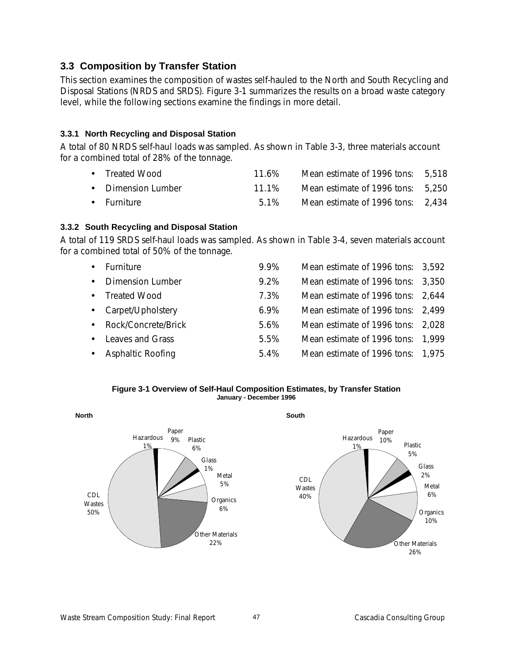## **3.3 Composition by Transfer Station**

This section examines the composition of wastes self-hauled to the North and South Recycling and Disposal Stations (NRDS and SRDS). Figure 3-1 summarizes the results on a broad waste category level, while the following sections examine the findings in more detail.

## **3.3.1 North Recycling and Disposal Station**

A total of 80 NRDS self-haul loads was sampled. As shown in Table 3-3, three materials account for a combined total of 28% of the tonnage.

| • Treated Wood     | $11.6\%$ | Mean estimate of 1996 tons: 5,518 |  |
|--------------------|----------|-----------------------------------|--|
| • Dimension Lumber | 11 1%    | Mean estimate of 1996 tons: 5,250 |  |
| • Furniture        | 5.1%     | Mean estimate of 1996 tons: 2,434 |  |

## **3.3.2 South Recycling and Disposal Station**

A total of 119 SRDS self-haul loads was sampled. As shown in Table 3-4, seven materials account for a combined total of 50% of the tonnage.

|           | Furniture                | 9.9%    | Mean estimate of 1996 tons: 3,592 |  |
|-----------|--------------------------|---------|-----------------------------------|--|
| $\bullet$ | <b>Dimension Lumber</b>  | 9.2%    | Mean estimate of 1996 tons: 3,350 |  |
| $\bullet$ | <b>Treated Wood</b>      | 7.3%    | Mean estimate of 1996 tons: 2,644 |  |
|           | • Carpet/Upholstery      | $6.9\%$ | Mean estimate of 1996 tons: 2,499 |  |
| $\bullet$ | Rock/Concrete/Brick      | 5.6%    | Mean estimate of 1996 tons: 2,028 |  |
| $\bullet$ | Leaves and Grass         | 5.5%    | Mean estimate of 1996 tons: 1,999 |  |
| $\bullet$ | <b>Asphaltic Roofing</b> | 5.4%    | Mean estimate of 1996 tons: 1,975 |  |



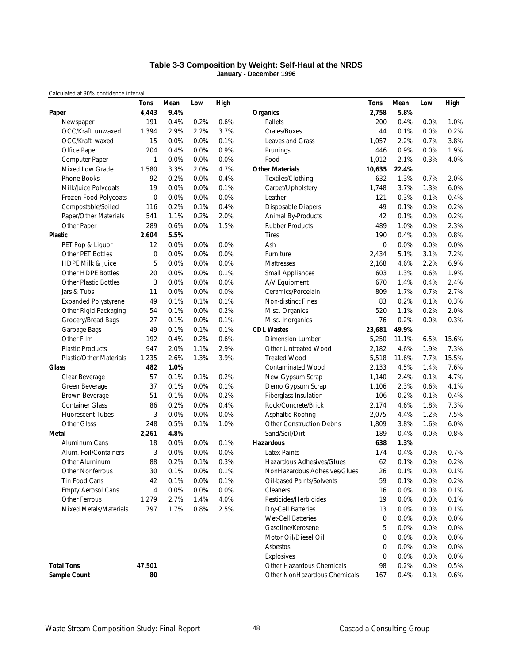### **Table 3-3 Composition by Weight: Self-Haul at the NRDS January - December 1996**

|                              | <b>Tons</b> | Mean | Low  | <b>High</b> |                                  | Tons        | Mean  | Low  | <b>High</b> |
|------------------------------|-------------|------|------|-------------|----------------------------------|-------------|-------|------|-------------|
| Paper                        | 4,443       | 9.4% |      |             | <b>Organics</b>                  | 2,758       | 5.8%  |      |             |
| Newspaper                    | 191         | 0.4% | 0.2% | 0.6%        | Pallets                          | 200         | 0.4%  | 0.0% | 1.0%        |
| OCC/Kraft, unwaxed           | 1,394       | 2.9% | 2.2% | 3.7%        | Crates/Boxes                     | 44          | 0.1%  | 0.0% | 0.2%        |
| OCC/Kraft, waxed             | 15          | 0.0% | 0.0% | 0.1%        | <b>Leaves and Grass</b>          | 1,057       | 2.2%  | 0.7% | 3.8%        |
| Office Paper                 | 204         | 0.4% | 0.0% | 0.9%        | Prunings                         | 446         | 0.9%  | 0.0% | 1.9%        |
| Computer Paper               | 1           | 0.0% | 0.0% | 0.0%        | Food                             | 1,012       | 2.1%  | 0.3% | 4.0%        |
| Mixed Low Grade              | 1,580       | 3.3% | 2.0% | 4.7%        | <b>Other Materials</b>           | 10,635      | 22.4% |      |             |
| Phone Books                  | 92          | 0.2% | 0.0% | 0.4%        | Textiles/Clothing                | 632         | 1.3%  | 0.7% | 2.0%        |
| Milk/Juice Polycoats         | 19          | 0.0% | 0.0% | 0.1%        | Carpet/Upholstery                | 1,748       | 3.7%  | 1.3% | 6.0%        |
| Frozen Food Polycoats        | 0           | 0.0% | 0.0% | 0.0%        | Leather                          | 121         | 0.3%  | 0.1% | 0.4%        |
| Compostable/Soiled           | 116         | 0.2% | 0.1% | 0.4%        | <b>Disposable Diapers</b>        | 49          | 0.1%  | 0.0% | 0.2%        |
| Paper/Other Materials        | 541         | 1.1% | 0.2% | 2.0%        | Animal By-Products               | 42          | 0.1%  | 0.0% | 0.2%        |
| Other Paper                  | 289         | 0.6% | 0.0% | 1.5%        | <b>Rubber Products</b>           | 489         | 1.0%  | 0.0% | 2.3%        |
| Plastic                      | 2,604       | 5.5% |      |             | <b>Tires</b>                     | 190         | 0.4%  | 0.0% | 0.8%        |
| PET Pop & Liquor             | 12          | 0.0% | 0.0% | 0.0%        | Ash                              | $\mathbf 0$ | 0.0%  | 0.0% | 0.0%        |
| <b>Other PET Bottles</b>     | 0           | 0.0% | 0.0% | 0.0%        | Furniture                        | 2,434       | 5.1%  | 3.1% | 7.2%        |
| <b>HDPE Milk &amp; Juice</b> | 5           | 0.0% | 0.0% | 0.0%        | Mattresses                       | 2,168       | 4.6%  | 2.2% | 6.9%        |
| Other HDPE Bottles           | 20          | 0.0% | 0.0% | 0.1%        | <b>Small Appliances</b>          | 603         | 1.3%  | 0.6% | 1.9%        |
| <b>Other Plastic Bottles</b> | 3           | 0.0% | 0.0% | 0.0%        | A/V Equipment                    | 670         | 1.4%  | 0.4% | 2.4%        |
| Jars & Tubs                  | 11          | 0.0% | 0.0% | 0.0%        | Ceramics/Porcelain               | 809         | 1.7%  | 0.7% | 2.7%        |
| <b>Expanded Polystyrene</b>  | 49          | 0.1% | 0.1% | 0.1%        | <b>Non-distinct Fines</b>        | 83          | 0.2%  | 0.1% | 0.3%        |
| Other Rigid Packaging        | 54          | 0.1% | 0.0% | 0.2%        | Misc. Organics                   | 520         | 1.1%  | 0.2% | 2.0%        |
| Grocery/Bread Bags           | 27          | 0.1% | 0.0% | 0.1%        | Misc. Inorganics                 | 76          | 0.2%  | 0.0% | 0.3%        |
| Garbage Bags                 | 49          | 0.1% | 0.1% | 0.1%        | <b>CDL Wastes</b>                | 23,681      | 49.9% |      |             |
| Other Film                   | 192         | 0.4% | 0.2% | 0.6%        | <b>Dimension Lumber</b>          | 5,250       | 11.1% | 6.5% | 15.6%       |
| <b>Plastic Products</b>      | 947         | 2.0% | 1.1% | 2.9%        | Other Untreated Wood             | 2,182       | 4.6%  | 1.9% | 7.3%        |
| Plastic/Other Materials      | 1,235       | 2.6% | 1.3% | 3.9%        | <b>Treated Wood</b>              | 5,518       | 11.6% | 7.7% | 15.5%       |
| <b>Glass</b>                 | 482         | 1.0% |      |             | <b>Contaminated Wood</b>         | 2,133       | 4.5%  | 1.4% | 7.6%        |
| Clear Beverage               | 57          | 0.1% | 0.1% | 0.2%        | New Gypsum Scrap                 | 1,140       | 2.4%  | 0.1% | 4.7%        |
| Green Beverage               | 37          | 0.1% | 0.0% | 0.1%        | Demo Gypsum Scrap                | 1,106       | 2.3%  | 0.6% | 4.1%        |
| Brown Beverage               | 51          | 0.1% | 0.0% | 0.2%        | Fiberglass Insulation            | 106         | 0.2%  | 0.1% | 0.4%        |
| <b>Container Glass</b>       | 86          | 0.2% | 0.0% | 0.4%        | Rock/Concrete/Brick              | 2,174       | 4.6%  | 1.8% | 7.3%        |
| <b>Fluorescent Tubes</b>     | 3           | 0.0% | 0.0% | 0.0%        | Asphaltic Roofing                | 2,075       | 4.4%  | 1.2% | 7.5%        |
| Other Glass                  | 248         | 0.5% | 0.1% | 1.0%        | <b>Other Construction Debris</b> | 1,809       | 3.8%  | 1.6% | 6.0%        |
| <b>Metal</b>                 | 2,261       | 4.8% |      |             | Sand/Soil/Dirt                   | 189         | 0.4%  | 0.0% | 0.8%        |
| Aluminum Cans                | 18          | 0.0% | 0.0% | 0.1%        | <b>Hazardous</b>                 | 638         | 1.3%  |      |             |
| Alum. Foil/Containers        | 3           | 0.0% | 0.0% | 0.0%        | <b>Latex Paints</b>              | 174         | 0.4%  | 0.0% | 0.7%        |
| Other Aluminum               | 88          | 0.2% | 0.1% | 0.3%        | Hazardous Adhesives/Glues        | 62          | 0.1%  | 0.0% | 0.2%        |
| <b>Other Nonferrous</b>      | 30          | 0.1% | 0.0% | 0.1%        | NonHazardous Adhesives/Glues     | 26          | 0.1%  | 0.0% | 0.1%        |
| Tin Food Cans                | 42          | 0.1% | 0.0% | 0.1%        | Oil-based Paints/Solvents        | 59          | 0.1%  | 0.0% | 0.2%        |
| <b>Empty Aerosol Cans</b>    | 4           | 0.0% | 0.0% | 0.0%        | Cleaners                         | 16          | 0.0%  | 0.0% | 0.1%        |
| Other Ferrous                | 1,279       | 2.7% | 1.4% | 4.0%        | Pesticides/Herbicides            | 19          | 0.0%  | 0.0% | 0.1%        |
| Mixed Metals/Materials       | 797         | 1.7% | 0.8% | 2.5%        | <b>Dry-Cell Batteries</b>        | 13          | 0.0%  | 0.0% | 0.1%        |
|                              |             |      |      |             | Wet-Cell Batteries               | 0           | 0.0%  | 0.0% | 0.0%        |
|                              |             |      |      |             | Gasoline/Kerosene                | 5           | 0.0%  | 0.0% | 0.0%        |
|                              |             |      |      |             | Motor Oil/Diesel Oil             | $\mathbf 0$ | 0.0%  | 0.0% | 0.0%        |
|                              |             |      |      |             | Asbestos                         | 0           | 0.0%  | 0.0% | 0.0%        |
|                              |             |      |      |             | Explosives                       | 0           | 0.0%  | 0.0% | 0.0%        |
| <b>Total Tons</b>            | 47,501      |      |      |             | Other Hazardous Chemicals        | 98          | 0.2%  | 0.0% | 0.5%        |
| Sample Count                 | 80          |      |      |             | Other NonHazardous Chemicals     | 167         | 0.4%  | 0.1% | 0.6%        |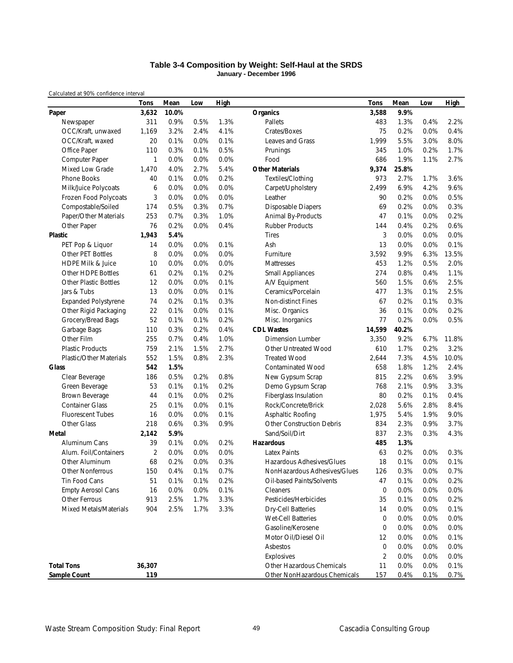### **Table 3-4 Composition by Weight: Self-Haul at the SRDS January - December 1996**

|                              | <b>Tons</b>    | Mean  | Low  | <b>High</b> |                                  | Tons           | Mean  | Low  | <b>High</b> |
|------------------------------|----------------|-------|------|-------------|----------------------------------|----------------|-------|------|-------------|
| Paper                        | 3,632          | 10.0% |      |             | Organics                         | 3,588          | 9.9%  |      |             |
| Newspaper                    | 311            | 0.9%  | 0.5% | 1.3%        | Pallets                          | 483            | 1.3%  | 0.4% | 2.2%        |
| OCC/Kraft, unwaxed           | 1,169          | 3.2%  | 2.4% | 4.1%        | Crates/Boxes                     | 75             | 0.2%  | 0.0% | 0.4%        |
| OCC/Kraft, waxed             | 20             | 0.1%  | 0.0% | 0.1%        | <b>Leaves and Grass</b>          | 1,999          | 5.5%  | 3.0% | 8.0%        |
| Office Paper                 | 110            | 0.3%  | 0.1% | 0.5%        | Prunings                         | 345            | 1.0%  | 0.2% | 1.7%        |
| Computer Paper               | 1              | 0.0%  | 0.0% | 0.0%        | Food                             | 686            | 1.9%  | 1.1% | 2.7%        |
| Mixed Low Grade              | 1,470          | 4.0%  | 2.7% | 5.4%        | <b>Other Materials</b>           | 9,374          | 25.8% |      |             |
| Phone Books                  | 40             | 0.1%  | 0.0% | 0.2%        | Textiles/Clothing                | 973            | 2.7%  | 1.7% | 3.6%        |
| Milk/Juice Polycoats         | 6              | 0.0%  | 0.0% | 0.0%        | Carpet/Upholstery                | 2,499          | 6.9%  | 4.2% | 9.6%        |
| Frozen Food Polycoats        | 3              | 0.0%  | 0.0% | 0.0%        | Leather                          | 90             | 0.2%  | 0.0% | 0.5%        |
| Compostable/Soiled           | 174            | 0.5%  | 0.3% | 0.7%        | <b>Disposable Diapers</b>        | 69             | 0.2%  | 0.0% | 0.3%        |
| Paper/Other Materials        | 253            | 0.7%  | 0.3% | 1.0%        | Animal By-Products               | 47             | 0.1%  | 0.0% | 0.2%        |
| Other Paper                  | 76             | 0.2%  | 0.0% | 0.4%        | <b>Rubber Products</b>           | 144            | 0.4%  | 0.2% | 0.6%        |
| <b>Plastic</b>               | 1,943          | 5.4%  |      |             | <b>Tires</b>                     | 3              | 0.0%  | 0.0% | 0.0%        |
| PET Pop & Liquor             | 14             | 0.0%  | 0.0% | 0.1%        | Ash                              | 13             | 0.0%  | 0.0% | 0.1%        |
| <b>Other PET Bottles</b>     | 8              | 0.0%  | 0.0% | 0.0%        | Furniture                        | 3,592          | 9.9%  | 6.3% | 13.5%       |
| <b>HDPE Milk &amp; Juice</b> | 10             | 0.0%  | 0.0% | 0.0%        | Mattresses                       | 453            | 1.2%  | 0.5% | 2.0%        |
| Other HDPE Bottles           | 61             | 0.2%  | 0.1% | 0.2%        | <b>Small Appliances</b>          | 274            | 0.8%  | 0.4% | 1.1%        |
| <b>Other Plastic Bottles</b> | 12             | 0.0%  | 0.0% | 0.1%        | A/V Equipment                    | 560            | 1.5%  | 0.6% | 2.5%        |
| Jars & Tubs                  | 13             | 0.0%  | 0.0% | 0.1%        | Ceramics/Porcelain               | 477            | 1.3%  | 0.1% | 2.5%        |
| <b>Expanded Polystyrene</b>  | 74             | 0.2%  | 0.1% | 0.3%        | <b>Non-distinct Fines</b>        | 67             | 0.2%  | 0.1% | 0.3%        |
| Other Rigid Packaging        | 22             | 0.1%  | 0.0% | 0.1%        | Misc. Organics                   | 36             | 0.1%  | 0.0% | 0.2%        |
| Grocery/Bread Bags           | 52             | 0.1%  | 0.1% | 0.2%        | Misc. Inorganics                 | 77             | 0.2%  | 0.0% | 0.5%        |
| Garbage Bags                 | 110            | 0.3%  | 0.2% | 0.4%        | <b>CDL Wastes</b>                | 14,599         | 40.2% |      |             |
| Other Film                   | 255            | 0.7%  | 0.4% | 1.0%        | <b>Dimension Lumber</b>          | 3,350          | 9.2%  | 6.7% | 11.8%       |
| <b>Plastic Products</b>      | 759            | 2.1%  | 1.5% | 2.7%        | Other Untreated Wood             | 610            | 1.7%  | 0.2% | 3.2%        |
| Plastic/Other Materials      | 552            | 1.5%  | 0.8% | 2.3%        | <b>Treated Wood</b>              | 2,644          | 7.3%  | 4.5% | 10.0%       |
| <b>Glass</b>                 | 542            | 1.5%  |      |             | <b>Contaminated Wood</b>         | 658            | 1.8%  | 1.2% | 2.4%        |
| Clear Beverage               | 186            | 0.5%  | 0.2% | 0.8%        | New Gypsum Scrap                 | 815            | 2.2%  | 0.6% | 3.9%        |
| Green Beverage               | 53             | 0.1%  | 0.1% | 0.2%        | Demo Gypsum Scrap                | 768            | 2.1%  | 0.9% | 3.3%        |
| Brown Beverage               | 44             | 0.1%  | 0.0% | 0.2%        | Fiberglass Insulation            | 80             | 0.2%  | 0.1% | 0.4%        |
| <b>Container Glass</b>       | 25             | 0.1%  | 0.0% | 0.1%        | Rock/Concrete/Brick              | 2,028          | 5.6%  | 2.8% | 8.4%        |
| <b>Fluorescent Tubes</b>     | 16             | 0.0%  | 0.0% | 0.1%        | Asphaltic Roofing                | 1,975          | 5.4%  | 1.9% | 9.0%        |
| Other Glass                  | 218            | 0.6%  | 0.3% | 0.9%        | <b>Other Construction Debris</b> | 834            | 2.3%  | 0.9% | 3.7%        |
| Metal                        | 2,142          | 5.9%  |      |             | Sand/Soil/Dirt                   | 837            | 2.3%  | 0.3% | 4.3%        |
| Aluminum Cans                | 39             | 0.1%  | 0.0% | 0.2%        | <b>Hazardous</b>                 | 485            | 1.3%  |      |             |
| Alum. Foil/Containers        | $\overline{2}$ | 0.0%  | 0.0% | 0.0%        | <b>Latex Paints</b>              | 63             | 0.2%  | 0.0% | 0.3%        |
| Other Aluminum               | 68             | 0.2%  | 0.0% | 0.3%        | Hazardous Adhesives/Glues        | 18             | 0.1%  | 0.0% | 0.1%        |
| <b>Other Nonferrous</b>      | 150            | 0.4%  | 0.1% | 0.7%        | NonHazardous Adhesives/Glues     | 126            | 0.3%  | 0.0% | 0.7%        |
| Tin Food Cans                | 51             | 0.1%  | 0.1% | 0.2%        | Oil-based Paints/Solvents        | 47             | 0.1%  | 0.0% | 0.2%        |
| <b>Empty Aerosol Cans</b>    | 16             | 0.0%  | 0.0% | 0.1%        | Cleaners                         | 0              | 0.0%  | 0.0% | 0.0%        |
| Other Ferrous                | 913            | 2.5%  | 1.7% | 3.3%        | Pesticides/Herbicides            | 35             | 0.1%  | 0.0% | 0.2%        |
| Mixed Metals/Materials       | 904            | 2.5%  | 1.7% | 3.3%        | <b>Dry-Cell Batteries</b>        | 14             | 0.0%  | 0.0% | 0.1%        |
|                              |                |       |      |             | Wet-Cell Batteries               | 0              | 0.0%  | 0.0% | 0.0%        |
|                              |                |       |      |             | Gasoline/Kerosene                | 0              | 0.0%  | 0.0% | 0.0%        |
|                              |                |       |      |             | Motor Oil/Diesel Oil             | 12             | 0.0%  | 0.0% | 0.1%        |
|                              |                |       |      |             | Asbestos                         | 0              | 0.0%  | 0.0% | 0.0%        |
|                              |                |       |      |             | Explosives                       | $\overline{2}$ | 0.0%  | 0.0% | 0.0%        |
| <b>Total Tons</b>            | 36,307         |       |      |             | Other Hazardous Chemicals        | 11             | 0.0%  | 0.0% | 0.1%        |
| Sample Count                 | 119            |       |      |             | Other NonHazardous Chemicals     | 157            | 0.4%  | 0.1% | 0.7%        |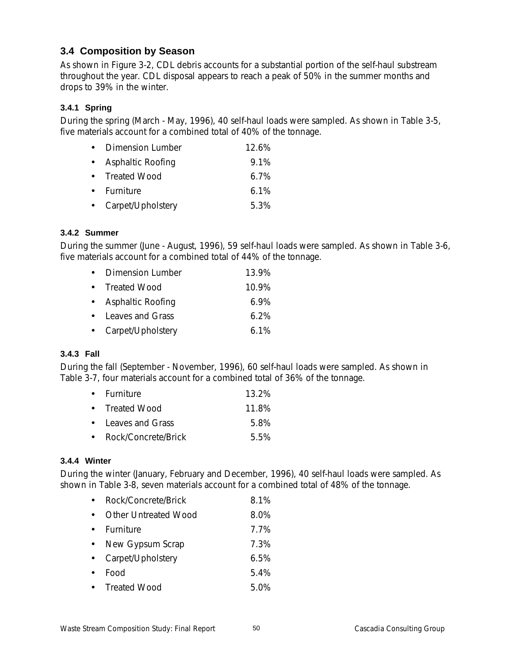## **3.4 Composition by Season**

As shown in Figure 3-2, CDL debris accounts for a substantial portion of the self-haul substream throughout the year. CDL disposal appears to reach a peak of 50% in the summer months and drops to 39% in the winter.

## **3.4.1 Spring**

During the spring (March - May, 1996), 40 self-haul loads were sampled. As shown in Table 3-5, five materials account for a combined total of 40% of the tonnage.

| $\bullet$ | Dimension Lumber    | $12.6\%$ |
|-----------|---------------------|----------|
| $\bullet$ | Asphaltic Roofing   | $9.1\%$  |
|           | • Treated Wood      | $6.7\%$  |
|           | • Furniture         | $6.1\%$  |
|           | • Carpet/Upholstery | 5.3%     |

## **3.4.2 Summer**

During the summer (June - August, 1996), 59 self-haul loads were sampled. As shown in Table 3-6, five materials account for a combined total of 44% of the tonnage.

|                     | 13.9%                   |
|---------------------|-------------------------|
| • Treated Wood      | $10.9\%$                |
| • Asphaltic Roofing | $6.9\%$                 |
| • Leaves and Grass  | $6.2\%$                 |
| • Carpet/Upholstery | $6.1\%$                 |
|                     | <b>Dimension Lumber</b> |

## **3.4.3 Fall**

During the fall (September - November, 1996), 60 self-haul loads were sampled. As shown in Table 3-7, four materials account for a combined total of 36% of the tonnage.

| $\bullet$ Furniture   | 13.2% |
|-----------------------|-------|
| • Treated Wood        | 11.8% |
| • Leaves and Grass    | 5.8%  |
| • Rock/Concrete/Brick | 5.5%  |

## **3.4.4 Winter**

During the winter (January, February and December, 1996), 40 self-haul loads were sampled. As shown in Table 3-8, seven materials account for a combined total of 48% of the tonnage.

| Rock/Concrete/Brick  | 8.1% |
|----------------------|------|
| Other Untreated Wood | 8.0% |
| Furniture            | 7.7% |
| New Gypsum Scrap     | 7.3% |
| Carpet/Upholstery    | 6.5% |
| Food                 | 5.4% |
| • Treated Wood       | 5.0% |
|                      |      |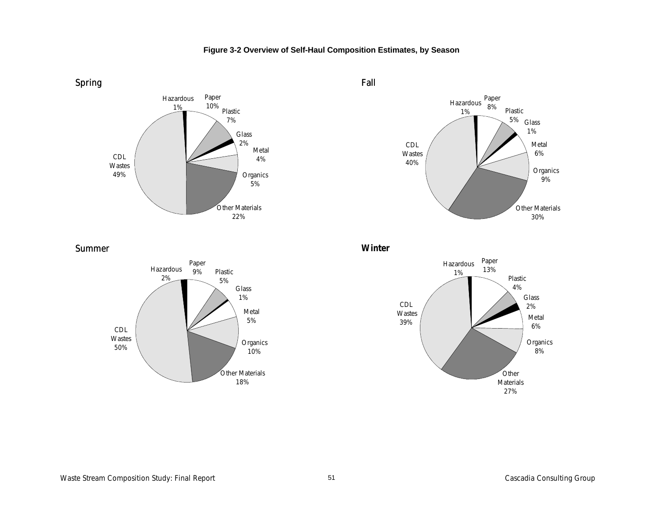

## **Figure 3-2 Overview of Self-Haul Composition Estimates, by Season**



Summer



**Winter**

Fall

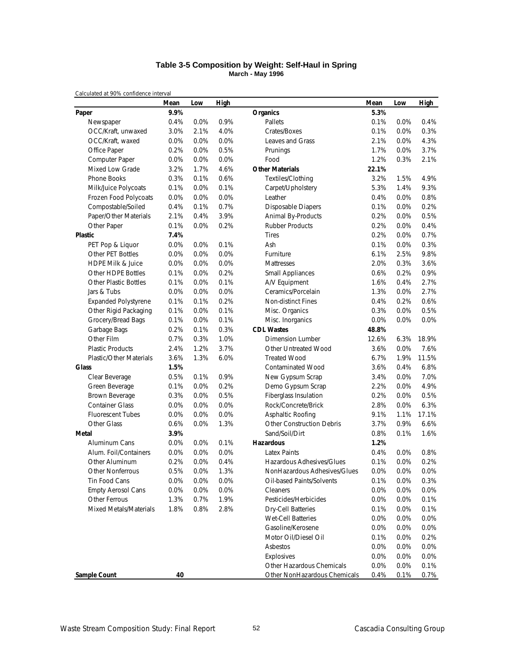### **Table 3-5 Composition by Weight: Self-Haul in Spring March - May 1996**

|                                | Mean | Low  | <b>High</b> |                                  | Mean  | Low  | <b>High</b> |
|--------------------------------|------|------|-------------|----------------------------------|-------|------|-------------|
| Paper                          | 9.9% |      |             | <b>Organics</b>                  | 5.3%  |      |             |
| Newspaper                      | 0.4% | 0.0% | 0.9%        | Pallets                          | 0.1%  | 0.0% | 0.4%        |
| OCC/Kraft, unwaxed             | 3.0% | 2.1% | 4.0%        | Crates/Boxes                     | 0.1%  | 0.0% | 0.3%        |
| OCC/Kraft, waxed               | 0.0% | 0.0% | 0.0%        | Leaves and Grass                 | 2.1%  | 0.0% | 4.3%        |
| Office Paper                   | 0.2% | 0.0% | 0.5%        | Prunings                         | 1.7%  | 0.0% | 3.7%        |
| Computer Paper                 | 0.0% | 0.0% | 0.0%        | Food                             | 1.2%  | 0.3% | 2.1%        |
| Mixed Low Grade                | 3.2% | 1.7% | 4.6%        | <b>Other Materials</b>           | 22.1% |      |             |
| Phone Books                    | 0.3% | 0.1% | 0.6%        | Textiles/Clothing                | 3.2%  | 1.5% | 4.9%        |
| Milk/Juice Polycoats           | 0.1% | 0.0% | 0.1%        | Carpet/Upholstery                | 5.3%  | 1.4% | 9.3%        |
| Frozen Food Polycoats          | 0.0% | 0.0% | 0.0%        | Leather                          | 0.4%  | 0.0% | 0.8%        |
| Compostable/Soiled             | 0.4% | 0.1% | 0.7%        | <b>Disposable Diapers</b>        | 0.1%  | 0.0% | 0.2%        |
| Paper/Other Materials          | 2.1% | 0.4% | 3.9%        | Animal By-Products               | 0.2%  | 0.0% | 0.5%        |
| Other Paper                    | 0.1% | 0.0% | 0.2%        | <b>Rubber Products</b>           | 0.2%  | 0.0% | 0.4%        |
| Plastic                        | 7.4% |      |             | <b>Tires</b>                     | 0.2%  | 0.0% | 0.7%        |
| PET Pop & Liquor               | 0.0% | 0.0% | 0.1%        | Ash                              | 0.1%  | 0.0% | 0.3%        |
| Other PET Bottles              | 0.0% | 0.0% | 0.0%        | Furniture                        | 6.1%  | 2.5% | 9.8%        |
| <b>HDPE Milk &amp; Juice</b>   | 0.0% | 0.0% | 0.0%        | Mattresses                       | 2.0%  | 0.3% | 3.6%        |
| Other HDPE Bottles             | 0.1% | 0.0% | 0.2%        | <b>Small Appliances</b>          | 0.6%  | 0.2% | 0.9%        |
| <b>Other Plastic Bottles</b>   | 0.1% | 0.0% | 0.1%        | A/V Equipment                    | 1.6%  | 0.4% | 2.7%        |
| Jars & Tubs                    | 0.0% | 0.0% | 0.0%        | Ceramics/Porcelain               | 1.3%  | 0.0% | 2.7%        |
| <b>Expanded Polystyrene</b>    | 0.1% | 0.1% | 0.2%        | Non-distinct Fines               | 0.4%  | 0.2% | 0.6%        |
| Other Rigid Packaging          | 0.1% | 0.0% | 0.1%        | Misc. Organics                   | 0.3%  | 0.0% | 0.5%        |
| Grocery/Bread Bags             | 0.1% | 0.0% | 0.1%        | Misc. Inorganics                 | 0.0%  | 0.0% | 0.0%        |
| Garbage Bags                   | 0.2% | 0.1% | 0.3%        | <b>CDL Wastes</b>                | 48.8% |      |             |
| Other Film                     | 0.7% | 0.3% | 1.0%        | Dimension Lumber                 | 12.6% | 6.3% | 18.9%       |
| <b>Plastic Products</b>        | 2.4% | 1.2% | 3.7%        | Other Untreated Wood             | 3.6%  | 0.0% | 7.6%        |
| <b>Plastic/Other Materials</b> | 3.6% | 1.3% | 6.0%        | <b>Treated Wood</b>              | 6.7%  | 1.9% | 11.5%       |
| <b>Glass</b>                   | 1.5% |      |             | <b>Contaminated Wood</b>         | 3.6%  | 0.4% | 6.8%        |
| Clear Beverage                 | 0.5% | 0.1% | 0.9%        | New Gypsum Scrap                 | 3.4%  | 0.0% | 7.0%        |
| Green Beverage                 | 0.1% | 0.0% | 0.2%        | Demo Gypsum Scrap                | 2.2%  | 0.0% | 4.9%        |
| Brown Beverage                 | 0.3% | 0.0% | 0.5%        | Fiberglass Insulation            | 0.2%  | 0.0% | 0.5%        |
| <b>Container Glass</b>         | 0.0% | 0.0% | 0.0%        | Rock/Concrete/Brick              | 2.8%  | 0.0% | 6.3%        |
| <b>Fluorescent Tubes</b>       | 0.0% | 0.0% | 0.0%        | Asphaltic Roofing                | 9.1%  | 1.1% | 17.1%       |
| Other Glass                    | 0.6% | 0.0% | 1.3%        | <b>Other Construction Debris</b> | 3.7%  | 0.9% | 6.6%        |
| Metal                          | 3.9% |      |             | Sand/Soil/Dirt                   | 0.8%  | 0.1% | 1.6%        |
| Aluminum Cans                  | 0.0% | 0.0% | 0.1%        | <b>Hazardous</b>                 | 1.2%  |      |             |
| Alum. Foil/Containers          | 0.0% | 0.0% | 0.0%        | <b>Latex Paints</b>              | 0.4%  | 0.0% | 0.8%        |
| Other Aluminum                 | 0.2% | 0.0% | 0.4%        | Hazardous Adhesives/Glues        | 0.1%  | 0.0% | 0.2%        |
| <b>Other Nonferrous</b>        | 0.5% | 0.0% | 1.3%        | NonHazardous Adhesives/Glues     | 0.0%  | 0.0% | 0.0%        |
| Tin Food Cans                  | 0.0% | 0.0% | 0.0%        | Oil-based Paints/Solvents        | 0.1%  | 0.0% | 0.3%        |
| <b>Empty Aerosol Cans</b>      | 0.0% | 0.0% | 0.0%        | Cleaners                         | 0.0%  | 0.0% | 0.0%        |
| Other Ferrous                  | 1.3% | 0.7% | 1.9%        | Pesticides/Herbicides            | 0.0%  | 0.0% | 0.1%        |
| Mixed Metals/Materials         | 1.8% | 0.8% | 2.8%        | <b>Dry-Cell Batteries</b>        | 0.1%  | 0.0% | 0.1%        |
|                                |      |      |             | Wet-Cell Batteries               | 0.0%  | 0.0% | 0.0%        |
|                                |      |      |             | Gasoline/Kerosene                | 0.0%  | 0.0% | 0.0%        |
|                                |      |      |             | Motor Oil/Diesel Oil             | 0.1%  | 0.0% | 0.2%        |
|                                |      |      |             | Asbestos                         | 0.0%  | 0.0% | 0.0%        |
|                                |      |      |             | Explosives                       | 0.0%  | 0.0% | 0.0%        |
|                                |      |      |             | Other Hazardous Chemicals        | 0.0%  | 0.0% | 0.1%        |
| Sample Count                   | 40   |      |             | Other NonHazardous Chemicals     | 0.4%  | 0.1% | 0.7%        |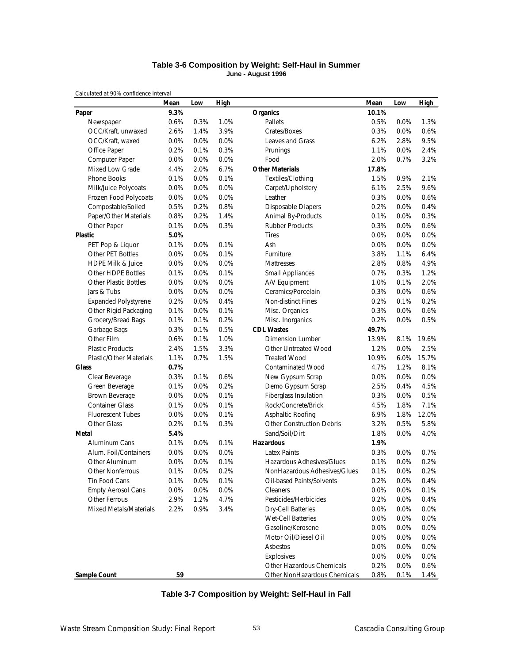### **Table 3-6 Composition by Weight: Self-Haul in Summer June - August 1996**

|                                | Mean | Low  | <b>High</b> |                                  | Mean    | Low  | <b>High</b> |
|--------------------------------|------|------|-------------|----------------------------------|---------|------|-------------|
| Paper                          | 9.3% |      |             | <b>Organics</b>                  | 10.1%   |      |             |
| Newspaper                      | 0.6% | 0.3% | 1.0%        | Pallets                          | 0.5%    | 0.0% | 1.3%        |
| OCC/Kraft, unwaxed             | 2.6% | 1.4% | 3.9%        | Crates/Boxes                     | 0.3%    | 0.0% | 0.6%        |
| OCC/Kraft, waxed               | 0.0% | 0.0% | 0.0%        | Leaves and Grass                 | 6.2%    | 2.8% | 9.5%        |
| Office Paper                   | 0.2% | 0.1% | 0.3%        | Prunings                         | 1.1%    | 0.0% | 2.4%        |
| Computer Paper                 | 0.0% | 0.0% | 0.0%        | Food                             | 2.0%    | 0.7% | 3.2%        |
| <b>Mixed Low Grade</b>         | 4.4% | 2.0% | 6.7%        | <b>Other Materials</b>           | 17.8%   |      |             |
| Phone Books                    | 0.1% | 0.0% | 0.1%        | Textiles/Clothing                | 1.5%    | 0.9% | 2.1%        |
| Milk/Juice Polycoats           | 0.0% | 0.0% | 0.0%        | Carpet/Upholstery                | 6.1%    | 2.5% | 9.6%        |
| Frozen Food Polycoats          | 0.0% | 0.0% | 0.0%        | Leather                          | 0.3%    | 0.0% | 0.6%        |
| Compostable/Soiled             | 0.5% | 0.2% | 0.8%        | <b>Disposable Diapers</b>        | 0.2%    | 0.0% | 0.4%        |
| Paper/Other Materials          | 0.8% | 0.2% | 1.4%        | Animal By-Products               | 0.1%    | 0.0% | 0.3%        |
| Other Paper                    | 0.1% | 0.0% | 0.3%        | <b>Rubber Products</b>           | 0.3%    | 0.0% | 0.6%        |
| <b>Plastic</b>                 | 5.0% |      |             | <b>Tires</b>                     | $0.0\%$ | 0.0% | 0.0%        |
| PET Pop & Liquor               | 0.1% | 0.0% | 0.1%        | Ash                              | 0.0%    | 0.0% | 0.0%        |
| Other PET Bottles              | 0.0% | 0.0% | 0.1%        | Furniture                        | 3.8%    | 1.1% | 6.4%        |
| <b>HDPE Milk &amp; Juice</b>   | 0.0% | 0.0% | 0.0%        | Mattresses                       | 2.8%    | 0.8% | 4.9%        |
| Other HDPE Bottles             | 0.1% | 0.0% | 0.1%        | <b>Small Appliances</b>          | 0.7%    | 0.3% | 1.2%        |
| <b>Other Plastic Bottles</b>   | 0.0% | 0.0% | 0.0%        | A/V Equipment                    | 1.0%    | 0.1% | 2.0%        |
| Jars & Tubs                    | 0.0% | 0.0% | 0.0%        | Ceramics/Porcelain               | 0.3%    | 0.0% | 0.6%        |
| <b>Expanded Polystyrene</b>    | 0.2% | 0.0% | 0.4%        | Non-distinct Fines               | 0.2%    | 0.1% | 0.2%        |
| Other Rigid Packaging          | 0.1% | 0.0% | 0.1%        | Misc. Organics                   | 0.3%    | 0.0% | 0.6%        |
| Grocery/Bread Bags             | 0.1% | 0.1% | 0.2%        | Misc. Inorganics                 | 0.2%    | 0.0% | 0.5%        |
| Garbage Bags                   | 0.3% | 0.1% | 0.5%        | <b>CDL Wastes</b>                | 49.7%   |      |             |
| Other Film                     | 0.6% | 0.1% | 1.0%        | <b>Dimension Lumber</b>          | 13.9%   | 8.1% | 19.6%       |
| <b>Plastic Products</b>        | 2.4% | 1.5% | 3.3%        | <b>Other Untreated Wood</b>      | 1.2%    | 0.0% | 2.5%        |
| <b>Plastic/Other Materials</b> | 1.1% | 0.7% | 1.5%        | <b>Treated Wood</b>              | 10.9%   | 6.0% | 15.7%       |
| <b>Glass</b>                   | 0.7% |      |             | <b>Contaminated Wood</b>         | 4.7%    | 1.2% | 8.1%        |
| Clear Beverage                 | 0.3% | 0.1% | 0.6%        | New Gypsum Scrap                 | 0.0%    | 0.0% | 0.0%        |
| Green Beverage                 | 0.1% | 0.0% | 0.2%        | Demo Gypsum Scrap                | 2.5%    | 0.4% | 4.5%        |
| Brown Beverage                 | 0.0% | 0.0% | 0.1%        | Fiberglass Insulation            | 0.3%    | 0.0% | 0.5%        |
| <b>Container Glass</b>         | 0.1% | 0.0% | 0.1%        | Rock/Concrete/Brick              | 4.5%    | 1.8% | 7.1%        |
| <b>Fluorescent Tubes</b>       | 0.0% | 0.0% | 0.1%        | Asphaltic Roofing                | 6.9%    | 1.8% | 12.0%       |
| <b>Other Glass</b>             | 0.2% | 0.1% | 0.3%        | <b>Other Construction Debris</b> | 3.2%    | 0.5% | 5.8%        |
| Metal                          | 5.4% |      |             | Sand/Soil/Dirt                   | 1.8%    | 0.0% | 4.0%        |
| Aluminum Cans                  | 0.1% | 0.0% | 0.1%        | <b>Hazardous</b>                 | 1.9%    |      |             |
| Alum. Foil/Containers          | 0.0% | 0.0% | 0.0%        | <b>Latex Paints</b>              | 0.3%    | 0.0% | 0.7%        |
| Other Aluminum                 | 0.0% | 0.0% | 0.1%        | Hazardous Adhesives/Glues        | 0.1%    | 0.0% | 0.2%        |
| <b>Other Nonferrous</b>        | 0.1% | 0.0% | 0.2%        | NonHazardous Adhesives/Glues     | 0.1%    | 0.0% | 0.2%        |
| Tin Food Cans                  | 0.1% | 0.0% | 0.1%        | Oil-based Paints/Solvents        | 0.2%    | 0.0% | 0.4%        |
| <b>Empty Aerosol Cans</b>      | 0.0% | 0.0% | 0.0%        | Cleaners                         | 0.0%    | 0.0% | 0.1%        |
| Other Ferrous                  | 2.9% | 1.2% | 4.7%        | Pesticides/Herbicides            | 0.2%    | 0.0% | 0.4%        |
| <b>Mixed Metals/Materials</b>  | 2.2% | 0.9% | 3.4%        | <b>Dry-Cell Batteries</b>        | 0.0%    | 0.0% | 0.0%        |
|                                |      |      |             | Wet-Cell Batteries               | 0.0%    | 0.0% | 0.0%        |
|                                |      |      |             | Gasoline/Kerosene                | 0.0%    | 0.0% | 0.0%        |
|                                |      |      |             | Motor Oil/Diesel Oil             | 0.0%    | 0.0% | 0.0%        |
|                                |      |      |             | Asbestos                         | 0.0%    | 0.0% | 0.0%        |
|                                |      |      |             | Explosives                       | 0.0%    | 0.0% | 0.0%        |
|                                |      |      |             | Other Hazardous Chemicals        | 0.2%    | 0.0% | 0.6%        |
| Sample Count                   | 59   |      |             | Other NonHazardous Chemicals     | 0.8%    | 0.1% | 1.4%        |

| Table 3-7 Composition by Weight: Self-Haul in Fall |
|----------------------------------------------------|
|----------------------------------------------------|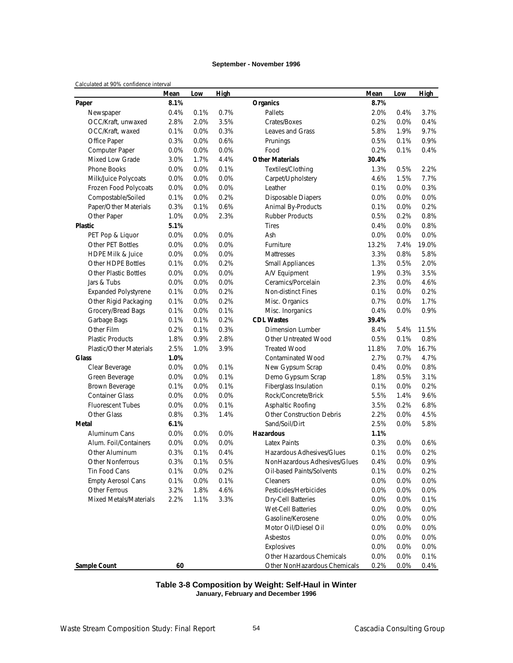### **September - November 1996**

### *Calculated at 90% confidence interval*

| parcarated at 7070 connactice interval | Mean | Low  | High |                                  | Mean    | Low  | <b>High</b> |
|----------------------------------------|------|------|------|----------------------------------|---------|------|-------------|
| Paper                                  | 8.1% |      |      | <b>Organics</b>                  | 8.7%    |      |             |
| Newspaper                              | 0.4% | 0.1% | 0.7% | Pallets                          | 2.0%    | 0.4% | 3.7%        |
| OCC/Kraft, unwaxed                     | 2.8% | 2.0% | 3.5% | Crates/Boxes                     | 0.2%    | 0.0% | 0.4%        |
| OCC/Kraft, waxed                       | 0.1% | 0.0% | 0.3% | <b>Leaves and Grass</b>          | 5.8%    | 1.9% | 9.7%        |
| Office Paper                           | 0.3% | 0.0% | 0.6% | Prunings                         | 0.5%    | 0.1% | 0.9%        |
| Computer Paper                         | 0.0% | 0.0% | 0.0% | Food                             | 0.2%    | 0.1% | 0.4%        |
| Mixed Low Grade                        | 3.0% | 1.7% | 4.4% | <b>Other Materials</b>           | 30.4%   |      |             |
| <b>Phone Books</b>                     | 0.0% | 0.0% | 0.1% | Textiles/Clothing                | 1.3%    | 0.5% | 2.2%        |
| Milk/Juice Polycoats                   | 0.0% | 0.0% | 0.0% | Carpet/Upholstery                | 4.6%    | 1.5% | 7.7%        |
| Frozen Food Polycoats                  | 0.0% | 0.0% | 0.0% | Leather                          | 0.1%    | 0.0% | 0.3%        |
| Compostable/Soiled                     | 0.1% | 0.0% | 0.2% | <b>Disposable Diapers</b>        | 0.0%    | 0.0% | 0.0%        |
| Paper/Other Materials                  | 0.3% | 0.1% | 0.6% | Animal By-Products               | 0.1%    | 0.0% | 0.2%        |
| Other Paper                            | 1.0% | 0.0% | 2.3% | <b>Rubber Products</b>           | 0.5%    | 0.2% | 0.8%        |
| <b>Plastic</b>                         | 5.1% |      |      | <b>Tires</b>                     | 0.4%    | 0.0% | 0.8%        |
| PET Pop & Liquor                       | 0.0% | 0.0% | 0.0% | Ash                              | $0.0\%$ | 0.0% | 0.0%        |
| Other PET Bottles                      | 0.0% | 0.0% | 0.0% | Furniture                        | 13.2%   | 7.4% | 19.0%       |
| <b>HDPE Milk &amp; Juice</b>           | 0.0% | 0.0% | 0.0% | Mattresses                       | 3.3%    | 0.8% | 5.8%        |
| Other HDPE Bottles                     | 0.1% | 0.0% | 0.2% | <b>Small Appliances</b>          | 1.3%    | 0.5% | 2.0%        |
| <b>Other Plastic Bottles</b>           | 0.0% | 0.0% | 0.0% | A/V Equipment                    | 1.9%    | 0.3% | 3.5%        |
| Jars & Tubs                            | 0.0% | 0.0% | 0.0% | Ceramics/Porcelain               | 2.3%    | 0.0% | 4.6%        |
| <b>Expanded Polystyrene</b>            | 0.1% | 0.0% | 0.2% | Non-distinct Fines               | 0.1%    | 0.0% | 0.2%        |
| Other Rigid Packaging                  | 0.1% | 0.0% | 0.2% | Misc. Organics                   | 0.7%    | 0.0% | 1.7%        |
| Grocery/Bread Bags                     | 0.1% | 0.0% | 0.1% | Misc. Inorganics                 | 0.4%    | 0.0% | 0.9%        |
| Garbage Bags                           | 0.1% | 0.1% | 0.2% | <b>CDL Wastes</b>                | 39.4%   |      |             |
| Other Film                             | 0.2% | 0.1% | 0.3% | <b>Dimension Lumber</b>          | 8.4%    | 5.4% | 11.5%       |
| <b>Plastic Products</b>                | 1.8% | 0.9% | 2.8% | <b>Other Untreated Wood</b>      | 0.5%    | 0.1% | 0.8%        |
| Plastic/Other Materials                | 2.5% | 1.0% | 3.9% | <b>Treated Wood</b>              | 11.8%   | 7.0% | 16.7%       |
| Glass                                  | 1.0% |      |      | <b>Contaminated Wood</b>         | 2.7%    | 0.7% | 4.7%        |
| Clear Beverage                         | 0.0% | 0.0% | 0.1% | New Gypsum Scrap                 | 0.4%    | 0.0% | 0.8%        |
| Green Beverage                         | 0.0% | 0.0% | 0.1% | Demo Gypsum Scrap                | 1.8%    | 0.5% | 3.1%        |
| Brown Beverage                         | 0.1% | 0.0% | 0.1% | Fiberglass Insulation            | 0.1%    | 0.0% | 0.2%        |
| <b>Container Glass</b>                 | 0.0% | 0.0% | 0.0% | Rock/Concrete/Brick              | 5.5%    | 1.4% | 9.6%        |
| <b>Fluorescent Tubes</b>               | 0.0% | 0.0% | 0.1% | Asphaltic Roofing                | 3.5%    | 0.2% | 6.8%        |
| <b>Other Glass</b>                     | 0.8% | 0.3% | 1.4% | <b>Other Construction Debris</b> | 2.2%    | 0.0% | 4.5%        |
| Metal                                  | 6.1% |      |      | Sand/Soil/Dirt                   | 2.5%    | 0.0% | 5.8%        |
| Aluminum Cans                          | 0.0% | 0.0% | 0.0% | <b>Hazardous</b>                 | 1.1%    |      |             |
| Alum. Foil/Containers                  | 0.0% | 0.0% | 0.0% | <b>Latex Paints</b>              | 0.3%    | 0.0% | 0.6%        |
| Other Aluminum                         | 0.3% | 0.1% | 0.4% | Hazardous Adhesives/Glues        | 0.1%    | 0.0% | 0.2%        |
| Other Nonferrous                       | 0.3% | 0.1% | 0.5% | NonHazardous Adhesives/Glues     | 0.4%    | 0.0% | 0.9%        |
| Tin Food Cans                          | 0.1% | 0.0% | 0.2% | Oil-based Paints/Solvents        | 0.1%    | 0.0% | 0.2%        |
| <b>Empty Aerosol Cans</b>              | 0.1% | 0.0% | 0.1% | Cleaners                         | 0.0%    | 0.0% | 0.0%        |
| Other Ferrous                          | 3.2% | 1.8% | 4.6% | Pesticides/Herbicides            | 0.0%    | 0.0% | 0.0%        |
| Mixed Metals/Materials                 | 2.2% | 1.1% | 3.3% | <b>Dry-Cell Batteries</b>        | 0.0%    | 0.0% | 0.1%        |
|                                        |      |      |      | <b>Wet-Cell Batteries</b>        | 0.0%    | 0.0% | 0.0%        |
|                                        |      |      |      | Gasoline/Kerosene                | 0.0%    | 0.0% | 0.0%        |
|                                        |      |      |      | Motor Oil/Diesel Oil             | 0.0%    | 0.0% | 0.0%        |
|                                        |      |      |      | Asbestos                         | 0.0%    | 0.0% | 0.0%        |
|                                        |      |      |      | Explosives                       | 0.0%    | 0.0% | 0.0%        |
|                                        |      |      |      | Other Hazardous Chemicals        | 0.0%    | 0.0% | 0.1%        |
| Sample Count                           | 60   |      |      | Other NonHazardous Chemicals     | 0.2%    | 0.0% | 0.4%        |

### **Table 3-8 Composition by Weight: Self-Haul in Winter January, February and December 1996**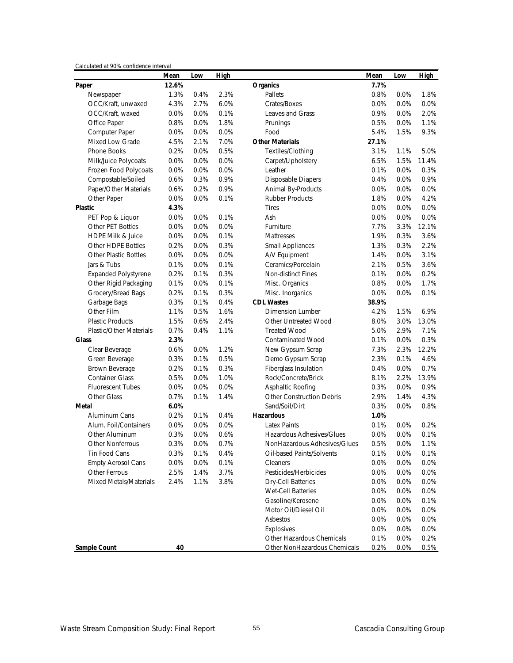|  | Calculated at 90% confidence interval |  |
|--|---------------------------------------|--|
|  |                                       |  |

|                                | Mean  | Low  | High |                                  | Mean    | Low  | <b>High</b> |
|--------------------------------|-------|------|------|----------------------------------|---------|------|-------------|
| Paper                          | 12.6% |      |      | <b>Organics</b>                  | 7.7%    |      |             |
| Newspaper                      | 1.3%  | 0.4% | 2.3% | Pallets                          | 0.8%    | 0.0% | 1.8%        |
| OCC/Kraft, unwaxed             | 4.3%  | 2.7% | 6.0% | Crates/Boxes                     | 0.0%    | 0.0% | 0.0%        |
| OCC/Kraft, waxed               | 0.0%  | 0.0% | 0.1% | Leaves and Grass                 | 0.9%    | 0.0% | 2.0%        |
| Office Paper                   | 0.8%  | 0.0% | 1.8% | Prunings                         | 0.5%    | 0.0% | 1.1%        |
| Computer Paper                 | 0.0%  | 0.0% | 0.0% | Food                             | 5.4%    | 1.5% | 9.3%        |
| <b>Mixed Low Grade</b>         | 4.5%  | 2.1% | 7.0% | <b>Other Materials</b>           | 27.1%   |      |             |
| <b>Phone Books</b>             | 0.2%  | 0.0% | 0.5% | Textiles/Clothing                | 3.1%    | 1.1% | 5.0%        |
| Milk/Juice Polycoats           | 0.0%  | 0.0% | 0.0% | Carpet/Upholstery                | 6.5%    | 1.5% | 11.4%       |
| Frozen Food Polycoats          | 0.0%  | 0.0% | 0.0% | Leather                          | 0.1%    | 0.0% | 0.3%        |
| Compostable/Soiled             | 0.6%  | 0.3% | 0.9% | <b>Disposable Diapers</b>        | 0.4%    | 0.0% | 0.9%        |
| Paper/Other Materials          | 0.6%  | 0.2% | 0.9% | Animal By-Products               | 0.0%    | 0.0% | 0.0%        |
| Other Paper                    | 0.0%  | 0.0% | 0.1% | <b>Rubber Products</b>           | 1.8%    | 0.0% | 4.2%        |
| <b>Plastic</b>                 | 4.3%  |      |      | <b>Tires</b>                     | 0.0%    | 0.0% | 0.0%        |
| PET Pop & Liquor               | 0.0%  | 0.0% | 0.1% | Ash                              | $0.0\%$ | 0.0% | 0.0%        |
| Other PET Bottles              | 0.0%  | 0.0% | 0.0% | Furniture                        | 7.7%    | 3.3% | 12.1%       |
| <b>HDPE Milk &amp; Juice</b>   | 0.0%  | 0.0% | 0.1% | Mattresses                       | 1.9%    | 0.3% | 3.6%        |
| Other HDPE Bottles             | 0.2%  | 0.0% | 0.3% | <b>Small Appliances</b>          | 1.3%    | 0.3% | 2.2%        |
| <b>Other Plastic Bottles</b>   | 0.0%  | 0.0% | 0.0% | A/V Equipment                    | 1.4%    | 0.0% | 3.1%        |
| Jars & Tubs                    | 0.1%  | 0.0% | 0.1% | Ceramics/Porcelain               | 2.1%    | 0.5% | 3.6%        |
| <b>Expanded Polystyrene</b>    | 0.2%  | 0.1% | 0.3% | Non-distinct Fines               | 0.1%    | 0.0% | 0.2%        |
| Other Rigid Packaging          | 0.1%  | 0.0% | 0.1% | Misc. Organics                   | 0.8%    | 0.0% | 1.7%        |
| Grocery/Bread Bags             | 0.2%  | 0.1% | 0.3% | Misc. Inorganics                 | $0.0\%$ | 0.0% | 0.1%        |
| Garbage Bags                   | 0.3%  | 0.1% | 0.4% | <b>CDL Wastes</b>                | 38.9%   |      |             |
| Other Film                     | 1.1%  | 0.5% | 1.6% | <b>Dimension Lumber</b>          | 4.2%    | 1.5% | 6.9%        |
| <b>Plastic Products</b>        | 1.5%  | 0.6% | 2.4% | Other Untreated Wood             | 8.0%    | 3.0% | 13.0%       |
| <b>Plastic/Other Materials</b> | 0.7%  | 0.4% | 1.1% | <b>Treated Wood</b>              | 5.0%    | 2.9% | 7.1%        |
| <b>Glass</b>                   | 2.3%  |      |      | <b>Contaminated Wood</b>         | 0.1%    | 0.0% | 0.3%        |
| Clear Beverage                 | 0.6%  | 0.0% | 1.2% | New Gypsum Scrap                 | 7.3%    | 2.3% | 12.2%       |
| Green Beverage                 | 0.3%  | 0.1% | 0.5% | Demo Gypsum Scrap                | 2.3%    | 0.1% | 4.6%        |
| Brown Beverage                 | 0.2%  | 0.1% | 0.3% | Fiberglass Insulation            | 0.4%    | 0.0% | 0.7%        |
| <b>Container Glass</b>         | 0.5%  | 0.0% | 1.0% | Rock/Concrete/Brick              | 8.1%    | 2.2% | 13.9%       |
| <b>Fluorescent Tubes</b>       | 0.0%  | 0.0% | 0.0% | Asphaltic Roofing                | 0.3%    | 0.0% | 0.9%        |
| <b>Other Glass</b>             | 0.7%  | 0.1% | 1.4% | <b>Other Construction Debris</b> | 2.9%    | 1.4% | 4.3%        |
| Metal                          | 6.0%  |      |      | Sand/Soil/Dirt                   | 0.3%    | 0.0% | 0.8%        |
| Aluminum Cans                  | 0.2%  | 0.1% | 0.4% | <b>Hazardous</b>                 | 1.0%    |      |             |
| Alum. Foil/Containers          | 0.0%  | 0.0% | 0.0% | <b>Latex Paints</b>              | 0.1%    | 0.0% | 0.2%        |
| Other Aluminum                 | 0.3%  | 0.0% | 0.6% | Hazardous Adhesives/Glues        | 0.0%    | 0.0% | 0.1%        |
| <b>Other Nonferrous</b>        | 0.3%  | 0.0% | 0.7% | NonHazardous Adhesives/Glues     | 0.5%    | 0.0% | 1.1%        |
| Tin Food Cans                  | 0.3%  | 0.1% | 0.4% | Oil-based Paints/Solvents        | 0.1%    | 0.0% | 0.1%        |
| <b>Empty Aerosol Cans</b>      | 0.0%  | 0.0% | 0.1% | Cleaners                         | 0.0%    | 0.0% | 0.0%        |
| Other Ferrous                  | 2.5%  | 1.4% | 3.7% | Pesticides/Herbicides            | 0.0%    | 0.0% | 0.0%        |
| Mixed Metals/Materials         | 2.4%  | 1.1% | 3.8% | Dry-Cell Batteries               | 0.0%    | 0.0% | 0.0%        |
|                                |       |      |      | <b>Wet-Cell Batteries</b>        | 0.0%    | 0.0% | 0.0%        |
|                                |       |      |      | Gasoline/Kerosene                | 0.0%    | 0.0% | 0.1%        |
|                                |       |      |      | Motor Oil/Diesel Oil             | 0.0%    | 0.0% | 0.0%        |
|                                |       |      |      | Asbestos                         | 0.0%    | 0.0% | 0.0%        |
|                                |       |      |      | Explosives                       | 0.0%    | 0.0% | 0.0%        |
|                                |       |      |      | Other Hazardous Chemicals        | 0.1%    | 0.0% | 0.2%        |
| <b>Sample Count</b>            | 40    |      |      | Other NonHazardous Chemicals     | 0.2%    | 0.0% | 0.5%        |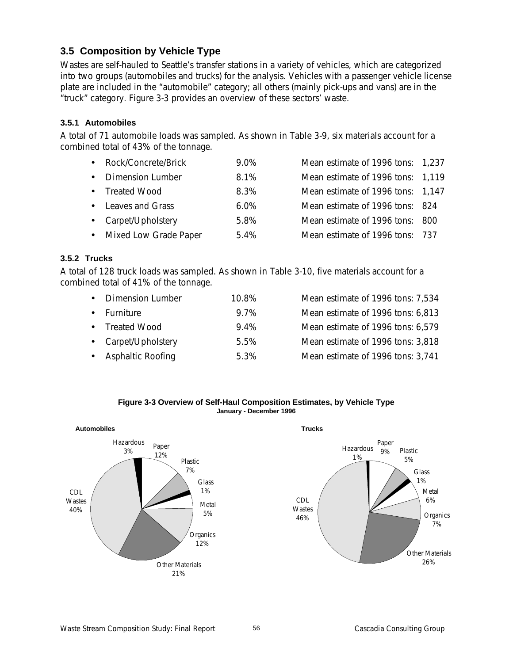## **3.5 Composition by Vehicle Type**

Wastes are self-hauled to Seattle's transfer stations in a variety of vehicles, which are categorized into two groups (automobiles and trucks) for the analysis. Vehicles with a passenger vehicle license plate are included in the "automobile" category; all others (mainly pick-ups and vans) are in the "truck" category. Figure 3-3 provides an overview of these sectors' waste.

## **3.5.1 Automobiles**

A total of 71 automobile loads was sampled. As shown in Table 3-9, six materials account for a combined total of 43% of the tonnage.

| • Rock/Concrete/Brick   | 9.0%    | Mean estimate of 1996 tons: 1,237 |  |
|-------------------------|---------|-----------------------------------|--|
| • Dimension Lumber      | 8.1%    | Mean estimate of 1996 tons: 1,119 |  |
| • Treated Wood          | 8.3%    | Mean estimate of 1996 tons: 1,147 |  |
| • Leaves and Grass      | $6.0\%$ | Mean estimate of 1996 tons: 824   |  |
| • Carpet/Upholstery     | 5.8%    | Mean estimate of 1996 tons: 800   |  |
| • Mixed Low Grade Paper | $5.4\%$ | Mean estimate of 1996 tons: 737   |  |
|                         |         |                                   |  |

## **3.5.2 Trucks**

A total of 128 truck loads was sampled. As shown in Table 3-10, five materials account for a combined total of 41% of the tonnage.

| <b>Dimension Lumber</b> | 10.8% | Mean estimate of 1996 tons: 7,534 |
|-------------------------|-------|-----------------------------------|
| • Furniture             | 9.7%  | Mean estimate of 1996 tons: 6,813 |
| • Treated Wood          | 9.4%  | Mean estimate of 1996 tons: 6,579 |
| • Carpet/Upholstery     | 5.5%  | Mean estimate of 1996 tons: 3,818 |
| • Asphaltic Roofing     | 5.3%  | Mean estimate of 1996 tons: 3,741 |

**Figure 3-3 Overview of Self-Haul Composition Estimates, by Vehicle Type January - December 1996**

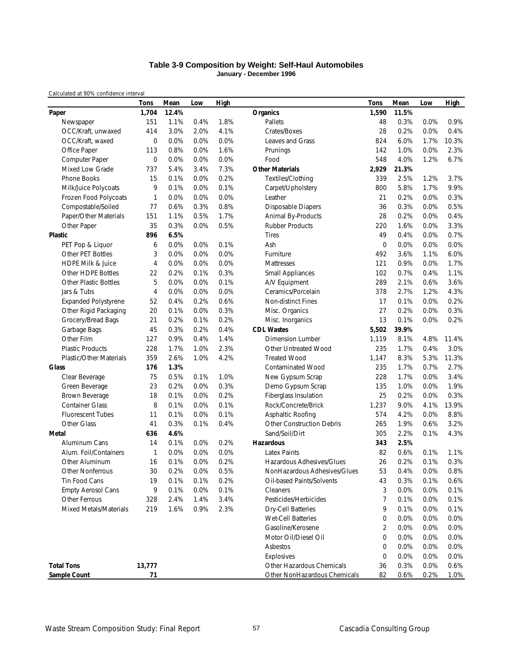### **Table 3-9 Composition by Weight: Self-Haul Automobiles January - December 1996**

|                                | <b>Tons</b>    | Mean  | Low  | <b>High</b> |                                         | Tons        | Mean         | Low          | <b>High</b>  |
|--------------------------------|----------------|-------|------|-------------|-----------------------------------------|-------------|--------------|--------------|--------------|
| Paper                          | 1,704          | 12.4% |      |             | <b>Organics</b>                         | 1,590       | 11.5%        |              |              |
| Newspaper                      | 151            | 1.1%  | 0.4% | 1.8%        | Pallets                                 | 48          | 0.3%         | 0.0%         | 0.9%         |
| OCC/Kraft, unwaxed             | 414            | 3.0%  | 2.0% | 4.1%        | Crates/Boxes                            | 28          | 0.2%         | 0.0%         | 0.4%         |
| OCC/Kraft, waxed               | $\mathbf 0$    | 0.0%  | 0.0% | 0.0%        | <b>Leaves and Grass</b>                 | 824         | 6.0%         | 1.7%         | 10.3%        |
| Office Paper                   | 113            | 0.8%  | 0.0% | 1.6%        | Prunings                                | 142         | 1.0%         | 0.0%         | 2.3%         |
| Computer Paper                 | $\mathbf 0$    | 0.0%  | 0.0% | 0.0%        | Food                                    | 548         | 4.0%         | 1.2%         | 6.7%         |
| Mixed Low Grade                | 737            | 5.4%  | 3.4% | 7.3%        | <b>Other Materials</b>                  | 2,929       | 21.3%        |              |              |
| Phone Books                    | 15             | 0.1%  | 0.0% | 0.2%        | Textiles/Clothing                       | 339         | 2.5%         | 1.2%         | 3.7%         |
| Milk/Juice Polycoats           | 9              | 0.1%  | 0.0% | 0.1%        | Carpet/Upholstery                       | 800         | 5.8%         | 1.7%         | 9.9%         |
| Frozen Food Polycoats          | 1              | 0.0%  | 0.0% | 0.0%        | Leather                                 | 21          | 0.2%         | 0.0%         | 0.3%         |
| Compostable/Soiled             | 77             | 0.6%  | 0.3% | 0.8%        | <b>Disposable Diapers</b>               | 36          | 0.3%         | 0.0%         | 0.5%         |
| Paper/Other Materials          | 151            | 1.1%  | 0.5% | 1.7%        | Animal By-Products                      | 28          | 0.2%         | 0.0%         | 0.4%         |
| Other Paper                    | 35             | 0.3%  | 0.0% | 0.5%        | <b>Rubber Products</b>                  | 220         | 1.6%         | 0.0%         | 3.3%         |
| Plastic                        | 896            | 6.5%  |      |             | <b>Tires</b>                            | 49          | 0.4%         | 0.0%         | 0.7%         |
| PET Pop & Liquor               | 6              | 0.0%  | 0.0% | 0.1%        | Ash                                     | $\mathbf 0$ | 0.0%         | 0.0%         | 0.0%         |
| <b>Other PET Bottles</b>       | 3              | 0.0%  | 0.0% | 0.0%        | Furniture                               | 492         | 3.6%         | 1.1%         | 6.0%         |
| <b>HDPE Milk &amp; Juice</b>   | 4              | 0.0%  | 0.0% | 0.0%        | Mattresses                              | 121         | 0.9%         | 0.0%         | 1.7%         |
| Other HDPE Bottles             | 22             | 0.2%  | 0.1% | 0.3%        | <b>Small Appliances</b>                 | 102         | 0.7%         | 0.4%         | 1.1%         |
| <b>Other Plastic Bottles</b>   | 5              | 0.0%  | 0.0% | 0.1%        | A/V Equipment                           | 289         | 2.1%         | 0.6%         | 3.6%         |
| Jars & Tubs                    | $\overline{4}$ | 0.0%  | 0.0% | 0.0%        | Ceramics/Porcelain                      | 378         | 2.7%         | 1.2%         | 4.3%         |
| <b>Expanded Polystyrene</b>    | 52             | 0.4%  | 0.2% | 0.6%        | <b>Non-distinct Fines</b>               | 17          | 0.1%         | 0.0%         | 0.2%         |
| Other Rigid Packaging          | 20             | 0.1%  | 0.0% | 0.3%        | Misc. Organics                          | 27          | 0.2%         | 0.0%         | 0.3%         |
| Grocery/Bread Bags             | 21             | 0.2%  | 0.1% | 0.2%        | Misc. Inorganics                        | 13          | 0.1%         | 0.0%         | 0.2%         |
| Garbage Bags                   | 45             | 0.3%  | 0.2% | 0.4%        | <b>CDL Wastes</b>                       | 5,502       | 39.9%        |              |              |
| Other Film                     | 127            | 0.9%  | 0.4% | 1.4%        | <b>Dimension Lumber</b>                 | 1,119       | 8.1%         | 4.8%         | 11.4%        |
| <b>Plastic Products</b>        | 228            | 1.7%  | 1.0% | 2.3%        | <b>Other Untreated Wood</b>             | 235         | 1.7%         | 0.4%         | 3.0%         |
| <b>Plastic/Other Materials</b> | 359            | 2.6%  | 1.0% | 4.2%        | <b>Treated Wood</b>                     | 1,147       | 8.3%         | 5.3%         | 11.3%        |
| Glass                          | 176            | 1.3%  |      |             | <b>Contaminated Wood</b>                | 235         | 1.7%         | 0.7%         | 2.7%         |
| Clear Beverage                 | 75             | 0.5%  | 0.1% | 1.0%        | New Gypsum Scrap                        | 228         | 1.7%         | 0.0%         | 3.4%         |
| Green Beverage                 | 23             | 0.2%  | 0.0% | 0.3%        | Demo Gypsum Scrap                       | 135         | 1.0%         | 0.0%         | 1.9%         |
| Brown Beverage                 | 18             | 0.1%  | 0.0% | 0.2%        | Fiberglass Insulation                   | 25          | 0.2%         | 0.0%         | 0.3%         |
| <b>Container Glass</b>         | 8              | 0.1%  | 0.0% | 0.1%        | Rock/Concrete/Brick                     | 1,237       | 9.0%         | 4.1%         | 13.9%        |
| <b>Fluorescent Tubes</b>       | 11             | 0.1%  | 0.0% | 0.1%        | Asphaltic Roofing                       | 574         | 4.2%         | 0.0%         | 8.8%         |
| Other Glass                    | 41             | 0.3%  | 0.1% | 0.4%        | <b>Other Construction Debris</b>        | 265         | 1.9%         | 0.6%         | 3.2%         |
| Metal                          | 636            | 4.6%  |      |             | Sand/Soil/Dirt                          | 305         | 2.2%         | 0.1%         | 4.3%         |
| Aluminum Cans                  | 14             | 0.1%  | 0.0% | 0.2%        | <b>Hazardous</b>                        | 343         | 2.5%         |              |              |
| Alum. Foil/Containers          | $\mathbf{1}$   | 0.0%  | 0.0% | 0.0%        | <b>Latex Paints</b>                     | 82          | 0.6%         | 0.1%         | 1.1%         |
| Other Aluminum                 | 16             | 0.1%  | 0.0% | 0.2%        | Hazardous Adhesives/Glues               | 26          | 0.2%         | 0.1%         | 0.3%         |
| <b>Other Nonferrous</b>        | 30             | 0.2%  | 0.0% | 0.5%        | NonHazardous Adhesives/Glues            | 53          | 0.4%         | 0.0%         | 0.8%         |
| Tin Food Cans                  | 19             | 0.1%  | 0.1% | 0.2%        | Oil-based Paints/Solvents               | 43          | 0.3%         | 0.1%         | 0.6%         |
| <b>Empty Aerosol Cans</b>      | 9              | 0.1%  | 0.0% | 0.1%        | Cleaners                                | 3           | 0.0%         | 0.0%         | 0.1%         |
| Other Ferrous                  | 328            | 2.4%  | 1.4% | 3.4%        | Pesticides/Herbicides                   | 7           | 0.1%         | 0.0%         | 0.1%         |
| Mixed Metals/Materials         | 219            | 1.6%  | 0.9% | 2.3%        | <b>Dry-Cell Batteries</b>               | 9           | 0.1%         | 0.0%         | 0.1%         |
|                                |                |       |      |             | Wet-Cell Batteries                      | 0           | 0.0%         | 0.0%         | 0.0%         |
|                                |                |       |      |             | Gasoline/Kerosene                       | 2           | 0.0%         | 0.0%         | 0.0%         |
|                                |                |       |      |             |                                         |             | 0.0%         |              |              |
|                                |                |       |      |             | Motor Oil/Diesel Oil                    | 0           |              | 0.0%         | 0.0%         |
|                                |                |       |      |             | Asbestos                                | 0           | 0.0%         | 0.0%         | 0.0%         |
| <b>Total Tons</b>              | 13,777         |       |      |             | Explosives<br>Other Hazardous Chemicals | 0<br>36     | 0.0%<br>0.3% | 0.0%<br>0.0% | 0.0%<br>0.6% |
|                                | 71             |       |      |             |                                         | 82          |              |              |              |
| <b>Sample Count</b>            |                |       |      |             | Other NonHazardous Chemicals            |             | 0.6%         | 0.2%         | <u>1.0%</u>  |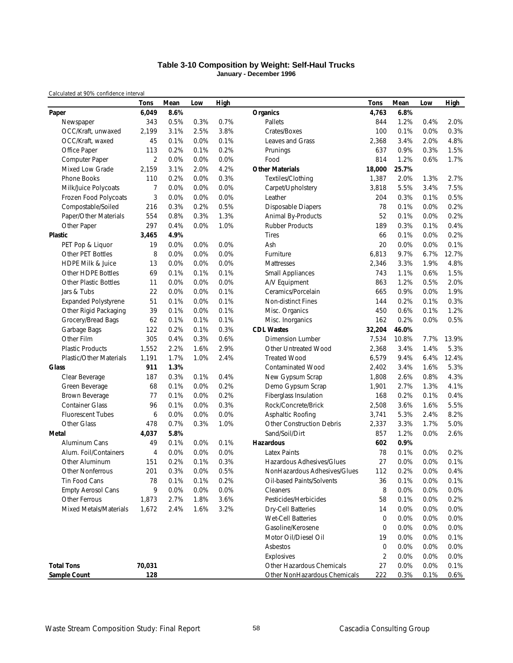### **Table 3-10 Composition by Weight: Self-Haul Trucks January - December 1996**

|                              | Tons           | Mean | Low  | High |                                  | Tons           | Mean  | Low  | <b>High</b> |
|------------------------------|----------------|------|------|------|----------------------------------|----------------|-------|------|-------------|
| Paper                        | 6,049          | 8.6% |      |      | <b>Organics</b>                  | 4,763          | 6.8%  |      |             |
| Newspaper                    | 343            | 0.5% | 0.3% | 0.7% | Pallets                          | 844            | 1.2%  | 0.4% | 2.0%        |
| OCC/Kraft, unwaxed           | 2,199          | 3.1% | 2.5% | 3.8% | Crates/Boxes                     | 100            | 0.1%  | 0.0% | 0.3%        |
| OCC/Kraft, waxed             | 45             | 0.1% | 0.0% | 0.1% | Leaves and Grass                 | 2,368          | 3.4%  | 2.0% | 4.8%        |
| Office Paper                 | 113            | 0.2% | 0.1% | 0.2% | Prunings                         | 637            | 0.9%  | 0.3% | 1.5%        |
| Computer Paper               | $\overline{2}$ | 0.0% | 0.0% | 0.0% | Food                             | 814            | 1.2%  | 0.6% | 1.7%        |
| Mixed Low Grade              | 2,159          | 3.1% | 2.0% | 4.2% | <b>Other Materials</b>           | 18,000         | 25.7% |      |             |
| Phone Books                  | 110            | 0.2% | 0.0% | 0.3% | Textiles/Clothing                | 1,387          | 2.0%  | 1.3% | 2.7%        |
| Milk/Juice Polycoats         | 7              | 0.0% | 0.0% | 0.0% | Carpet/Upholstery                | 3,818          | 5.5%  | 3.4% | 7.5%        |
| Frozen Food Polycoats        | 3              | 0.0% | 0.0% | 0.0% | Leather                          | 204            | 0.3%  | 0.1% | 0.5%        |
| Compostable/Soiled           | 216            | 0.3% | 0.2% | 0.5% | <b>Disposable Diapers</b>        | 78             | 0.1%  | 0.0% | 0.2%        |
| Paper/Other Materials        | 554            | 0.8% | 0.3% | 1.3% | Animal By-Products               | 52             | 0.1%  | 0.0% | 0.2%        |
| Other Paper                  | 297            | 0.4% | 0.0% | 1.0% | <b>Rubber Products</b>           | 189            | 0.3%  | 0.1% | 0.4%        |
| Plastic                      | 3,465          | 4.9% |      |      | <b>Tires</b>                     | 66             | 0.1%  | 0.0% | 0.2%        |
| PET Pop & Liquor             | 19             | 0.0% | 0.0% | 0.0% | Ash                              | 20             | 0.0%  | 0.0% | 0.1%        |
| Other PET Bottles            | 8              | 0.0% | 0.0% | 0.0% | Furniture                        | 6,813          | 9.7%  | 6.7% | 12.7%       |
| <b>HDPE Milk &amp; Juice</b> | 13             | 0.0% | 0.0% | 0.0% | Mattresses                       | 2,346          | 3.3%  | 1.9% | 4.8%        |
| Other HDPE Bottles           | 69             | 0.1% | 0.1% | 0.1% | <b>Small Appliances</b>          | 743            | 1.1%  | 0.6% | 1.5%        |
| <b>Other Plastic Bottles</b> | 11             | 0.0% | 0.0% | 0.0% | A/V Equipment                    | 863            | 1.2%  | 0.5% | 2.0%        |
| Jars & Tubs                  | 22             | 0.0% | 0.0% | 0.1% | Ceramics/Porcelain               | 665            | 0.9%  | 0.0% | 1.9%        |
| <b>Expanded Polystyrene</b>  | 51             | 0.1% | 0.0% | 0.1% | Non-distinct Fines               | 144            | 0.2%  | 0.1% | 0.3%        |
| Other Rigid Packaging        | 39             | 0.1% | 0.0% | 0.1% | Misc. Organics                   | 450            | 0.6%  | 0.1% | 1.2%        |
| Grocery/Bread Bags           | 62             | 0.1% | 0.1% | 0.1% | Misc. Inorganics                 | 162            | 0.2%  | 0.0% | 0.5%        |
| Garbage Bags                 | 122            | 0.2% | 0.1% | 0.3% | <b>CDL Wastes</b>                | 32,204         | 46.0% |      |             |
| Other Film                   | 305            | 0.4% | 0.3% | 0.6% | <b>Dimension Lumber</b>          | 7,534          | 10.8% | 7.7% | 13.9%       |
| <b>Plastic Products</b>      | 1,552          | 2.2% | 1.6% | 2.9% | <b>Other Untreated Wood</b>      | 2,368          | 3.4%  | 1.4% | 5.3%        |
| Plastic/Other Materials      | 1,191          | 1.7% | 1.0% | 2.4% | <b>Treated Wood</b>              | 6,579          | 9.4%  | 6.4% | 12.4%       |
| Glass                        | 911            | 1.3% |      |      | <b>Contaminated Wood</b>         | 2,402          | 3.4%  | 1.6% | 5.3%        |
| Clear Beverage               | 187            | 0.3% | 0.1% | 0.4% | New Gypsum Scrap                 | 1,808          | 2.6%  | 0.8% | 4.3%        |
| Green Beverage               | 68             | 0.1% | 0.0% | 0.2% | Demo Gypsum Scrap                | 1,901          | 2.7%  | 1.3% | 4.1%        |
| Brown Beverage               | 77             | 0.1% | 0.0% | 0.2% | Fiberglass Insulation            | 168            | 0.2%  | 0.1% | 0.4%        |
| <b>Container Glass</b>       | 96             | 0.1% | 0.0% | 0.3% | Rock/Concrete/Brick              | 2,508          | 3.6%  | 1.6% | 5.5%        |
| <b>Fluorescent Tubes</b>     | 6              | 0.0% | 0.0% | 0.0% | Asphaltic Roofing                | 3,741          | 5.3%  | 2.4% | 8.2%        |
| Other Glass                  | 478            | 0.7% | 0.3% | 1.0% | <b>Other Construction Debris</b> | 2,337          | 3.3%  | 1.7% | 5.0%        |
| Metal                        | 4,037          | 5.8% |      |      | Sand/Soil/Dirt                   | 857            | 1.2%  | 0.0% | 2.6%        |
| Aluminum Cans                | 49             | 0.1% | 0.0% | 0.1% | <b>Hazardous</b>                 | 602            | 0.9%  |      |             |
| Alum. Foil/Containers        | 4              | 0.0% | 0.0% | 0.0% | <b>Latex Paints</b>              | 78             | 0.1%  | 0.0% | 0.2%        |
| Other Aluminum               | 151            | 0.2% | 0.1% | 0.3% | Hazardous Adhesives/Glues        | 27             | 0.0%  | 0.0% | 0.1%        |
| Other Nonferrous             | 201            | 0.3% | 0.0% | 0.5% | NonHazardous Adhesives/Glues     | 112            | 0.2%  | 0.0% | 0.4%        |
| Tin Food Cans                | 78             | 0.1% | 0.1% | 0.2% | Oil-based Paints/Solvents        | 36             | 0.1%  | 0.0% | 0.1%        |
| <b>Empty Aerosol Cans</b>    | 9              | 0.0% | 0.0% | 0.0% | Cleaners                         | 8              | 0.0%  | 0.0% | 0.0%        |
| Other Ferrous                | 1,873          | 2.7% | 1.8% | 3.6% | Pesticides/Herbicides            | 58             | 0.1%  | 0.0% | 0.2%        |
| Mixed Metals/Materials       | 1,672          | 2.4% | 1.6% | 3.2% | <b>Dry-Cell Batteries</b>        | 14             | 0.0%  | 0.0% | 0.0%        |
|                              |                |      |      |      | Wet-Cell Batteries               | $\mathbf 0$    | 0.0%  | 0.0% | 0.0%        |
|                              |                |      |      |      | Gasoline/Kerosene                | 0              | 0.0%  | 0.0% | 0.0%        |
|                              |                |      |      |      | Motor Oil/Diesel Oil             | 19             | 0.0%  | 0.0% | 0.1%        |
|                              |                |      |      |      | Asbestos                         | 0              | 0.0%  | 0.0% | 0.0%        |
|                              |                |      |      |      | Explosives                       | $\overline{2}$ | 0.0%  | 0.0% | 0.0%        |
| <b>Total Tons</b>            | 70,031         |      |      |      | Other Hazardous Chemicals        | 27             | 0.0%  | 0.0% | 0.1%        |
| Sample Count                 | 128            |      |      |      | Other NonHazardous Chemicals     | 222            | 0.3%  | 0.1% | 0.6%        |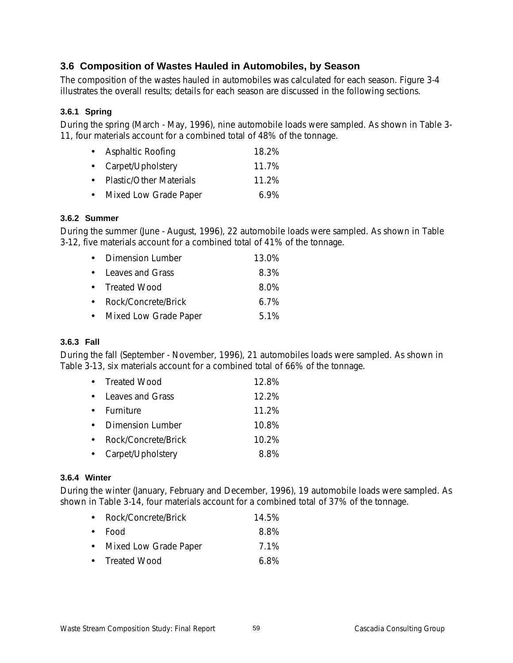## **3.6 Composition of Wastes Hauled in Automobiles, by Season**

The composition of the wastes hauled in automobiles was calculated for each season. Figure 3-4 illustrates the overall results; details for each season are discussed in the following sections.

## **3.6.1 Spring**

During the spring (March - May, 1996), nine automobile loads were sampled. As shown in Table 3- 11, four materials account for a combined total of 48% of the tonnage.

| • Asphaltic Roofing       | 18.2%   |
|---------------------------|---------|
| • Carpet/Upholstery       | 11.7%   |
| • Plastic/Other Materials | 11.2%   |
| • Mixed Low Grade Paper   | $6.9\%$ |

## **3.6.2 Summer**

During the summer (June - August, 1996), 22 automobile loads were sampled. As shown in Table 3-12, five materials account for a combined total of 41% of the tonnage.

| • Dimension Lumber      | 13.0%   |
|-------------------------|---------|
| • Leaves and Grass      | 8.3%    |
| • Treated Wood          | 8.0%    |
| • Rock/Concrete/Brick   | $6.7\%$ |
| • Mixed Low Grade Paper | 5.1%    |

## **3.6.3 Fall**

During the fall (September - November, 1996), 21 automobiles loads were sampled. As shown in Table 3-13, six materials account for a combined total of 66% of the tonnage.

| • Treated Wood      | 12.8%    |
|---------------------|----------|
| • Leaves and Grass  | $12.2\%$ |
| <b>Furniture</b>    | 11.2%    |
| Dimension Lumber    | 10.8%    |
| Rock/Concrete/Brick | 10.2%    |
| • Carpet/Upholstery | ጸ ጸ%     |

## **3.6.4 Winter**

During the winter (January, February and December, 1996), 19 automobile loads were sampled. As shown in Table 3-14, four materials account for a combined total of 37% of the tonnage.

| Rock/Concrete/Brick | 14.5% |
|---------------------|-------|
|                     |       |

| $\bullet$ Food | 8.8% |
|----------------|------|
|                | .    |

- Mixed Low Grade Paper 7.1%
- Treated Wood 6.8%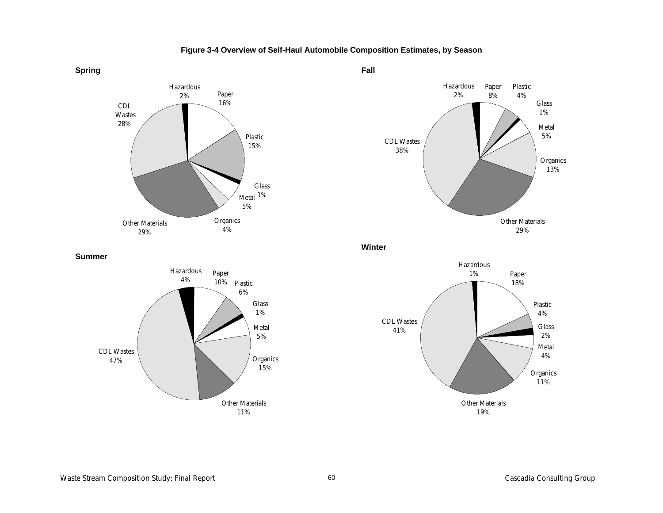





**Summer**



**Winter**

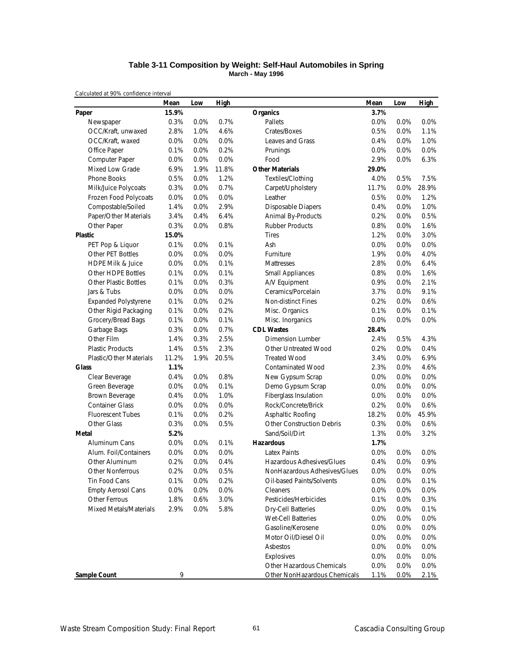### **Table 3-11 Composition by Weight: Self-Haul Automobiles in Spring March - May 1996**

|                                | Mean    | Low  | <b>High</b> |                                  | Mean  | Low  | <b>High</b> |
|--------------------------------|---------|------|-------------|----------------------------------|-------|------|-------------|
| Paper                          | 15.9%   |      |             | <b>Organics</b>                  | 3.7%  |      |             |
| Newspaper                      | 0.3%    | 0.0% | 0.7%        | Pallets                          | 0.0%  | 0.0% | 0.0%        |
| OCC/Kraft, unwaxed             | 2.8%    | 1.0% | 4.6%        | Crates/Boxes                     | 0.5%  | 0.0% | 1.1%        |
| OCC/Kraft, waxed               | 0.0%    | 0.0% | 0.0%        | Leaves and Grass                 | 0.4%  | 0.0% | 1.0%        |
| Office Paper                   | 0.1%    | 0.0% | 0.2%        | Prunings                         | 0.0%  | 0.0% | 0.0%        |
| Computer Paper                 | $0.0\%$ | 0.0% | 0.0%        | Food                             | 2.9%  | 0.0% | 6.3%        |
| Mixed Low Grade                | 6.9%    | 1.9% | 11.8%       | <b>Other Materials</b>           | 29.0% |      |             |
| Phone Books                    | 0.5%    | 0.0% | 1.2%        | Textiles/Clothing                | 4.0%  | 0.5% | 7.5%        |
| Milk/Juice Polycoats           | 0.3%    | 0.0% | 0.7%        | Carpet/Upholstery                | 11.7% | 0.0% | 28.9%       |
| Frozen Food Polycoats          | 0.0%    | 0.0% | 0.0%        | Leather                          | 0.5%  | 0.0% | 1.2%        |
| Compostable/Soiled             | 1.4%    | 0.0% | 2.9%        | Disposable Diapers               | 0.4%  | 0.0% | 1.0%        |
| Paper/Other Materials          | 3.4%    | 0.4% | 6.4%        | Animal By-Products               | 0.2%  | 0.0% | 0.5%        |
| Other Paper                    | 0.3%    | 0.0% | 0.8%        | <b>Rubber Products</b>           | 0.8%  | 0.0% | 1.6%        |
| <b>Plastic</b>                 | 15.0%   |      |             | <b>Tires</b>                     | 1.2%  | 0.0% | 3.0%        |
| PET Pop & Liquor               | 0.1%    | 0.0% | 0.1%        | Ash                              | 0.0%  | 0.0% | 0.0%        |
| Other PET Bottles              | 0.0%    | 0.0% | 0.0%        | Furniture                        | 1.9%  | 0.0% | 4.0%        |
| <b>HDPE Milk &amp; Juice</b>   | 0.0%    | 0.0% | 0.1%        | Mattresses                       | 2.8%  | 0.0% | 6.4%        |
| Other HDPE Bottles             | 0.1%    | 0.0% | 0.1%        | <b>Small Appliances</b>          | 0.8%  | 0.0% | 1.6%        |
| <b>Other Plastic Bottles</b>   | 0.1%    | 0.0% | 0.3%        | A/V Equipment                    | 0.9%  | 0.0% | 2.1%        |
| Jars & Tubs                    | 0.0%    | 0.0% | 0.0%        | Ceramics/Porcelain               | 3.7%  | 0.0% | 9.1%        |
| <b>Expanded Polystyrene</b>    | 0.1%    | 0.0% | 0.2%        | Non-distinct Fines               | 0.2%  | 0.0% | 0.6%        |
| Other Rigid Packaging          | 0.1%    | 0.0% | 0.2%        | Misc. Organics                   | 0.1%  | 0.0% | 0.1%        |
| Grocery/Bread Bags             | 0.1%    | 0.0% | 0.1%        | Misc. Inorganics                 | 0.0%  | 0.0% | 0.0%        |
| Garbage Bags                   | 0.3%    | 0.0% | 0.7%        | <b>CDL Wastes</b>                | 28.4% |      |             |
| Other Film                     | 1.4%    | 0.3% | 2.5%        | <b>Dimension Lumber</b>          | 2.4%  | 0.5% | 4.3%        |
| <b>Plastic Products</b>        | 1.4%    | 0.5% | 2.3%        | Other Untreated Wood             | 0.2%  | 0.0% | 0.4%        |
| <b>Plastic/Other Materials</b> | 11.2%   | 1.9% | 20.5%       | <b>Treated Wood</b>              | 3.4%  | 0.0% | 6.9%        |
| <b>Glass</b>                   | 1.1%    |      |             | <b>Contaminated Wood</b>         | 2.3%  | 0.0% | 4.6%        |
| Clear Beverage                 | 0.4%    | 0.0% | 0.8%        | New Gypsum Scrap                 | 0.0%  | 0.0% | 0.0%        |
| Green Beverage                 | 0.0%    | 0.0% | 0.1%        | Demo Gypsum Scrap                | 0.0%  | 0.0% | 0.0%        |
| Brown Beverage                 | 0.4%    | 0.0% | 1.0%        | Fiberglass Insulation            | 0.0%  | 0.0% | 0.0%        |
| <b>Container Glass</b>         | 0.0%    | 0.0% | 0.0%        | Rock/Concrete/Brick              | 0.2%  | 0.0% | 0.6%        |
| <b>Fluorescent Tubes</b>       | 0.1%    | 0.0% | 0.2%        | Asphaltic Roofing                | 18.2% | 0.0% | 45.9%       |
| Other Glass                    | 0.3%    | 0.0% | 0.5%        | <b>Other Construction Debris</b> | 0.3%  | 0.0% | 0.6%        |
| Metal                          | 5.2%    |      |             | Sand/Soil/Dirt                   | 1.3%  | 0.0% | 3.2%        |
| Aluminum Cans                  | 0.0%    | 0.0% | 0.1%        | <b>Hazardous</b>                 | 1.7%  |      |             |
| Alum. Foil/Containers          | 0.0%    | 0.0% | 0.0%        | <b>Latex Paints</b>              | 0.0%  | 0.0% | 0.0%        |
| Other Aluminum                 | 0.2%    | 0.0% | 0.4%        | Hazardous Adhesives/Glues        | 0.4%  | 0.0% | 0.9%        |
| Other Nonferrous               | 0.2%    | 0.0% | 0.5%        | NonHazardous Adhesives/Glues     | 0.0%  | 0.0% | 0.0%        |
| Tin Food Cans                  | 0.1%    | 0.0% | 0.2%        | Oil-based Paints/Solvents        | 0.0%  | 0.0% | 0.1%        |
| <b>Empty Aerosol Cans</b>      | 0.0%    | 0.0% | 0.0%        | Cleaners                         | 0.0%  | 0.0% | 0.0%        |
| Other Ferrous                  | 1.8%    | 0.6% | 3.0%        | Pesticides/Herbicides            | 0.1%  | 0.0% | 0.3%        |
| <b>Mixed Metals/Materials</b>  | 2.9%    | 0.0% | 5.8%        | <b>Dry-Cell Batteries</b>        | 0.0%  | 0.0% | 0.1%        |
|                                |         |      |             | Wet-Cell Batteries               | 0.0%  | 0.0% | 0.0%        |
|                                |         |      |             | Gasoline/Kerosene                | 0.0%  | 0.0% | 0.0%        |
|                                |         |      |             | Motor Oil/Diesel Oil             | 0.0%  | 0.0% | 0.0%        |
|                                |         |      |             | Asbestos                         | 0.0%  | 0.0% | 0.0%        |
|                                |         |      |             | Explosives                       | 0.0%  | 0.0% | 0.0%        |
|                                |         |      |             | Other Hazardous Chemicals        | 0.0%  | 0.0% | 0.0%        |
| <b>Sample Count</b>            | 9       |      |             | Other NonHazardous Chemicals     | 1.1%  | 0.0% | 2.1%        |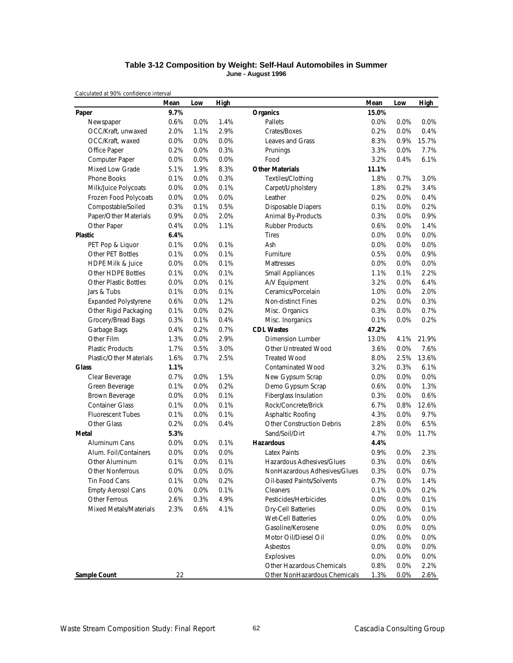### **Table 3-12 Composition by Weight: Self-Haul Automobiles in Summer June - August 1996**

|                                | Mean | Low     | High |                                  | Mean  | Low  | <b>High</b> |
|--------------------------------|------|---------|------|----------------------------------|-------|------|-------------|
| Paper                          | 9.7% |         |      | <b>Organics</b>                  | 15.0% |      |             |
| Newspaper                      | 0.6% | 0.0%    | 1.4% | Pallets                          | 0.0%  | 0.0% | 0.0%        |
| OCC/Kraft, unwaxed             | 2.0% | 1.1%    | 2.9% | Crates/Boxes                     | 0.2%  | 0.0% | 0.4%        |
| OCC/Kraft, waxed               | 0.0% | 0.0%    | 0.0% | Leaves and Grass                 | 8.3%  | 0.9% | 15.7%       |
| Office Paper                   | 0.2% | 0.0%    | 0.3% | Prunings                         | 3.3%  | 0.0% | 7.7%        |
| Computer Paper                 | 0.0% | 0.0%    | 0.0% | Food                             | 3.2%  | 0.4% | 6.1%        |
| <b>Mixed Low Grade</b>         | 5.1% | 1.9%    | 8.3% | <b>Other Materials</b>           | 11.1% |      |             |
| Phone Books                    | 0.1% | 0.0%    | 0.3% | Textiles/Clothing                | 1.8%  | 0.7% | 3.0%        |
| Milk/Juice Polycoats           | 0.0% | 0.0%    | 0.1% | Carpet/Upholstery                | 1.8%  | 0.2% | 3.4%        |
| Frozen Food Polycoats          | 0.0% | 0.0%    | 0.0% | Leather                          | 0.2%  | 0.0% | 0.4%        |
| Compostable/Soiled             | 0.3% | 0.1%    | 0.5% | Disposable Diapers               | 0.1%  | 0.0% | 0.2%        |
| Paper/Other Materials          | 0.9% | 0.0%    | 2.0% | Animal By-Products               | 0.3%  | 0.0% | 0.9%        |
| Other Paper                    | 0.4% | 0.0%    | 1.1% | <b>Rubber Products</b>           | 0.6%  | 0.0% | 1.4%        |
| <b>Plastic</b>                 | 6.4% |         |      | <b>Tires</b>                     | 0.0%  | 0.0% | 0.0%        |
| PET Pop & Liquor               | 0.1% | 0.0%    | 0.1% | Ash                              | 0.0%  | 0.0% | 0.0%        |
| Other PET Bottles              | 0.1% | 0.0%    | 0.1% | Furniture                        | 0.5%  | 0.0% | 0.9%        |
| <b>HDPE Milk &amp; Juice</b>   | 0.0% | 0.0%    | 0.1% | Mattresses                       | 0.0%  | 0.0% | 0.0%        |
| Other HDPE Bottles             | 0.1% | 0.0%    | 0.1% | <b>Small Appliances</b>          | 1.1%  | 0.1% | 2.2%        |
| <b>Other Plastic Bottles</b>   | 0.0% | 0.0%    | 0.1% | A/V Equipment                    | 3.2%  | 0.0% | 6.4%        |
| Jars & Tubs                    | 0.1% | 0.0%    | 0.1% | Ceramics/Porcelain               | 1.0%  | 0.0% | 2.0%        |
| <b>Expanded Polystyrene</b>    | 0.6% | 0.0%    | 1.2% | Non-distinct Fines               | 0.2%  | 0.0% | 0.3%        |
| Other Rigid Packaging          | 0.1% | 0.0%    | 0.2% | Misc. Organics                   | 0.3%  | 0.0% | 0.7%        |
| Grocery/Bread Bags             | 0.3% | 0.1%    | 0.4% | Misc. Inorganics                 | 0.1%  | 0.0% | 0.2%        |
| Garbage Bags                   | 0.4% | 0.2%    | 0.7% | <b>CDL Wastes</b>                | 47.2% |      |             |
| Other Film                     | 1.3% | 0.0%    | 2.9% | Dimension Lumber                 | 13.0% | 4.1% | 21.9%       |
| <b>Plastic Products</b>        | 1.7% | 0.5%    | 3.0% | Other Untreated Wood             | 3.6%  | 0.0% | 7.6%        |
| <b>Plastic/Other Materials</b> | 1.6% | 0.7%    | 2.5% | <b>Treated Wood</b>              | 8.0%  | 2.5% | 13.6%       |
| <b>Glass</b>                   | 1.1% |         |      | <b>Contaminated Wood</b>         | 3.2%  | 0.3% | 6.1%        |
| Clear Beverage                 | 0.7% | 0.0%    | 1.5% | New Gypsum Scrap                 | 0.0%  | 0.0% | 0.0%        |
| Green Beverage                 | 0.1% | 0.0%    | 0.2% | Demo Gypsum Scrap                | 0.6%  | 0.0% | 1.3%        |
| Brown Beverage                 | 0.0% | 0.0%    | 0.1% | Fiberglass Insulation            | 0.3%  | 0.0% | 0.6%        |
| <b>Container Glass</b>         | 0.1% | 0.0%    | 0.1% | Rock/Concrete/Brick              | 6.7%  | 0.8% | 12.6%       |
| <b>Fluorescent Tubes</b>       | 0.1% | 0.0%    | 0.1% | Asphaltic Roofing                | 4.3%  | 0.0% | 9.7%        |
| Other Glass                    | 0.2% | 0.0%    | 0.4% | <b>Other Construction Debris</b> | 2.8%  | 0.0% | 6.5%        |
| Metal                          | 5.3% |         |      | Sand/Soil/Dirt                   | 4.7%  | 0.0% | 11.7%       |
| Aluminum Cans                  | 0.0% | 0.0%    | 0.1% | <b>Hazardous</b>                 | 4.4%  |      |             |
| Alum. Foil/Containers          | 0.0% | 0.0%    | 0.0% | <b>Latex Paints</b>              | 0.9%  | 0.0% | 2.3%        |
| Other Aluminum                 | 0.1% | 0.0%    | 0.1% | Hazardous Adhesives/Glues        | 0.3%  | 0.0% | 0.6%        |
| Other Nonferrous               | 0.0% | 0.0%    | 0.0% | NonHazardous Adhesives/Glues     | 0.3%  | 0.0% | 0.7%        |
| Tin Food Cans                  | 0.1% | 0.0%    | 0.2% | Oil-based Paints/Solvents        | 0.7%  | 0.0% | 1.4%        |
| <b>Empty Aerosol Cans</b>      | 0.0% | $0.0\%$ | 0.1% | Cleaners                         | 0.1%  | 0.0% | 0.2%        |
| Other Ferrous                  | 2.6% | 0.3%    | 4.9% | Pesticides/Herbicides            | 0.0%  | 0.0% | 0.1%        |
| Mixed Metals/Materials         | 2.3% | 0.6%    | 4.1% | <b>Dry-Cell Batteries</b>        | 0.0%  | 0.0% | 0.1%        |
|                                |      |         |      | Wet-Cell Batteries               | 0.0%  | 0.0% | 0.0%        |
|                                |      |         |      | Gasoline/Kerosene                | 0.0%  | 0.0% | 0.0%        |
|                                |      |         |      | Motor Oil/Diesel Oil             | 0.0%  | 0.0% | 0.0%        |
|                                |      |         |      | Asbestos                         | 0.0%  | 0.0% | 0.0%        |
|                                |      |         |      | Explosives                       | 0.0%  | 0.0% | 0.0%        |
|                                |      |         |      | Other Hazardous Chemicals        | 0.8%  | 0.0% | 2.2%        |
| <b>Sample Count</b>            | 22   |         |      | Other NonHazardous Chemicals     | 1.3%  | 0.0% | 2.6%        |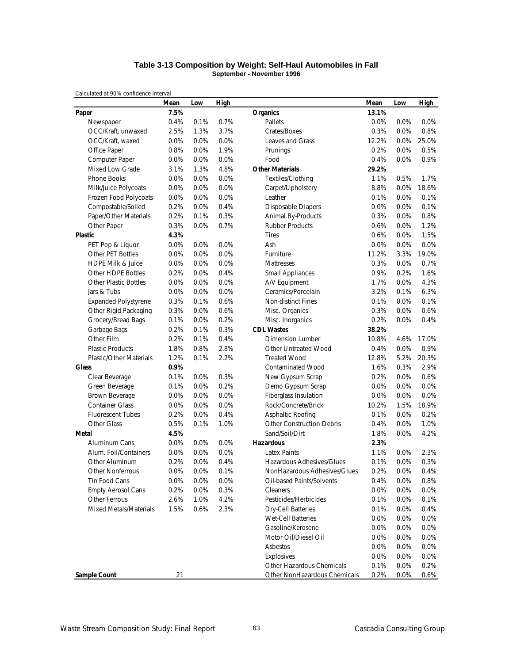### **Table 3-13 Composition by Weight: Self-Haul Automobiles in Fall September - November 1996**

|                                | Mean | Low  | High |                                  | Mean    | Low     | <b>High</b> |
|--------------------------------|------|------|------|----------------------------------|---------|---------|-------------|
| Paper                          | 7.5% |      |      | <b>Organics</b>                  | 13.1%   |         |             |
| Newspaper                      | 0.4% | 0.1% | 0.7% | Pallets                          | $0.0\%$ | 0.0%    | 0.0%        |
| OCC/Kraft, unwaxed             | 2.5% | 1.3% | 3.7% | Crates/Boxes                     | 0.3%    | 0.0%    | 0.8%        |
| OCC/Kraft, waxed               | 0.0% | 0.0% | 0.0% | <b>Leaves and Grass</b>          | 12.2%   | 0.0%    | 25.0%       |
| Office Paper                   | 0.8% | 0.0% | 1.9% | Prunings                         | 0.2%    | 0.0%    | 0.5%        |
| Computer Paper                 | 0.0% | 0.0% | 0.0% | Food                             | 0.4%    | 0.0%    | 0.9%        |
| <b>Mixed Low Grade</b>         | 3.1% | 1.3% | 4.8% | <b>Other Materials</b>           | 29.2%   |         |             |
| Phone Books                    | 0.0% | 0.0% | 0.0% | Textiles/Clothing                | 1.1%    | 0.5%    | 1.7%        |
| Milk/Juice Polycoats           | 0.0% | 0.0% | 0.0% | Carpet/Upholstery                | 8.8%    | $0.0\%$ | 18.6%       |
| Frozen Food Polycoats          | 0.0% | 0.0% | 0.0% | Leather                          | 0.1%    | 0.0%    | 0.1%        |
| Compostable/Soiled             | 0.2% | 0.0% | 0.4% | <b>Disposable Diapers</b>        | 0.0%    | 0.0%    | 0.1%        |
| Paper/Other Materials          | 0.2% | 0.1% | 0.3% | <b>Animal By-Products</b>        | 0.3%    | 0.0%    | 0.8%        |
| Other Paper                    | 0.3% | 0.0% | 0.7% | <b>Rubber Products</b>           | 0.6%    | 0.0%    | 1.2%        |
| <b>Plastic</b>                 | 4.3% |      |      | <b>Tires</b>                     | 0.6%    | 0.0%    | 1.5%        |
| PET Pop & Liquor               | 0.0% | 0.0% | 0.0% | Ash                              | 0.0%    | 0.0%    | 0.0%        |
| Other PET Bottles              | 0.0% | 0.0% | 0.0% | Furniture                        | 11.2%   | 3.3%    | 19.0%       |
| <b>HDPE Milk &amp; Juice</b>   | 0.0% | 0.0% | 0.0% | Mattresses                       | 0.3%    | 0.0%    | 0.7%        |
| Other HDPE Bottles             | 0.2% | 0.0% | 0.4% | <b>Small Appliances</b>          | 0.9%    | 0.2%    | 1.6%        |
| <b>Other Plastic Bottles</b>   | 0.0% | 0.0% | 0.0% | A/V Equipment                    | 1.7%    | 0.0%    | 4.3%        |
| Jars & Tubs                    | 0.0% | 0.0% | 0.0% | Ceramics/Porcelain               | 3.2%    | 0.1%    | 6.3%        |
| <b>Expanded Polystyrene</b>    | 0.3% | 0.1% | 0.6% | Non-distinct Fines               | 0.1%    | 0.0%    | 0.1%        |
| Other Rigid Packaging          | 0.3% | 0.0% | 0.6% | Misc. Organics                   | 0.3%    | 0.0%    | 0.6%        |
| Grocery/Bread Bags             | 0.1% | 0.0% | 0.2% | Misc. Inorganics                 | 0.2%    | 0.0%    | 0.4%        |
| Garbage Bags                   | 0.2% | 0.1% | 0.3% | <b>CDL Wastes</b>                | 38.2%   |         |             |
| Other Film                     | 0.2% | 0.1% | 0.4% | <b>Dimension Lumber</b>          | 10.8%   | 4.6%    | 17.0%       |
| <b>Plastic Products</b>        | 1.8% | 0.8% | 2.8% | Other Untreated Wood             | 0.4%    | 0.0%    | 0.9%        |
| <b>Plastic/Other Materials</b> | 1.2% | 0.1% | 2.2% | <b>Treated Wood</b>              | 12.8%   | 5.2%    | 20.3%       |
| <b>Glass</b>                   | 0.9% |      |      | <b>Contaminated Wood</b>         | 1.6%    | 0.3%    | 2.9%        |
| Clear Beverage                 | 0.1% | 0.0% | 0.3% | New Gypsum Scrap                 | 0.2%    | 0.0%    | 0.6%        |
| Green Beverage                 | 0.1% | 0.0% | 0.2% | Demo Gypsum Scrap                | 0.0%    | 0.0%    | 0.0%        |
| Brown Beverage                 | 0.0% | 0.0% | 0.0% | Fiberglass Insulation            | 0.0%    | 0.0%    | 0.0%        |
| <b>Container Glass</b>         | 0.0% | 0.0% | 0.0% | Rock/Concrete/Brick              | 10.2%   | 1.5%    | 18.9%       |
| <b>Fluorescent Tubes</b>       | 0.2% | 0.0% | 0.4% | Asphaltic Roofing                | 0.1%    | 0.0%    | 0.2%        |
| Other Glass                    | 0.5% | 0.1% | 1.0% | <b>Other Construction Debris</b> | 0.4%    | 0.0%    | 1.0%        |
| Metal                          | 4.5% |      |      | Sand/Soil/Dirt                   | 1.8%    | 0.0%    | 4.2%        |
| Aluminum Cans                  | 0.0% | 0.0% | 0.0% | <b>Hazardous</b>                 | 2.3%    |         |             |
| Alum. Foil/Containers          | 0.0% | 0.0% | 0.0% | <b>Latex Paints</b>              | 1.1%    | 0.0%    | 2.3%        |
| Other Aluminum                 | 0.2% | 0.0% | 0.4% | Hazardous Adhesives/Glues        | 0.1%    | 0.0%    | 0.3%        |
| <b>Other Nonferrous</b>        | 0.0% | 0.0% | 0.1% | NonHazardous Adhesives/Glues     | 0.2%    | 0.0%    | 0.4%        |
| Tin Food Cans                  | 0.0% | 0.0% | 0.0% | Oil-based Paints/Solvents        | 0.4%    | 0.0%    | 0.8%        |
| <b>Empty Aerosol Cans</b>      | 0.2% | 0.0% | 0.3% | Cleaners                         | 0.0%    | 0.0%    | 0.0%        |
| Other Ferrous                  | 2.6% | 1.0% | 4.2% | Pesticides/Herbicides            | 0.1%    | 0.0%    | 0.1%        |
| <b>Mixed Metals/Materials</b>  | 1.5% | 0.6% | 2.3% | <b>Dry-Cell Batteries</b>        | 0.1%    | 0.0%    | 0.4%        |
|                                |      |      |      | <b>Wet-Cell Batteries</b>        | 0.0%    | 0.0%    | 0.0%        |
|                                |      |      |      | Gasoline/Kerosene                | 0.0%    | 0.0%    | 0.0%        |
|                                |      |      |      | Motor Oil/Diesel Oil             | 0.0%    | 0.0%    | 0.0%        |
|                                |      |      |      | Asbestos                         | 0.0%    | 0.0%    | 0.0%        |
|                                |      |      |      | Explosives                       | 0.0%    | 0.0%    | 0.0%        |
|                                |      |      |      | Other Hazardous Chemicals        | 0.1%    | 0.0%    | 0.2%        |
| <b>Sample Count</b>            | 21   |      |      | Other NonHazardous Chemicals     | 0.2%    | 0.0%    | 0.6%        |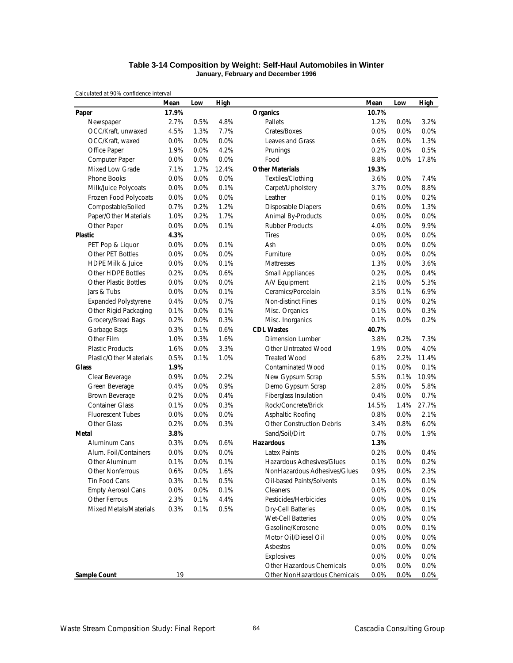### **Table 3-14 Composition by Weight: Self-Haul Automobiles in Winter January, February and December 1996**

|                                | Mean  | Low  | <b>High</b> |                                  | Mean  | Low  | <b>High</b> |
|--------------------------------|-------|------|-------------|----------------------------------|-------|------|-------------|
| Paper                          | 17.9% |      |             | <b>Organics</b>                  | 10.7% |      |             |
| Newspaper                      | 2.7%  | 0.5% | 4.8%        | Pallets                          | 1.2%  | 0.0% | 3.2%        |
| OCC/Kraft, unwaxed             | 4.5%  | 1.3% | 7.7%        | Crates/Boxes                     | 0.0%  | 0.0% | 0.0%        |
| OCC/Kraft, waxed               | 0.0%  | 0.0% | 0.0%        | Leaves and Grass                 | 0.6%  | 0.0% | 1.3%        |
| Office Paper                   | 1.9%  | 0.0% | 4.2%        | Prunings                         | 0.2%  | 0.0% | 0.5%        |
| Computer Paper                 | 0.0%  | 0.0% | 0.0%        | Food                             | 8.8%  | 0.0% | 17.8%       |
| <b>Mixed Low Grade</b>         | 7.1%  | 1.7% | 12.4%       | <b>Other Materials</b>           | 19.3% |      |             |
| Phone Books                    | 0.0%  | 0.0% | 0.0%        | Textiles/Clothing                | 3.6%  | 0.0% | 7.4%        |
| Milk/Juice Polycoats           | 0.0%  | 0.0% | 0.1%        | Carpet/Upholstery                | 3.7%  | 0.0% | 8.8%        |
| Frozen Food Polycoats          | 0.0%  | 0.0% | 0.0%        | Leather                          | 0.1%  | 0.0% | 0.2%        |
| Compostable/Soiled             | 0.7%  | 0.2% | 1.2%        | <b>Disposable Diapers</b>        | 0.6%  | 0.0% | 1.3%        |
| Paper/Other Materials          | 1.0%  | 0.2% | 1.7%        | Animal By-Products               | 0.0%  | 0.0% | 0.0%        |
| Other Paper                    | 0.0%  | 0.0% | 0.1%        | <b>Rubber Products</b>           | 4.0%  | 0.0% | 9.9%        |
| <b>Plastic</b>                 | 4.3%  |      |             | <b>Tires</b>                     | 0.0%  | 0.0% | 0.0%        |
| PET Pop & Liquor               | 0.0%  | 0.0% | 0.1%        | Ash                              | 0.0%  | 0.0% | 0.0%        |
| Other PET Bottles              | 0.0%  | 0.0% | 0.0%        | Furniture                        | 0.0%  | 0.0% | 0.0%        |
| <b>HDPE Milk &amp; Juice</b>   | 0.0%  | 0.0% | 0.1%        | Mattresses                       | 1.3%  | 0.0% | 3.6%        |
| Other HDPE Bottles             | 0.2%  | 0.0% | 0.6%        | <b>Small Appliances</b>          | 0.2%  | 0.0% | 0.4%        |
| <b>Other Plastic Bottles</b>   | 0.0%  | 0.0% | 0.0%        | A/V Equipment                    | 2.1%  | 0.0% | 5.3%        |
| Jars & Tubs                    | 0.0%  | 0.0% | 0.1%        | Ceramics/Porcelain               | 3.5%  | 0.1% | 6.9%        |
| <b>Expanded Polystyrene</b>    | 0.4%  | 0.0% | 0.7%        | <b>Non-distinct Fines</b>        | 0.1%  | 0.0% | 0.2%        |
| Other Rigid Packaging          | 0.1%  | 0.0% | 0.1%        | Misc. Organics                   | 0.1%  | 0.0% | 0.3%        |
| Grocery/Bread Bags             | 0.2%  | 0.0% | 0.3%        | Misc. Inorganics                 | 0.1%  | 0.0% | 0.2%        |
| Garbage Bags                   | 0.3%  | 0.1% | 0.6%        | <b>CDL Wastes</b>                | 40.7% |      |             |
| Other Film                     | 1.0%  | 0.3% | 1.6%        | <b>Dimension Lumber</b>          | 3.8%  | 0.2% | 7.3%        |
| <b>Plastic Products</b>        | 1.6%  | 0.0% | 3.3%        | Other Untreated Wood             | 1.9%  | 0.0% | 4.0%        |
| <b>Plastic/Other Materials</b> | 0.5%  | 0.1% | 1.0%        | <b>Treated Wood</b>              | 6.8%  | 2.2% | 11.4%       |
| <b>Glass</b>                   | 1.9%  |      |             | <b>Contaminated Wood</b>         | 0.1%  | 0.0% | 0.1%        |
| Clear Beverage                 | 0.9%  | 0.0% | 2.2%        | New Gypsum Scrap                 | 5.5%  | 0.1% | 10.9%       |
| Green Beverage                 | 0.4%  | 0.0% | 0.9%        | Demo Gypsum Scrap                | 2.8%  | 0.0% | 5.8%        |
| Brown Beverage                 | 0.2%  | 0.0% | 0.4%        | Fiberglass Insulation            | 0.4%  | 0.0% | 0.7%        |
| <b>Container Glass</b>         | 0.1%  | 0.0% | 0.3%        | Rock/Concrete/Brick              | 14.5% | 1.4% | 27.7%       |
| <b>Fluorescent Tubes</b>       | 0.0%  | 0.0% | 0.0%        | Asphaltic Roofing                | 0.8%  | 0.0% | 2.1%        |
| Other Glass                    | 0.2%  | 0.0% | 0.3%        | <b>Other Construction Debris</b> | 3.4%  | 0.8% | 6.0%        |
| Metal                          | 3.8%  |      |             | Sand/Soil/Dirt                   | 0.7%  | 0.0% | 1.9%        |
| Aluminum Cans                  | 0.3%  | 0.0% | 0.6%        | <b>Hazardous</b>                 | 1.3%  |      |             |
| Alum. Foil/Containers          | 0.0%  | 0.0% | 0.0%        | <b>Latex Paints</b>              | 0.2%  | 0.0% | 0.4%        |
| Other Aluminum                 | 0.1%  | 0.0% | 0.1%        | Hazardous Adhesives/Glues        | 0.1%  | 0.0% | 0.2%        |
| Other Nonferrous               | 0.6%  | 0.0% | 1.6%        | NonHazardous Adhesives/Glues     | 0.9%  | 0.0% | 2.3%        |
| Tin Food Cans                  | 0.3%  | 0.1% | 0.5%        | Oil-based Paints/Solvents        | 0.1%  | 0.0% | 0.1%        |
| <b>Empty Aerosol Cans</b>      | 0.0%  | 0.0% | 0.1%        | Cleaners                         | 0.0%  | 0.0% | 0.0%        |
| Other Ferrous                  | 2.3%  | 0.1% | 4.4%        | Pesticides/Herbicides            | 0.0%  | 0.0% | 0.1%        |
| Mixed Metals/Materials         | 0.3%  | 0.1% | 0.5%        | <b>Dry-Cell Batteries</b>        | 0.0%  | 0.0% | 0.1%        |
|                                |       |      |             | Wet-Cell Batteries               | 0.0%  | 0.0% | 0.0%        |
|                                |       |      |             | Gasoline/Kerosene                | 0.0%  | 0.0% | 0.1%        |
|                                |       |      |             | Motor Oil/Diesel Oil             | 0.0%  | 0.0% | 0.0%        |
|                                |       |      |             | Asbestos                         | 0.0%  | 0.0% | 0.0%        |
|                                |       |      |             | Explosives                       | 0.0%  | 0.0% | 0.0%        |
|                                |       |      |             | Other Hazardous Chemicals        | 0.0%  | 0.0% | 0.0%        |
| Sample Count                   | 19    |      |             | Other NonHazardous Chemicals     | 0.0%  | 0.0% | 0.0%        |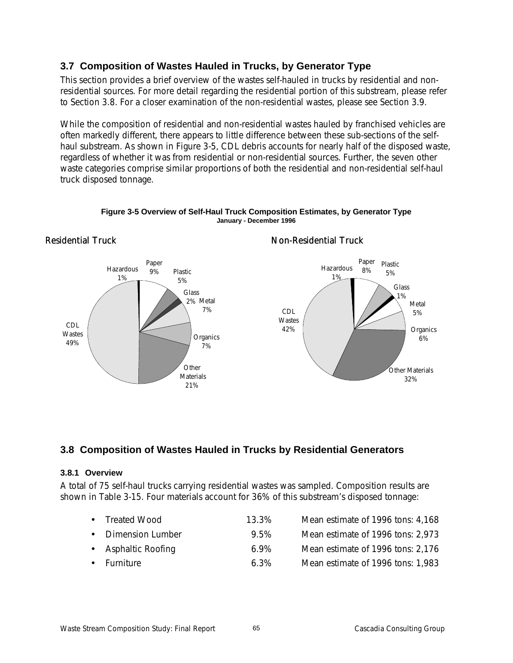## **3.7 Composition of Wastes Hauled in Trucks, by Generator Type**

This section provides a brief overview of the wastes self-hauled in trucks by residential and nonresidential sources. For more detail regarding the residential portion of this substream, please refer to Section 3.8. For a closer examination of the non-residential wastes, please see Section 3.9.

While the composition of residential and non-residential wastes hauled by franchised vehicles are often markedly different, there appears to little difference between these sub-sections of the selfhaul substream. As shown in Figure 3-5, CDL debris accounts for nearly half of the disposed waste, regardless of whether it was from residential or non-residential sources. Further, the seven other waste categories comprise similar proportions of both the residential and non-residential self-haul truck disposed tonnage.



### **Figure 3-5 Overview of Self-Haul Truck Composition Estimates, by Generator Type January - December 1996**

Non-Residential Truck

## **3.8 Composition of Wastes Hauled in Trucks by Residential Generators**

## **3.8.1 Overview**

Residential Truck

A total of 75 self-haul trucks carrying residential wastes was sampled. Composition results are shown in Table 3-15. Four materials account for 36% of this substream's disposed tonnage:

| • Treated Wood      | 13.3%   | Mean estimate of 1996 tons: 4,168 |
|---------------------|---------|-----------------------------------|
| • Dimension Lumber  | 9.5%    | Mean estimate of 1996 tons: 2,973 |
| • Asphaltic Roofing | $6.9\%$ | Mean estimate of 1996 tons: 2,176 |
| • Furniture         | $6.3\%$ | Mean estimate of 1996 tons: 1,983 |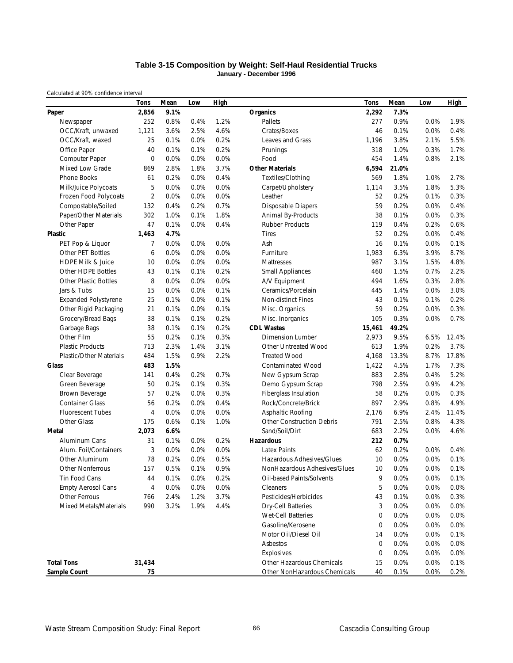### **Table 3-15 Composition by Weight: Self-Haul Residential Trucks January - December 1996**

|                               | <b>Tons</b>    | Mean | Low  | High |                              | Tons   | Mean  | Low     | High  |
|-------------------------------|----------------|------|------|------|------------------------------|--------|-------|---------|-------|
| Paper                         | 2,856          | 9.1% |      |      | Organics                     | 2,292  | 7.3%  |         |       |
| Newspaper                     | 252            | 0.8% | 0.4% | 1.2% | Pallets                      | 277    | 0.9%  | 0.0%    | 1.9%  |
| OCC/Kraft, unwaxed            | 1,121          | 3.6% | 2.5% | 4.6% | Crates/Boxes                 | 46     | 0.1%  | 0.0%    | 0.4%  |
| OCC/Kraft, waxed              | 25             | 0.1% | 0.0% | 0.2% | Leaves and Grass             | 1,196  | 3.8%  | 2.1%    | 5.5%  |
| Office Paper                  | 40             | 0.1% | 0.1% | 0.2% | Prunings                     | 318    | 1.0%  | 0.3%    | 1.7%  |
| Computer Paper                | 0              | 0.0% | 0.0% | 0.0% | Food                         | 454    | 1.4%  | 0.8%    | 2.1%  |
| Mixed Low Grade               | 869            | 2.8% | 1.8% | 3.7% | <b>Other Materials</b>       | 6,594  | 21.0% |         |       |
| <b>Phone Books</b>            | 61             | 0.2% | 0.0% | 0.4% | Textiles/Clothing            | 569    | 1.8%  | 1.0%    | 2.7%  |
| Milk/Juice Polycoats          | 5              | 0.0% | 0.0% | 0.0% | Carpet/Upholstery            | 1,114  | 3.5%  | 1.8%    | 5.3%  |
| Frozen Food Polycoats         | $\overline{2}$ | 0.0% | 0.0% | 0.0% | Leather                      | 52     | 0.2%  | 0.1%    | 0.3%  |
| Compostable/Soiled            | 132            | 0.4% | 0.2% | 0.7% | <b>Disposable Diapers</b>    | 59     | 0.2%  | 0.0%    | 0.4%  |
| Paper/Other Materials         | 302            | 1.0% | 0.1% | 1.8% | Animal By-Products           | 38     | 0.1%  | 0.0%    | 0.3%  |
| Other Paper                   | 47             | 0.1% | 0.0% | 0.4% | <b>Rubber Products</b>       | 119    | 0.4%  | 0.2%    | 0.6%  |
| <b>Plastic</b>                | 1,463          | 4.7% |      |      | <b>Tires</b>                 | 52     | 0.2%  | 0.0%    | 0.4%  |
| PET Pop & Liquor              | 7              | 0.0% | 0.0% | 0.0% | Ash                          | 16     | 0.1%  | 0.0%    | 0.1%  |
| Other PET Bottles             | 6              | 0.0% | 0.0% | 0.0% | Furniture                    | 1,983  | 6.3%  | 3.9%    | 8.7%  |
| <b>HDPE Milk &amp; Juice</b>  | 10             | 0.0% | 0.0% | 0.0% | Mattresses                   | 987    | 3.1%  | 1.5%    | 4.8%  |
| Other HDPE Bottles            | 43             | 0.1% | 0.1% | 0.2% | <b>Small Appliances</b>      | 460    | 1.5%  | 0.7%    | 2.2%  |
| <b>Other Plastic Bottles</b>  | 8              | 0.0% | 0.0% | 0.0% | A/V Equipment                | 494    | 1.6%  | 0.3%    | 2.8%  |
| Jars & Tubs                   | 15             | 0.0% | 0.0% | 0.1% | Ceramics/Porcelain           | 445    | 1.4%  | 0.0%    | 3.0%  |
| <b>Expanded Polystyrene</b>   | 25             | 0.1% | 0.0% | 0.1% | Non-distinct Fines           | 43     | 0.1%  | 0.1%    | 0.2%  |
| Other Rigid Packaging         | 21             | 0.1% | 0.0% | 0.1% | Misc. Organics               | 59     | 0.2%  | 0.0%    | 0.3%  |
| Grocery/Bread Bags            | 38             | 0.1% | 0.1% | 0.2% | Misc. Inorganics             | 105    | 0.3%  | 0.0%    | 0.7%  |
| Garbage Bags                  | 38             | 0.1% | 0.1% | 0.2% | <b>CDL Wastes</b>            | 15,461 | 49.2% |         |       |
| Other Film                    | 55             | 0.2% | 0.1% | 0.3% | <b>Dimension Lumber</b>      | 2,973  | 9.5%  | 6.5%    | 12.4% |
| <b>Plastic Products</b>       | 713            | 2.3% | 1.4% | 3.1% | Other Untreated Wood         | 613    | 1.9%  | 0.2%    | 3.7%  |
| Plastic/Other Materials       | 484            | 1.5% | 0.9% | 2.2% | <b>Treated Wood</b>          | 4,168  | 13.3% | 8.7%    | 17.8% |
| Glass                         | 483            | 1.5% |      |      | <b>Contaminated Wood</b>     | 1,422  | 4.5%  | 1.7%    | 7.3%  |
| Clear Beverage                | 141            | 0.4% | 0.2% | 0.7% | New Gypsum Scrap             | 883    | 2.8%  | 0.4%    | 5.2%  |
| Green Beverage                | 50             | 0.2% | 0.1% | 0.3% | Demo Gypsum Scrap            | 798    | 2.5%  | 0.9%    | 4.2%  |
| Brown Beverage                | 57             | 0.2% | 0.0% | 0.3% | Fiberglass Insulation        | 58     | 0.2%  | 0.0%    | 0.3%  |
| <b>Container Glass</b>        | 56             | 0.2% | 0.0% | 0.4% | Rock/Concrete/Brick          | 897    | 2.9%  | 0.8%    | 4.9%  |
| <b>Fluorescent Tubes</b>      | 4              | 0.0% | 0.0% | 0.0% | Asphaltic Roofing            | 2,176  | 6.9%  | 2.4%    | 11.4% |
| <b>Other Glass</b>            | 175            | 0.6% | 0.1% | 1.0% | Other Construction Debris    | 791    | 2.5%  | 0.8%    | 4.3%  |
| <b>Metal</b>                  | 2,073          | 6.6% |      |      | Sand/Soil/Dirt               | 683    | 2.2%  | 0.0%    | 4.6%  |
| Aluminum Cans                 | 31             | 0.1% | 0.0% | 0.2% | <b>Hazardous</b>             | 212    | 0.7%  |         |       |
| Alum. Foil/Containers         | 3              | 0.0% | 0.0% | 0.0% | Latex Paints                 | 62     | 0.2%  | 0.0%    | 0.4%  |
| Other Aluminum                | 78             | 0.2% | 0.0% | 0.5% | Hazardous Adhesives/Glues    | 10     | 0.0%  | 0.0%    | 0.1%  |
| <b>Other Nonferrous</b>       | 157            | 0.5% | 0.1% | 0.9% | NonHazardous Adhesives/Glues | 10     | 0.0%  | 0.0%    | 0.1%  |
| Tin Food Cans                 | 44             | 0.1% | 0.0% | 0.2% | Oil-based Paints/Solvents    | 9      | 0.0%  | 0.0%    | 0.1%  |
| <b>Empty Aerosol Cans</b>     | 4              | 0.0% | 0.0% | 0.0% | Cleaners                     | 5      | 0.0%  | 0.0%    | 0.0%  |
| Other Ferrous                 | 766            | 2.4% | 1.2% | 3.7% | Pesticides/Herbicides        | 43     | 0.1%  | 0.0%    | 0.3%  |
| <b>Mixed Metals/Materials</b> | 990            | 3.2% | 1.9% | 4.4% | Dry-Cell Batteries           | 3      | 0.0%  | 0.0%    | 0.0%  |
|                               |                |      |      |      | <b>Wet-Cell Batteries</b>    | 0      | 0.0%  | 0.0%    | 0.0%  |
|                               |                |      |      |      | Gasoline/Kerosene            | 0      | 0.0%  | 0.0%    | 0.0%  |
|                               |                |      |      |      | Motor Oil/Diesel Oil         | 14     | 0.0%  | 0.0%    | 0.1%  |
|                               |                |      |      |      | Asbestos                     | 0      | 0.0%  | 0.0%    | 0.0%  |
|                               |                |      |      |      | Explosives                   | 0      | 0.0%  | $0.0\%$ | 0.0%  |
| <b>Total Tons</b>             | 31,434         |      |      |      | Other Hazardous Chemicals    | 15     | 0.0%  | 0.0%    | 0.1%  |
| Sample Count                  | 75             |      |      |      | Other NonHazardous Chemicals | 40     | 0.1%  | 0.0%    | 0.2%  |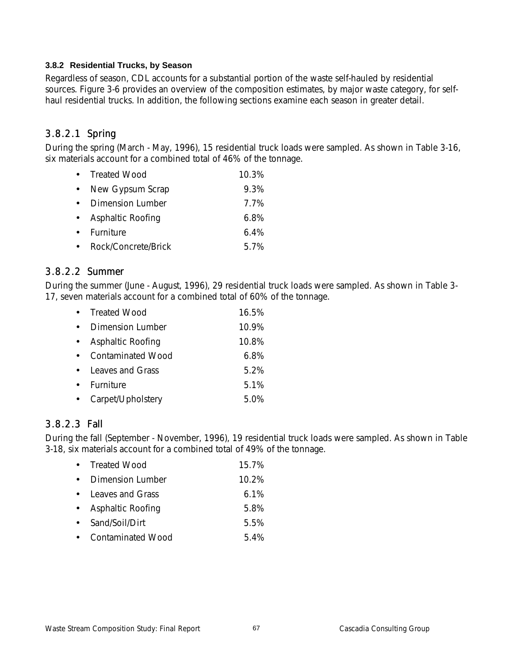## **3.8.2 Residential Trucks, by Season**

Regardless of season, CDL accounts for a substantial portion of the waste self-hauled by residential sources. Figure 3-6 provides an overview of the composition estimates, by major waste category, for selfhaul residential trucks. In addition, the following sections examine each season in greater detail.

## 3.8.2.1 Spring

During the spring (March - May, 1996), 15 residential truck loads were sampled. As shown in Table 3-16, six materials account for a combined total of 46% of the tonnage.

|           | • Treated Wood      | 10.3%   |
|-----------|---------------------|---------|
| $\bullet$ | New Gypsum Scrap    | 9.3%    |
|           | • Dimension Lumber  | 7.7%    |
|           | • Asphaltic Roofing | 6.8%    |
|           | • Furniture         | $6.4\%$ |
| $\bullet$ | Rock/Concrete/Brick | 5.7%    |

## 3.8.2.2 Summer

During the summer (June - August, 1996), 29 residential truck loads were sampled. As shown in Table 3- 17, seven materials account for a combined total of 60% of the tonnage.

|           | • Treated Wood      | 16.5% |
|-----------|---------------------|-------|
|           | • Dimension Lumber  | 10.9% |
| $\bullet$ | Asphaltic Roofing   | 10.8% |
|           | • Contaminated Wood | 6.8%  |
|           | • Leaves and Grass  | 5.2%  |
| $\bullet$ | Furniture           | 5.1%  |
| $\bullet$ | Carpet/Upholstery   | 5.0%  |

## 3.8.2.3 Fall

During the fall (September - November, 1996), 19 residential truck loads were sampled. As shown in Table 3-18, six materials account for a combined total of 49% of the tonnage.

| • Treated Wood      | 15.7%    |
|---------------------|----------|
| • Dimension Lumber  | $10.2\%$ |
| • Leaves and Grass  | $6.1\%$  |
| • Asphaltic Roofing | 5.8%     |
| • Sand/Soil/Dirt    | 5.5%     |
| • Contaminated Wood | 54%      |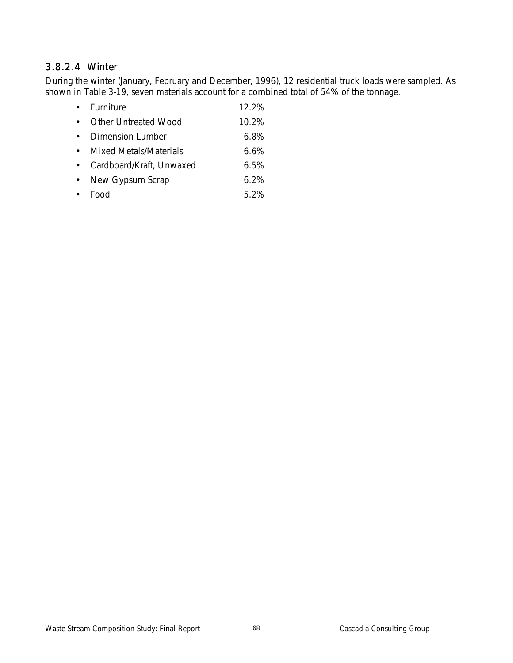# 3.8.2.4 Winter

During the winter (January, February and December, 1996), 12 residential truck loads were sampled. As shown in Table 3-19, seven materials account for a combined total of 54% of the tonnage.

| Furniture                     | $12.2\%$ |
|-------------------------------|----------|
| <b>Other Untreated Wood</b>   | 10.2%    |
| Dimension Lumber              | $6.8\%$  |
| <b>Mixed Metals/Materials</b> | 6.6%     |
| Cardboard/Kraft, Unwaxed      | $6.5\%$  |
| New Gypsum Scrap              | 6.2%     |
| FUUY                          | 5 2%     |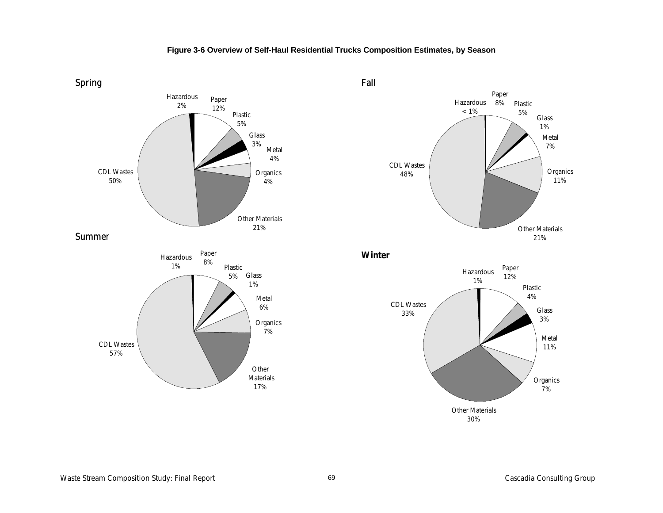## **Figure 3-6 Overview of Self-Haul Residential Trucks Composition Estimates, by Season**





**Winter**

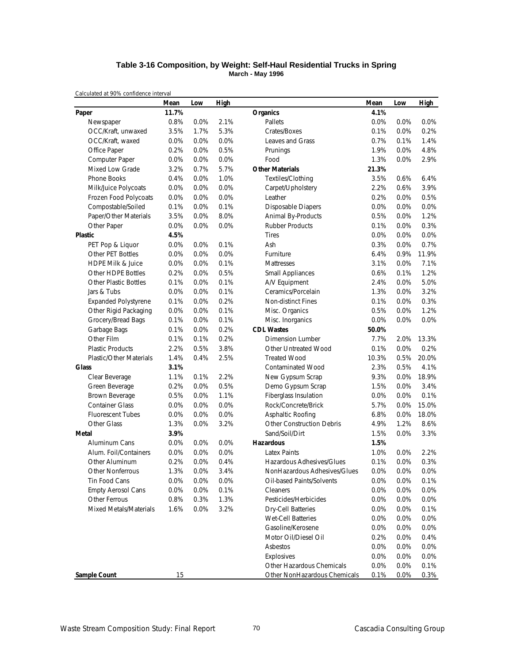#### **Table 3-16 Composition, by Weight: Self-Haul Residential Trucks in Spring March - May 1996**

|                                | Mean  | Low     | <b>High</b> |                                  | Mean  | Low  | <b>High</b> |
|--------------------------------|-------|---------|-------------|----------------------------------|-------|------|-------------|
| Paper                          | 11.7% |         |             | <b>Organics</b>                  | 4.1%  |      |             |
| Newspaper                      | 0.8%  | 0.0%    | 2.1%        | Pallets                          | 0.0%  | 0.0% | 0.0%        |
| OCC/Kraft, unwaxed             | 3.5%  | 1.7%    | 5.3%        | Crates/Boxes                     | 0.1%  | 0.0% | 0.2%        |
| OCC/Kraft, waxed               | 0.0%  | 0.0%    | 0.0%        | Leaves and Grass                 | 0.7%  | 0.1% | 1.4%        |
| Office Paper                   | 0.2%  | 0.0%    | 0.5%        | Prunings                         | 1.9%  | 0.0% | 4.8%        |
| Computer Paper                 | 0.0%  | 0.0%    | 0.0%        | Food                             | 1.3%  | 0.0% | 2.9%        |
| <b>Mixed Low Grade</b>         | 3.2%  | 0.7%    | 5.7%        | <b>Other Materials</b>           | 21.3% |      |             |
| Phone Books                    | 0.4%  | 0.0%    | 1.0%        | Textiles/Clothing                | 3.5%  | 0.6% | 6.4%        |
| Milk/Juice Polycoats           | 0.0%  | 0.0%    | 0.0%        | Carpet/Upholstery                | 2.2%  | 0.6% | 3.9%        |
| Frozen Food Polycoats          | 0.0%  | 0.0%    | 0.0%        | Leather                          | 0.2%  | 0.0% | 0.5%        |
| Compostable/Soiled             | 0.1%  | 0.0%    | 0.1%        | <b>Disposable Diapers</b>        | 0.0%  | 0.0% | 0.0%        |
| Paper/Other Materials          | 3.5%  | 0.0%    | 8.0%        | Animal By-Products               | 0.5%  | 0.0% | 1.2%        |
| Other Paper                    | 0.0%  | 0.0%    | 0.0%        | <b>Rubber Products</b>           | 0.1%  | 0.0% | 0.3%        |
| <b>Plastic</b>                 | 4.5%  |         |             | <b>Tires</b>                     | 0.0%  | 0.0% | 0.0%        |
| PET Pop & Liquor               | 0.0%  | 0.0%    | 0.1%        | Ash                              | 0.3%  | 0.0% | 0.7%        |
| Other PET Bottles              | 0.0%  | 0.0%    | 0.0%        | Furniture                        | 6.4%  | 0.9% | 11.9%       |
| <b>HDPE Milk &amp; Juice</b>   | 0.0%  | 0.0%    | 0.1%        | <b>Mattresses</b>                | 3.1%  | 0.0% | 7.1%        |
| Other HDPE Bottles             | 0.2%  | 0.0%    | 0.5%        | <b>Small Appliances</b>          | 0.6%  | 0.1% | 1.2%        |
| <b>Other Plastic Bottles</b>   | 0.1%  | 0.0%    | 0.1%        | A/V Equipment                    | 2.4%  | 0.0% | 5.0%        |
| Jars & Tubs                    | 0.0%  | 0.0%    | 0.1%        | Ceramics/Porcelain               | 1.3%  | 0.0% | 3.2%        |
| <b>Expanded Polystyrene</b>    | 0.1%  | 0.0%    | 0.2%        | Non-distinct Fines               | 0.1%  | 0.0% | 0.3%        |
| Other Rigid Packaging          | 0.0%  | 0.0%    | 0.1%        | Misc. Organics                   | 0.5%  | 0.0% | 1.2%        |
| Grocery/Bread Bags             | 0.1%  | 0.0%    | 0.1%        | Misc. Inorganics                 | 0.0%  | 0.0% | 0.0%        |
| Garbage Bags                   | 0.1%  | 0.0%    | 0.2%        | <b>CDL Wastes</b>                | 50.0% |      |             |
| Other Film                     | 0.1%  | 0.1%    | 0.2%        | Dimension Lumber                 | 7.7%  | 2.0% | 13.3%       |
| <b>Plastic Products</b>        | 2.2%  | 0.5%    | 3.8%        | Other Untreated Wood             | 0.1%  | 0.0% | 0.2%        |
| <b>Plastic/Other Materials</b> | 1.4%  | 0.4%    | 2.5%        | <b>Treated Wood</b>              | 10.3% | 0.5% | 20.0%       |
| <b>Glass</b>                   | 3.1%  |         |             | <b>Contaminated Wood</b>         | 2.3%  | 0.5% | 4.1%        |
| Clear Beverage                 | 1.1%  | 0.1%    | 2.2%        | New Gypsum Scrap                 | 9.3%  | 0.0% | 18.9%       |
| Green Beverage                 | 0.2%  | 0.0%    | 0.5%        | Demo Gypsum Scrap                | 1.5%  | 0.0% | 3.4%        |
| Brown Beverage                 | 0.5%  | 0.0%    | 1.1%        | Fiberglass Insulation            | 0.0%  | 0.0% | 0.1%        |
| <b>Container Glass</b>         | 0.0%  | 0.0%    | 0.0%        | Rock/Concrete/Brick              | 5.7%  | 0.0% | 15.0%       |
| <b>Fluorescent Tubes</b>       | 0.0%  | 0.0%    | 0.0%        | Asphaltic Roofing                | 6.8%  | 0.0% | 18.0%       |
| Other Glass                    | 1.3%  | 0.0%    | 3.2%        | <b>Other Construction Debris</b> | 4.9%  | 1.2% | 8.6%        |
| Metal                          | 3.9%  |         |             | Sand/Soil/Dirt                   | 1.5%  | 0.0% | 3.3%        |
| Aluminum Cans                  | 0.0%  | 0.0%    | 0.0%        | <b>Hazardous</b>                 | 1.5%  |      |             |
| Alum. Foil/Containers          | 0.0%  | 0.0%    | 0.0%        | <b>Latex Paints</b>              | 1.0%  | 0.0% | 2.2%        |
| Other Aluminum                 | 0.2%  | 0.0%    | 0.4%        | Hazardous Adhesives/Glues        | 0.1%  | 0.0% | 0.3%        |
| <b>Other Nonferrous</b>        | 1.3%  | $0.0\%$ | 3.4%        | NonHazardous Adhesives/Glues     | 0.0%  | 0.0% | 0.0%        |
| Tin Food Cans                  | 0.0%  | 0.0%    | 0.0%        | Oil-based Paints/Solvents        | 0.0%  | 0.0% | 0.1%        |
| <b>Empty Aerosol Cans</b>      | 0.0%  | 0.0%    | 0.1%        | Cleaners                         | 0.0%  | 0.0% | 0.0%        |
| Other Ferrous                  | 0.8%  | 0.3%    | 1.3%        | Pesticides/Herbicides            | 0.0%  | 0.0% | 0.0%        |
| Mixed Metals/Materials         | 1.6%  | 0.0%    | 3.2%        | Dry-Cell Batteries               | 0.0%  | 0.0% | 0.1%        |
|                                |       |         |             | Wet-Cell Batteries               | 0.0%  | 0.0% | 0.0%        |
|                                |       |         |             | Gasoline/Kerosene                | 0.0%  | 0.0% | 0.0%        |
|                                |       |         |             | Motor Oil/Diesel Oil             | 0.2%  | 0.0% | 0.4%        |
|                                |       |         |             | Asbestos                         | 0.0%  | 0.0% | 0.0%        |
|                                |       |         |             | Explosives                       | 0.0%  | 0.0% | 0.0%        |
|                                |       |         |             | Other Hazardous Chemicals        | 0.0%  | 0.0% | 0.1%        |
| Sample Count                   | 15    |         |             | Other NonHazardous Chemicals     | 0.1%  | 0.0% | 0.3%        |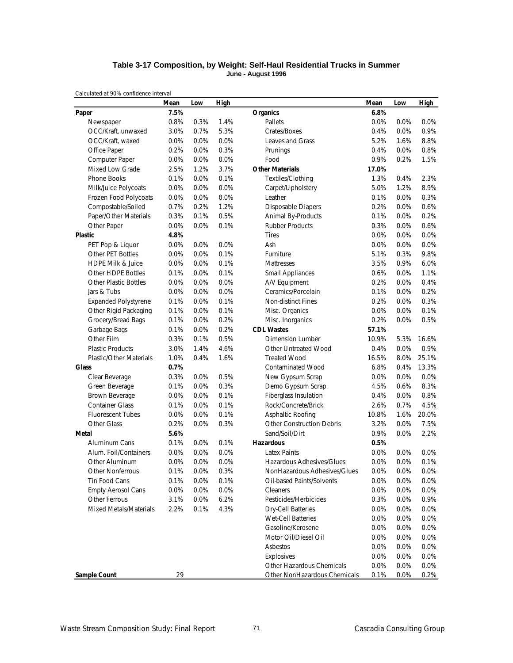#### **Table 3-17 Composition, by Weight: Self-Haul Residential Trucks in Summer June - August 1996**

|                                | Mean    | Low     | High |                                  | Mean  | Low  | <b>High</b> |
|--------------------------------|---------|---------|------|----------------------------------|-------|------|-------------|
| Paper                          | 7.5%    |         |      | <b>Organics</b>                  | 6.8%  |      |             |
| Newspaper                      | 0.8%    | 0.3%    | 1.4% | Pallets                          | 0.0%  | 0.0% | 0.0%        |
| OCC/Kraft, unwaxed             | 3.0%    | 0.7%    | 5.3% | Crates/Boxes                     | 0.4%  | 0.0% | 0.9%        |
| OCC/Kraft, waxed               | 0.0%    | 0.0%    | 0.0% | Leaves and Grass                 | 5.2%  | 1.6% | 8.8%        |
| Office Paper                   | 0.2%    | 0.0%    | 0.3% | Prunings                         | 0.4%  | 0.0% | 0.8%        |
| Computer Paper                 | 0.0%    | 0.0%    | 0.0% | Food                             | 0.9%  | 0.2% | 1.5%        |
| Mixed Low Grade                | 2.5%    | 1.2%    | 3.7% | <b>Other Materials</b>           | 17.0% |      |             |
| Phone Books                    | 0.1%    | 0.0%    | 0.1% | Textiles/Clothing                | 1.3%  | 0.4% | 2.3%        |
| Milk/Juice Polycoats           | 0.0%    | 0.0%    | 0.0% | Carpet/Upholstery                | 5.0%  | 1.2% | 8.9%        |
| Frozen Food Polycoats          | 0.0%    | 0.0%    | 0.0% | Leather                          | 0.1%  | 0.0% | 0.3%        |
| Compostable/Soiled             | 0.7%    | 0.2%    | 1.2% | <b>Disposable Diapers</b>        | 0.2%  | 0.0% | 0.6%        |
| Paper/Other Materials          | 0.3%    | 0.1%    | 0.5% | Animal By-Products               | 0.1%  | 0.0% | 0.2%        |
| Other Paper                    | 0.0%    | 0.0%    | 0.1% | <b>Rubber Products</b>           | 0.3%  | 0.0% | 0.6%        |
| <b>Plastic</b>                 | 4.8%    |         |      | <b>Tires</b>                     | 0.0%  | 0.0% | 0.0%        |
| PET Pop & Liquor               | $0.0\%$ | 0.0%    | 0.0% | Ash                              | 0.0%  | 0.0% | 0.0%        |
| Other PET Bottles              | 0.0%    | 0.0%    | 0.1% | Furniture                        | 5.1%  | 0.3% | 9.8%        |
| HDPE Milk & Juice              | 0.0%    | 0.0%    | 0.1% | <b>Mattresses</b>                | 3.5%  | 0.9% | 6.0%        |
| <b>Other HDPE Bottles</b>      | 0.1%    | 0.0%    | 0.1% | <b>Small Appliances</b>          | 0.6%  | 0.0% | 1.1%        |
| <b>Other Plastic Bottles</b>   | 0.0%    | 0.0%    | 0.0% | A/V Equipment                    | 0.2%  | 0.0% | 0.4%        |
| Jars & Tubs                    | 0.0%    | 0.0%    | 0.0% | Ceramics/Porcelain               | 0.1%  | 0.0% | 0.2%        |
| <b>Expanded Polystyrene</b>    | 0.1%    | 0.0%    | 0.1% | Non-distinct Fines               | 0.2%  | 0.0% | 0.3%        |
| Other Rigid Packaging          | 0.1%    | 0.0%    | 0.1% | Misc. Organics                   | 0.0%  | 0.0% | 0.1%        |
| Grocery/Bread Bags             | 0.1%    | 0.0%    | 0.2% | Misc. Inorganics                 | 0.2%  | 0.0% | 0.5%        |
| Garbage Bags                   | 0.1%    | 0.0%    | 0.2% | <b>CDL Wastes</b>                | 57.1% |      |             |
| Other Film                     | 0.3%    | 0.1%    | 0.5% | <b>Dimension Lumber</b>          | 10.9% | 5.3% | 16.6%       |
| <b>Plastic Products</b>        | 3.0%    | 1.4%    | 4.6% | Other Untreated Wood             | 0.4%  | 0.0% | 0.9%        |
| <b>Plastic/Other Materials</b> | 1.0%    | 0.4%    | 1.6% | <b>Treated Wood</b>              | 16.5% | 8.0% | 25.1%       |
| <b>Glass</b>                   | 0.7%    |         |      | <b>Contaminated Wood</b>         | 6.8%  | 0.4% | 13.3%       |
| Clear Beverage                 | 0.3%    | 0.0%    | 0.5% | New Gypsum Scrap                 | 0.0%  | 0.0% | 0.0%        |
| Green Beverage                 | 0.1%    | 0.0%    | 0.3% | Demo Gypsum Scrap                | 4.5%  | 0.6% | 8.3%        |
| Brown Beverage                 | 0.0%    | 0.0%    | 0.1% | Fiberglass Insulation            | 0.4%  | 0.0% | 0.8%        |
| <b>Container Glass</b>         | 0.1%    | 0.0%    | 0.1% | Rock/Concrete/Brick              | 2.6%  | 0.7% | 4.5%        |
| <b>Fluorescent Tubes</b>       | 0.0%    | 0.0%    | 0.1% | Asphaltic Roofing                | 10.8% | 1.6% | 20.0%       |
| Other Glass                    | 0.2%    | 0.0%    | 0.3% | <b>Other Construction Debris</b> | 3.2%  | 0.0% | 7.5%        |
| Metal                          | 5.6%    |         |      | Sand/Soil/Dirt                   | 0.9%  | 0.0% | 2.2%        |
| Aluminum Cans                  | 0.1%    | 0.0%    | 0.1% | <b>Hazardous</b>                 | 0.5%  |      |             |
| Alum. Foil/Containers          | 0.0%    | 0.0%    | 0.0% | <b>Latex Paints</b>              | 0.0%  | 0.0% | 0.0%        |
| Other Aluminum                 | 0.0%    | 0.0%    | 0.0% | Hazardous Adhesives/Glues        | 0.0%  | 0.0% | 0.1%        |
| Other Nonferrous               | 0.1%    | 0.0%    | 0.3% | NonHazardous Adhesives/Glues     | 0.0%  | 0.0% | 0.0%        |
| Tin Food Cans                  | 0.1%    | 0.0%    | 0.1% | Oil-based Paints/Solvents        | 0.0%  | 0.0% | 0.0%        |
| <b>Empty Aerosol Cans</b>      | 0.0%    | $0.0\%$ | 0.0% | Cleaners                         | 0.0%  | 0.0% | 0.0%        |
| Other Ferrous                  | 3.1%    | 0.0%    | 6.2% | Pesticides/Herbicides            | 0.3%  | 0.0% | 0.9%        |
| Mixed Metals/Materials         | 2.2%    | 0.1%    | 4.3% | <b>Dry-Cell Batteries</b>        | 0.0%  | 0.0% | 0.0%        |
|                                |         |         |      | Wet-Cell Batteries               | 0.0%  | 0.0% | 0.0%        |
|                                |         |         |      | Gasoline/Kerosene                | 0.0%  | 0.0% | 0.0%        |
|                                |         |         |      | Motor Oil/Diesel Oil             | 0.0%  | 0.0% | 0.0%        |
|                                |         |         |      | Asbestos                         | 0.0%  | 0.0% | 0.0%        |
|                                |         |         |      | Explosives                       | 0.0%  | 0.0% | 0.0%        |
|                                |         |         |      | Other Hazardous Chemicals        | 0.0%  | 0.0% | 0.0%        |
| Sample Count                   | 29      |         |      | Other NonHazardous Chemicals     | 0.1%  | 0.0% | 0.2%        |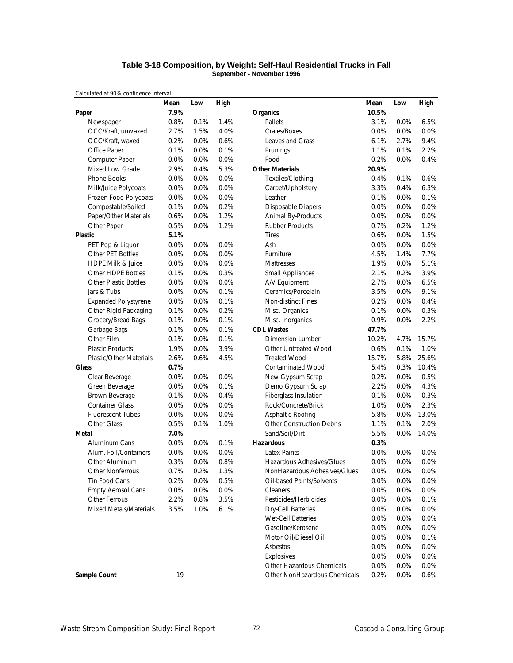#### **Table 3-18 Composition, by Weight: Self-Haul Residential Trucks in Fall September - November 1996**

|                                | Mean | Low  | High |                                  | Mean  | Low  | <b>High</b> |
|--------------------------------|------|------|------|----------------------------------|-------|------|-------------|
| Paper                          | 7.9% |      |      | <b>Organics</b>                  | 10.5% |      |             |
| Newspaper                      | 0.8% | 0.1% | 1.4% | Pallets                          | 3.1%  | 0.0% | 6.5%        |
| OCC/Kraft, unwaxed             | 2.7% | 1.5% | 4.0% | Crates/Boxes                     | 0.0%  | 0.0% | 0.0%        |
| OCC/Kraft, waxed               | 0.2% | 0.0% | 0.6% | Leaves and Grass                 | 6.1%  | 2.7% | 9.4%        |
| Office Paper                   | 0.1% | 0.0% | 0.1% | Prunings                         | 1.1%  | 0.1% | 2.2%        |
| Computer Paper                 | 0.0% | 0.0% | 0.0% | Food                             | 0.2%  | 0.0% | 0.4%        |
| <b>Mixed Low Grade</b>         | 2.9% | 0.4% | 5.3% | <b>Other Materials</b>           | 20.9% |      |             |
| Phone Books                    | 0.0% | 0.0% | 0.0% | Textiles/Clothing                | 0.4%  | 0.1% | 0.6%        |
| Milk/Juice Polycoats           | 0.0% | 0.0% | 0.0% | Carpet/Upholstery                | 3.3%  | 0.4% | 6.3%        |
| Frozen Food Polycoats          | 0.0% | 0.0% | 0.0% | Leather                          | 0.1%  | 0.0% | 0.1%        |
| Compostable/Soiled             | 0.1% | 0.0% | 0.2% | <b>Disposable Diapers</b>        | 0.0%  | 0.0% | 0.0%        |
| Paper/Other Materials          | 0.6% | 0.0% | 1.2% | Animal By-Products               | 0.0%  | 0.0% | 0.0%        |
| Other Paper                    | 0.5% | 0.0% | 1.2% | <b>Rubber Products</b>           | 0.7%  | 0.2% | 1.2%        |
| Plastic                        | 5.1% |      |      | <b>Tires</b>                     | 0.6%  | 0.0% | 1.5%        |
| PET Pop & Liquor               | 0.0% | 0.0% | 0.0% | Ash                              | 0.0%  | 0.0% | 0.0%        |
| Other PET Bottles              | 0.0% | 0.0% | 0.0% | Furniture                        | 4.5%  | 1.4% | 7.7%        |
| <b>HDPE Milk &amp; Juice</b>   | 0.0% | 0.0% | 0.0% | Mattresses                       | 1.9%  | 0.0% | 5.1%        |
| Other HDPE Bottles             | 0.1% | 0.0% | 0.3% | <b>Small Appliances</b>          | 2.1%  | 0.2% | 3.9%        |
| <b>Other Plastic Bottles</b>   | 0.0% | 0.0% | 0.0% | A/V Equipment                    | 2.7%  | 0.0% | 6.5%        |
| Jars & Tubs                    | 0.0% | 0.0% | 0.1% | Ceramics/Porcelain               | 3.5%  | 0.0% | 9.1%        |
| <b>Expanded Polystyrene</b>    | 0.0% | 0.0% | 0.1% | Non-distinct Fines               | 0.2%  | 0.0% | 0.4%        |
| Other Rigid Packaging          | 0.1% | 0.0% | 0.2% | Misc. Organics                   | 0.1%  | 0.0% | 0.3%        |
| Grocery/Bread Bags             | 0.1% | 0.0% | 0.1% | Misc. Inorganics                 | 0.9%  | 0.0% | 2.2%        |
| Garbage Bags                   | 0.1% | 0.0% | 0.1% | <b>CDL Wastes</b>                | 47.7% |      |             |
| Other Film                     | 0.1% | 0.0% | 0.1% | <b>Dimension Lumber</b>          | 10.2% | 4.7% | 15.7%       |
| <b>Plastic Products</b>        | 1.9% | 0.0% | 3.9% | Other Untreated Wood             | 0.6%  | 0.1% | 1.0%        |
| <b>Plastic/Other Materials</b> | 2.6% | 0.6% | 4.5% | <b>Treated Wood</b>              | 15.7% | 5.8% | 25.6%       |
| <b>Glass</b>                   | 0.7% |      |      | <b>Contaminated Wood</b>         | 5.4%  | 0.3% | 10.4%       |
| Clear Beverage                 | 0.0% | 0.0% | 0.0% | New Gypsum Scrap                 | 0.2%  | 0.0% | 0.5%        |
| Green Beverage                 | 0.0% | 0.0% | 0.1% | Demo Gypsum Scrap                | 2.2%  | 0.0% | 4.3%        |
| Brown Beverage                 | 0.1% | 0.0% | 0.4% | Fiberglass Insulation            | 0.1%  | 0.0% | 0.3%        |
| <b>Container Glass</b>         | 0.0% | 0.0% | 0.0% | Rock/Concrete/Brick              | 1.0%  | 0.0% | 2.3%        |
| <b>Fluorescent Tubes</b>       | 0.0% | 0.0% | 0.0% | Asphaltic Roofing                | 5.8%  | 0.0% | 13.0%       |
| Other Glass                    | 0.5% | 0.1% | 1.0% | <b>Other Construction Debris</b> | 1.1%  | 0.1% | 2.0%        |
| Metal                          | 7.0% |      |      | Sand/Soil/Dirt                   | 5.5%  | 0.0% | 14.0%       |
| Aluminum Cans                  | 0.0% | 0.0% | 0.1% | <b>Hazardous</b>                 | 0.3%  |      |             |
| Alum. Foil/Containers          | 0.0% | 0.0% | 0.0% | <b>Latex Paints</b>              | 0.0%  | 0.0% | 0.0%        |
| Other Aluminum                 | 0.3% | 0.0% | 0.8% | Hazardous Adhesives/Glues        | 0.0%  | 0.0% | 0.0%        |
| <b>Other Nonferrous</b>        | 0.7% | 0.2% | 1.3% | NonHazardous Adhesives/Glues     | 0.0%  | 0.0% | 0.0%        |
| Tin Food Cans                  | 0.2% | 0.0% | 0.5% | Oil-based Paints/Solvents        | 0.0%  | 0.0% | 0.0%        |
| <b>Empty Aerosol Cans</b>      | 0.0% | 0.0% | 0.0% | Cleaners                         | 0.0%  | 0.0% | 0.0%        |
| Other Ferrous                  | 2.2% | 0.8% | 3.5% | Pesticides/Herbicides            | 0.0%  | 0.0% | 0.1%        |
| Mixed Metals/Materials         | 3.5% | 1.0% | 6.1% | <b>Dry-Cell Batteries</b>        | 0.0%  | 0.0% | 0.0%        |
|                                |      |      |      | Wet-Cell Batteries               | 0.0%  | 0.0% | 0.0%        |
|                                |      |      |      | Gasoline/Kerosene                | 0.0%  | 0.0% | 0.0%        |
|                                |      |      |      | Motor Oil/Diesel Oil             | 0.0%  | 0.0% | 0.1%        |
|                                |      |      |      | Asbestos                         | 0.0%  | 0.0% | 0.0%        |
|                                |      |      |      | Explosives                       | 0.0%  | 0.0% | 0.0%        |
|                                |      |      |      | Other Hazardous Chemicals        | 0.0%  | 0.0% | 0.0%        |
| Sample Count                   | 19   |      |      | Other NonHazardous Chemicals     | 0.2%  | 0.0% | 0.6%        |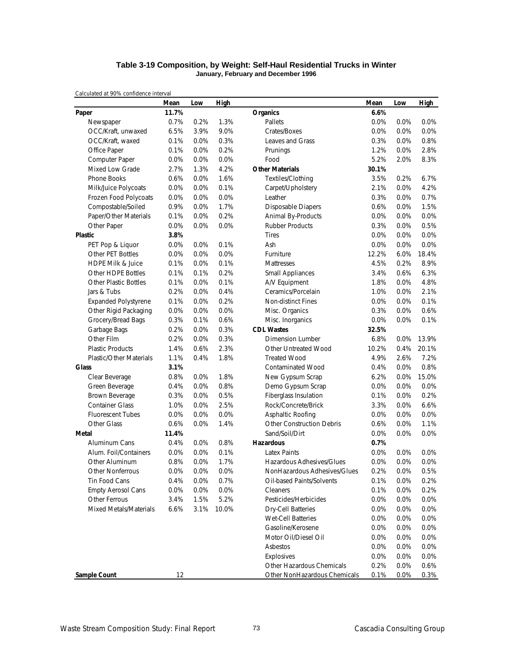#### **Table 3-19 Composition, by Weight: Self-Haul Residential Trucks in Winter January, February and December 1996**

|                                | Mean  | Low     | High  |                                  | Mean  | Low  | <b>High</b> |
|--------------------------------|-------|---------|-------|----------------------------------|-------|------|-------------|
| Paper                          | 11.7% |         |       | <b>Organics</b>                  | 6.6%  |      |             |
| Newspaper                      | 0.7%  | 0.2%    | 1.3%  | Pallets                          | 0.0%  | 0.0% | 0.0%        |
| OCC/Kraft, unwaxed             | 6.5%  | 3.9%    | 9.0%  | Crates/Boxes                     | 0.0%  | 0.0% | 0.0%        |
| OCC/Kraft, waxed               | 0.1%  | 0.0%    | 0.3%  | Leaves and Grass                 | 0.3%  | 0.0% | 0.8%        |
| Office Paper                   | 0.1%  | 0.0%    | 0.2%  | Prunings                         | 1.2%  | 0.0% | 2.8%        |
| Computer Paper                 | 0.0%  | 0.0%    | 0.0%  | Food                             | 5.2%  | 2.0% | 8.3%        |
| Mixed Low Grade                | 2.7%  | 1.3%    | 4.2%  | <b>Other Materials</b>           | 30.1% |      |             |
| Phone Books                    | 0.6%  | 0.0%    | 1.6%  | Textiles/Clothing                | 3.5%  | 0.2% | 6.7%        |
| Milk/Juice Polycoats           | 0.0%  | 0.0%    | 0.1%  | Carpet/Upholstery                | 2.1%  | 0.0% | 4.2%        |
| Frozen Food Polycoats          | 0.0%  | 0.0%    | 0.0%  | Leather                          | 0.3%  | 0.0% | 0.7%        |
| Compostable/Soiled             | 0.9%  | 0.0%    | 1.7%  | <b>Disposable Diapers</b>        | 0.6%  | 0.0% | 1.5%        |
| Paper/Other Materials          | 0.1%  | 0.0%    | 0.2%  | Animal By-Products               | 0.0%  | 0.0% | 0.0%        |
| Other Paper                    | 0.0%  | 0.0%    | 0.0%  | <b>Rubber Products</b>           | 0.3%  | 0.0% | 0.5%        |
| <b>Plastic</b>                 | 3.8%  |         |       | <b>Tires</b>                     | 0.0%  | 0.0% | 0.0%        |
| PET Pop & Liquor               | 0.0%  | 0.0%    | 0.1%  | Ash                              | 0.0%  | 0.0% | 0.0%        |
| Other PET Bottles              | 0.0%  | 0.0%    | 0.0%  | Furniture                        | 12.2% | 6.0% | 18.4%       |
| <b>HDPE Milk &amp; Juice</b>   | 0.1%  | 0.0%    | 0.1%  | Mattresses                       | 4.5%  | 0.2% | 8.9%        |
| Other HDPE Bottles             | 0.1%  | 0.1%    | 0.2%  | <b>Small Appliances</b>          | 3.4%  | 0.6% | 6.3%        |
| <b>Other Plastic Bottles</b>   | 0.1%  | 0.0%    | 0.1%  | A/V Equipment                    | 1.8%  | 0.0% | 4.8%        |
| Jars & Tubs                    | 0.2%  | 0.0%    | 0.4%  | Ceramics/Porcelain               | 1.0%  | 0.0% | 2.1%        |
| <b>Expanded Polystyrene</b>    | 0.1%  | 0.0%    | 0.2%  | <b>Non-distinct Fines</b>        | 0.0%  | 0.0% | 0.1%        |
| Other Rigid Packaging          | 0.0%  | 0.0%    | 0.0%  | Misc. Organics                   | 0.3%  | 0.0% | 0.6%        |
| Grocery/Bread Bags             | 0.3%  | 0.1%    | 0.6%  | Misc. Inorganics                 | 0.0%  | 0.0% | 0.1%        |
| Garbage Bags                   | 0.2%  | 0.0%    | 0.3%  | <b>CDL Wastes</b>                | 32.5% |      |             |
| Other Film                     | 0.2%  | 0.0%    | 0.3%  | <b>Dimension Lumber</b>          | 6.8%  | 0.0% | 13.9%       |
| <b>Plastic Products</b>        | 1.4%  | 0.6%    | 2.3%  | Other Untreated Wood             | 10.2% | 0.4% | 20.1%       |
| <b>Plastic/Other Materials</b> | 1.1%  | 0.4%    | 1.8%  | <b>Treated Wood</b>              | 4.9%  | 2.6% | 7.2%        |
| <b>Glass</b>                   | 3.1%  |         |       | <b>Contaminated Wood</b>         | 0.4%  | 0.0% | 0.8%        |
| Clear Beverage                 | 0.8%  | 0.0%    | 1.8%  | New Gypsum Scrap                 | 6.2%  | 0.0% | 15.0%       |
| Green Beverage                 | 0.4%  | 0.0%    | 0.8%  | Demo Gypsum Scrap                | 0.0%  | 0.0% | 0.0%        |
| Brown Beverage                 | 0.3%  | 0.0%    | 0.5%  | Fiberglass Insulation            | 0.1%  | 0.0% | 0.2%        |
| <b>Container Glass</b>         | 1.0%  | 0.0%    | 2.5%  | Rock/Concrete/Brick              | 3.3%  | 0.0% | 6.6%        |
| <b>Fluorescent Tubes</b>       | 0.0%  | 0.0%    | 0.0%  | Asphaltic Roofing                | 0.0%  | 0.0% | 0.0%        |
| Other Glass                    | 0.6%  | 0.0%    | 1.4%  | <b>Other Construction Debris</b> | 0.6%  | 0.0% | 1.1%        |
| Metal                          | 11.4% |         |       | Sand/Soil/Dirt                   | 0.0%  | 0.0% | 0.0%        |
| Aluminum Cans                  | 0.4%  | 0.0%    | 0.8%  | <b>Hazardous</b>                 | 0.7%  |      |             |
| Alum. Foil/Containers          | 0.0%  | 0.0%    | 0.1%  | <b>Latex Paints</b>              | 0.0%  | 0.0% | 0.0%        |
| Other Aluminum                 | 0.8%  | 0.0%    | 1.7%  | Hazardous Adhesives/Glues        | 0.0%  | 0.0% | 0.0%        |
| Other Nonferrous               | 0.0%  | 0.0%    | 0.0%  | NonHazardous Adhesives/Glues     | 0.2%  | 0.0% | 0.5%        |
| Tin Food Cans                  | 0.4%  | 0.0%    | 0.7%  | Oil-based Paints/Solvents        | 0.1%  | 0.0% | 0.2%        |
| <b>Empty Aerosol Cans</b>      | 0.0%  | $0.0\%$ | 0.0%  | Cleaners                         | 0.1%  | 0.0% | 0.2%        |
| Other Ferrous                  | 3.4%  | 1.5%    | 5.2%  | Pesticides/Herbicides            | 0.0%  | 0.0% | 0.0%        |
| Mixed Metals/Materials         | 6.6%  | 3.1%    | 10.0% | Dry-Cell Batteries               | 0.0%  | 0.0% | 0.0%        |
|                                |       |         |       | Wet-Cell Batteries               | 0.0%  | 0.0% | 0.0%        |
|                                |       |         |       | Gasoline/Kerosene                | 0.0%  | 0.0% | 0.0%        |
|                                |       |         |       | Motor Oil/Diesel Oil             | 0.0%  | 0.0% | 0.0%        |
|                                |       |         |       | Asbestos                         | 0.0%  | 0.0% | 0.0%        |
|                                |       |         |       | Explosives                       | 0.0%  | 0.0% | 0.0%        |
|                                |       |         |       | Other Hazardous Chemicals        | 0.2%  | 0.0% | 0.6%        |
| <b>Sample Count</b>            | 12    |         |       | Other NonHazardous Chemicals     | 0.1%  | 0.0% | 0.3%        |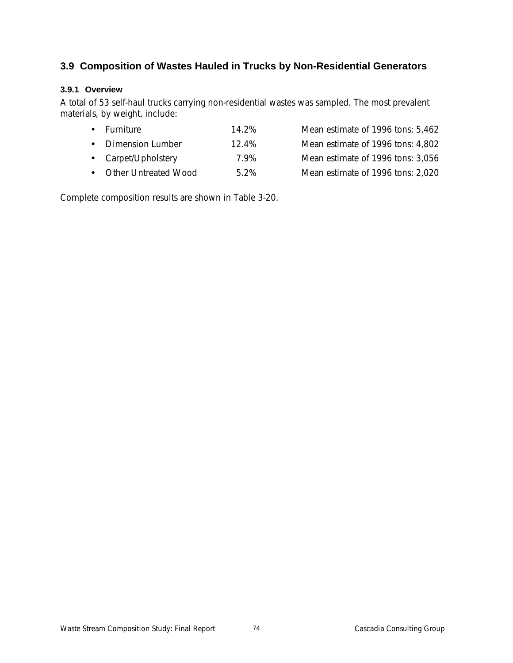# **3.9 Composition of Wastes Hauled in Trucks by Non-Residential Generators**

## **3.9.1 Overview**

A total of 53 self-haul trucks carrying non-residential wastes was sampled. The most prevalent materials, by weight, include:

|  | • Furniture | 14.2% | Mean estimate of 1996 tons: 5,462 |  |
|--|-------------|-------|-----------------------------------|--|
|--|-------------|-------|-----------------------------------|--|

- Dimension Lumber 12.4% Mean estimate of 1996 tons: 4,802
- Carpet/Upholstery 7.9% Mean estimate of 1996 tons: 3,056
- 
- 
- Other Untreated Wood 5.2% Mean estimate of 1996 tons: 2,020

Complete composition results are shown in Table 3-20.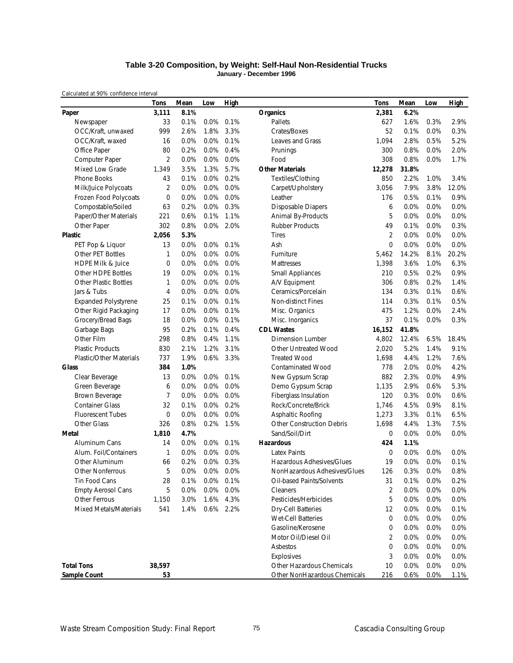#### **Table 3-20 Composition, by Weight: Self-Haul Non-Residential Trucks January - December 1996**

|                                | <b>Tons</b>    | Mean | Low     | <b>High</b> |                              | <b>Tons</b>    | Mean  | Low  | <b>High</b> |
|--------------------------------|----------------|------|---------|-------------|------------------------------|----------------|-------|------|-------------|
| Paper                          | 3,111          | 8.1% |         |             | Organics                     | 2,381          | 6.2%  |      |             |
| Newspaper                      | 33             | 0.1% | 0.0%    | 0.1%        | Pallets                      | 627            | 1.6%  | 0.3% | 2.9%        |
| OCC/Kraft, unwaxed             | 999            | 2.6% | 1.8%    | 3.3%        | Crates/Boxes                 | 52             | 0.1%  | 0.0% | 0.3%        |
| OCC/Kraft, waxed               | 16             | 0.0% | 0.0%    | 0.1%        | Leaves and Grass             | 1,094          | 2.8%  | 0.5% | 5.2%        |
| Office Paper                   | 80             | 0.2% | 0.0%    | 0.4%        | Prunings                     | 300            | 0.8%  | 0.0% | 2.0%        |
| Computer Paper                 | 2              | 0.0% | 0.0%    | 0.0%        | Food                         | 308            | 0.8%  | 0.0% | 1.7%        |
| Mixed Low Grade                | 1,349          | 3.5% | 1.3%    | 5.7%        | <b>Other Materials</b>       | 12,278         | 31.8% |      |             |
| Phone Books                    | 43             | 0.1% | 0.0%    | 0.2%        | Textiles/Clothing            | 850            | 2.2%  | 1.0% | 3.4%        |
| Milk/Juice Polycoats           | $\overline{2}$ | 0.0% | 0.0%    | 0.0%        | Carpet/Upholstery            | 3,056          | 7.9%  | 3.8% | 12.0%       |
| Frozen Food Polycoats          | $\mathbf 0$    | 0.0% | 0.0%    | 0.0%        | Leather                      | 176            | 0.5%  | 0.1% | 0.9%        |
| Compostable/Soiled             | 63             | 0.2% | 0.0%    | 0.3%        | <b>Disposable Diapers</b>    | 6              | 0.0%  | 0.0% | 0.0%        |
| Paper/Other Materials          | 221            | 0.6% | 0.1%    | 1.1%        | Animal By-Products           | 5              | 0.0%  | 0.0% | 0.0%        |
| Other Paper                    | 302            | 0.8% |         | 0.0% 2.0%   | <b>Rubber Products</b>       | 49             | 0.1%  | 0.0% | 0.3%        |
| <b>Plastic</b>                 | 2,056          | 5.3% |         |             | <b>Tires</b>                 | $\overline{2}$ | 0.0%  | 0.0% | 0.0%        |
| PET Pop & Liquor               | 13             | 0.0% | $0.0\%$ | 0.1%        | Ash                          | $\mathbf{0}$   | 0.0%  | 0.0% | 0.0%        |
| Other PET Bottles              | 1              | 0.0% | 0.0%    | 0.0%        | Furniture                    | 5,462          | 14.2% | 8.1% | 20.2%       |
| <b>HDPE Milk &amp; Juice</b>   | 0              | 0.0% | 0.0%    | 0.0%        | Mattresses                   | 1,398          | 3.6%  | 1.0% | 6.3%        |
| Other HDPE Bottles             | 19             | 0.0% | 0.0%    | 0.1%        | <b>Small Appliances</b>      | 210            | 0.5%  | 0.2% | 0.9%        |
| <b>Other Plastic Bottles</b>   | 1              | 0.0% | 0.0%    | 0.0%        | A/V Equipment                | 306            | 0.8%  | 0.2% | 1.4%        |
| Jars & Tubs                    | 4              | 0.0% | 0.0%    | 0.0%        | Ceramics/Porcelain           | 134            | 0.3%  | 0.1% | 0.6%        |
| <b>Expanded Polystyrene</b>    | 25             | 0.1% | 0.0%    | 0.1%        | <b>Non-distinct Fines</b>    | 114            | 0.3%  | 0.1% | 0.5%        |
| Other Rigid Packaging          | 17             | 0.0% | 0.0%    | 0.1%        | Misc. Organics               | 475            | 1.2%  | 0.0% | 2.4%        |
| Grocery/Bread Bags             | 18             | 0.0% | 0.0%    | 0.1%        | Misc. Inorganics             | 37             | 0.1%  | 0.0% | 0.3%        |
| Garbage Bags                   | 95             | 0.2% | 0.1%    | 0.4%        | <b>CDL Wastes</b>            | 16,152         | 41.8% |      |             |
| Other Film                     | 298            | 0.8% | 0.4%    | 1.1%        | <b>Dimension Lumber</b>      | 4,802          | 12.4% | 6.5% | 18.4%       |
| <b>Plastic Products</b>        | 830            | 2.1% | 1.2%    | 3.1%        | Other Untreated Wood         | 2,020          | 5.2%  | 1.4% | 9.1%        |
| <b>Plastic/Other Materials</b> | 737            | 1.9% | 0.6%    | 3.3%        | <b>Treated Wood</b>          | 1,698          | 4.4%  | 1.2% | 7.6%        |
| Glass                          | 384            | 1.0% |         |             | <b>Contaminated Wood</b>     | 778            | 2.0%  | 0.0% | 4.2%        |
| Clear Beverage                 | 13             | 0.0% | $0.0\%$ | 0.1%        | New Gypsum Scrap             | 882            | 2.3%  | 0.0% | 4.9%        |
| Green Beverage                 | 6              | 0.0% | 0.0%    | 0.0%        | Demo Gypsum Scrap            | 1,135          | 2.9%  | 0.6% | 5.3%        |
| Brown Beverage                 | 7              | 0.0% | 0.0%    | 0.0%        | Fiberglass Insulation        | 120            | 0.3%  | 0.0% | 0.6%        |
| <b>Container Glass</b>         | 32             | 0.1% | 0.0%    | 0.2%        | Rock/Concrete/Brick          | 1,746          | 4.5%  | 0.9% | 8.1%        |
| <b>Fluorescent Tubes</b>       | $\mathbf 0$    | 0.0% | 0.0%    | 0.0%        | Asphaltic Roofing            | 1,273          | 3.3%  | 0.1% | 6.5%        |
| Other Glass                    | 326            | 0.8% | 0.2%    | 1.5%        | Other Construction Debris    | 1,698          | 4.4%  | 1.3% | 7.5%        |
| Metal                          | 1,810          | 4.7% |         |             | Sand/Soil/Dirt               | $\mathbf 0$    | 0.0%  | 0.0% | 0.0%        |
| Aluminum Cans                  | 14             | 0.0% | $0.0\%$ | 0.1%        | <b>Hazardous</b>             | 424            | 1.1%  |      |             |
| Alum. Foil/Containers          | $\mathbf{1}$   | 0.0% | 0.0%    | 0.0%        | <b>Latex Paints</b>          | $\mathbf 0$    | 0.0%  | 0.0% | 0.0%        |
| Other Aluminum                 | 66             | 0.2% | 0.0%    | 0.3%        | Hazardous Adhesives/Glues    | 19             | 0.0%  | 0.0% | 0.1%        |
| <b>Other Nonferrous</b>        | 5              | 0.0% | $0.0\%$ | 0.0%        | NonHazardous Adhesives/Glues | 126            | 0.3%  | 0.0% | 0.8%        |
| Tin Food Cans                  | 28             | 0.1% |         | 0.0% 0.1%   | Oil-based Paints/Solvents    | 31             | 0.1%  | 0.0% | 0.2%        |
| <b>Empty Aerosol Cans</b>      | 5              | 0.0% | 0.0%    | 0.0%        | Cleaners                     | $\overline{2}$ | 0.0%  | 0.0% | 0.0%        |
| <b>Other Ferrous</b>           | 1,150          | 3.0% | 1.6%    | 4.3%        | Pesticides/Herbicides        | 5              | 0.0%  | 0.0% | 0.0%        |
| <b>Mixed Metals/Materials</b>  | 541            | 1.4% |         | 0.6% 2.2%   | <b>Dry-Cell Batteries</b>    | 12             | 0.0%  | 0.0% | 0.1%        |
|                                |                |      |         |             | Wet-Cell Batteries           | $\mathbf 0$    | 0.0%  | 0.0% | 0.0%        |
|                                |                |      |         |             | Gasoline/Kerosene            | 0              | 0.0%  | 0.0% | 0.0%        |
|                                |                |      |         |             | Motor Oil/Diesel Oil         | $\sqrt{2}$     | 0.0%  | 0.0% | 0.0%        |
|                                |                |      |         |             | Asbestos                     | $\mathbf 0$    | 0.0%  | 0.0% | 0.0%        |
|                                |                |      |         |             | Explosives                   | 3              | 0.0%  | 0.0% | 0.0%        |
| <b>Total Tons</b>              | 38,597         |      |         |             | Other Hazardous Chemicals    | 10             | 0.0%  | 0.0% | 0.0%        |
| Sample Count                   | 53             |      |         |             | Other NonHazardous Chemicals | 216            | 0.6%  | 0.0% | 1.1%        |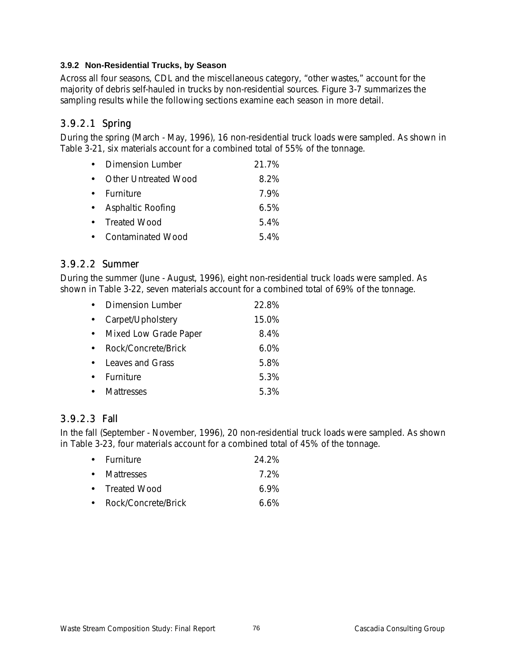## **3.9.2 Non-Residential Trucks, by Season**

Across all four seasons, CDL and the miscellaneous category, "other wastes," account for the majority of debris self-hauled in trucks by non-residential sources. Figure 3-7 summarizes the sampling results while the following sections examine each season in more detail.

# 3.9.2.1 Spring

During the spring (March - May, 1996), 16 non-residential truck loads were sampled. As shown in Table 3-21, six materials account for a combined total of 55% of the tonnage.

|           | Dimension Lumber            | 21.7%   |
|-----------|-----------------------------|---------|
|           | <b>Other Untreated Wood</b> | 8.2%    |
|           | • Furniture                 | 79%     |
| $\bullet$ | Asphaltic Roofing           | $6.5\%$ |
|           | • Treated Wood              | 5.4%    |
|           | • Contaminated Wood         | 54%     |

## 3.9.2.2 Summer

During the summer (June - August, 1996), eight non-residential truck loads were sampled. As shown in Table 3-22, seven materials account for a combined total of 69% of the tonnage.

| Dimension Lumber      | 22.8%   |
|-----------------------|---------|
| Carpet/Upholstery     | 15.0%   |
| Mixed Low Grade Paper | 8.4%    |
| Rock/Concrete/Brick   | $6.0\%$ |
| Leaves and Grass      | 5.8%    |
| Furniture             | 5.3%    |
| Mattresses            | 5.3%    |

# 3.9.2.3 Fall

In the fall (September - November, 1996), 20 non-residential truck loads were sampled. As shown in Table 3-23, four materials account for a combined total of 45% of the tonnage.

| • Furniture           | 24.2% |
|-----------------------|-------|
| • Mattresses          | 7 2%  |
| • Treated Wood        | 6 ዓ%  |
| • Rock/Concrete/Brick | 6.6%  |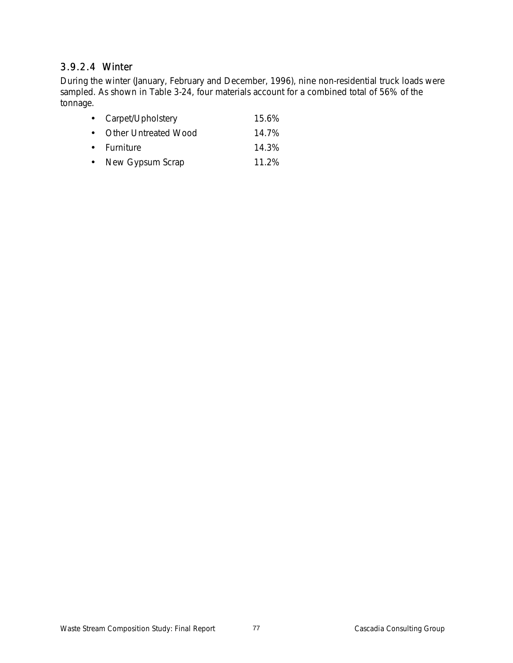# 3.9.2.4 Winter

During the winter (January, February and December, 1996), nine non-residential truck loads were sampled. As shown in Table 3-24, four materials account for a combined total of 56% of the tonnage.

| 15.6% |
|-------|
| 14.7% |
| 14.3% |
| 11.2% |
|       |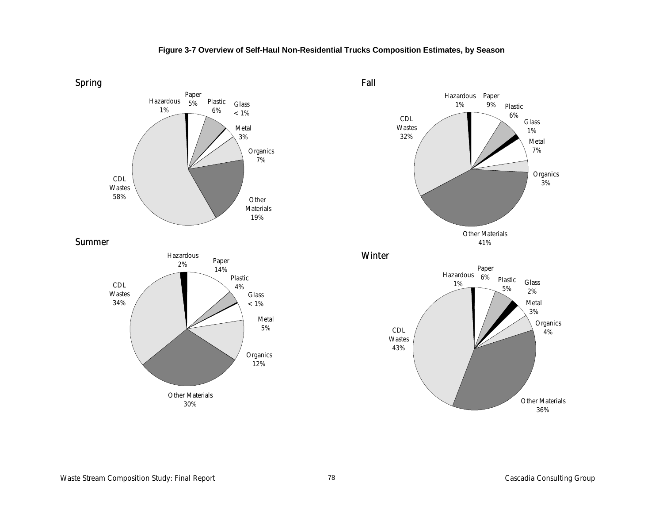

## **Figure 3-7 Overview of Self-Haul Non-Residential Trucks Composition Estimates, by Season**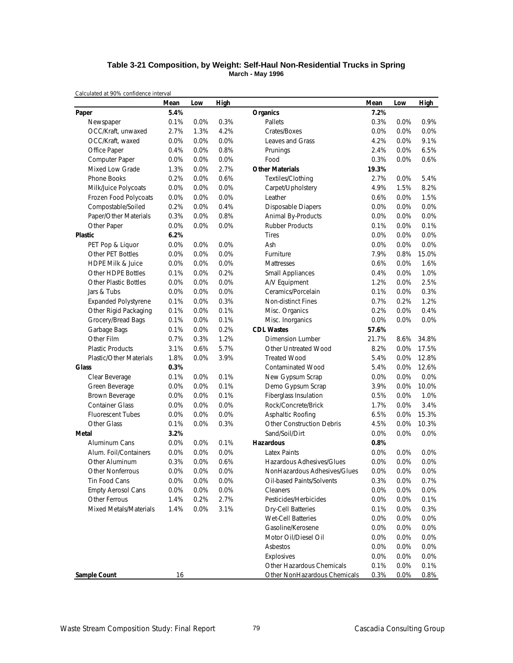#### **Table 3-21 Composition, by Weight: Self-Haul Non-Residential Trucks in Spring March - May 1996**

|                                | Mean | Low  | High |                                  | Mean  | Low  | High  |
|--------------------------------|------|------|------|----------------------------------|-------|------|-------|
| Paper                          | 5.4% |      |      | <b>Organics</b>                  | 7.2%  |      |       |
| Newspaper                      | 0.1% | 0.0% | 0.3% | Pallets                          | 0.3%  | 0.0% | 0.9%  |
| OCC/Kraft, unwaxed             | 2.7% | 1.3% | 4.2% | Crates/Boxes                     | 0.0%  | 0.0% | 0.0%  |
| OCC/Kraft, waxed               | 0.0% | 0.0% | 0.0% | Leaves and Grass                 | 4.2%  | 0.0% | 9.1%  |
| Office Paper                   | 0.4% | 0.0% | 0.8% | Prunings                         | 2.4%  | 0.0% | 6.5%  |
| Computer Paper                 | 0.0% | 0.0% | 0.0% | Food                             | 0.3%  | 0.0% | 0.6%  |
| Mixed Low Grade                | 1.3% | 0.0% | 2.7% | <b>Other Materials</b>           | 19.3% |      |       |
| <b>Phone Books</b>             | 0.2% | 0.0% | 0.6% | Textiles/Clothing                | 2.7%  | 0.0% | 5.4%  |
| Milk/Juice Polycoats           | 0.0% | 0.0% | 0.0% | Carpet/Upholstery                | 4.9%  | 1.5% | 8.2%  |
| Frozen Food Polycoats          | 0.0% | 0.0% | 0.0% | Leather                          | 0.6%  | 0.0% | 1.5%  |
| Compostable/Soiled             | 0.2% | 0.0% | 0.4% | <b>Disposable Diapers</b>        | 0.0%  | 0.0% | 0.0%  |
| Paper/Other Materials          | 0.3% | 0.0% | 0.8% | Animal By-Products               | 0.0%  | 0.0% | 0.0%  |
| Other Paper                    | 0.0% | 0.0% | 0.0% | <b>Rubber Products</b>           | 0.1%  | 0.0% | 0.1%  |
| <b>Plastic</b>                 | 6.2% |      |      | <b>Tires</b>                     | 0.0%  | 0.0% | 0.0%  |
| PET Pop & Liquor               | 0.0% | 0.0% | 0.0% | Ash                              | 0.0%  | 0.0% | 0.0%  |
| Other PET Bottles              | 0.0% | 0.0% | 0.0% | Furniture                        | 7.9%  | 0.8% | 15.0% |
| <b>HDPE Milk &amp; Juice</b>   | 0.0% | 0.0% | 0.0% | Mattresses                       | 0.6%  | 0.0% | 1.6%  |
| Other HDPE Bottles             | 0.1% | 0.0% | 0.2% | <b>Small Appliances</b>          | 0.4%  | 0.0% | 1.0%  |
| <b>Other Plastic Bottles</b>   | 0.0% | 0.0% | 0.0% | A/V Equipment                    | 1.2%  | 0.0% | 2.5%  |
| Jars & Tubs                    | 0.0% | 0.0% | 0.0% | Ceramics/Porcelain               | 0.1%  | 0.0% | 0.3%  |
| <b>Expanded Polystyrene</b>    | 0.1% | 0.0% | 0.3% | Non-distinct Fines               | 0.7%  | 0.2% | 1.2%  |
| Other Rigid Packaging          | 0.1% | 0.0% | 0.1% | Misc. Organics                   | 0.2%  | 0.0% | 0.4%  |
| Grocery/Bread Bags             | 0.1% | 0.0% | 0.1% | Misc. Inorganics                 | 0.0%  | 0.0% | 0.0%  |
| Garbage Bags                   | 0.1% | 0.0% | 0.2% | <b>CDL Wastes</b>                | 57.6% |      |       |
| Other Film                     | 0.7% | 0.3% | 1.2% | <b>Dimension Lumber</b>          | 21.7% | 8.6% | 34.8% |
| <b>Plastic Products</b>        | 3.1% | 0.6% | 5.7% | Other Untreated Wood             | 8.2%  | 0.0% | 17.5% |
| <b>Plastic/Other Materials</b> | 1.8% | 0.0% | 3.9% | <b>Treated Wood</b>              | 5.4%  | 0.0% | 12.8% |
| <b>Glass</b>                   | 0.3% |      |      | <b>Contaminated Wood</b>         | 5.4%  | 0.0% | 12.6% |
| Clear Beverage                 | 0.1% | 0.0% | 0.1% | New Gypsum Scrap                 | 0.0%  | 0.0% | 0.0%  |
| Green Beverage                 | 0.0% | 0.0% | 0.1% | Demo Gypsum Scrap                | 3.9%  | 0.0% | 10.0% |
| Brown Beverage                 | 0.0% | 0.0% | 0.1% | Fiberglass Insulation            | 0.5%  | 0.0% | 1.0%  |
| <b>Container Glass</b>         | 0.0% | 0.0% | 0.0% | Rock/Concrete/Brick              | 1.7%  | 0.0% | 3.4%  |
| <b>Fluorescent Tubes</b>       | 0.0% | 0.0% | 0.0% | Asphaltic Roofing                | 6.5%  | 0.0% | 15.3% |
| Other Glass                    | 0.1% | 0.0% | 0.3% | <b>Other Construction Debris</b> | 4.5%  | 0.0% | 10.3% |
| Metal                          | 3.2% |      |      | Sand/Soil/Dirt                   | 0.0%  | 0.0% | 0.0%  |
| Aluminum Cans                  | 0.0% | 0.0% | 0.1% | <b>Hazardous</b>                 | 0.8%  |      |       |
| Alum. Foil/Containers          | 0.0% | 0.0% | 0.0% | <b>Latex Paints</b>              | 0.0%  | 0.0% | 0.0%  |
| Other Aluminum                 | 0.3% | 0.0% | 0.6% | Hazardous Adhesives/Glues        | 0.0%  | 0.0% | 0.0%  |
| Other Nonferrous               | 0.0% | 0.0% | 0.0% | NonHazardous Adhesives/Glues     | 0.0%  | 0.0% | 0.0%  |
| Tin Food Cans                  | 0.0% | 0.0% | 0.0% | Oil-based Paints/Solvents        | 0.3%  | 0.0% | 0.7%  |
| <b>Empty Aerosol Cans</b>      | 0.0% | 0.0% | 0.0% | Cleaners                         | 0.0%  | 0.0% | 0.0%  |
| Other Ferrous                  | 1.4% | 0.2% | 2.7% | Pesticides/Herbicides            | 0.0%  | 0.0% | 0.1%  |
| Mixed Metals/Materials         | 1.4% | 0.0% | 3.1% | <b>Dry-Cell Batteries</b>        | 0.1%  | 0.0% | 0.3%  |
|                                |      |      |      | <b>Wet-Cell Batteries</b>        | 0.0%  | 0.0% | 0.0%  |
|                                |      |      |      | Gasoline/Kerosene                | 0.0%  | 0.0% | 0.0%  |
|                                |      |      |      | Motor Oil/Diesel Oil             | 0.0%  | 0.0% | 0.0%  |
|                                |      |      |      | Asbestos                         | 0.0%  | 0.0% | 0.0%  |
|                                |      |      |      | Explosives                       | 0.0%  | 0.0% | 0.0%  |
|                                |      |      |      | Other Hazardous Chemicals        | 0.1%  | 0.0% | 0.1%  |
| Sample Count                   | 16   |      |      | Other NonHazardous Chemicals     | 0.3%  | 0.0% | 0.8%  |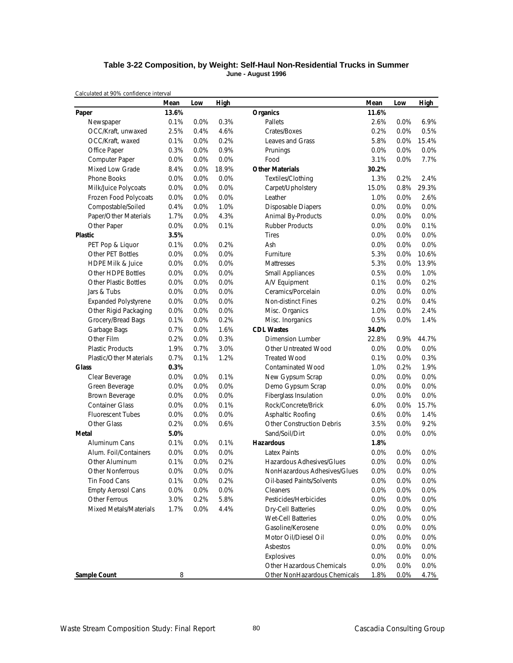#### **Table 3-22 Composition, by Weight: Self-Haul Non-Residential Trucks in Summer June - August 1996**

|                                | Mean  | Low  | High  |                                  | Mean  | Low  | <b>High</b> |
|--------------------------------|-------|------|-------|----------------------------------|-------|------|-------------|
| Paper                          | 13.6% |      |       | <b>Organics</b>                  | 11.6% |      |             |
| Newspaper                      | 0.1%  | 0.0% | 0.3%  | Pallets                          | 2.6%  | 0.0% | 6.9%        |
| OCC/Kraft, unwaxed             | 2.5%  | 0.4% | 4.6%  | Crates/Boxes                     | 0.2%  | 0.0% | 0.5%        |
| OCC/Kraft, waxed               | 0.1%  | 0.0% | 0.2%  | Leaves and Grass                 | 5.8%  | 0.0% | 15.4%       |
| Office Paper                   | 0.3%  | 0.0% | 0.9%  | Prunings                         | 0.0%  | 0.0% | 0.0%        |
| Computer Paper                 | 0.0%  | 0.0% | 0.0%  | Food                             | 3.1%  | 0.0% | 7.7%        |
| Mixed Low Grade                | 8.4%  | 0.0% | 18.9% | <b>Other Materials</b>           | 30.2% |      |             |
| <b>Phone Books</b>             | 0.0%  | 0.0% | 0.0%  | Textiles/Clothing                | 1.3%  | 0.2% | 2.4%        |
| Milk/Juice Polycoats           | 0.0%  | 0.0% | 0.0%  | Carpet/Upholstery                | 15.0% | 0.8% | 29.3%       |
| Frozen Food Polycoats          | 0.0%  | 0.0% | 0.0%  | Leather                          | 1.0%  | 0.0% | 2.6%        |
| Compostable/Soiled             | 0.4%  | 0.0% | 1.0%  | <b>Disposable Diapers</b>        | 0.0%  | 0.0% | 0.0%        |
| Paper/Other Materials          | 1.7%  | 0.0% | 4.3%  | Animal By-Products               | 0.0%  | 0.0% | 0.0%        |
| Other Paper                    | 0.0%  | 0.0% | 0.1%  | <b>Rubber Products</b>           | 0.0%  | 0.0% | 0.1%        |
| <b>Plastic</b>                 | 3.5%  |      |       | <b>Tires</b>                     | 0.0%  | 0.0% | 0.0%        |
| PET Pop & Liquor               | 0.1%  | 0.0% | 0.2%  | Ash                              | 0.0%  | 0.0% | 0.0%        |
| Other PET Bottles              | 0.0%  | 0.0% | 0.0%  | Furniture                        | 5.3%  | 0.0% | 10.6%       |
| <b>HDPE Milk &amp; Juice</b>   | 0.0%  | 0.0% | 0.0%  | Mattresses                       | 5.3%  | 0.0% | 13.9%       |
| Other HDPE Bottles             | 0.0%  | 0.0% | 0.0%  | <b>Small Appliances</b>          | 0.5%  | 0.0% | 1.0%        |
| <b>Other Plastic Bottles</b>   | 0.0%  | 0.0% | 0.0%  | A/V Equipment                    | 0.1%  | 0.0% | 0.2%        |
| Jars & Tubs                    | 0.0%  | 0.0% | 0.0%  | Ceramics/Porcelain               | 0.0%  | 0.0% | 0.0%        |
| <b>Expanded Polystyrene</b>    | 0.0%  | 0.0% | 0.0%  | <b>Non-distinct Fines</b>        | 0.2%  | 0.0% | 0.4%        |
| Other Rigid Packaging          | 0.0%  | 0.0% | 0.0%  | Misc. Organics                   | 1.0%  | 0.0% | 2.4%        |
| Grocery/Bread Bags             | 0.1%  | 0.0% | 0.2%  | Misc. Inorganics                 | 0.5%  | 0.0% | 1.4%        |
| Garbage Bags                   | 0.7%  | 0.0% | 1.6%  | <b>CDL Wastes</b>                | 34.0% |      |             |
| Other Film                     | 0.2%  | 0.0% | 0.3%  | Dimension Lumber                 | 22.8% | 0.9% | 44.7%       |
| <b>Plastic Products</b>        | 1.9%  | 0.7% | 3.0%  | Other Untreated Wood             | 0.0%  | 0.0% | 0.0%        |
| <b>Plastic/Other Materials</b> | 0.7%  | 0.1% | 1.2%  | <b>Treated Wood</b>              | 0.1%  | 0.0% | 0.3%        |
| <b>Glass</b>                   | 0.3%  |      |       | <b>Contaminated Wood</b>         | 1.0%  | 0.2% | 1.9%        |
| Clear Beverage                 | 0.0%  | 0.0% | 0.1%  | New Gypsum Scrap                 | 0.0%  | 0.0% | 0.0%        |
| Green Beverage                 | 0.0%  | 0.0% | 0.0%  | Demo Gypsum Scrap                | 0.0%  | 0.0% | 0.0%        |
| Brown Beverage                 | 0.0%  | 0.0% | 0.0%  | Fiberglass Insulation            | 0.0%  | 0.0% | 0.0%        |
| <b>Container Glass</b>         | 0.0%  | 0.0% | 0.1%  | Rock/Concrete/Brick              | 6.0%  | 0.0% | 15.7%       |
| <b>Fluorescent Tubes</b>       | 0.0%  | 0.0% | 0.0%  | Asphaltic Roofing                | 0.6%  | 0.0% | 1.4%        |
| Other Glass                    | 0.2%  | 0.0% | 0.6%  | <b>Other Construction Debris</b> | 3.5%  | 0.0% | 9.2%        |
| Metal                          | 5.0%  |      |       | Sand/Soil/Dirt                   | 0.0%  | 0.0% | 0.0%        |
| Aluminum Cans                  | 0.1%  | 0.0% | 0.1%  | <b>Hazardous</b>                 | 1.8%  |      |             |
| Alum. Foil/Containers          | 0.0%  | 0.0% | 0.0%  | <b>Latex Paints</b>              | 0.0%  | 0.0% | 0.0%        |
| Other Aluminum                 | 0.1%  | 0.0% | 0.2%  | Hazardous Adhesives/Glues        | 0.0%  | 0.0% | 0.0%        |
| <b>Other Nonferrous</b>        | 0.0%  | 0.0% | 0.0%  | NonHazardous Adhesives/Glues     | 0.0%  | 0.0% | 0.0%        |
| Tin Food Cans                  | 0.1%  | 0.0% | 0.2%  | Oil-based Paints/Solvents        | 0.0%  | 0.0% | 0.0%        |
| <b>Empty Aerosol Cans</b>      | 0.0%  | 0.0% | 0.0%  | Cleaners                         | 0.0%  | 0.0% | 0.0%        |
| Other Ferrous                  | 3.0%  | 0.2% | 5.8%  | Pesticides/Herbicides            | 0.0%  | 0.0% | 0.0%        |
| <b>Mixed Metals/Materials</b>  | 1.7%  | 0.0% | 4.4%  | <b>Dry-Cell Batteries</b>        | 0.0%  | 0.0% | 0.0%        |
|                                |       |      |       | <b>Wet-Cell Batteries</b>        | 0.0%  | 0.0% | 0.0%        |
|                                |       |      |       | Gasoline/Kerosene                | 0.0%  | 0.0% | 0.0%        |
|                                |       |      |       | Motor Oil/Diesel Oil             | 0.0%  | 0.0% | 0.0%        |
|                                |       |      |       | Asbestos                         | 0.0%  | 0.0% | 0.0%        |
|                                |       |      |       | Explosives                       | 0.0%  | 0.0% | 0.0%        |
|                                |       |      |       | Other Hazardous Chemicals        | 0.0%  | 0.0% | 0.0%        |
| Sample Count                   | 8     |      |       | Other NonHazardous Chemicals     | 1.8%  | 0.0% | 4.7%        |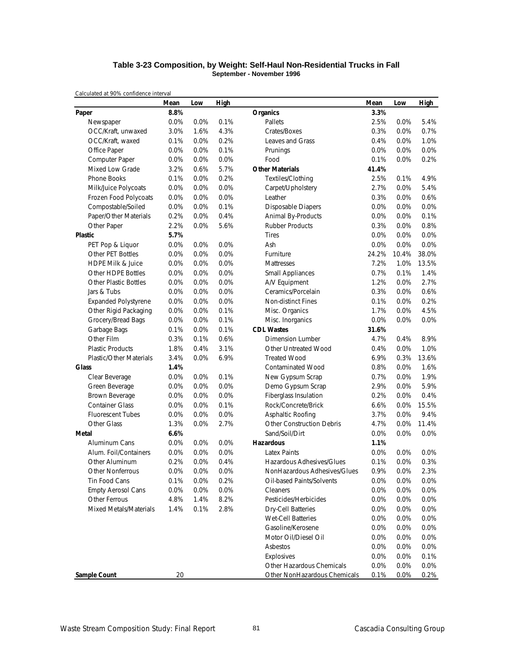#### **Table 3-23 Composition, by Weight: Self-Haul Non-Residential Trucks in Fall September - November 1996**

|                                | Mean | Low     | High |                                  | Mean    | Low   | <b>High</b> |
|--------------------------------|------|---------|------|----------------------------------|---------|-------|-------------|
| Paper                          | 8.8% |         |      | <b>Organics</b>                  | 3.3%    |       |             |
| Newspaper                      | 0.0% | 0.0%    | 0.1% | Pallets                          | 2.5%    | 0.0%  | 5.4%        |
| OCC/Kraft, unwaxed             | 3.0% | 1.6%    | 4.3% | Crates/Boxes                     | 0.3%    | 0.0%  | 0.7%        |
| OCC/Kraft, waxed               | 0.1% | 0.0%    | 0.2% | Leaves and Grass                 | 0.4%    | 0.0%  | 1.0%        |
| Office Paper                   | 0.0% | 0.0%    | 0.1% | Prunings                         | 0.0%    | 0.0%  | 0.0%        |
| Computer Paper                 | 0.0% | 0.0%    | 0.0% | Food                             | 0.1%    | 0.0%  | 0.2%        |
| Mixed Low Grade                | 3.2% | 0.6%    | 5.7% | <b>Other Materials</b>           | 41.4%   |       |             |
| <b>Phone Books</b>             | 0.1% | 0.0%    | 0.2% | Textiles/Clothing                | 2.5%    | 0.1%  | 4.9%        |
| Milk/Juice Polycoats           | 0.0% | 0.0%    | 0.0% | Carpet/Upholstery                | 2.7%    | 0.0%  | 5.4%        |
| Frozen Food Polycoats          | 0.0% | 0.0%    | 0.0% | Leather                          | 0.3%    | 0.0%  | 0.6%        |
| Compostable/Soiled             | 0.0% | 0.0%    | 0.1% | <b>Disposable Diapers</b>        | 0.0%    | 0.0%  | 0.0%        |
| Paper/Other Materials          | 0.2% | 0.0%    | 0.4% | Animal By-Products               | 0.0%    | 0.0%  | 0.1%        |
| Other Paper                    | 2.2% | 0.0%    | 5.6% | <b>Rubber Products</b>           | 0.3%    | 0.0%  | 0.8%        |
| <b>Plastic</b>                 | 5.7% |         |      | <b>Tires</b>                     | 0.0%    | 0.0%  | 0.0%        |
| PET Pop & Liquor               | 0.0% | 0.0%    | 0.0% | Ash                              | 0.0%    | 0.0%  | 0.0%        |
| <b>Other PET Bottles</b>       | 0.0% | 0.0%    | 0.0% | Furniture                        | 24.2%   | 10.4% | 38.0%       |
| <b>HDPE Milk &amp; Juice</b>   | 0.0% | 0.0%    | 0.0% | Mattresses                       | 7.2%    | 1.0%  | 13.5%       |
| Other HDPE Bottles             | 0.0% | 0.0%    | 0.0% | <b>Small Appliances</b>          | 0.7%    | 0.1%  | 1.4%        |
| <b>Other Plastic Bottles</b>   | 0.0% | 0.0%    | 0.0% | A/V Equipment                    | 1.2%    | 0.0%  | 2.7%        |
| Jars & Tubs                    | 0.0% | 0.0%    | 0.0% | Ceramics/Porcelain               | 0.3%    | 0.0%  | 0.6%        |
| <b>Expanded Polystyrene</b>    | 0.0% | 0.0%    | 0.0% | Non-distinct Fines               | 0.1%    | 0.0%  | 0.2%        |
| Other Rigid Packaging          | 0.0% | 0.0%    | 0.1% | Misc. Organics                   | 1.7%    | 0.0%  | 4.5%        |
| Grocery/Bread Bags             | 0.0% | 0.0%    | 0.1% | Misc. Inorganics                 | 0.0%    | 0.0%  | 0.0%        |
| Garbage Bags                   | 0.1% | 0.0%    | 0.1% | <b>CDL Wastes</b>                | 31.6%   |       |             |
| Other Film                     | 0.3% | 0.1%    | 0.6% | <b>Dimension Lumber</b>          | 4.7%    | 0.4%  | 8.9%        |
| <b>Plastic Products</b>        | 1.8% | 0.4%    | 3.1% | Other Untreated Wood             | 0.4%    | 0.0%  | 1.0%        |
| <b>Plastic/Other Materials</b> | 3.4% | 0.0%    | 6.9% | <b>Treated Wood</b>              | 6.9%    | 0.3%  | 13.6%       |
| <b>Glass</b>                   | 1.4% |         |      | <b>Contaminated Wood</b>         | 0.8%    | 0.0%  | 1.6%        |
| Clear Beverage                 | 0.0% | 0.0%    | 0.1% | New Gypsum Scrap                 | 0.7%    | 0.0%  | 1.9%        |
| Green Beverage                 | 0.0% | 0.0%    | 0.0% | Demo Gypsum Scrap                | 2.9%    | 0.0%  | 5.9%        |
| Brown Beverage                 | 0.0% | 0.0%    | 0.0% | Fiberglass Insulation            | 0.2%    | 0.0%  | 0.4%        |
| <b>Container Glass</b>         | 0.0% | 0.0%    | 0.1% | Rock/Concrete/Brick              | 6.6%    | 0.0%  | 15.5%       |
| <b>Fluorescent Tubes</b>       | 0.0% | 0.0%    | 0.0% | Asphaltic Roofing                | 3.7%    | 0.0%  | 9.4%        |
| Other Glass                    | 1.3% | 0.0%    | 2.7% | <b>Other Construction Debris</b> | 4.7%    | 0.0%  | 11.4%       |
| Metal                          | 6.6% |         |      | Sand/Soil/Dirt                   | 0.0%    | 0.0%  | 0.0%        |
| Aluminum Cans                  | 0.0% | 0.0%    | 0.0% | <b>Hazardous</b>                 | 1.1%    |       |             |
| Alum. Foil/Containers          | 0.0% | 0.0%    | 0.0% | <b>Latex Paints</b>              | 0.0%    | 0.0%  | 0.0%        |
| Other Aluminum                 | 0.2% | 0.0%    | 0.4% | Hazardous Adhesives/Glues        | 0.1%    | 0.0%  | 0.3%        |
| Other Nonferrous               | 0.0% | 0.0%    | 0.0% | NonHazardous Adhesives/Glues     | 0.9%    | 0.0%  | 2.3%        |
| Tin Food Cans                  | 0.1% | 0.0%    | 0.2% | Oil-based Paints/Solvents        | $0.0\%$ | 0.0%  | 0.0%        |
| <b>Empty Aerosol Cans</b>      | 0.0% | $0.0\%$ | 0.0% | Cleaners                         | 0.0%    | 0.0%  | 0.0%        |
| Other Ferrous                  | 4.8% | 1.4%    | 8.2% | Pesticides/Herbicides            | 0.0%    | 0.0%  | 0.0%        |
| Mixed Metals/Materials         | 1.4% | 0.1%    | 2.8% | <b>Dry-Cell Batteries</b>        | 0.0%    | 0.0%  | 0.0%        |
|                                |      |         |      | Wet-Cell Batteries               | 0.0%    | 0.0%  | 0.0%        |
|                                |      |         |      | Gasoline/Kerosene                | 0.0%    | 0.0%  | 0.0%        |
|                                |      |         |      | Motor Oil/Diesel Oil             | 0.0%    | 0.0%  | 0.0%        |
|                                |      |         |      | Asbestos                         | 0.0%    | 0.0%  | 0.0%        |
|                                |      |         |      | Explosives                       | 0.0%    | 0.0%  | 0.1%        |
|                                |      |         |      | Other Hazardous Chemicals        | 0.0%    | 0.0%  | 0.0%        |
| <b>Sample Count</b>            | 20   |         |      | Other NonHazardous Chemicals     | 0.1%    | 0.0%  | 0.2%        |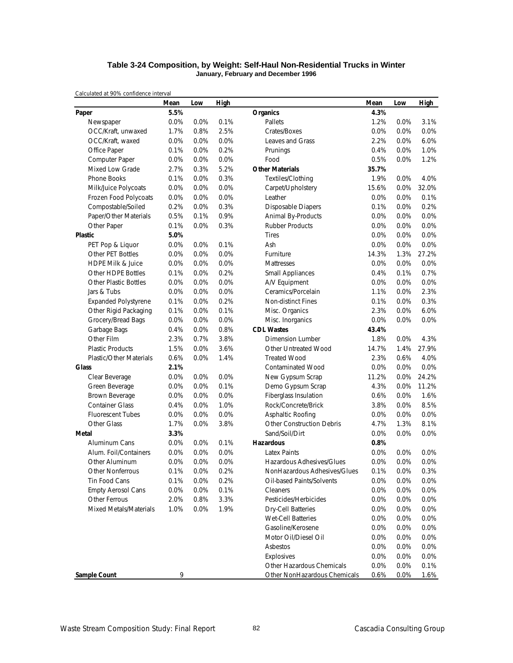#### **Table 3-24 Composition, by Weight: Self-Haul Non-Residential Trucks in Winter January, February and December 1996**

|                                | Mean | Low  | High |                                  | Mean    | Low  | <b>High</b> |
|--------------------------------|------|------|------|----------------------------------|---------|------|-------------|
| Paper                          | 5.5% |      |      | <b>Organics</b>                  | 4.3%    |      |             |
| Newspaper                      | 0.0% | 0.0% | 0.1% | Pallets                          | 1.2%    | 0.0% | 3.1%        |
| OCC/Kraft, unwaxed             | 1.7% | 0.8% | 2.5% | Crates/Boxes                     | 0.0%    | 0.0% | 0.0%        |
| OCC/Kraft, waxed               | 0.0% | 0.0% | 0.0% | Leaves and Grass                 | 2.2%    | 0.0% | 6.0%        |
| Office Paper                   | 0.1% | 0.0% | 0.2% | Prunings                         | 0.4%    | 0.0% | 1.0%        |
| Computer Paper                 | 0.0% | 0.0% | 0.0% | Food                             | 0.5%    | 0.0% | 1.2%        |
| Mixed Low Grade                | 2.7% | 0.3% | 5.2% | <b>Other Materials</b>           | 35.7%   |      |             |
| <b>Phone Books</b>             | 0.1% | 0.0% | 0.3% | Textiles/Clothing                | 1.9%    | 0.0% | 4.0%        |
| Milk/Juice Polycoats           | 0.0% | 0.0% | 0.0% | Carpet/Upholstery                | 15.6%   | 0.0% | 32.0%       |
| Frozen Food Polycoats          | 0.0% | 0.0% | 0.0% | Leather                          | 0.0%    | 0.0% | 0.1%        |
| Compostable/Soiled             | 0.2% | 0.0% | 0.3% | <b>Disposable Diapers</b>        | 0.1%    | 0.0% | 0.2%        |
| Paper/Other Materials          | 0.5% | 0.1% | 0.9% | <b>Animal By-Products</b>        | 0.0%    | 0.0% | 0.0%        |
| Other Paper                    | 0.1% | 0.0% | 0.3% | <b>Rubber Products</b>           | 0.0%    | 0.0% | 0.0%        |
| <b>Plastic</b>                 | 5.0% |      |      | <b>Tires</b>                     | 0.0%    | 0.0% | 0.0%        |
| PET Pop & Liquor               | 0.0% | 0.0% | 0.1% | Ash                              | 0.0%    | 0.0% | 0.0%        |
| Other PET Bottles              | 0.0% | 0.0% | 0.0% | Furniture                        | 14.3%   | 1.3% | 27.2%       |
| <b>HDPE Milk &amp; Juice</b>   | 0.0% | 0.0% | 0.0% | <b>Mattresses</b>                | 0.0%    | 0.0% | 0.0%        |
| Other HDPE Bottles             | 0.1% | 0.0% | 0.2% | <b>Small Appliances</b>          | 0.4%    | 0.1% | 0.7%        |
| <b>Other Plastic Bottles</b>   | 0.0% | 0.0% | 0.0% | A/V Equipment                    | 0.0%    | 0.0% | 0.0%        |
| Jars & Tubs                    | 0.0% | 0.0% | 0.0% | Ceramics/Porcelain               | 1.1%    | 0.0% | 2.3%        |
| <b>Expanded Polystyrene</b>    | 0.1% | 0.0% | 0.2% | Non-distinct Fines               | 0.1%    | 0.0% | 0.3%        |
| Other Rigid Packaging          | 0.1% | 0.0% | 0.1% | Misc. Organics                   | 2.3%    | 0.0% | 6.0%        |
| Grocery/Bread Bags             | 0.0% | 0.0% | 0.0% | Misc. Inorganics                 | 0.0%    | 0.0% | 0.0%        |
| Garbage Bags                   | 0.4% | 0.0% | 0.8% | <b>CDL Wastes</b>                | 43.4%   |      |             |
| Other Film                     | 2.3% | 0.7% | 3.8% | <b>Dimension Lumber</b>          | 1.8%    | 0.0% | 4.3%        |
| <b>Plastic Products</b>        | 1.5% | 0.0% | 3.6% | Other Untreated Wood             | 14.7%   | 1.4% | 27.9%       |
| <b>Plastic/Other Materials</b> | 0.6% | 0.0% | 1.4% | <b>Treated Wood</b>              | 2.3%    | 0.6% | 4.0%        |
| <b>Glass</b>                   | 2.1% |      |      | <b>Contaminated Wood</b>         | 0.0%    | 0.0% | 0.0%        |
| Clear Beverage                 | 0.0% | 0.0% | 0.0% | New Gypsum Scrap                 | 11.2%   | 0.0% | 24.2%       |
| Green Beverage                 | 0.0% | 0.0% | 0.1% | Demo Gypsum Scrap                | 4.3%    | 0.0% | 11.2%       |
| Brown Beverage                 | 0.0% | 0.0% | 0.0% | Fiberglass Insulation            | 0.6%    | 0.0% | 1.6%        |
| <b>Container Glass</b>         | 0.4% | 0.0% | 1.0% | Rock/Concrete/Brick              | 3.8%    | 0.0% | 8.5%        |
| <b>Fluorescent Tubes</b>       | 0.0% | 0.0% | 0.0% | Asphaltic Roofing                | 0.0%    | 0.0% | $0.0\%$     |
| <b>Other Glass</b>             | 1.7% | 0.0% | 3.8% | <b>Other Construction Debris</b> | 4.7%    | 1.3% | 8.1%        |
| Metal                          | 3.3% |      |      | Sand/Soil/Dirt                   | 0.0%    | 0.0% | 0.0%        |
| Aluminum Cans                  | 0.0% | 0.0% | 0.1% | <b>Hazardous</b>                 | 0.8%    |      |             |
| Alum. Foil/Containers          | 0.0% | 0.0% | 0.0% | Latex Paints                     | 0.0%    | 0.0% | 0.0%        |
| Other Aluminum                 | 0.0% | 0.0% | 0.0% | Hazardous Adhesives/Glues        | 0.0%    | 0.0% | 0.0%        |
| <b>Other Nonferrous</b>        | 0.1% | 0.0% | 0.2% | NonHazardous Adhesives/Glues     | 0.1%    | 0.0% | 0.3%        |
| Tin Food Cans                  | 0.1% | 0.0% | 0.2% | Oil-based Paints/Solvents        | $0.0\%$ | 0.0% | 0.0%        |
| <b>Empty Aerosol Cans</b>      | 0.0% | 0.0% | 0.1% | Cleaners                         | 0.0%    | 0.0% | 0.0%        |
| Other Ferrous                  | 2.0% | 0.8% | 3.3% | Pesticides/Herbicides            | 0.0%    | 0.0% | 0.0%        |
| Mixed Metals/Materials         | 1.0% | 0.0% | 1.9% | <b>Dry-Cell Batteries</b>        | 0.0%    | 0.0% | 0.0%        |
|                                |      |      |      | <b>Wet-Cell Batteries</b>        | 0.0%    | 0.0% | 0.0%        |
|                                |      |      |      | Gasoline/Kerosene                | 0.0%    | 0.0% | 0.0%        |
|                                |      |      |      | Motor Oil/Diesel Oil             | 0.0%    | 0.0% | 0.0%        |
|                                |      |      |      | Asbestos                         | 0.0%    | 0.0% | 0.0%        |
|                                |      |      |      | Explosives                       | 0.0%    | 0.0% | 0.0%        |
|                                |      |      |      | Other Hazardous Chemicals        | 0.0%    | 0.0% | 0.1%        |
| <b>Sample Count</b>            | 9    |      |      | Other NonHazardous Chemicals     | 0.6%    | 0.0% | 1.6%        |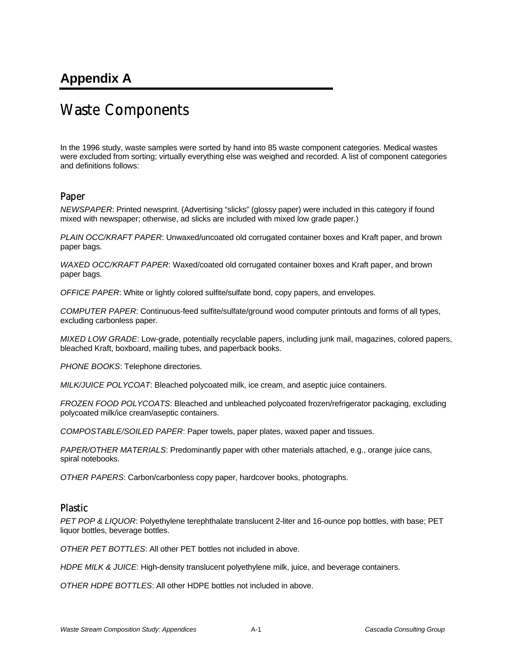# **Appendix A**

# Waste Components

In the 1996 study, waste samples were sorted by hand into 85 waste component categories. Medical wastes were excluded from sorting; virtually everything else was weighed and recorded. A list of component categories and definitions follows:

## Paper

*NEWSPAPER*: Printed newsprint. (Advertising "slicks" (glossy paper) were included in this category if found mixed with newspaper; otherwise, ad slicks are included with mixed low grade paper.)

*PLAIN OCC/KRAFT PAPER*: Unwaxed/uncoated old corrugated container boxes and Kraft paper, and brown paper bags.

*WAXED OCC/KRAFT PAPER*: Waxed/coated old corrugated container boxes and Kraft paper, and brown paper bags.

*OFFICE PAPER*: White or lightly colored sulfite/sulfate bond, copy papers, and envelopes.

*COMPUTER PAPER*: Continuous-feed sulfite/sulfate/ground wood computer printouts and forms of all types, excluding carbonless paper.

*MIXED LOW GRADE*: Low-grade, potentially recyclable papers, including junk mail, magazines, colored papers, bleached Kraft, boxboard, mailing tubes, and paperback books.

*PHONE BOOKS*: Telephone directories.

*MILK/JUICE POLYCOAT*: Bleached polycoated milk, ice cream, and aseptic juice containers.

*FROZEN FOOD POLYCOATS*: Bleached and unbleached polycoated frozen/refrigerator packaging, excluding polycoated milk/ice cream/aseptic containers.

*COMPOSTABLE/SOILED PAPER*: Paper towels, paper plates, waxed paper and tissues.

*PAPER/OTHER MATERIALS*: Predominantly paper with other materials attached, e.g., orange juice cans, spiral notebooks.

*OTHER PAPERS*: Carbon/carbonless copy paper, hardcover books, photographs.

## Plastic

*PET POP & LIQUOR*: Polyethylene terephthalate translucent 2-liter and 16-ounce pop bottles, with base; PET liquor bottles, beverage bottles.

*OTHER PET BOTTLES*: All other PET bottles not included in above.

*HDPE MILK & JUICE*: High-density translucent polyethylene milk, juice, and beverage containers.

*OTHER HDPE BOTTLES*: All other HDPE bottles not included in above.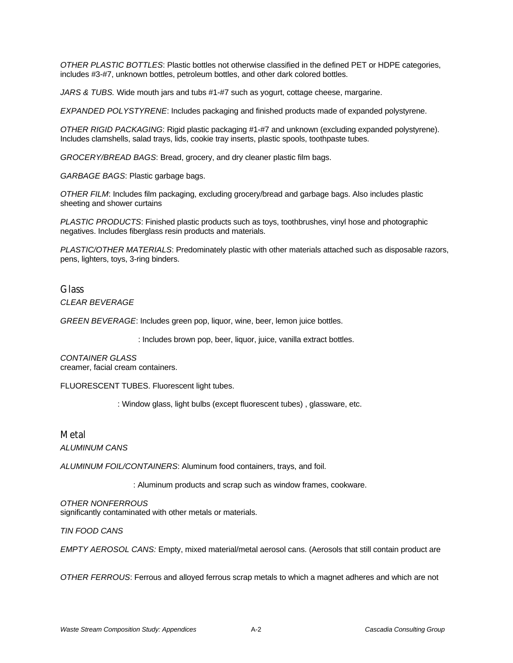*OTHER PLASTIC BOTTLES*: Plastic bottles not otherwise classified in the defined PET or HDPE categories, includes #3-#7, unknown bottles, petroleum bottles, and other dark colored bottles.

*JARS & TUBS.* Wide mouth jars and tubs #1-#7 such as yogurt, cottage cheese, margarine.

*EXPANDED POLYSTYRENE*: Includes packaging and finished products made of expanded polystyrene.

*OTHER RIGID PACKAGING*: Rigid plastic packaging #1-#7 and unknown (excluding expanded polystyrene). Includes clamshells, salad trays, lids, cookie tray inserts, plastic spools, toothpaste tubes.

*GROCERY/BREAD BAGS*: Bread, grocery, and dry cleaner plastic film bags.

*GARBAGE BAGS*: Plastic garbage bags.

*OTHER FILM*: Includes film packaging, excluding grocery/bread and garbage bags. Also includes plastic sheeting and shower curtains

*PLASTIC PRODUCTS*: Finished plastic products such as toys, toothbrushes, vinyl hose and photographic negatives. Includes fiberglass resin products and materials.

*PLASTIC/OTHER MATERIALS*: Predominately plastic with other materials attached such as disposable razors, pens, lighters, toys, 3-ring binders.

## **Glass**

*CLEAR BEVERAGE*

*GREEN BEVERAGE*: Includes green pop, liquor, wine, beer, lemon juice bottles.

: Includes brown pop, beer, liquor, juice, vanilla extract bottles.

*CONTAINER GLASS* creamer, facial cream containers.

FLUORESCENT TUBES. Fluorescent light tubes.

: Window glass, light bulbs (except fluorescent tubes) , glassware, etc.

### Metal

*ALUMINUM CANS*

*ALUMINUM FOIL/CONTAINERS*: Aluminum food containers, trays, and foil.

: Aluminum products and scrap such as window frames, cookware.

*OTHER NONFERROUS* significantly contaminated with other metals or materials.

*TIN FOOD CANS*

*EMPTY AEROSOL CANS:* Empty, mixed material/metal aerosol cans. (Aerosols that still contain product are

*OTHER FERROUS*: Ferrous and alloyed ferrous scrap metals to which a magnet adheres and which are not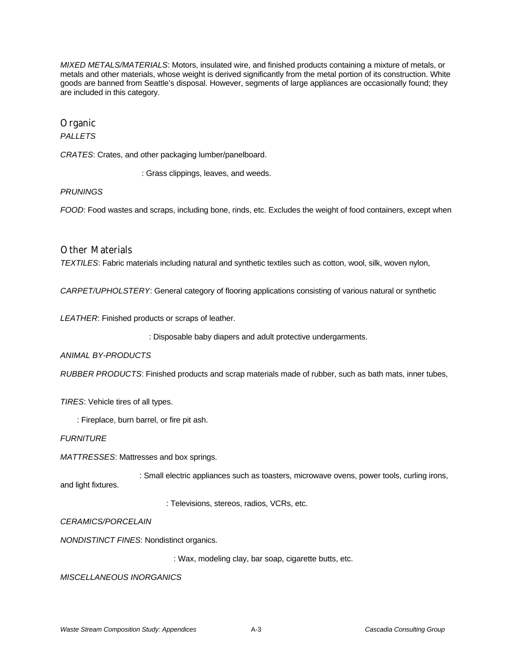*MIXED METALS/MATERIALS*: Motors, insulated wire, and finished products containing a mixture of metals, or metals and other materials, whose weight is derived significantly from the metal portion of its construction. White goods are banned from Seattle's disposal. However, segments of large appliances are occasionally found; they are included in this category.

## Organic

## *PALLETS*

*CRATES*: Crates, and other packaging lumber/panelboard.

: Grass clippings, leaves, and weeds.

#### *PRUNINGS*

*FOOD*: Food wastes and scraps, including bone, rinds, etc. Excludes the weight of food containers, except when

## Other Materials

*TEXTILES*: Fabric materials including natural and synthetic textiles such as cotton, wool, silk, woven nylon,

*CARPET/UPHOLSTERY*: General category of flooring applications consisting of various natural or synthetic

*LEATHER*: Finished products or scraps of leather.

: Disposable baby diapers and adult protective undergarments.

#### *ANIMAL BY-PRODUCTS*

*RUBBER PRODUCTS*: Finished products and scrap materials made of rubber, such as bath mats, inner tubes,

*TIRES*: Vehicle tires of all types.

: Fireplace, burn barrel, or fire pit ash.

#### *FURNITURE*

*MATTRESSES*: Mattresses and box springs.

: Small electric appliances such as toasters, microwave ovens, power tools, curling irons, and light fixtures.

: Televisions, stereos, radios, VCRs, etc.

*CERAMICS/PORCELAIN*

*NONDISTINCT FINES*: Nondistinct organics.

: Wax, modeling clay, bar soap, cigarette butts, etc.

*MISCELLANEOUS INORGANICS*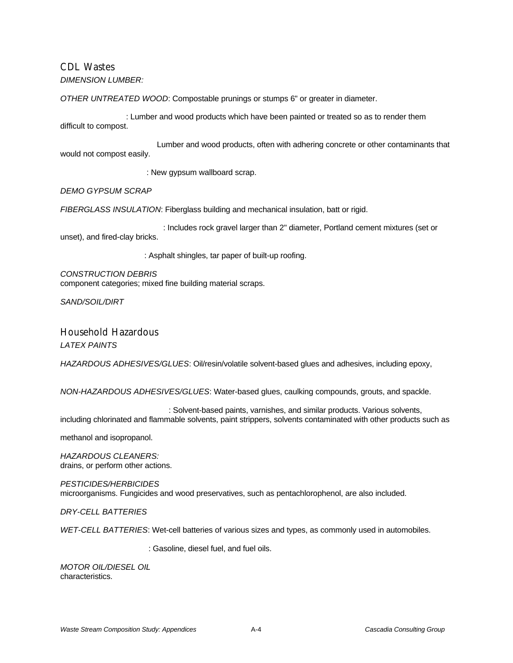## CDL Wastes

### *DIMENSION LUMBER:*

*OTHER UNTREATED WOOD*: Compostable prunings or stumps 6" or greater in diameter.

: Lumber and wood products which have been painted or treated so as to render them difficult to compost.

 Lumber and wood products, often with adhering concrete or other contaminants that would not compost easily.

: New gypsum wallboard scrap.

*DEMO GYPSUM SCRAP*

*FIBERGLASS INSULATION*: Fiberglass building and mechanical insulation, batt or rigid.

: Includes rock gravel larger than 2" diameter, Portland cement mixtures (set or unset), and fired-clay bricks.

: Asphalt shingles, tar paper of built-up roofing.

*CONSTRUCTION DEBRIS* component categories; mixed fine building material scraps.

*SAND/SOIL/DIRT*

## Household Hazardous

*LATEX PAINTS*

*HAZARDOUS ADHESIVES/GLUES*: Oil/resin/volatile solvent-based glues and adhesives, including epoxy,

*NON-HAZARDOUS ADHESIVES/GLUES*: Water-based glues, caulking compounds, grouts, and spackle.

: Solvent-based paints, varnishes, and similar products. Various solvents, including chlorinated and flammable solvents, paint strippers, solvents contaminated with other products such as

methanol and isopropanol.

*HAZARDOUS CLEANERS:*  drains, or perform other actions.

*PESTICIDES/HERBICIDES* microorganisms. Fungicides and wood preservatives, such as pentachlorophenol, are also included.

*DRY-CELL BATTERIES*

*WET-CELL BATTERIES*: Wet-cell batteries of various sizes and types, as commonly used in automobiles.

: Gasoline, diesel fuel, and fuel oils.

*MOTOR OIL/DIESEL OIL* characteristics.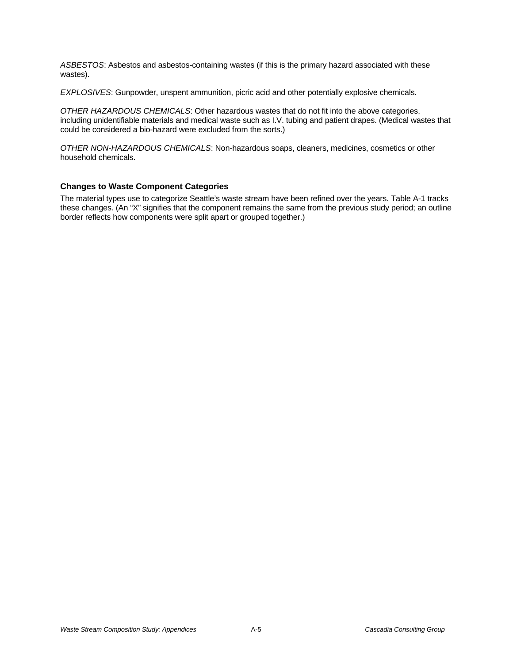*ASBESTOS*: Asbestos and asbestos-containing wastes (if this is the primary hazard associated with these wastes).

*EXPLOSIVES*: Gunpowder, unspent ammunition, picric acid and other potentially explosive chemicals.

*OTHER HAZARDOUS CHEMICALS*: Other hazardous wastes that do not fit into the above categories, including unidentifiable materials and medical waste such as I.V. tubing and patient drapes. (Medical wastes that could be considered a bio-hazard were excluded from the sorts.)

*OTHER NON-HAZARDOUS CHEMICALS*: Non-hazardous soaps, cleaners, medicines, cosmetics or other household chemicals.

## **Changes to Waste Component Categories**

The material types use to categorize Seattle's waste stream have been refined over the years. Table A-1 tracks these changes. (An "X" signifies that the component remains the same from the previous study period; an outline border reflects how components were split apart or grouped together.)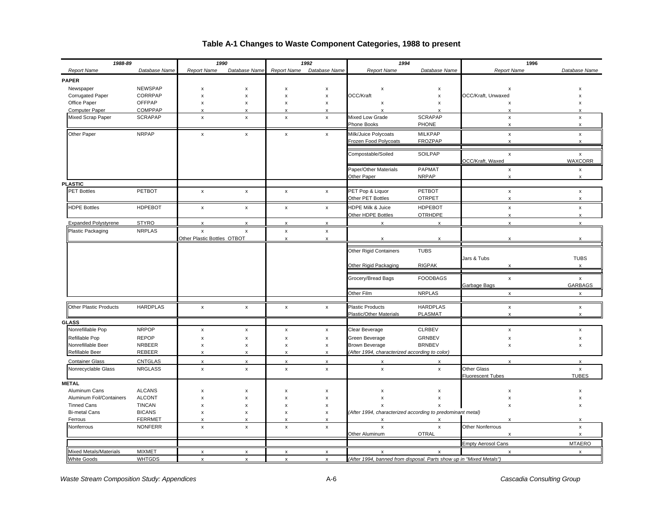#### *1988-89 1990 1992 1994* **1996** *Report Name Database Name Report Name Database Name Report Name Database Name Report Name Database Name Report Name Database Name* **PAPER** Newspaper NEWSPAP X x x x x x x x x x x x x x x x x x x Corrugated Paper CORRPAP | x x x x OCC/Kraft x OCC/Kraft, Unwaxed x Office Paper OFFPAP x x x x x x x x Computer Paper COMPPAP x x x x x x x x Mixed Scrap Paper SCRAPAP x x x x Mixed Low Grade SCRAPAP x Phone Books **PHONE** X X X Other Paper NRPAP x x x x Milk/Juice Polycoats MILKPAP x x Frozen Food Polycoats FROZPAP x x Compostable/Soiled SOILPAP x x OCC/Kraft, Waxed WAXCORR Paper/Other Materials PAPMAT Notice and the set of the set of the set of the set of the set of the set of the set of the set of the set of the set of the set of the set of the set of the set of the set of the set of the se Other Paper NRPAP x x **PLASTIC** PET Bottles PETBOT x x x x PET Pop & Liquor PETBOT x x Other PET Bottles OTRPET x x HDPE Bottles HDPEBOT x x x x HDPE Milk & Juice HDPEBOT x x Other HDPE Bottles **OTRHDPE** Expanded Polystyrene STYRO x x x x x x x x Plastic Packaging NRPLAS  $\overline{x}$  x  $\overline{x}$  x x x Other Plastic Bottles OTBOT x x x x x x Other Rigid Containers TUBS Jars & Tubs TUBS Other Rigid Packaging RIGPAK x x Grocery/Bread Bags FOODBAGS x x Garbage Bags GARBAGS Other Film NRPLAS x x Other Plastic Products HARDPLAS **x** x x x x x Plastic Products HARDPLAS x x x x x Plastic/Other Materials PLASMAT Natural XX **GLASS** Nonrefillable Pop NRPOP | x x x | x x Clear Beverage CLRBEV | x x x x Refillable Pop REPOP x x x x Green Beverage GRNBEV x x Nonrefillable Beer NRBEER X x x x x Brown Beverage BRNBEV X x x x Refillable Beer REBEER x x x x x x *(After 1994, characterized according to color)* Container Glass CNTGLAS x x x x x x x x Nonrecyclable Glass NRGLASS x x x x x x Other Glass x Fluorescent Tubes TUBES **METAL** Aluminum Cans ALCANS X x x x x x x x x x x x x x x x x x x Aluminum Foil/Containers ALCONT x x x x x x x x Tinned Cans TINCAN x x x x x x x x Bi-metal Cans BICANS x x x x x *(After 1994, characterized according to predominant metal)* Ferrous FERRMET X x x x x x x x x x x x x x x x Nonferrous NONFERR x x x x x x Other Nonferrous x Other Aluminum **OTRAL** Empty Aerosol Cans MTAERO Mixed Metals/Materials MIXMET x x x x x x x x White Goods WHTGDS x x x x x *(After 1994, banned from disposal. Parts show up in "Mixed Metals")*

## **Table A-1 Changes to Waste Component Categories, 1988 to present**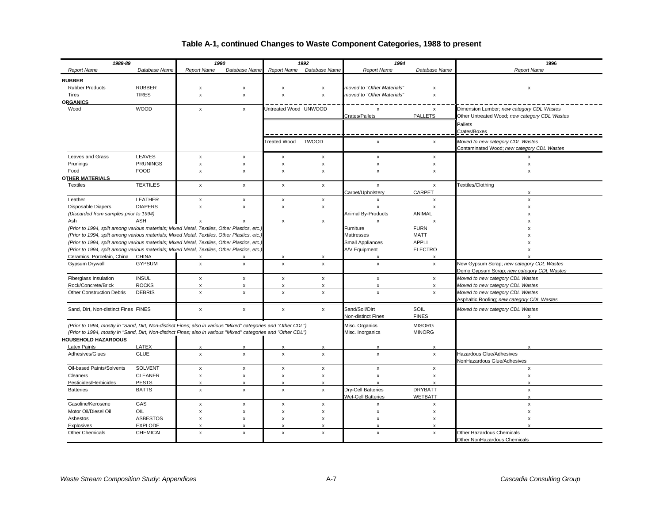## **Table A-1, continued Changes to Waste Component Categories, 1988 to present**

| 1988-89                                                                                                                                                                                   |                        | 1990<br>1992<br>1994 |                           |                                | 1996                                      |                                |                            |                                               |
|-------------------------------------------------------------------------------------------------------------------------------------------------------------------------------------------|------------------------|----------------------|---------------------------|--------------------------------|-------------------------------------------|--------------------------------|----------------------------|-----------------------------------------------|
| <b>Report Name</b>                                                                                                                                                                        | Database Name          | <b>Report Name</b>   | Database Name             | <b>Report Name</b>             | Database Name                             | <b>Report Name</b>             | Database Name              | <b>Report Name</b>                            |
| <b>RUBBER</b>                                                                                                                                                                             |                        |                      |                           |                                |                                           |                                |                            |                                               |
| <b>Rubber Products</b>                                                                                                                                                                    | <b>RUBBER</b>          | x                    | x                         | $\boldsymbol{\mathsf{x}}$      | $\boldsymbol{\mathsf{x}}$                 | moved to "Other Materials"     | x                          | $\pmb{\times}$                                |
| Tires                                                                                                                                                                                     | <b>TIRES</b>           | $\pmb{\times}$       | $\pmb{\mathsf{x}}$        | $\boldsymbol{\mathsf{x}}$      | $\boldsymbol{\mathsf{x}}$                 | moved to "Other Materials"     | x                          |                                               |
| <b>ORGANICS</b>                                                                                                                                                                           |                        |                      |                           |                                |                                           |                                |                            |                                               |
| Wood                                                                                                                                                                                      | <b>WOOD</b>            | $\mathsf{x}$         | X                         | Untreated Wood UNWOOD          |                                           | $\boldsymbol{\mathsf{x}}$      | x                          | Dimension Lumber; new category CDL Wastes     |
|                                                                                                                                                                                           |                        |                      |                           |                                |                                           | Crates/Pallets                 | <b>PALLETS</b>             | Other Untreated Wood; new category CDL Wastes |
|                                                                                                                                                                                           |                        |                      |                           |                                |                                           |                                |                            | Pallets                                       |
|                                                                                                                                                                                           |                        |                      |                           |                                |                                           |                                |                            | Crates/Boxes                                  |
|                                                                                                                                                                                           |                        |                      |                           | <b>Treated Wood</b>            | <b>TWOOD</b>                              | x                              | $\pmb{\mathsf{x}}$         | Moved to new category CDL Wastes              |
|                                                                                                                                                                                           |                        |                      |                           |                                |                                           |                                |                            | Contaminated Wood; new category CDL Wastes    |
| Leaves and Grass                                                                                                                                                                          | LEAVES                 | x                    | x                         | $\boldsymbol{\mathsf{x}}$      | $\boldsymbol{\mathsf{x}}$                 | x                              | x                          | $\boldsymbol{\mathsf{x}}$                     |
| Prunings                                                                                                                                                                                  | <b>PRUNINGS</b>        | $\pmb{\times}$       | x                         | $\boldsymbol{\mathsf{x}}$      | $\boldsymbol{\mathsf{x}}$                 | X                              | x                          | x                                             |
| Food                                                                                                                                                                                      | <b>FOOD</b>            | x                    | X                         | $\boldsymbol{\mathsf{x}}$      | $\times$                                  | $\boldsymbol{\mathsf{x}}$      | x                          | $\pmb{\times}$                                |
| <b>OTHER MATERIALS</b>                                                                                                                                                                    |                        |                      |                           |                                |                                           |                                |                            |                                               |
| Textiles                                                                                                                                                                                  | <b>TEXTILES</b>        | $\mathsf{x}$         | $\mathsf{x}$              | $\mathsf{x}$                   | $\mathsf{x}$                              | x                              | $\mathsf{x}$               | Textiles/Clothing                             |
|                                                                                                                                                                                           |                        |                      |                           |                                |                                           | Carpet/Upholstery              | CARPET                     |                                               |
| Leather                                                                                                                                                                                   | <b>LEATHER</b>         | x                    | x                         | $\boldsymbol{\mathsf{x}}$      | $\pmb{\mathsf{x}}$                        | x                              | x                          | $\mathsf{x}$                                  |
| Disposable Diapers                                                                                                                                                                        | <b>DIAPERS</b>         | X                    | x                         | $\boldsymbol{\mathsf{x}}$      | $\boldsymbol{\mathsf{x}}$                 | x                              | x                          | $\boldsymbol{\mathsf{x}}$                     |
| (Discarded from samples prior to 1994)                                                                                                                                                    |                        |                      |                           |                                |                                           | Animal By-Products             | ANIMAL                     |                                               |
| Ash                                                                                                                                                                                       | ASH                    | x                    | $\boldsymbol{\mathsf{x}}$ | $\boldsymbol{\mathsf{x}}$      | $\boldsymbol{\mathsf{x}}$                 | X                              | x                          |                                               |
| (Prior to 1994, split among various materials; Mixed Metal, Textiles, Other Plastics, etc.                                                                                                |                        |                      |                           |                                |                                           | Furniture<br><b>Mattresses</b> | <b>FURN</b><br><b>MATT</b> |                                               |
| (Prior to 1994, split among various materials; Mixed Metal, Textiles, Other Plastics, etc.<br>(Prior to 1994, split among various materials; Mixed Metal, Textiles, Other Plastics, etc.) |                        |                      |                           |                                |                                           | Small Appliances               | <b>APPLI</b>               |                                               |
| (Prior to 1994, split among various materials; Mixed Metal, Textiles, Other Plastics, etc.)                                                                                               |                        |                      |                           |                                |                                           | A/V Equipment                  | <b>ELECTRO</b>             |                                               |
| Ceramics, Porcelain, China CHINA                                                                                                                                                          |                        | x                    | x                         | X                              | x                                         | X                              | $\times$                   |                                               |
| Gypsum Drywall                                                                                                                                                                            | <b>GYPSUM</b>          | $\mathsf{x}$         | $\mathsf{x}$              | $\pmb{\times}$                 | $\pmb{\chi}$                              | $\pmb{\mathsf{x}}$             | $\pmb{\mathsf{x}}$         | New Gypsum Scrap; new category CDL Wastes     |
|                                                                                                                                                                                           |                        |                      |                           |                                |                                           |                                |                            | Demo Gypsum Scrap; new category CDL Wastes    |
| Fiberglass Insulation                                                                                                                                                                     | <b>INSUL</b>           | $\pmb{\times}$       | $\pmb{\mathsf{x}}$        | $\pmb{\mathsf{x}}$             | $\pmb{\mathsf{x}}$                        | $\pmb{\chi}$                   | x                          | Moved to new category CDL Wastes              |
| Rock/Concrete/Brick                                                                                                                                                                       | <b>ROCKS</b>           | X                    | $\boldsymbol{\mathsf{x}}$ | $\boldsymbol{\mathsf{x}}$      | $\pmb{\times}$                            | $\boldsymbol{\mathsf{x}}$      | x                          | Moved to new category CDL Wastes              |
| Other Construction Debris                                                                                                                                                                 | <b>DEBRIS</b>          | $\pmb{\mathsf{x}}$   | $\pmb{\mathsf{x}}$        | $\pmb{\times}$                 | $\pmb{\mathsf{x}}$                        | $\pmb{\mathsf{x}}$             | $\pmb{\mathsf{x}}$         | Moved to new category CDL Wastes              |
|                                                                                                                                                                                           |                        |                      |                           |                                |                                           |                                |                            | Asphaltic Roofing; new category CDL Wastes    |
| Sand, Dirt, Non-distinct Fines FINES                                                                                                                                                      |                        | $\mathsf{x}$         | $\mathsf{x}$              | $\mathsf{x}$                   | $\mathsf{x}$                              | Sand/Soil/Dirt                 | SOIL                       | Moved to new category CDL Wastes              |
|                                                                                                                                                                                           |                        |                      |                           |                                |                                           | Non-distinct Fines             | <b>FINES</b>               |                                               |
| (Prior to 1994, mostly in "Sand, Dirt, Non-distinct Fines; also in various "Mixed" categories and "Other CDL")                                                                            |                        |                      |                           |                                |                                           | Misc. Organics                 | <b>MISORG</b>              |                                               |
| (Prior to 1994, mostly in "Sand, Dirt, Non-distinct Fines; also in various "Mixed" categories and "Other CDL")                                                                            |                        |                      |                           |                                |                                           | Misc. Inorganics               | <b>MINORG</b>              |                                               |
| <b>HOUSEHOLD HAZARDOUS</b>                                                                                                                                                                |                        |                      |                           |                                |                                           |                                |                            |                                               |
| Latex Paints                                                                                                                                                                              | LATEX                  | X                    | $\boldsymbol{\mathsf{x}}$ | $\boldsymbol{\mathsf{x}}$      | $\boldsymbol{\mathsf{x}}$                 | X                              | $\boldsymbol{\mathsf{x}}$  | $\boldsymbol{\mathsf{x}}$                     |
| Adhesives/Glues                                                                                                                                                                           | <b>GLUE</b>            | $\mathsf{x}$         | $\mathsf{x}$              | $\pmb{\times}$                 | $\mathsf{x}$                              | $\mathsf{x}$                   | $\mathsf{x}$               | <b>Hazardous Glue/Adhesives</b>               |
|                                                                                                                                                                                           |                        |                      |                           |                                |                                           |                                |                            | NonHazardous Glue/Adhesives                   |
| Oil-based Paints/Solvents                                                                                                                                                                 | <b>SOLVENT</b>         | $\mathsf{x}$         | x                         | $\boldsymbol{\mathsf{x}}$      | $\pmb{\chi}$                              | x                              | x                          | $\pmb{\times}$                                |
| Cleaners                                                                                                                                                                                  | <b>CLEANER</b>         | x                    | x                         | $\pmb{\mathsf{x}}$             | $\pmb{\mathsf{x}}$                        | x                              | $\pmb{\mathsf{x}}$         | $\pmb{\times}$                                |
| Pesticides/Herbicides                                                                                                                                                                     | <b>PESTS</b>           | x                    |                           | $\boldsymbol{\mathsf{x}}$      | X                                         |                                | $\mathsf{x}$               |                                               |
| <b>Batteries</b>                                                                                                                                                                          | <b>BATTS</b>           | x                    | x                         | $\pmb{\times}$                 | $\pmb{\mathsf{x}}$                        | Dry-Cell Batteries             | <b>DRYBATT</b>             | $\pmb{\times}$                                |
|                                                                                                                                                                                           |                        |                      |                           |                                |                                           | <b>Wet-Cell Batteries</b>      | <b>WETBATT</b>             | $\mathsf{x}$                                  |
| Gasoline/Kerosene                                                                                                                                                                         | GAS                    | x                    | x                         | $\boldsymbol{\mathsf{x}}$      | $\boldsymbol{\mathsf{x}}$                 | $\mathsf{x}$                   | x                          | $\pmb{\times}$                                |
| Motor Oil/Diesel Oil                                                                                                                                                                      | OIL<br><b>ASBESTOS</b> | X                    | x                         | $\boldsymbol{\mathsf{x}}$      | $\boldsymbol{\mathsf{x}}$                 | X                              | x                          | $\boldsymbol{\mathsf{x}}$                     |
| Asbestos<br>Explosives                                                                                                                                                                    | <b>EXPLODE</b>         | X<br>¥               | x<br>$\mathbf{x}$         | $\boldsymbol{\mathsf{x}}$<br>Y | $\pmb{\chi}$<br>$\boldsymbol{\mathsf{x}}$ | x                              | x<br>$\mathbf x$           | $\boldsymbol{\mathsf{x}}$                     |
| <b>Other Chemicals</b>                                                                                                                                                                    | <b>CHEMICAL</b>        | x                    | $\pmb{\mathsf{x}}$        | $\pmb{\mathsf{x}}$             | $\boldsymbol{\mathsf{x}}$                 | x                              | x                          | Other Hazardous Chemicals                     |
|                                                                                                                                                                                           |                        |                      |                           |                                |                                           |                                |                            | Other NonHazardous Chemicals                  |
|                                                                                                                                                                                           |                        |                      |                           |                                |                                           |                                |                            |                                               |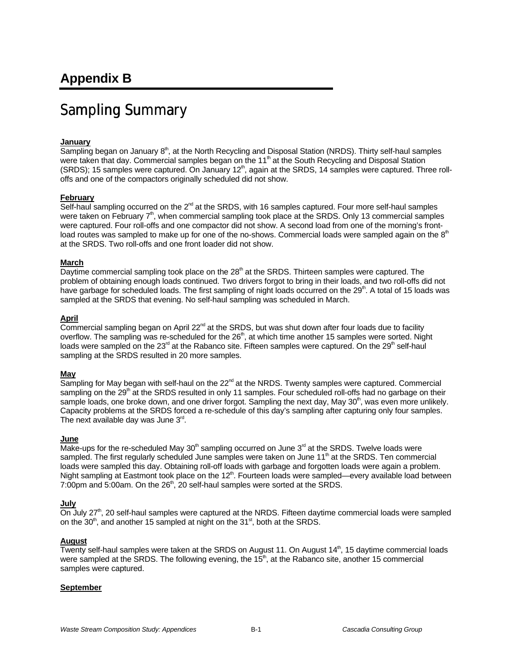# Sampling Summary

### **January**

Sampling began on January 8<sup>th</sup>, at the North Recycling and Disposal Station (NRDS). Thirty self-haul samples were taken that day. Commercial samples began on the 11<sup>th</sup> at the South Recycling and Disposal Station (SRDS); 15 samples were captured. On January  $12<sup>th</sup>$ , again at the SRDS, 14 samples were captured. Three rolloffs and one of the compactors originally scheduled did not show.

### **February**

Self-haul sampling occurred on the  $2^{nd}$  at the SRDS, with 16 samples captured. Four more self-haul samples were taken on February  $7<sup>th</sup>$ , when commercial sampling took place at the SRDS. Only 13 commercial samples were captured. Four roll-offs and one compactor did not show. A second load from one of the morning's frontload routes was sampled to make up for one of the no-shows. Commercial loads were sampled again on the 8<sup>th</sup> at the SRDS. Two roll-offs and one front loader did not show.

### **March**

Daytime commercial sampling took place on the  $28<sup>th</sup>$  at the SRDS. Thirteen samples were captured. The problem of obtaining enough loads continued. Two drivers forgot to bring in their loads, and two roll-offs did not have garbage for scheduled loads. The first sampling of night loads occurred on the 29<sup>th</sup>. A total of 15 loads was sampled at the SRDS that evening. No self-haul sampling was scheduled in March.

#### **April**

 $Commercial$  sampling began on April 22 $n<sup>nd</sup>$  at the SRDS, but was shut down after four loads due to facility overflow. The sampling was re-scheduled for the 26<sup>th</sup>, at which time another 15 samples were sorted. Night loads were sampled on the  $23<sup>rd</sup>$  at the Rabanco site. Fifteen samples were captured. On the  $29<sup>th</sup>$  self-haul sampling at the SRDS resulted in 20 more samples.

#### **May**

Sampling for May began with self-haul on the  $22<sup>nd</sup>$  at the NRDS. Twenty samples were captured. Commercial sampling on the 29<sup>th</sup> at the SRDS resulted in only 11 samples. Four scheduled roll-offs had no garbage on their sample loads, one broke down, and one driver forgot. Sampling the next day, May 30<sup>th</sup>, was even more unlikely. Capacity problems at the SRDS forced a re-schedule of this day's sampling after capturing only four samples. The next available day was June  $3<sup>rd</sup>$ .

## **June**

Make-ups for the re-scheduled May  $30<sup>th</sup>$  sampling occurred on June  $3<sup>rd</sup>$  at the SRDS. Twelve loads were sampled. The first regularly scheduled June samples were taken on June 11<sup>th</sup> at the SRDS. Ten commercial loads were sampled this day. Obtaining roll-off loads with garbage and forgotten loads were again a problem. Night sampling at Eastmont took place on the  $12<sup>th</sup>$ . Fourteen loads were sampled—every available load between 7:00pm and 5:00am. On the  $26<sup>th</sup>$ , 20 self-haul samples were sorted at the SRDS.

### **July**

On July 27<sup>th</sup>, 20 self-haul samples were captured at the NRDS. Fifteen daytime commercial loads were sampled on the  $30<sup>th</sup>$ , and another 15 sampled at night on the  $31<sup>st</sup>$ , both at the SRDS.

### **August**

Twenty self-haul samples were taken at the SRDS on August 11. On August 14<sup>th</sup>, 15 daytime commercial loads were sampled at the SRDS. The following evening, the 15<sup>th</sup>, at the Rabanco site, another 15 commercial samples were captured.

### **September**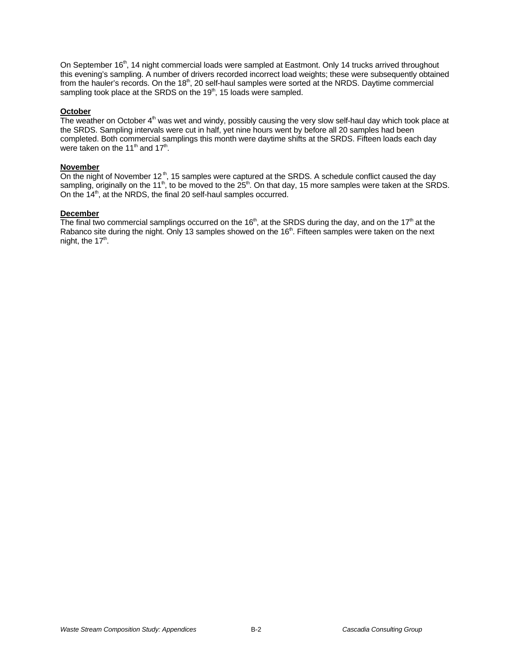On September 16<sup>th</sup>, 14 night commercial loads were sampled at Eastmont. Only 14 trucks arrived throughout this evening's sampling. A number of drivers recorded incorrect load weights; these were subsequently obtained from the hauler's records. On the 18<sup>th</sup>, 20 self-haul samples were sorted at the NRDS. Daytime commercial sampling took place at the SRDS on the  $19<sup>th</sup>$ , 15 loads were sampled.

#### **October**

The weather on October  $4<sup>th</sup>$  was wet and windy, possibly causing the very slow self-haul day which took place at the SRDS. Sampling intervals were cut in half, yet nine hours went by before all 20 samples had been completed. Both commercial samplings this month were daytime shifts at the SRDS. Fifteen loads each day were taken on the 11<sup>th</sup> and 17<sup>th</sup>.

#### **November**

On the night of November 12<sup>th</sup>, 15 samples were captured at the SRDS. A schedule conflict caused the day sampling, originally on the 11<sup>th</sup>, to be moved to the 25<sup>th</sup>. On that day, 15 more samples were taken at the SRDS. On the 14<sup>th</sup>, at the NRDS, the final 20 self-haul samples occurred.

#### **December**

The final two commercial samplings occurred on the 16<sup>th</sup>, at the SRDS during the day, and on the 17<sup>th</sup> at the Rabanco site during the night. Only 13 samples showed on the 16<sup>th</sup>. Fifteen samples were taken on the next night, the 17<sup>th</sup>.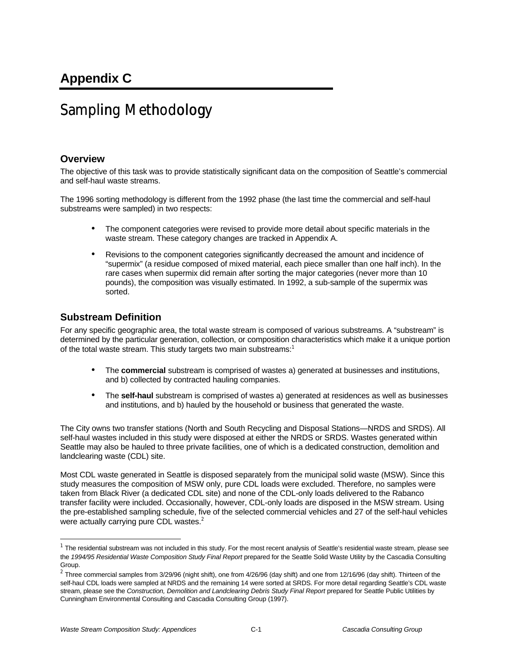# Sampling Methodology

## **Overview**

The objective of this task was to provide statistically significant data on the composition of Seattle's commercial and self-haul waste streams.

The 1996 sorting methodology is different from the 1992 phase (the last time the commercial and self-haul substreams were sampled) in two respects:

- The component categories were revised to provide more detail about specific materials in the waste stream. These category changes are tracked in Appendix A.
- Revisions to the component categories significantly decreased the amount and incidence of "supermix" (a residue composed of mixed material, each piece smaller than one half inch). In the rare cases when supermix did remain after sorting the major categories (never more than 10 pounds), the composition was visually estimated. In 1992, a sub-sample of the supermix was sorted.

## **Substream Definition**

For any specific geographic area, the total waste stream is composed of various substreams. A "substream" is determined by the particular generation, collection, or composition characteristics which make it a unique portion of the total waste stream. This study targets two main substreams:<sup>1</sup>

- The **commercial** substream is comprised of wastes a) generated at businesses and institutions, and b) collected by contracted hauling companies.
- The **self-haul** substream is comprised of wastes a) generated at residences as well as businesses and institutions, and b) hauled by the household or business that generated the waste.

The City owns two transfer stations (North and South Recycling and Disposal Stations—NRDS and SRDS). All self-haul wastes included in this study were disposed at either the NRDS or SRDS. Wastes generated within Seattle may also be hauled to three private facilities, one of which is a dedicated construction, demolition and landclearing waste (CDL) site.

Most CDL waste generated in Seattle is disposed separately from the municipal solid waste (MSW). Since this study measures the composition of MSW only, pure CDL loads were excluded. Therefore, no samples were taken from Black River (a dedicated CDL site) and none of the CDL-only loads delivered to the Rabanco transfer facility were included. Occasionally, however, CDL-only loads are disposed in the MSW stream. Using the pre-established sampling schedule, five of the selected commercial vehicles and 27 of the self-haul vehicles were actually carrying pure CDL wastes.<sup>2</sup>

 $\overline{a}$ 

 $^1$  The residential substream was not included in this study. For the most recent analysis of Seattle's residential waste stream, please see the *1994/95 Residential Waste Composition Study Final Report* prepared for the Seattle Solid Waste Utility by the Cascadia Consulting Group.

 $^2$  Three commercial samples from 3/29/96 (night shift), one from 4/26/96 (day shift) and one from 12/16/96 (day shift). Thirteen of the self-haul CDL loads were sampled at NRDS and the remaining 14 were sorted at SRDS. For more detail regarding Seattle's CDL waste stream, please see the *Construction, Demolition and Landclearing Debris Study Final Report* prepared for Seattle Public Utilities by Cunningham Environmental Consulting and Cascadia Consulting Group (1997).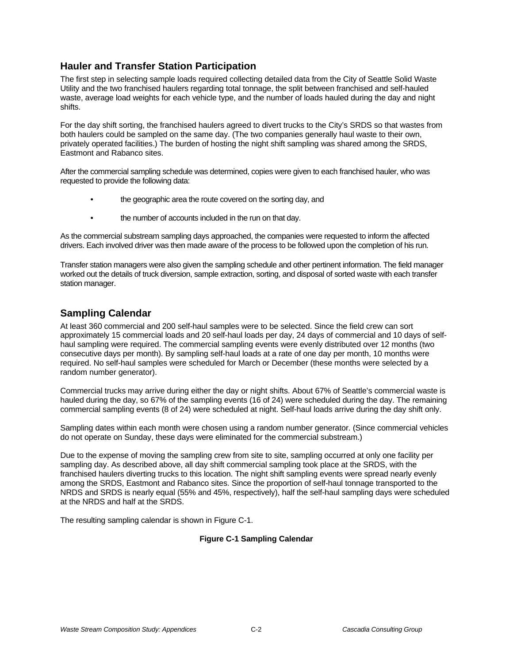## **Hauler and Transfer Station Participation**

The first step in selecting sample loads required collecting detailed data from the City of Seattle Solid Waste Utility and the two franchised haulers regarding total tonnage, the split between franchised and self-hauled waste, average load weights for each vehicle type, and the number of loads hauled during the day and night shifts.

For the day shift sorting, the franchised haulers agreed to divert trucks to the City's SRDS so that wastes from both haulers could be sampled on the same day. (The two companies generally haul waste to their own, privately operated facilities.) The burden of hosting the night shift sampling was shared among the SRDS, Eastmont and Rabanco sites.

After the commercial sampling schedule was determined, copies were given to each franchised hauler, who was requested to provide the following data:

- the geographic area the route covered on the sorting day, and
- the number of accounts included in the run on that day.

As the commercial substream sampling days approached, the companies were requested to inform the affected drivers. Each involved driver was then made aware of the process to be followed upon the completion of his run.

Transfer station managers were also given the sampling schedule and other pertinent information. The field manager worked out the details of truck diversion, sample extraction, sorting, and disposal of sorted waste with each transfer station manager.

## **Sampling Calendar**

At least 360 commercial and 200 self-haul samples were to be selected. Since the field crew can sort approximately 15 commercial loads and 20 self-haul loads per day, 24 days of commercial and 10 days of selfhaul sampling were required. The commercial sampling events were evenly distributed over 12 months (two consecutive days per month). By sampling self-haul loads at a rate of one day per month, 10 months were required. No self-haul samples were scheduled for March or December (these months were selected by a random number generator).

Commercial trucks may arrive during either the day or night shifts. About 67% of Seattle's commercial waste is hauled during the day, so 67% of the sampling events (16 of 24) were scheduled during the day. The remaining commercial sampling events (8 of 24) were scheduled at night. Self-haul loads arrive during the day shift only.

Sampling dates within each month were chosen using a random number generator. (Since commercial vehicles do not operate on Sunday, these days were eliminated for the commercial substream.)

Due to the expense of moving the sampling crew from site to site, sampling occurred at only one facility per sampling day. As described above, all day shift commercial sampling took place at the SRDS, with the franchised haulers diverting trucks to this location. The night shift sampling events were spread nearly evenly among the SRDS, Eastmont and Rabanco sites. Since the proportion of self-haul tonnage transported to the NRDS and SRDS is nearly equal (55% and 45%, respectively), half the self-haul sampling days were scheduled at the NRDS and half at the SRDS.

The resulting sampling calendar is shown in Figure C-1.

### **Figure C-1 Sampling Calendar**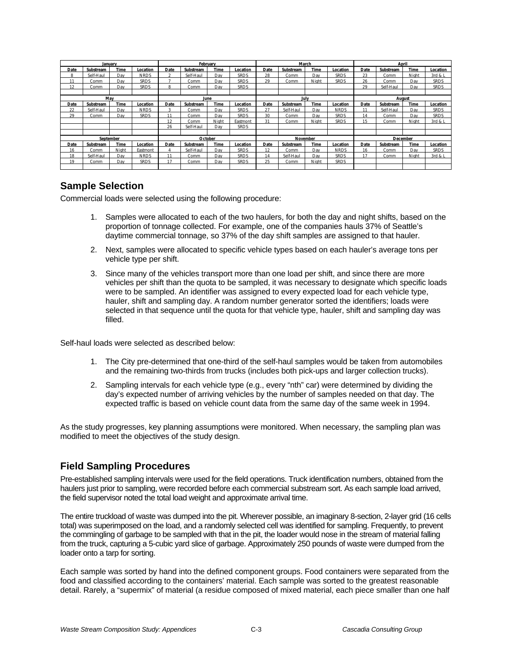|      | January   |             |             |        | February  |       |             |      | March     |             |             |          | April     |             |             |
|------|-----------|-------------|-------------|--------|-----------|-------|-------------|------|-----------|-------------|-------------|----------|-----------|-------------|-------------|
| Date | Substream | Time        | Location    | Date   | Substream | Time  | ocation     | Date | Substream | Time        | Location    | Date     | Substream | Time        | Location    |
| R    | Self-Haul | Day         | <b>NRDS</b> | $\sim$ | Self-Haul | Day   | <b>SRDS</b> | 28   | Comm      | Dav         | <b>SRDS</b> | 23       | Comm      | Night       | 3rd & 1     |
| 11   | Comm      | Day         | <b>SRDS</b> |        | Comm      | Dav   | <b>SRDS</b> | 29   | Comm      | Night       | <b>SRDS</b> | 26       | Comm      | Dav         | <b>SRDS</b> |
| 12   | Comm      | Dav         | <b>SRDS</b> |        | Comm      | Dav   | <b>SRDS</b> |      |           |             |             | 29       | Self-Haul | Dav         | <b>SRDS</b> |
|      |           |             |             |        |           |       |             |      |           |             |             |          |           |             |             |
|      | May       |             |             |        | June      |       |             |      | July      |             |             |          | August    |             |             |
| Date | Substream | Time        | Location    | Date   | Substream | Time  | .ocation    | Date | Substream | Time        | Location    | Date     | Substream | Time        | Location    |
| 22   | Self-Haul | Dav         | <b>NRDS</b> | 3      | Comm      | Dav   | <b>SRDS</b> | 27   | Self-Haul | Dav         | <b>NRDS</b> | 11       | Self-Haul | Dav         | <b>SRDS</b> |
| 29   | Comm      | Dav         | <b>SRDS</b> | 11     | Comm      | Dav   | <b>SRDS</b> | 30   | Comm      | Dav         | <b>SRDS</b> | 14       | Comm      | Dav         | <b>SRDS</b> |
|      |           |             |             | 12     | Comm      | Night | Eastmont    | 31   | Comm      | Night       | <b>SRDS</b> | 15       | Comm      | Night       | 3rd & 1     |
|      |           |             |             | 26     | Self-Haul | Dav   | <b>SRDS</b> |      |           |             |             |          |           |             |             |
|      |           |             |             |        |           |       |             |      |           |             |             |          |           |             |             |
|      | September |             |             |        | October   |       |             |      | November  |             |             | December |           |             |             |
| Date | Substream | <b>Time</b> | Location    | Date   | Substream | Time  | Location    | Date | Substream | <b>Time</b> | Location    | Date     | Substream | <b>Time</b> | Location    |
| 16   | Comm      | Night       | Eastmont    |        | Self-Haul | Dav   | <b>SRDS</b> | 12   | Comm      | Dav         | <b>NRDS</b> | 16       | Comm      | Dav         | <b>SRDS</b> |
| 18   | Self-Haul | Dav         | <b>NRDS</b> | 11     | Comm      | Day   | <b>SRDS</b> | 14   | Self-Haul | Dav         | <b>SRDS</b> | 17       | Comm      | Night       | 3rd & 1     |
| 19   | Comm      | Day         | <b>SRDS</b> | 17     | Comm      | Dav   | <b>SRDS</b> | 25   | Comm      | Night       | <b>SRDS</b> |          |           |             |             |
|      |           |             |             |        |           |       |             |      |           |             |             |          |           |             |             |

## **Sample Selection**

Commercial loads were selected using the following procedure:

- 1. Samples were allocated to each of the two haulers, for both the day and night shifts, based on the proportion of tonnage collected. For example, one of the companies hauls 37% of Seattle's daytime commercial tonnage, so 37% of the day shift samples are assigned to that hauler.
- 2. Next, samples were allocated to specific vehicle types based on each hauler's average tons per vehicle type per shift.
- 3. Since many of the vehicles transport more than one load per shift, and since there are more vehicles per shift than the quota to be sampled, it was necessary to designate which specific loads were to be sampled. An identifier was assigned to every expected load for each vehicle type, hauler, shift and sampling day. A random number generator sorted the identifiers; loads were selected in that sequence until the quota for that vehicle type, hauler, shift and sampling day was filled.

Self-haul loads were selected as described below:

- 1. The City pre-determined that one-third of the self-haul samples would be taken from automobiles and the remaining two-thirds from trucks (includes both pick-ups and larger collection trucks).
- 2. Sampling intervals for each vehicle type (e.g., every "nth" car) were determined by dividing the day's expected number of arriving vehicles by the number of samples needed on that day. The expected traffic is based on vehicle count data from the same day of the same week in 1994.

As the study progresses, key planning assumptions were monitored. When necessary, the sampling plan was modified to meet the objectives of the study design.

# **Field Sampling Procedures**

Pre-established sampling intervals were used for the field operations. Truck identification numbers, obtained from the haulers just prior to sampling, were recorded before each commercial substream sort. As each sample load arrived, the field supervisor noted the total load weight and approximate arrival time.

The entire truckload of waste was dumped into the pit. Wherever possible, an imaginary 8-section, 2-layer grid (16 cells total) was superimposed on the load, and a randomly selected cell was identified for sampling. Frequently, to prevent the commingling of garbage to be sampled with that in the pit, the loader would nose in the stream of material falling from the truck, capturing a 5-cubic yard slice of garbage. Approximately 250 pounds of waste were dumped from the loader onto a tarp for sorting.

Each sample was sorted by hand into the defined component groups. Food containers were separated from the food and classified according to the containers' material. Each sample was sorted to the greatest reasonable detail. Rarely, a "supermix" of material (a residue composed of mixed material, each piece smaller than one half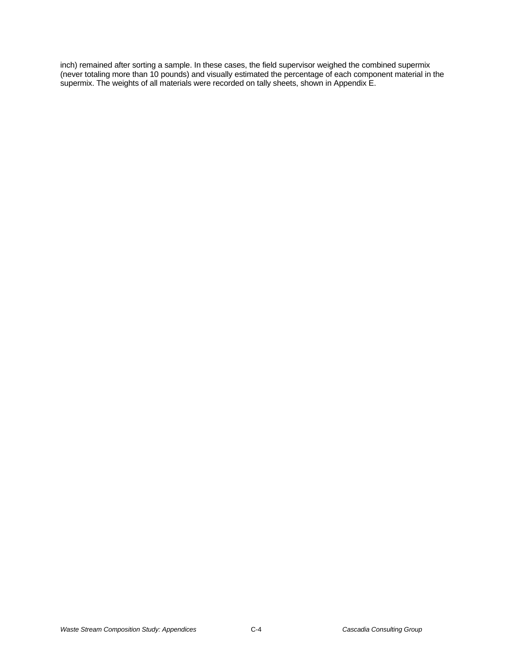inch) remained after sorting a sample. In these cases, the field supervisor weighed the combined supermix (never totaling more than 10 pounds) and visually estimated the percentage of each component material in the supermix. The weights of all materials were recorded on tally sheets, shown in Appendix E.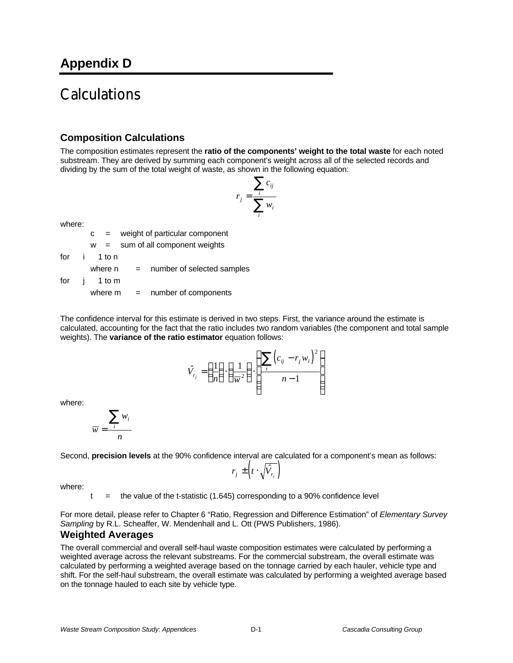# **Calculations**

# **Composition Calculations**

The composition estimates represent the **ratio of the components' weight to the total waste** for each noted substream. They are derived by summing each component's weight across all of the selected records and dividing by the sum of the total weight of waste, as shown in the following equation:

$$
r_j = \frac{\sum_i c_{ij}}{\sum_i w_i}
$$

where:

c = weight of particular component

$$
w = sum of all component weights
$$

for i 1 to n

where  $n =$  number of selected samples

for j 1 to m

where  $m =$  number of components

The confidence interval for this estimate is derived in two steps. First, the variance around the estimate is calculated, accounting for the fact that the ratio includes two random variables (the component and total sample weights). The **variance of the ratio estimator** equation follows:

$$
\hat{V}_{r_j} = \left(\frac{1}{n}\right) \cdot \left(\frac{1}{\overline{w}^2}\right) \cdot \left(\frac{\sum_i \left(c_{ij} - r_j w_i\right)^2}{n - 1}\right)
$$

where:

$$
\overline{w} = \frac{\sum_i w_i}{n}
$$

Second, **precision levels** at the 90% confidence interval are calculated for a component's mean as follows:

$$
r_j \pm \left(t \cdot \sqrt{\hat{V}_{r_j}}\right)
$$

where:

 $t =$  the value of the t-statistic (1.645) corresponding to a 90% confidence level

For more detail, please refer to Chapter 6 "Ratio, Regression and Difference Estimation" of *Elementary Survey Sampling* by R.L. Scheaffer, W. Mendenhall and L. Ott (PWS Publishers, 1986).

## **Weighted Averages**

The overall commercial and overall self-haul waste composition estimates were calculated by performing a weighted average across the relevant substreams. For the commercial substream, the overall estimate was calculated by performing a weighted average based on the tonnage carried by each hauler, vehicle type and shift. For the self-haul substream, the overall estimate was calculated by performing a weighted average based on the tonnage hauled to each site by vehicle type.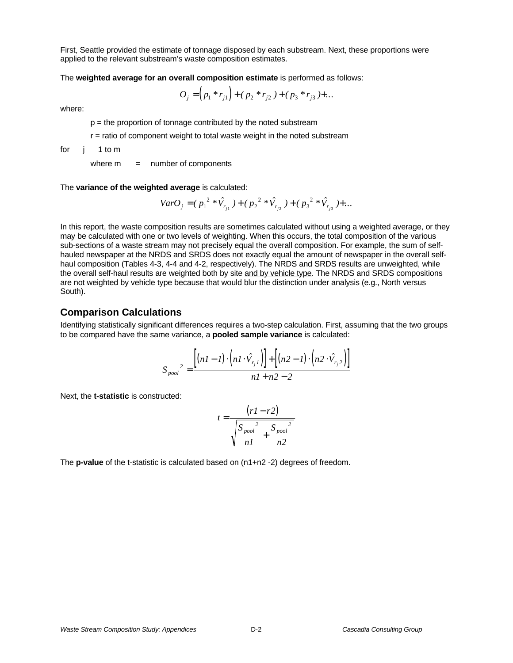First, Seattle provided the estimate of tonnage disposed by each substream. Next, these proportions were applied to the relevant substream's waste composition estimates.

The **weighted average for an overall composition estimate** is performed as follows:

$$
O_j = (p_1 * r_{j1}) + (p_2 * r_{j2}) + (p_3 * r_{j3}) + \dots
$$

where:

 $p =$  the proportion of tonnage contributed by the noted substream

 $r =$  ratio of component weight to total waste weight in the noted substream

for j 1 to m

where  $m =$  number of components

The **variance of the weighted average** is calculated:

$$
VarO_j = (p_1^{2} * \hat{V}_{r_{j1}}) + (p_2^{2} * \hat{V}_{r_{j2}}) + (p_3^{2} * \hat{V}_{r_{j3}}) + ...
$$

In this report, the waste composition results are sometimes calculated without using a weighted average, or they may be calculated with one or two levels of weighting. When this occurs, the total composition of the various sub-sections of a waste stream may not precisely equal the overall composition. For example, the sum of selfhauled newspaper at the NRDS and SRDS does not exactly equal the amount of newspaper in the overall selfhaul composition (Tables 4-3, 4-4 and 4-2, respectively). The NRDS and SRDS results are unweighted, while the overall self-haul results are weighted both by site and by vehicle type. The NRDS and SRDS compositions are not weighted by vehicle type because that would blur the distinction under analysis (e.g., North versus South).

## **Comparison Calculations**

Identifying statistically significant differences requires a two-step calculation. First, assuming that the two groups to be compared have the same variance, a **pooled sample variance** is calculated:

$$
S_{pool}^{2} = \frac{\left[ (nI - I) \cdot \left( nI \cdot \hat{V}_{r_j I} \right) \right] + \left[ (n2 - I) \cdot \left( n2 \cdot \hat{V}_{r_j 2} \right) \right]}{nI + n2 - 2}
$$

Next, the **t-statistic** is constructed:

$$
t = \frac{(r1 - r2)}{\sqrt{\frac{S_{pool}^2}{n1} + \frac{S_{pool}^2}{n2}}}
$$

The **p-value** of the t-statistic is calculated based on (n1+n2 -2) degrees of freedom.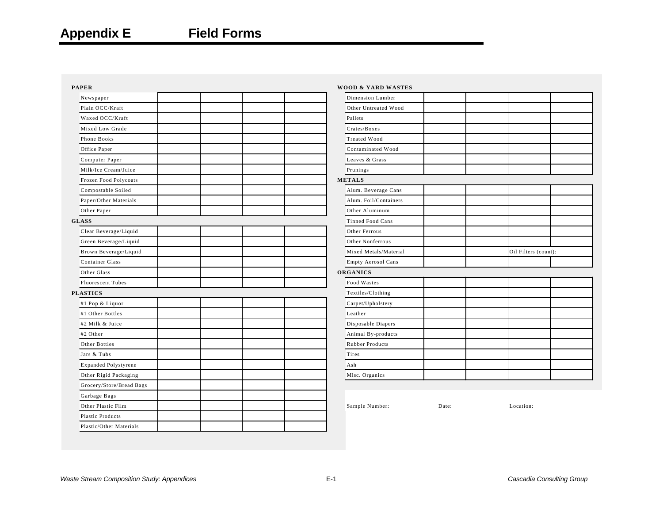| <b>PAPER</b>                | <b>WOOD &amp; YARD WASTES</b> |       |                      |  |
|-----------------------------|-------------------------------|-------|----------------------|--|
| Newspaper                   | Dimension Lumber              |       |                      |  |
| Plain OCC/Kraft             | Other Untreated Wood          |       |                      |  |
| Waxed OCC/Kraft             | Pallets                       |       |                      |  |
| Mixed Low Grade             | Crates/Boxes                  |       |                      |  |
| Phone Books                 | Treated Wood                  |       |                      |  |
| Office Paper                | Contaminated Wood             |       |                      |  |
| Computer Paper              | Leaves & Grass                |       |                      |  |
| Milk/Ice Cream/Juice        | Prunings                      |       |                      |  |
| Frozen Food Polycoats       | <b>METALS</b>                 |       |                      |  |
| Compostable Soiled          | Alum. Beverage Cans           |       |                      |  |
| Paper/Other Materials       | Alum. Foil/Containers         |       |                      |  |
| Other Paper                 | Other Aluminum                |       |                      |  |
| <b>GLASS</b>                | Tinned Food Cans              |       |                      |  |
| Clear Beverage/Liquid       | Other Ferrous                 |       |                      |  |
| Green Beverage/Liquid       | Other Nonferrous              |       |                      |  |
| Brown Beverage/Liquid       | Mixed Metals/Material         |       | Oil Filters (count): |  |
| Container Glass             | Empty Aerosol Cans            |       |                      |  |
| Other Glass                 | ORGANICS                      |       |                      |  |
| <b>Fluorescent Tubes</b>    | Food Wastes                   |       |                      |  |
| <b>PLASTICS</b>             | Textiles/Clothing             |       |                      |  |
| #1 Pop & Liquor             | Carpet/Upholstery             |       |                      |  |
| #1 Other Bottles            | Leather                       |       |                      |  |
| #2 Milk & Juice             | Disposable Diapers            |       |                      |  |
| #2 Other                    | Animal By-products            |       |                      |  |
| Other Bottles               | Rubber Products               |       |                      |  |
| Jars & Tubs                 | Tires                         |       |                      |  |
| <b>Expanded Polystyrene</b> | Ash                           |       |                      |  |
| Other Rigid Packaging       | Misc. Organics                |       |                      |  |
| Grocery/Store/Bread Bags    |                               |       |                      |  |
| Garbage Bags                |                               |       |                      |  |
| Other Plastic Film          | Sample Number:                | Date: | Location:            |  |
| <b>Plastic Products</b>     |                               |       |                      |  |
| Plastic/Other Materials     |                               |       |                      |  |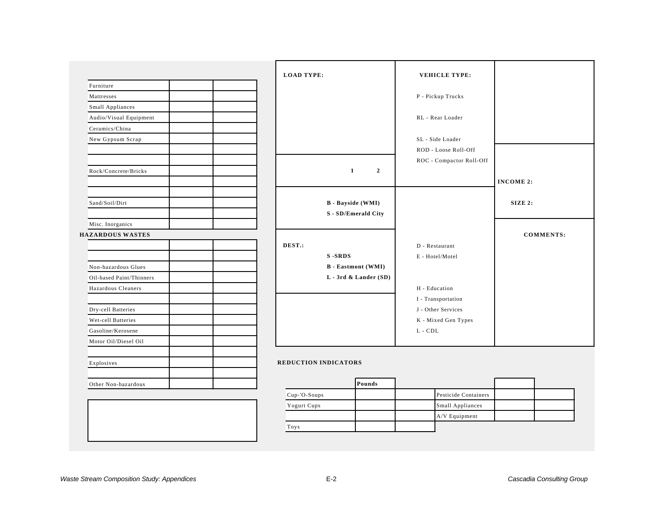|                          | <b>LOAD TYPE:</b>           |                       | <b>VEHICLE TYPE:</b>     |                  |
|--------------------------|-----------------------------|-----------------------|--------------------------|------------------|
| Furniture                |                             |                       |                          |                  |
| Mattresses               |                             |                       | P - Pickup Trucks        |                  |
| Small Appliances         |                             |                       |                          |                  |
| Audio/Visual Equipment   |                             |                       | RL - Rear Loader         |                  |
| Ceramics/China           |                             |                       |                          |                  |
| New Gypsum Scrap         |                             |                       | SL - Side Loader         |                  |
|                          |                             |                       | ROD - Loose Roll-Off     |                  |
|                          |                             |                       | ROC - Compactor Roll-Off |                  |
| Rock/Concrete/Bricks     | $\mathbf{1}$                | $\overline{2}$        |                          |                  |
|                          |                             |                       |                          | <b>INCOME 2:</b> |
|                          |                             |                       |                          |                  |
| Sand/Soil/Dirt           | <b>B</b> - Bayside (WMI)    |                       |                          | SIZE 2:          |
|                          | S - SD/Emerald City         |                       |                          |                  |
| Misc. Inorganics         |                             |                       |                          |                  |
| <b>HAZARDOUS WASTES</b>  |                             |                       |                          | <b>COMMENTS:</b> |
|                          | DEST.:                      |                       | D - Restaurant           |                  |
|                          | <b>S-SRDS</b>               |                       | E - Hotel/Motel          |                  |
| Non-hazardous Glues      | <b>B</b> - Eastmont (WMI)   |                       |                          |                  |
| Oil-based Paint/Thinners |                             | L - 3rd & Lander (SD) |                          |                  |
| Hazardous Cleaners       |                             |                       | H - Education            |                  |
|                          |                             |                       | I - Transportation       |                  |
| Dry-cell Batteries       |                             |                       | J - Other Services       |                  |
| Wet-cell Batteries       |                             |                       | K - Mixed Gen Types      |                  |
| Gasoline/Kerosene        |                             |                       | ${\tt L}$ - ${\tt CDL}$  |                  |
| Motor Oil/Diesel Oil     |                             |                       |                          |                  |
| Explosives               | <b>REDUCTION INDICATORS</b> |                       |                          |                  |
| Other Non-hazardous      |                             | Pounds                |                          |                  |
|                          | Cup-'O-Soups                |                       | Pesticide Containers     |                  |

| <b>Waste Stream Composition Study: Appendices</b> |  | Cascadia Consulting Group |
|---------------------------------------------------|--|---------------------------|
|---------------------------------------------------|--|---------------------------|

Toys

Yogurt Cups Small Appliances

A/V Equipment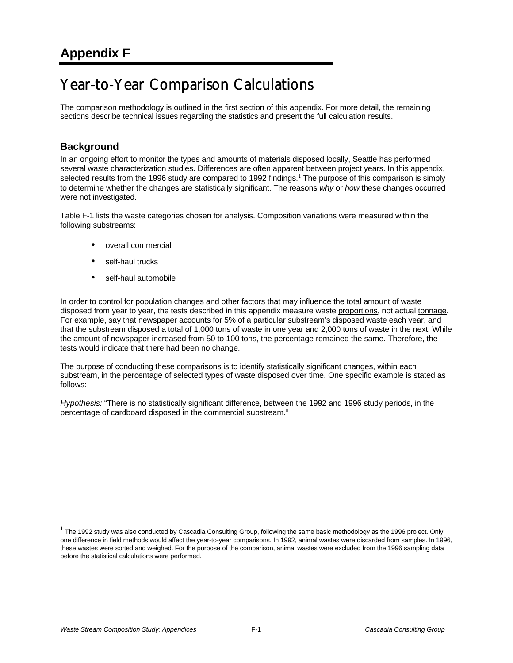# Year-to-Year Comparison Calculations

The comparison methodology is outlined in the first section of this appendix. For more detail, the remaining sections describe technical issues regarding the statistics and present the full calculation results.

## **Background**

In an ongoing effort to monitor the types and amounts of materials disposed locally, Seattle has performed several waste characterization studies. Differences are often apparent between project years. In this appendix, selected results from the 1996 study are compared to 1992 findings.<sup>1</sup> The purpose of this comparison is simply to determine whether the changes are statistically significant. The reasons *why* or *how* these changes occurred were not investigated.

Table F-1 lists the waste categories chosen for analysis. Composition variations were measured within the following substreams:

- overall commercial
- self-haul trucks
- self-haul automobile

In order to control for population changes and other factors that may influence the total amount of waste disposed from year to year, the tests described in this appendix measure waste proportions, not actual tonnage. For example, say that newspaper accounts for 5% of a particular substream's disposed waste each year, and that the substream disposed a total of 1,000 tons of waste in one year and 2,000 tons of waste in the next. While the amount of newspaper increased from 50 to 100 tons, the percentage remained the same. Therefore, the tests would indicate that there had been no change.

The purpose of conducting these comparisons is to identify statistically significant changes, within each substream, in the percentage of selected types of waste disposed over time. One specific example is stated as follows:

*Hypothesis:* "There is no statistically significant difference, between the 1992 and 1996 study periods, in the percentage of cardboard disposed in the commercial substream."

 $\overline{a}$ 

 $^1$  The 1992 study was also conducted by Cascadia Consulting Group, following the same basic methodology as the 1996 project. Only one difference in field methods would affect the year-to-year comparisons. In 1992, animal wastes were discarded from samples. In 1996, these wastes were sorted and weighed. For the purpose of the comparison, animal wastes were excluded from the 1996 sampling data before the statistical calculations were performed.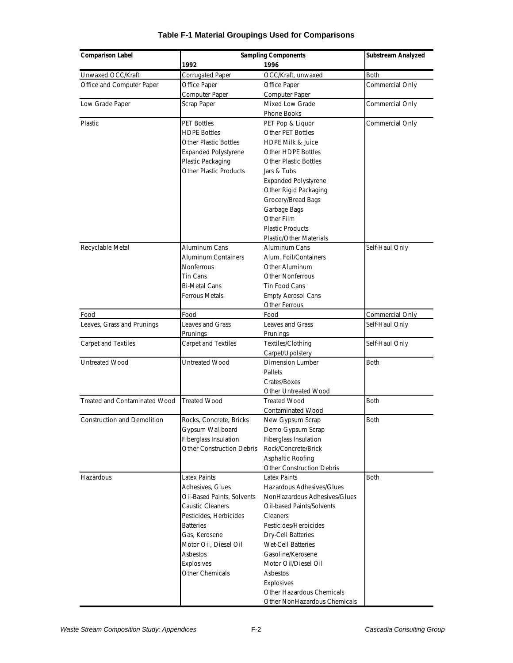| <b>Comparison Label</b>            | <b>Sampling Components</b>    | Substream Analyzed               |                 |  |
|------------------------------------|-------------------------------|----------------------------------|-----------------|--|
|                                    | 1992                          | 1996                             |                 |  |
| Unwaxed OCC/Kraft                  | <b>Corrugated Paper</b>       | OCC/Kraft, unwaxed               | <b>Both</b>     |  |
| Office and Computer Paper          | Office Paper                  | Office Paper                     | Commercial Only |  |
|                                    | Computer Paper                | Computer Paper                   |                 |  |
| Low Grade Paper                    | Scrap Paper                   | Mixed Low Grade                  | Commercial Only |  |
|                                    |                               | <b>Phone Books</b>               |                 |  |
| Plastic                            | <b>PET Bottles</b>            | PET Pop & Liquor                 | Commercial Only |  |
|                                    | <b>HDPE Bottles</b>           | Other PET Bottles                |                 |  |
|                                    | Other Plastic Bottles         | <b>HDPE Milk &amp; Juice</b>     |                 |  |
|                                    | <b>Expanded Polystyrene</b>   | Other HDPE Bottles               |                 |  |
|                                    | Plastic Packaging             | <b>Other Plastic Bottles</b>     |                 |  |
|                                    | <b>Other Plastic Products</b> | Jars & Tubs                      |                 |  |
|                                    |                               | <b>Expanded Polystyrene</b>      |                 |  |
|                                    |                               | Other Rigid Packaging            |                 |  |
|                                    |                               | Grocery/Bread Bags               |                 |  |
|                                    |                               | Garbage Bags                     |                 |  |
|                                    |                               | Other Film                       |                 |  |
|                                    |                               | <b>Plastic Products</b>          |                 |  |
|                                    |                               | Plastic/Other Materials          |                 |  |
| Recyclable Metal                   | Aluminum Cans                 | Aluminum Cans                    | Self-Haul Only  |  |
|                                    | <b>Aluminum Containers</b>    | Alum. Foil/Containers            |                 |  |
|                                    | <b>Nonferrous</b>             | Other Aluminum                   |                 |  |
|                                    | Tin Cans                      | <b>Other Nonferrous</b>          |                 |  |
|                                    | <b>Bi-Metal Cans</b>          | Tin Food Cans                    |                 |  |
|                                    | <b>Ferrous Metals</b>         | <b>Empty Aerosol Cans</b>        |                 |  |
|                                    |                               | Other Ferrous                    |                 |  |
| Food                               | Food                          | Food                             | Commercial Only |  |
| Leaves, Grass and Prunings         | <b>Leaves and Grass</b>       | <b>Leaves and Grass</b>          | Self-Haul Only  |  |
|                                    | Prunings                      | Prunings                         |                 |  |
| Carpet and Textiles                | <b>Carpet and Textiles</b>    | Textiles/Clothing                | Self-Haul Only  |  |
|                                    |                               | Carpet/Upolstery                 |                 |  |
| Untreated Wood                     | Untreated Wood                | <b>Dimension Lumber</b>          | <b>Both</b>     |  |
|                                    |                               | Pallets                          |                 |  |
|                                    |                               | Crates/Boxes                     |                 |  |
|                                    |                               | Other Untreated Wood             |                 |  |
| Treated and Contaminated Wood      | <b>Treated Wood</b>           | <b>Treated Wood</b>              | <b>Both</b>     |  |
|                                    |                               | Contaminated Wood                |                 |  |
| <b>Construction and Demolition</b> | Rocks, Concrete, Bricks       | New Gypsum Scrap                 | <b>Both</b>     |  |
|                                    | Gypsum Wallboard              | Demo Gypsum Scrap                |                 |  |
|                                    | <b>Fiberglass Insulation</b>  | Fiberglass Insulation            |                 |  |
|                                    | Other Construction Debris     | Rock/Concrete/Brick              |                 |  |
|                                    |                               | Asphaltic Roofing                |                 |  |
|                                    |                               | <b>Other Construction Debris</b> |                 |  |
| Hazardous                          | <b>Latex Paints</b>           | Latex Paints                     | <b>Both</b>     |  |
|                                    | Adhesives, Glues              | Hazardous Adhesives/Glues        |                 |  |
|                                    | Oil-Based Paints, Solvents    | NonHazardous Adhesives/Glues     |                 |  |
|                                    | <b>Caustic Cleaners</b>       | Oil-based Paints/Solvents        |                 |  |
|                                    | Pesticides, Herbicides        | <b>Cleaners</b>                  |                 |  |
|                                    | <b>Batteries</b>              | Pesticides/Herbicides            |                 |  |
|                                    | Gas, Kerosene                 | <b>Dry-Cell Batteries</b>        |                 |  |
|                                    | Motor Oil, Diesel Oil         | <b>Wet-Cell Batteries</b>        |                 |  |
|                                    | Asbestos                      | Gasoline/Kerosene                |                 |  |
|                                    | Explosives                    | Motor Oil/Diesel Oil             |                 |  |
|                                    | Other Chemicals               | Asbestos                         |                 |  |
|                                    |                               | Explosives                       |                 |  |
|                                    |                               | Other Hazardous Chemicals        |                 |  |
|                                    |                               | Other NonHazardous Chemicals     |                 |  |

## **Table F-1 Material Groupings Used for Comparisons**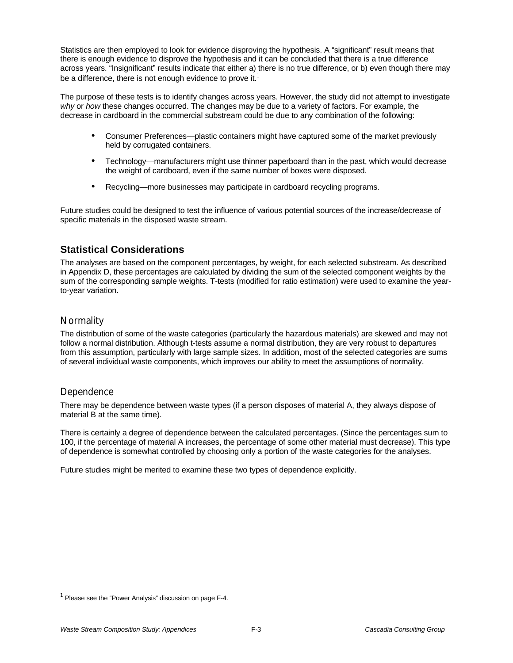Statistics are then employed to look for evidence disproving the hypothesis. A "significant" result means that there is enough evidence to disprove the hypothesis and it can be concluded that there is a true difference across years. "Insignificant" results indicate that either a) there is no true difference, or b) even though there may be a difference, there is not enough evidence to prove it.<sup>1</sup>

The purpose of these tests is to identify changes across years. However, the study did not attempt to investigate *why* or *how* these changes occurred. The changes may be due to a variety of factors. For example, the decrease in cardboard in the commercial substream could be due to any combination of the following:

- Consumer Preferences—plastic containers might have captured some of the market previously held by corrugated containers.
- Technology—manufacturers might use thinner paperboard than in the past, which would decrease the weight of cardboard, even if the same number of boxes were disposed.
- Recycling—more businesses may participate in cardboard recycling programs.

Future studies could be designed to test the influence of various potential sources of the increase/decrease of specific materials in the disposed waste stream.

## **Statistical Considerations**

The analyses are based on the component percentages, by weight, for each selected substream. As described in Appendix D, these percentages are calculated by dividing the sum of the selected component weights by the sum of the corresponding sample weights. T-tests (modified for ratio estimation) were used to examine the yearto-year variation.

## **Normality**

The distribution of some of the waste categories (particularly the hazardous materials) are skewed and may not follow a normal distribution. Although t-tests assume a normal distribution, they are very robust to departures from this assumption, particularly with large sample sizes. In addition, most of the selected categories are sums of several individual waste components, which improves our ability to meet the assumptions of normality.

## Dependence

-

There may be dependence between waste types (if a person disposes of material A, they always dispose of material B at the same time).

There is certainly a degree of dependence between the calculated percentages. (Since the percentages sum to 100, if the percentage of material A increases, the percentage of some other material must decrease). This type of dependence is somewhat controlled by choosing only a portion of the waste categories for the analyses.

Future studies might be merited to examine these two types of dependence explicitly.

 $1$  Please see the "Power Analysis" discussion on page F-4.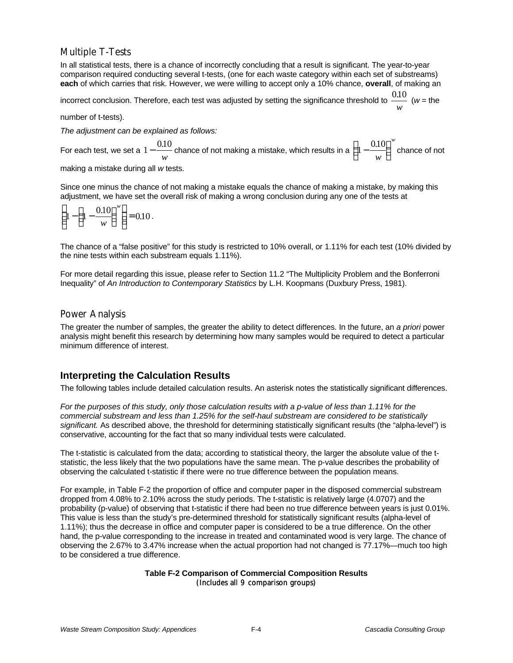# Multiple T-Tests

In all statistical tests, there is a chance of incorrectly concluding that a result is significant. The year-to-year comparison required conducting several t-tests, (one for each waste category within each set of substreams) **each** of which carries that risk. However, we were willing to accept only a 10% chance, **overall**, of making an

incorrect conclusion. Therefore, each test was adjusted by setting the significance threshold to  $\frac{0.10}{-}$  $\frac{uv}{w}$  (*w* = the

number of t-tests).

*The adjustment can be explained as follows:*

For each test, we set a  $1-\frac{0.10}{...}$ *w* chance of not making a mistake, which results in a  $\Big(1-\frac{0.10}{1}\Big)$  $\left(1-\frac{0.10}{w}\right)$  $\frac{.10}{w}$ *w w* chance of not making a mistake during all *w* tests.

Since one minus the chance of not making a mistake equals the chance of making a mistake, by making this adjustment, we have set the overall risk of making a wrong conclusion during any one of the tests at

$$
\left(1 - \left(1 - \frac{0.10}{w}\right)^w\right) = 0.10.
$$

The chance of a "false positive" for this study is restricted to 10% overall, or 1.11% for each test (10% divided by the nine tests within each substream equals 1.11%).

For more detail regarding this issue, please refer to Section 11.2 "The Multiplicity Problem and the Bonferroni Inequality" of *An Introduction to Contemporary Statistics* by L.H. Koopmans (Duxbury Press, 1981).

### Power Analysis

The greater the number of samples, the greater the ability to detect differences. In the future, an *a priori* power analysis might benefit this research by determining how many samples would be required to detect a particular minimum difference of interest.

# **Interpreting the Calculation Results**

The following tables include detailed calculation results. An asterisk notes the statistically significant differences.

*For the purposes of this study, only those calculation results with a p-value of less than 1.11% for the commercial substream and less than 1.25% for the self-haul substream are considered to be statistically significant.* As described above, the threshold for determining statistically significant results (the "alpha-level") is conservative, accounting for the fact that so many individual tests were calculated.

The t-statistic is calculated from the data; according to statistical theory, the larger the absolute value of the tstatistic, the less likely that the two populations have the same mean. The p-value describes the probability of observing the calculated t-statistic if there were no true difference between the population means.

For example, in Table F-2 the proportion of office and computer paper in the disposed commercial substream dropped from 4.08% to 2.10% across the study periods. The t-statistic is relatively large (4.0707) and the probability (p-value) of observing that t-statistic if there had been no true difference between years is just 0.01%. This value is less than the study's pre-determined threshold for statistically significant results (alpha-level of 1.11%); thus the decrease in office and computer paper is considered to be a true difference. On the other hand, the p-value corresponding to the increase in treated and contaminated wood is very large. The chance of observing the 2.67% to 3.47% increase when the actual proportion had not changed is 77.17%—much too high to be considered a true difference.

### **Table F-2 Comparison of Commercial Composition Results** (Includes all 9 comparison groups)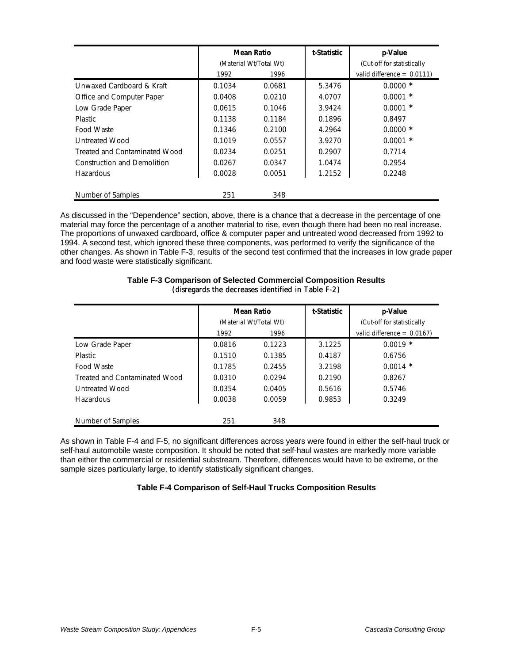|                               |        | <b>Mean Ratio</b>      | t-Statistic | p-Value                       |
|-------------------------------|--------|------------------------|-------------|-------------------------------|
|                               |        | (Material Wt/Total Wt) |             | (Cut-off for statistically    |
|                               | 1992   | 1996                   |             | valid difference = $0.0111$ ) |
| Unwaxed Cardboard & Kraft     | 0.1034 | 0.0681                 | 5.3476      | $0.0000 *$                    |
| Office and Computer Paper     | 0.0408 | 0.0210                 | 4.0707      | $0.0001$ *                    |
| Low Grade Paper               | 0.0615 | 0.1046                 | 3.9424      | $0.0001$ *                    |
| <b>Plastic</b>                | 0.1138 | 0.1184                 | 0.1896      | 0.8497                        |
| Food Waste                    | 0.1346 | 0.2100                 | 4.2964      | $0.0000*$                     |
| Untreated Wood                | 0.1019 | 0.0557                 | 3.9270      | $0.0001$ *                    |
| Treated and Contaminated Wood | 0.0234 | 0.0251                 | 0.2907      | 0.7714                        |
| Construction and Demolition   | 0.0267 | 0.0347                 | 1.0474      | 0.2954                        |
| <b>Hazardous</b>              | 0.0028 | 0.0051                 | 1.2152      | 0.2248                        |
| Number of Samples             | 251    | 348                    |             |                               |

As discussed in the "Dependence" section, above, there is a chance that a decrease in the percentage of one material may force the percentage of a another material to rise, even though there had been no real increase. The proportions of unwaxed cardboard, office & computer paper and untreated wood decreased from 1992 to 1994. A second test, which ignored these three components, was performed to verify the significance of the other changes. As shown in Table F-3, results of the second test confirmed that the increases in low grade paper and food waste were statistically significant.

|                               |        | <b>Mean Ratio</b>      | t-Statistic | p-Value                       |
|-------------------------------|--------|------------------------|-------------|-------------------------------|
|                               |        | (Material Wt/Total Wt) |             | (Cut-off for statistically    |
|                               | 1992   | 1996                   |             | valid difference = $0.0167$ ) |
| Low Grade Paper               | 0.0816 | 0.1223                 | 3.1225      | $0.0019$ *                    |
| <b>Plastic</b>                | 0.1510 | 0.1385                 | 0.4187      | 0.6756                        |
| Food Waste                    | 0.1785 | 0.2455                 | 3.2198      | $0.0014$ *                    |
| Treated and Contaminated Wood | 0.0310 | 0.0294                 | 0.2190      | 0.8267                        |
| <b>Untreated Wood</b>         | 0.0354 | 0.0405                 | 0.5616      | 0.5746                        |
| Hazardous                     | 0.0038 | 0.0059                 | 0.9853      | 0.3249                        |
|                               |        |                        |             |                               |
| Number of Samples             | 251    | 348                    |             |                               |

### **Table F-3 Comparison of Selected Commercial Composition Results** (disregards the decreases identified in Table F-2)

As shown in Table F-4 and F-5, no significant differences across years were found in either the self-haul truck or self-haul automobile waste composition. It should be noted that self-haul wastes are markedly more variable than either the commercial or residential substream. Therefore, differences would have to be extreme, or the sample sizes particularly large, to identify statistically significant changes.

### **Table F-4 Comparison of Self-Haul Trucks Composition Results**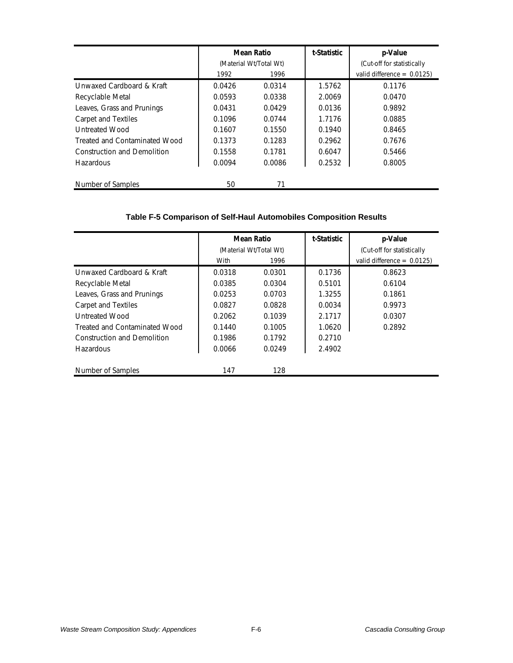|                               |        | <b>Mean Ratio</b>      | t-Statistic | p-Value                       |  |  |  |
|-------------------------------|--------|------------------------|-------------|-------------------------------|--|--|--|
|                               |        | (Material Wt/Total Wt) |             | (Cut-off for statistically    |  |  |  |
|                               | 1992   | 1996                   |             | valid difference = $0.0125$ ) |  |  |  |
| Unwaxed Cardboard & Kraft     | 0.0426 | 0.0314                 | 1.5762      | 0.1176                        |  |  |  |
| Recyclable Metal              | 0.0593 | 0.0338                 | 2.0069      | 0.0470                        |  |  |  |
| Leaves, Grass and Prunings    | 0.0431 | 0.0429                 | 0.0136      | 0.9892                        |  |  |  |
| Carpet and Textiles           | 0.1096 | 0.0744                 | 1.7176      | 0.0885                        |  |  |  |
| <b>Untreated Wood</b>         | 0.1607 | 0.1550                 | 0.1940      | 0.8465                        |  |  |  |
| Treated and Contaminated Wood | 0.1373 | 0.1283                 | 0.2962      | 0.7676                        |  |  |  |
| Construction and Demolition   | 0.1558 | 0.1781                 | 0.6047      | 0.5466                        |  |  |  |
| <b>Hazardous</b>              | 0.0094 | 0.0086                 | 0.2532      | 0.8005                        |  |  |  |
| Number of Samples             | 50     | 71                     |             |                               |  |  |  |

# **Table F-5 Comparison of Self-Haul Automobiles Composition Results**

|                               |        | <b>Mean Ratio</b>      | t-Statistic | p-Value                       |
|-------------------------------|--------|------------------------|-------------|-------------------------------|
|                               |        | (Material Wt/Total Wt) |             | (Cut-off for statistically    |
|                               | With   | 1996                   |             | valid difference = $0.0125$ ) |
| Unwaxed Cardboard & Kraft     | 0.0318 | 0.0301                 | 0.1736      | 0.8623                        |
| Recyclable Metal              | 0.0385 | 0.0304                 | 0.5101      | 0.6104                        |
| Leaves, Grass and Prunings    | 0.0253 | 0.0703                 | 1.3255      | 0.1861                        |
| Carpet and Textiles           | 0.0827 | 0.0828                 | 0.0034      | 0.9973                        |
| <b>Untreated Wood</b>         | 0.2062 | 0.1039                 | 2.1717      | 0.0307                        |
| Treated and Contaminated Wood | 0.1440 | 0.1005                 | 1.0620      | 0.2892                        |
| Construction and Demolition   | 0.1986 | 0.1792                 | 0.2710      |                               |
| Hazardous                     | 0.0066 | 0.0249                 | 2.4902      |                               |
| <b>Number of Samples</b>      | 147    | 128                    |             |                               |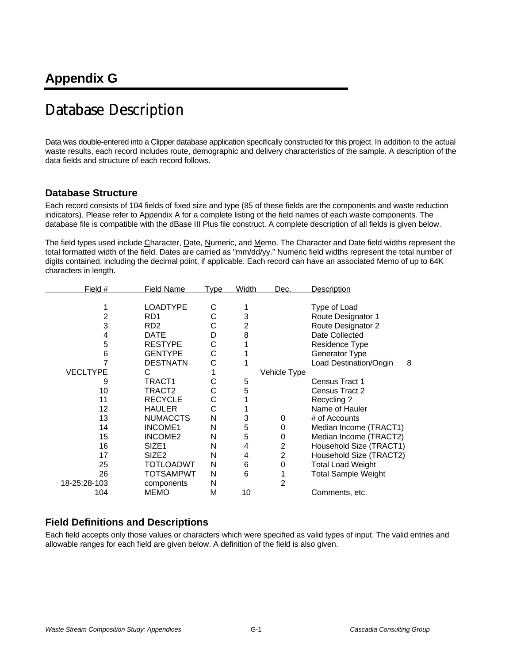# Database Description

Data was double-entered into a Clipper database application specifically constructed for this project. In addition to the actual waste results, each record includes route, demographic and delivery characteristics of the sample. A description of the data fields and structure of each record follows.

# **Database Structure**

Each record consists of 104 fields of fixed size and type (85 of these fields are the components and waste reduction indicators). Please refer to Appendix A for a complete listing of the field names of each waste components. The database file is compatible with the dBase III Plus file construct. A complete description of all fields is given below.

The field types used include Character, Date, Numeric, and Memo. The Character and Date field widths represent the total formatted width of the field. Dates are carried as "mm/dd/yy." Numeric field widths represent the total number of digits contained, including the decimal point, if applicable. Each record can have an associated Memo of up to 64K characters in length.

| Field #         | <b>Field Name</b> | <b>Type</b> | Width          | Dec.           | Description                  |
|-----------------|-------------------|-------------|----------------|----------------|------------------------------|
|                 |                   |             |                |                |                              |
|                 | <b>LOADTYPE</b>   | С           |                |                | Type of Load                 |
| 2               | RD <sub>1</sub>   | С           | 3              |                | Route Designator 1           |
| 3               | RD <sub>2</sub>   | С           | $\overline{2}$ |                | Route Designator 2           |
| 4               | <b>DATE</b>       | D           | 8              |                | Date Collected               |
| 5               | <b>RESTYPE</b>    | С           |                |                | Residence Type               |
| 6               | <b>GENTYPE</b>    | С           |                |                | Generator Type               |
|                 | <b>DESTNATN</b>   | С           |                |                | Load Destination/Origin<br>8 |
| <b>VECLTYPE</b> | С                 |             |                | Vehicle Type   |                              |
| 9               | TRACT1            | С           | 5              |                | Census Tract 1               |
| 10              | TRACT2            | С           | 5              |                | Census Tract 2               |
| 11              | <b>RECYCLE</b>    | С           |                |                | Recycling?                   |
| 12              | <b>HAULER</b>     | С           |                |                | Name of Hauler               |
| 13              | <b>NUMACCTS</b>   | N           | 3              | 0              | # of Accounts                |
| 14              | <b>INCOME1</b>    | N           | 5              | 0              | Median Income (TRACT1)       |
| 15              | <b>INCOME2</b>    | N           | 5              | 0              | Median Income (TRACT2)       |
| 16              | SIZE <sub>1</sub> | N           | 4              | $\overline{2}$ | Household Size (TRACT1)      |
| 17              | SIZE <sub>2</sub> | N           | 4              | $\overline{c}$ | Household Size (TRACT2)      |
| 25              | TOTLOADWT         | N           | 6              | 0              | <b>Total Load Weight</b>     |
| 26              | <b>TOTSAMPWT</b>  | N           | 6              |                | <b>Total Sample Weight</b>   |
| 18-25;28-103    | components        | Ν           |                | $\overline{2}$ |                              |
| 104             | <b>MEMO</b>       | М           | 10             |                | Comments, etc.               |

# **Field Definitions and Descriptions**

Each field accepts only those values or characters which were specified as valid types of input. The valid entries and allowable ranges for each field are given below. A definition of the field is also given.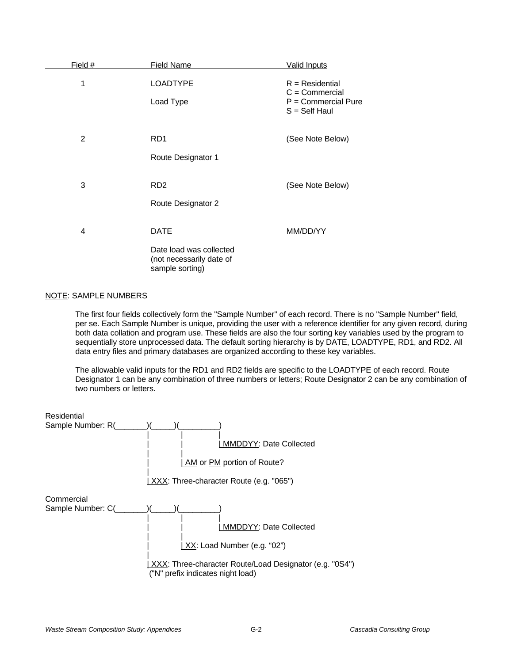| Field # | <b>Field Name</b>                                                                     | <b>Valid Inputs</b>                                                               |
|---------|---------------------------------------------------------------------------------------|-----------------------------------------------------------------------------------|
| 1       | <b>LOADTYPE</b><br>Load Type                                                          | $R = Residential$<br>$C =$ Commercial<br>$P =$ Commercial Pure<br>$S = Self$ Haul |
| 2       | RD <sub>1</sub><br>Route Designator 1                                                 | (See Note Below)                                                                  |
| 3       | RD <sub>2</sub><br>Route Designator 2                                                 | (See Note Below)                                                                  |
| 4       | <b>DATE</b><br>Date load was collected<br>(not necessarily date of<br>sample sorting) | MM/DD/YY                                                                          |

### NOTE: SAMPLE NUMBERS

The first four fields collectively form the "Sample Number" of each record. There is no "Sample Number" field, per se. Each Sample Number is unique, providing the user with a reference identifier for any given record, during both data collation and program use. These fields are also the four sorting key variables used by the program to sequentially store unprocessed data. The default sorting hierarchy is by DATE, LOADTYPE, RD1, and RD2. All data entry files and primary databases are organized according to these key variables.

The allowable valid inputs for the RD1 and RD2 fields are specific to the LOADTYPE of each record. Route Designator 1 can be any combination of three numbers or letters; Route Designator 2 can be any combination of two numbers or letters.

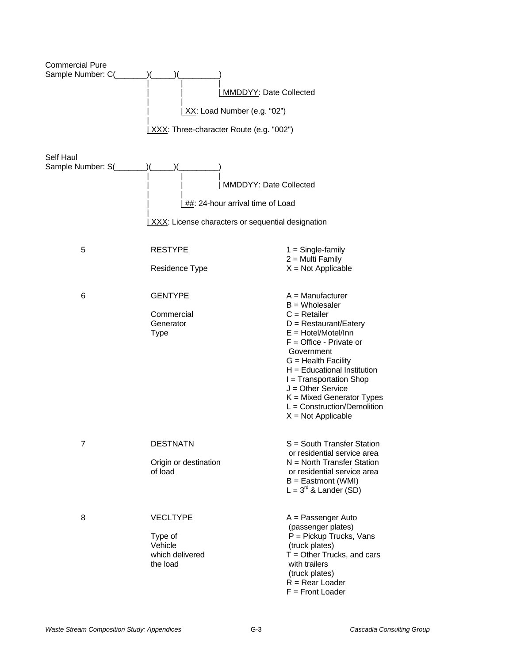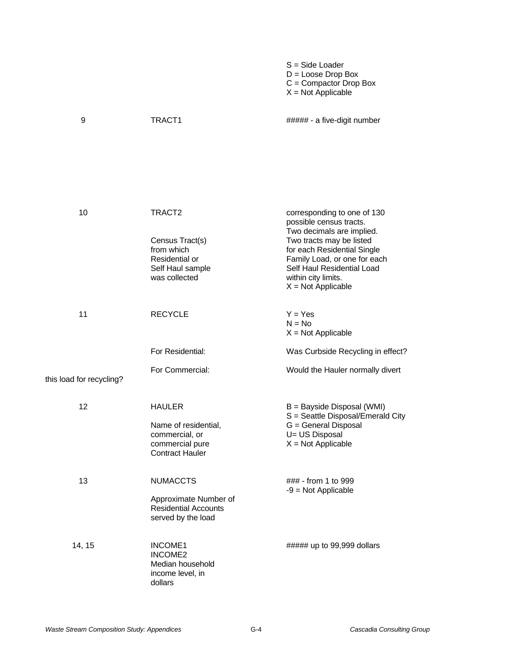|                     |                                                                                                      | $S = Side$ Loader<br>$D =$ Loose Drop Box<br>$C =$ Compactor Drop Box<br>$X = Not Applicable$                                                                                                                                                               |
|---------------------|------------------------------------------------------------------------------------------------------|-------------------------------------------------------------------------------------------------------------------------------------------------------------------------------------------------------------------------------------------------------------|
| 9                   | TRACT <sub>1</sub>                                                                                   | ##### - a five-digit number                                                                                                                                                                                                                                 |
| 10                  | TRACT2<br>Census Tract(s)<br>from which<br>Residential or<br>Self Haul sample<br>was collected       | corresponding to one of 130<br>possible census tracts.<br>Two decimals are implied.<br>Two tracts may be listed<br>for each Residential Single<br>Family Load, or one for each<br>Self Haul Residential Load<br>within city limits.<br>$X = Not Applicable$ |
| 11                  | <b>RECYCLE</b><br>For Residential:                                                                   | $Y = Yes$<br>$N = No$<br>$X = Not Applicable$<br>Was Curbside Recycling in effect?                                                                                                                                                                          |
| load for recycling? | For Commercial:                                                                                      | Would the Hauler normally divert                                                                                                                                                                                                                            |
| 12                  | <b>HAULER</b><br>Name of residential,<br>commercial, or<br>commercial pure<br><b>Contract Hauler</b> | B = Bayside Disposal (WMI)<br>S = Seattle Disposal/Emerald City<br>G = General Disposal<br>U= US Disposal<br>$X = Not Applicable$                                                                                                                           |
| 13                  | <b>NUMACCTS</b><br>Approximate Number of<br><b>Residential Accounts</b><br>served by the load        | ### - from 1 to 999<br>$-9$ = Not Applicable                                                                                                                                                                                                                |
| 14, 15              | INCOME1<br>INCOME <sub>2</sub><br>Median household<br>income level, in<br>dollars                    | ##### up to 99,999 dollars                                                                                                                                                                                                                                  |

this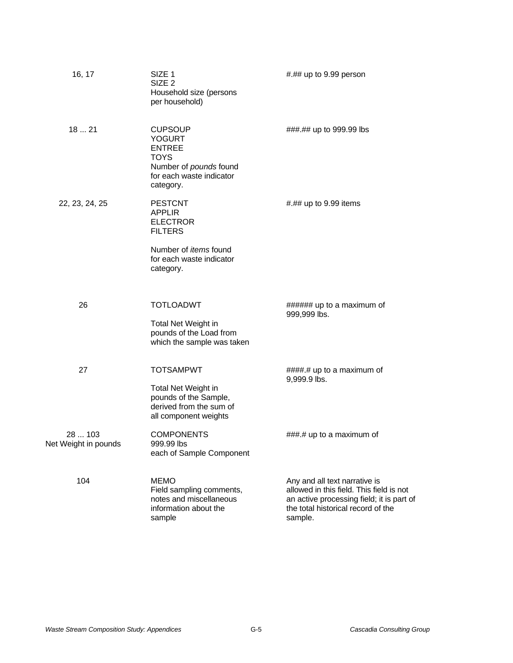| 16, 17                          | SIZE 1<br>SIZE <sub>2</sub><br>Household size (persons<br>per household)                                                           | #.## up to 9.99 person                                                                                                                                                  |
|---------------------------------|------------------------------------------------------------------------------------------------------------------------------------|-------------------------------------------------------------------------------------------------------------------------------------------------------------------------|
| 1821                            | <b>CUPSOUP</b><br><b>YOGURT</b><br><b>ENTREE</b><br><b>TOYS</b><br>Number of pounds found<br>for each waste indicator<br>category. | ###.## up to 999.99 lbs                                                                                                                                                 |
| 22, 23, 24, 25                  | <b>PESTCNT</b><br><b>APPLIR</b><br><b>ELECTROR</b><br><b>FILTERS</b>                                                               | #.## up to 9.99 items                                                                                                                                                   |
|                                 | Number of <i>items</i> found<br>for each waste indicator<br>category.                                                              |                                                                                                                                                                         |
| 26                              | <b>TOTLOADWT</b><br>Total Net Weight in<br>pounds of the Load from<br>which the sample was taken                                   | ###### up to a maximum of<br>999,999 lbs.                                                                                                                               |
| 27                              | <b>TOTSAMPWT</b><br>Total Net Weight in<br>pounds of the Sample,<br>derived from the sum of<br>all component weights               | ####.# up to a maximum of<br>9,999.9 lbs.                                                                                                                               |
| 28  103<br>Net Weight in pounds | <b>COMPONENTS</b><br>999.99 lbs<br>each of Sample Component                                                                        | ###.# up to a maximum of                                                                                                                                                |
| 104                             | <b>MEMO</b><br>Field sampling comments,<br>notes and miscellaneous<br>information about the<br>sample                              | Any and all text narrative is<br>allowed in this field. This field is not<br>an active processing field; it is part of<br>the total historical record of the<br>sample. |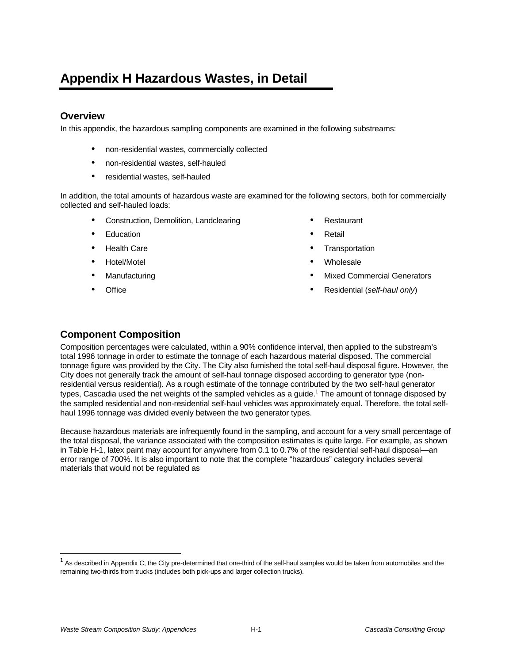# **Appendix H Hazardous Wastes, in Detail**

# **Overview**

In this appendix, the hazardous sampling components are examined in the following substreams:

- non-residential wastes, commercially collected
- non-residential wastes, self-hauled
- residential wastes, self-hauled

In addition, the total amounts of hazardous waste are examined for the following sectors, both for commercially collected and self-hauled loads:

- Construction, Demolition, Landclearing
- **Education**
- **Health Care**
- Hotel/Motel
- Manufacturing
- **Office**
- **Restaurant**
- Retail
- **Transportation**
- Wholesale
- Mixed Commercial Generators
- Residential (*self-haul only*)

# **Component Composition**

Composition percentages were calculated, within a 90% confidence interval, then applied to the substream's total 1996 tonnage in order to estimate the tonnage of each hazardous material disposed. The commercial tonnage figure was provided by the City. The City also furnished the total self-haul disposal figure. However, the City does not generally track the amount of self-haul tonnage disposed according to generator type (nonresidential versus residential). As a rough estimate of the tonnage contributed by the two self-haul generator types, Cascadia used the net weights of the sampled vehicles as a guide.<sup>1</sup> The amount of tonnage disposed by the sampled residential and non-residential self-haul vehicles was approximately equal. Therefore, the total selfhaul 1996 tonnage was divided evenly between the two generator types.

Because hazardous materials are infrequently found in the sampling, and account for a very small percentage of the total disposal, the variance associated with the composition estimates is quite large. For example, as shown in Table H-1, latex paint may account for anywhere from 0.1 to 0.7% of the residential self-haul disposal—an error range of 700%. It is also important to note that the complete "hazardous" category includes several materials that would not be regulated as

l

 $^1$  As described in Appendix C, the City pre-determined that one-third of the self-haul samples would be taken from automobiles and the remaining two-thirds from trucks (includes both pick-ups and larger collection trucks).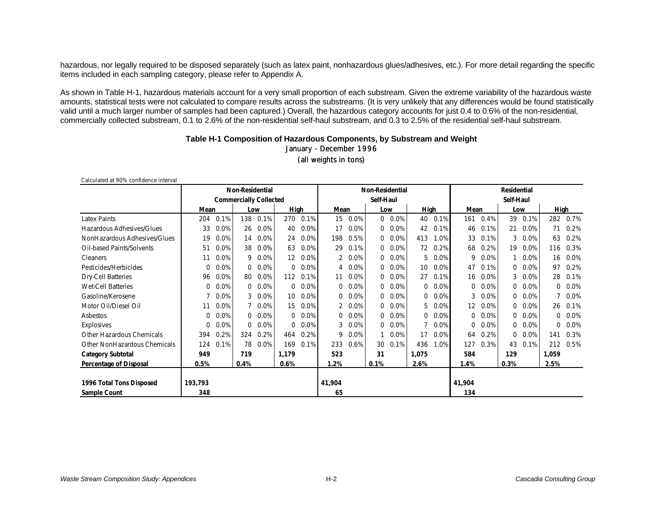hazardous, nor legally required to be disposed separately (such as latex paint, nonhazardous glues/adhesives, etc.). For more detail regarding the specific items included in each sampling category, please refer to Appendix A.

As shown in Table H-1, hazardous materials account for a very small proportion of each substream. Given the extreme variability of the hazardous waste amounts, statistical tests were not calculated to compare results across the substreams. (It is very unlikely that any differences would be found statistically valid until a much larger number of samples had been captured.) Overall, the hazardous category accounts for just 0.4 to 0.6% of the non-residential, commercially collected substream, 0.1 to 2.6% of the non-residential self-haul substream, and 0.3 to 2.5% of the residential self-haul substream.

### **Table H-1 Composition of Hazardous Components, by Substream and Weight** January - December 1996 (all weights in tons)

| Calculated at 90% confidence interval |                               |      |             |      |                        |      |                |      |          |                    |          |      |                   |         |      |         |                |         |  |
|---------------------------------------|-------------------------------|------|-------------|------|------------------------|------|----------------|------|----------|--------------------|----------|------|-------------------|---------|------|---------|----------------|---------|--|
|                                       | <b>Non-Residential</b>        |      |             |      | <b>Non-Residential</b> |      |                |      |          | <b>Residential</b> |          |      |                   |         |      |         |                |         |  |
|                                       | <b>Commercially Collected</b> |      |             |      | Self-Haul              |      |                |      |          | Self-Haul          |          |      |                   |         |      |         |                |         |  |
|                                       | Mean                          |      |             | Low  | High                   |      | Mean           |      | Low      |                    | High     |      |                   | Mean    |      | Low     |                | High    |  |
| <b>Latex Paints</b>                   | 204                           | 0.1% | 138         | 0.1% | 270                    | 0.1% | 15             | 0.0% |          | $0.0\%$            | 40       | 0.1% | 161               | 0.4%    | 39   | 0.1%    | 282            | 0.7%    |  |
| Hazardous Adhesives/Glues             | 33                            | 0.0% | 26          | 0.0% | 40                     | 0.0% | 17             | 0.0% |          | $0.0\%$            | 42       | 0.1% | 46                | 0.1%    | 21   | 0.0%    | 71             | 0.2%    |  |
| NonHazardous Adhesives/Glues          | 19                            | 0.0% | 14          | 0.0% | 24                     | 0.0% | 198            | 0.5% | $\Omega$ | 0.0%               | 413      | 1.0% | 33                | 0.1%    | 3    | $0.0\%$ | 63             | 0.2%    |  |
| Oil-based Paints/Solvents             | 51                            | 0.0% | 38          | 0.0% | 63                     | 0.0% | 29             | 0.1% | $\Omega$ | 0.0%               | 72       | 0.2% | 68                | 0.2%    | 19   | 0.0%    | 116            | 0.3%    |  |
| <b>Cleaners</b>                       | 11                            | 0.0% | 9           | 0.0% | 12                     | 0.0% | $\overline{2}$ | 0.0% | $\Omega$ | 0.0%               | 5        | 0.0% | 9                 | 0.0%    |      | 0.0%    | 16             | 0.0%    |  |
| Pesticides/Herbicides                 | 0                             | 0.0% | 0           | 0.0% | $\Omega$               | 0.0% | 4              | 0.0% | $\Omega$ | $0.0\%$            | 10       | 0.0% | 47                | 0.1%    | 0    | $0.0\%$ | 97             | 0.2%    |  |
| Dry-Cell Batteries                    | 96                            | 0.0% | 80          | 0.0% | 112                    | 0.1% | 11             | 0.0% | $\Omega$ | 0.0%               | 27       | 0.1% | 16                | 0.0%    | 3    | 0.0%    | 28             | 0.1%    |  |
| <b>Wet-Cell Batteries</b>             | 0                             | 0.0% | $\Omega$    | 0.0% | 0                      | 0.0% | 0              | 0.0% | $\Omega$ | 0.0%               | 0        | 0.0% | 0                 | 0.0%    | 0    | $0.0\%$ | $\Omega$       | 0.0%    |  |
| Gasoline/Kerosene                     |                               | 0.0% | 3           | 0.0% | 10                     | 0.0% | 0              | 0.0% | $\Omega$ | 0.0%               | 0        | 0.0% | 3                 | 0.0%    | 0    | $0.0\%$ |                | 0.0%    |  |
| Motor Oil/Diesel Oil                  | 11                            | 0.0% |             | 0.0% | 15                     | 0.0% |                | 0.0% | $\Omega$ | $0.0\%$            | 5.       | 0.0% | $12 \overline{ }$ | $0.0\%$ | 0    | $0.0\%$ | 26             | 0.1%    |  |
| Asbestos                              | 0                             | 0.0% | $\Omega$    | 0.0% | 0                      | 0.0% | 0              | 0.0% | $\Omega$ | 0.0%               | $\Omega$ | 0.0% | 0                 | 0.0%    | 0    | $0.0\%$ |                | $0.0\%$ |  |
| Explosives                            | 0                             | 0.0% | $\mathbf 0$ | 0.0% | 0                      | 0.0% | 3              | 0.0% | $\Omega$ | 0.0%               |          | 0.0% | $\Omega$          | 0.0%    | 0    | 0.0%    | $\overline{0}$ | 0.0%    |  |
| Other Hazardous Chemicals             | 394                           | 0.2% | 324         | 0.2% | 464                    | 0.2% | 9              | 0.0% |          | 0.0%               | 17       | 0.0% | 64                | 0.2%    | 0    | 0.0%    | 141            | 0.3%    |  |
| Other NonHazardous Chemicals          | 124                           | 0.1% | 78          | 0.0% | 169                    | 0.1% | 233            | 0.6% | 30       | 0.1%               | 436      | 1.0% | 127               | 0.3%    | 43   | 0.1%    | 212            | 0.5%    |  |
| <b>Category Subtotal</b>              | 949                           |      | 719         |      | 1,179                  |      | 523            |      | 31       |                    | 1,075    |      | 584               |         | 129  |         | 1,059          |         |  |
| Percentage of Disposal                | 0.5%                          |      | 0.4%        |      | 0.6%                   |      | 1.2%           |      | 0.1%     |                    | 2.6%     |      | 1.4%              |         | 0.3% |         | 2.5%           |         |  |
|                                       |                               |      |             |      |                        |      |                |      |          |                    |          |      |                   |         |      |         |                |         |  |
| 1996 Total Tons Disposed              | 193,793                       |      |             |      |                        |      | 41,904         |      |          |                    |          |      | 41,904            |         |      |         |                |         |  |
| Sample Count                          | 348                           |      |             |      |                        |      | 65             |      |          |                    |          |      | 134               |         |      |         |                |         |  |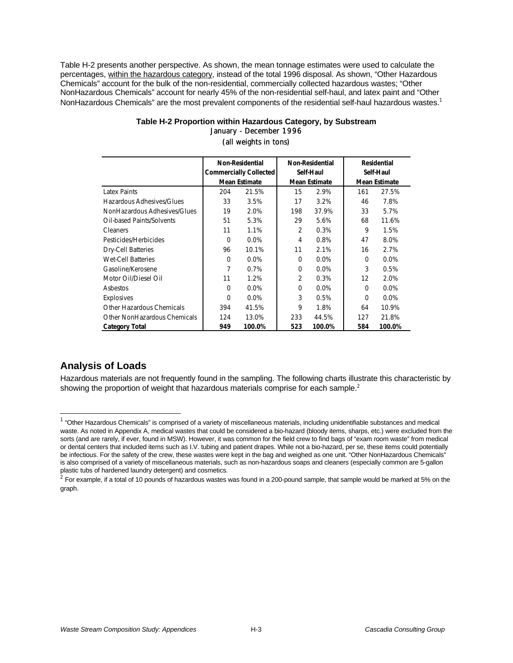Table H-2 presents another perspective. As shown, the mean tonnage estimates were used to calculate the percentages, within the hazardous category, instead of the total 1996 disposal. As shown, "Other Hazardous Chemicals" account for the bulk of the non-residential, commercially collected hazardous wastes; "Other NonHazardous Chemicals" account for nearly 45% of the non-residential self-haul, and latex paint and "Other NonHazardous Chemicals" are the most prevalent components of the residential self-haul hazardous wastes.<sup>1</sup>

|                              |          | <b>Non-Residential</b><br><b>Commercially Collected</b><br><b>Mean Estimate</b> |          | Non-Residential<br>Self-Haul<br><b>Mean Estimate</b> | <b>Residential</b><br>Self-Haul<br><b>Mean Estimate</b> |         |  |
|------------------------------|----------|---------------------------------------------------------------------------------|----------|------------------------------------------------------|---------------------------------------------------------|---------|--|
| Latex Paints                 | 204      | 21.5%                                                                           | 15       | 2.9%                                                 | 161                                                     | 27.5%   |  |
| Hazardous Adhesives/Glues    | 33       | 3.5%                                                                            | 17       | 3.2%                                                 | 46                                                      | 7.8%    |  |
| NonHazardous Adhesives/Glues | 19       | 2.0%                                                                            | 198      | 37.9%                                                | 33                                                      | 5.7%    |  |
| Oil-based Paints/Solvents    | 51       | 5.3%                                                                            | 29       | 5.6%                                                 | 68                                                      | 11.6%   |  |
| Cleaners                     | 11       | 1.1%                                                                            | 2        | 0.3%                                                 | 9                                                       | 1.5%    |  |
| Pesticides/Herbicides        | $\Omega$ | $0.0\%$                                                                         | 4        | 0.8%                                                 | 47                                                      | 8.0%    |  |
| <b>Dry-Cell Batteries</b>    | 96       | 10.1%                                                                           | 11       | 2.1%                                                 | 16                                                      | 2.7%    |  |
| <b>Wet-Cell Batteries</b>    | $\Omega$ | $0.0\%$                                                                         | $\Omega$ | 0.0%                                                 | $\Omega$                                                | $0.0\%$ |  |
| Gasoline/Kerosene            | 7        | 0.7%                                                                            | $\Omega$ | $0.0\%$                                              | 3                                                       | 0.5%    |  |
| Motor Oil/Diesel Oil         | 11       | 1.2%                                                                            | 2        | 0.3%                                                 | 12                                                      | 2.0%    |  |
| Asbestos                     | $\Omega$ | $0.0\%$                                                                         | $\Omega$ | 0.0%                                                 | $\Omega$                                                | $0.0\%$ |  |
| Explosives                   | $\Omega$ | $0.0\%$                                                                         | 3        | 0.5%                                                 | $\Omega$                                                | $0.0\%$ |  |
| Other Hazardous Chemicals    | 394      | 41.5%                                                                           | 9        | 1.8%                                                 | 64                                                      | 10.9%   |  |
| Other NonHazardous Chemicals | 124      | 13.0%                                                                           | 233      | 44.5%                                                | 127                                                     | 21.8%   |  |
| <b>Category Total</b>        | 949      | 100.0%                                                                          | 523      | 100.0%                                               | 584                                                     | 100.0%  |  |

### **Table H-2 Proportion within Hazardous Category, by Substream** January - December 1996 (all weights in tons)

# **Analysis of Loads**

l

Hazardous materials are not frequently found in the sampling. The following charts illustrate this characteristic by showing the proportion of weight that hazardous materials comprise for each sample. $2$ 

<sup>&</sup>lt;sup>1</sup> "Other Hazardous Chemicals" is comprised of a variety of miscellaneous materials, including unidentifiable substances and medical waste. As noted in Appendix A, medical wastes that could be considered a bio-hazard (bloody items, sharps, etc.) were excluded from the sorts (and are rarely, if ever, found in MSW). However, it was common for the field crew to find bags of "exam room waste" from medical or dental centers that included items such as I.V. tubing and patient drapes. While not a bio-hazard, per se, these items could potentially be infectious. For the safety of the crew, these wastes were kept in the bag and weighed as one unit. "Other NonHazardous Chemicals" is also comprised of a variety of miscellaneous materials, such as non-hazardous soaps and cleaners (especially common are 5-gallon plastic tubs of hardened laundry detergent) and cosmetics.

 $^2$  For example, if a total of 10 pounds of hazardous wastes was found in a 200-pound sample, that sample would be marked at 5% on the graph.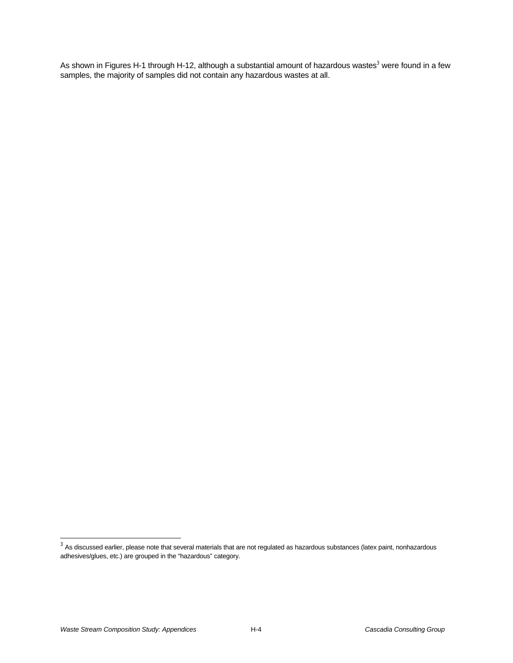As shown in Figures H-1 through H-12, although a substantial amount of hazardous wastes<sup>3</sup> were found in a few samples, the majority of samples did not contain any hazardous wastes at all.

 $^3$  As discussed earlier, please note that several materials that are not regulated as hazardous substances (latex paint, nonhazardous adhesives/glues, etc.) are grouped in the "hazardous" category.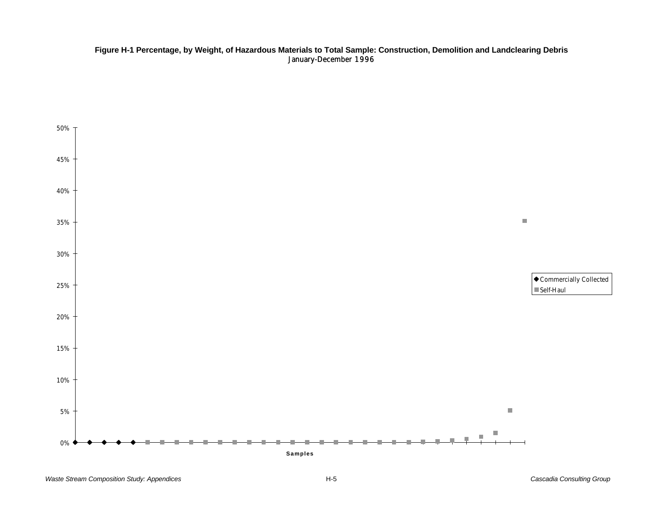### **Figure H-1 Percentage, by Weight, of Hazardous Materials to Total Sample: Construction, Demolition and Landclearing Debris** January-December 1996

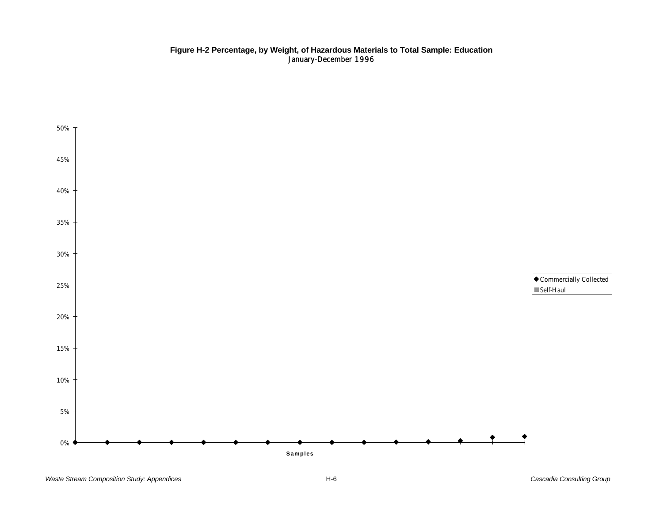#### **Figure H-2 Percentage, by Weight, of Hazardous Materials to Total Sample: Education** January-December 1996

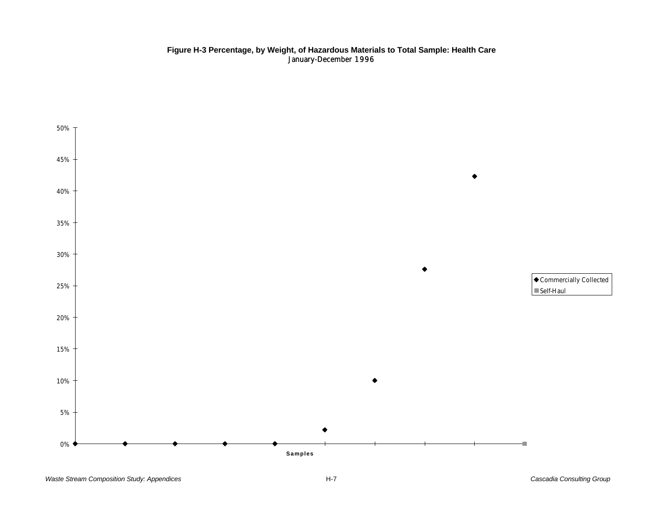### **Figure H-3 Percentage, by Weight, of Hazardous Materials to Total Sample: Health Care** January-December 1996

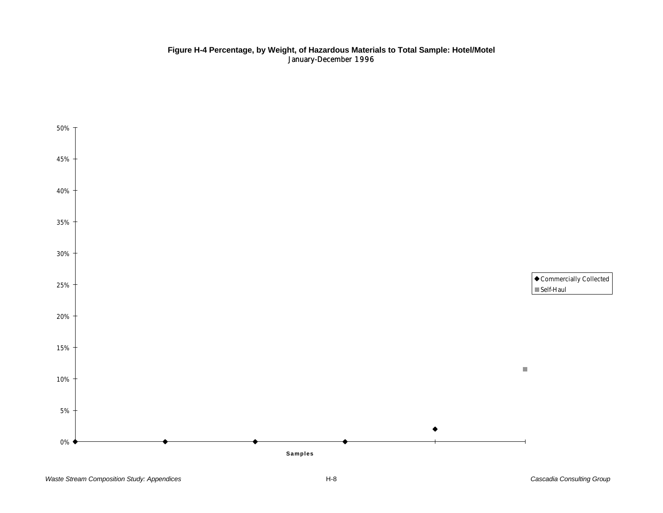### **Figure H-4 Percentage, by Weight, of Hazardous Materials to Total Sample: Hotel/Motel** January-December 1996

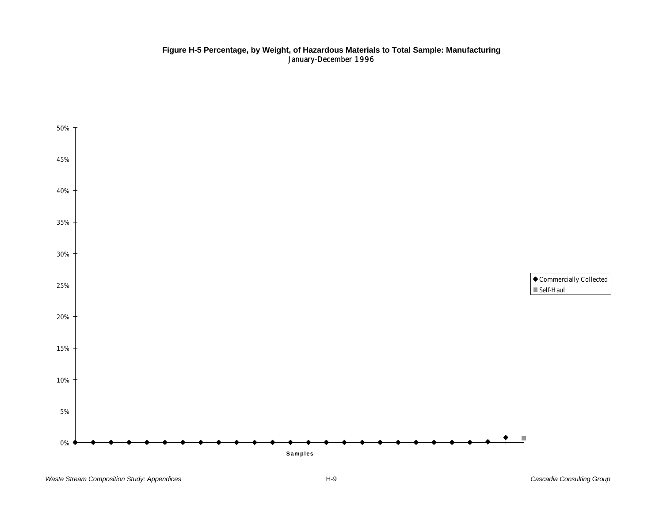### **Figure H-5 Percentage, by Weight, of Hazardous Materials to Total Sample: Manufacturing** January-December 1996

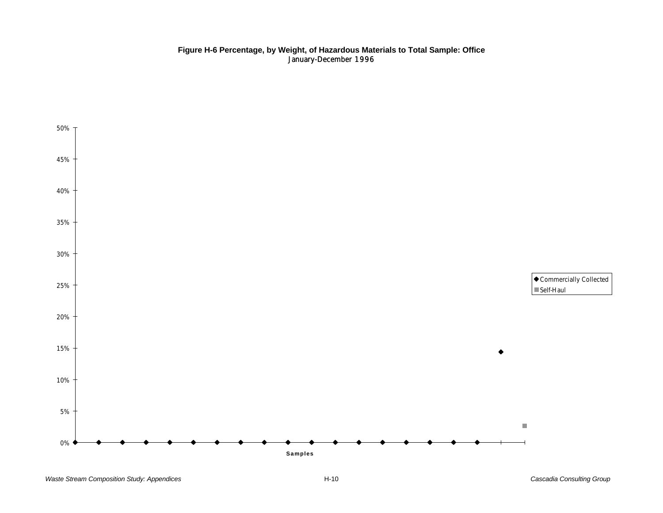### **Figure H-6 Percentage, by Weight, of Hazardous Materials to Total Sample: Office** January-December 1996

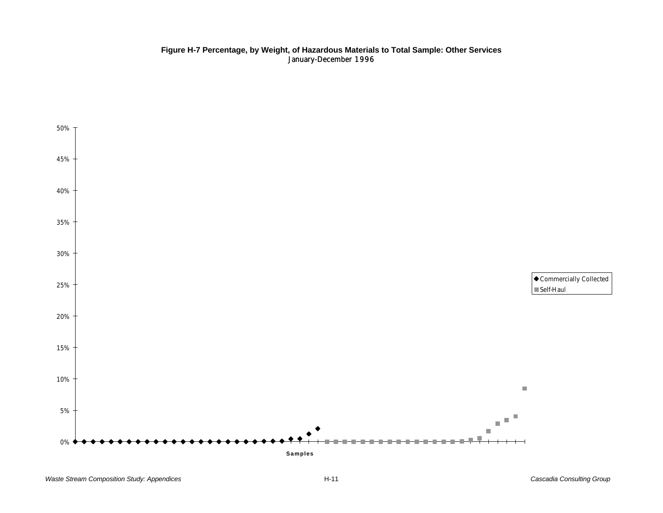### **Figure H-7 Percentage, by Weight, of Hazardous Materials to Total Sample: Other Services** January-December 1996

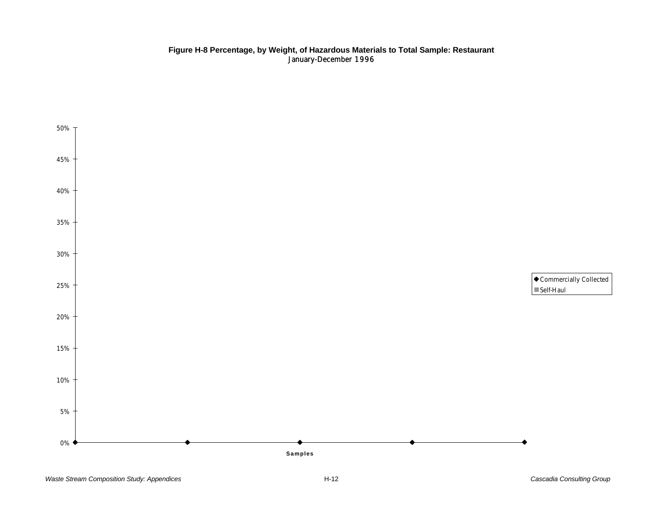### **Figure H-8 Percentage, by Weight, of Hazardous Materials to Total Sample: Restaurant** January-December 1996

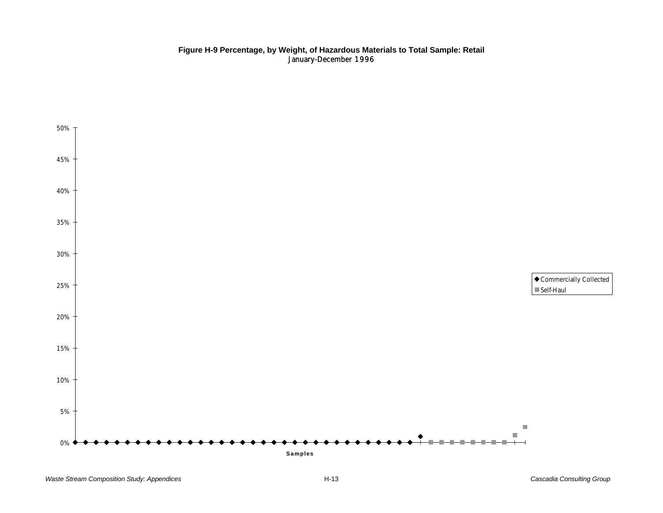### **Figure H-9 Percentage, by Weight, of Hazardous Materials to Total Sample: Retail** January-December 1996

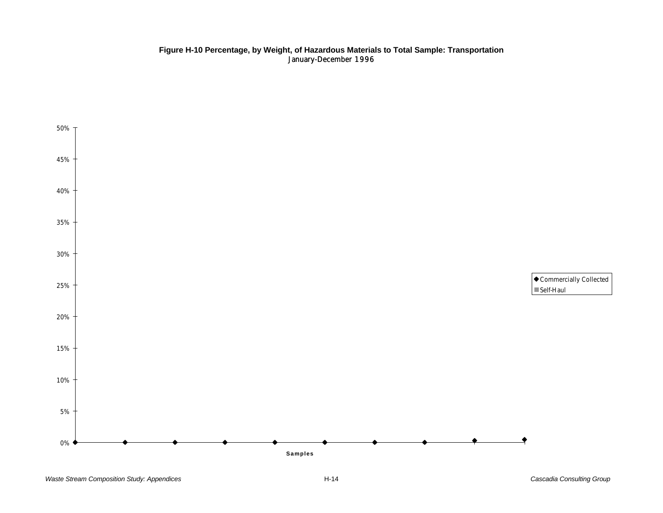### **Figure H-10 Percentage, by Weight, of Hazardous Materials to Total Sample: Transportation** January-December 1996

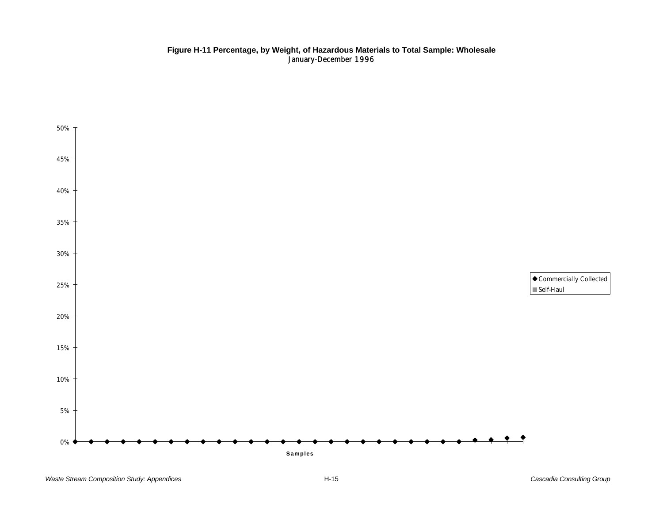### **Figure H-11 Percentage, by Weight, of Hazardous Materials to Total Sample: Wholesale** January-December 1996

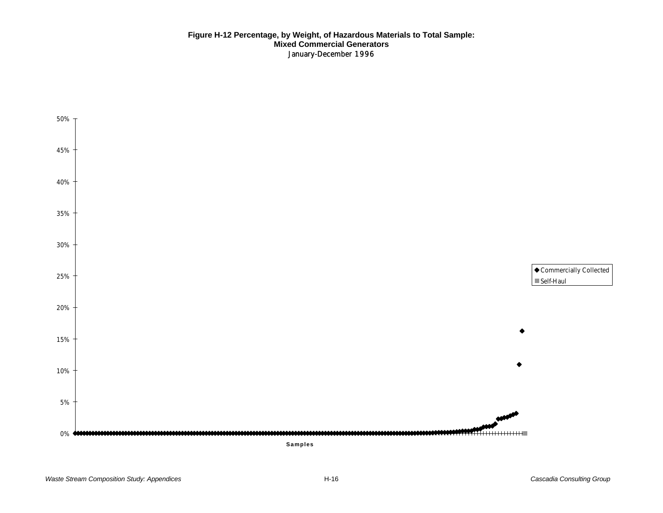### **Figure H-12 Percentage, by Weight, of Hazardous Materials to Total Sample: Mixed Commercial Generators** January-December 1996